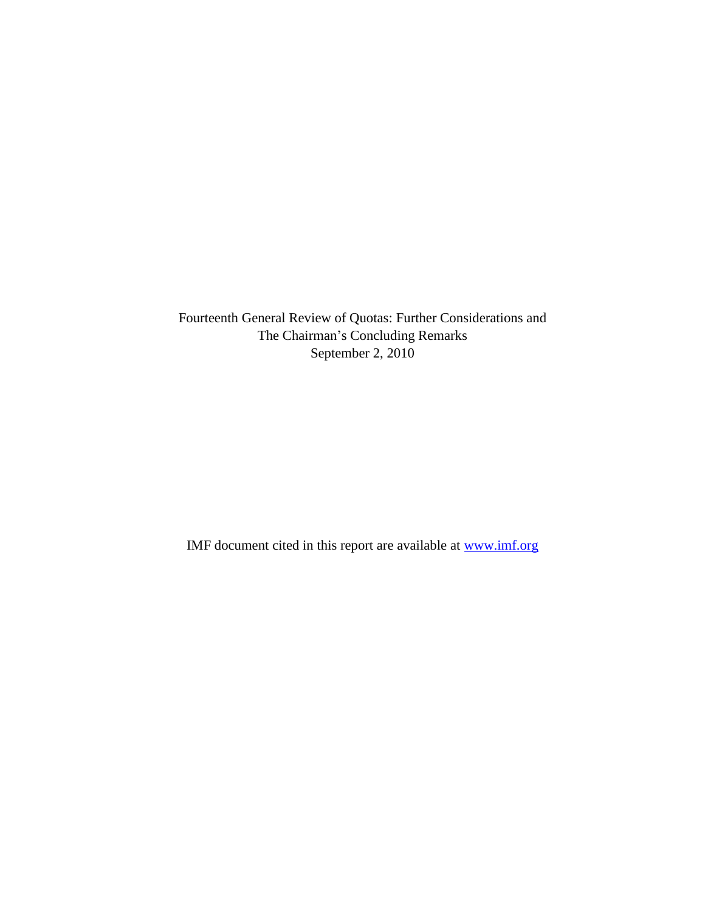Fourteenth General Review of Quotas: Further Considerations and The Chairman's Concluding Remarks September 2, 2010

IMF document cited in this report are available at [www.imf.org](http://www.imf.org/)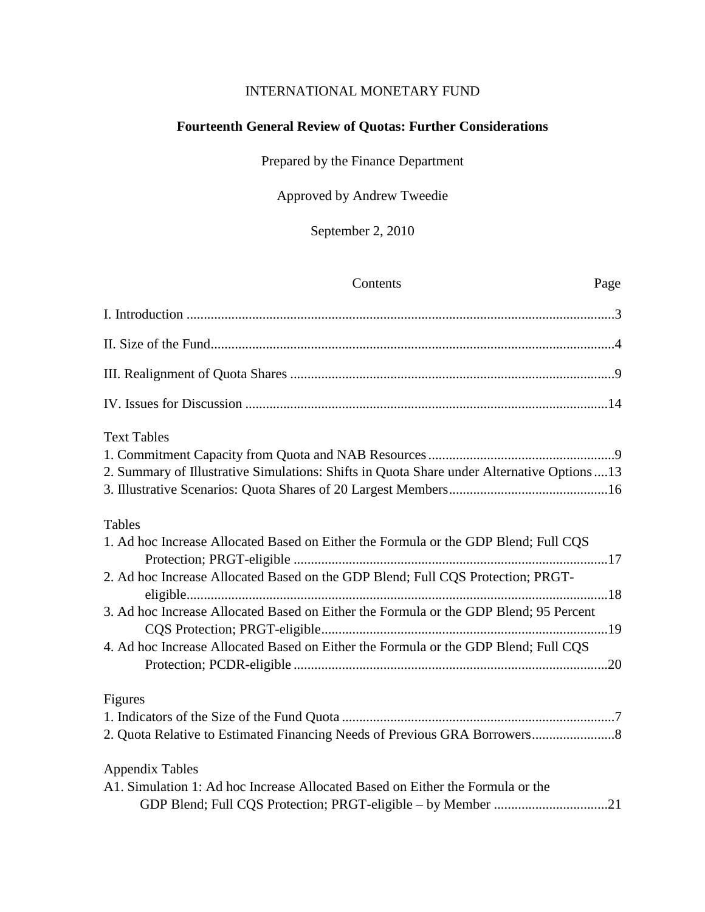# INTERNATIONAL MONETARY FUND

# **Fourteenth General Review of Quotas: Further Considerations**

Prepared by the Finance Department

# Approved by Andrew Tweedie

September 2, 2010

| Contents<br>Page                                                                                                                               |
|------------------------------------------------------------------------------------------------------------------------------------------------|
|                                                                                                                                                |
|                                                                                                                                                |
|                                                                                                                                                |
|                                                                                                                                                |
| <b>Text Tables</b>                                                                                                                             |
|                                                                                                                                                |
| 2. Summary of Illustrative Simulations: Shifts in Quota Share under Alternative Options  13                                                    |
|                                                                                                                                                |
| <b>Tables</b>                                                                                                                                  |
| 1. Ad hoc Increase Allocated Based on Either the Formula or the GDP Blend; Full CQS                                                            |
|                                                                                                                                                |
| 2. Ad hoc Increase Allocated Based on the GDP Blend; Full CQS Protection; PRGT-                                                                |
| 3. Ad hoc Increase Allocated Based on Either the Formula or the GDP Blend; 95 Percent                                                          |
|                                                                                                                                                |
| 4. Ad hoc Increase Allocated Based on Either the Formula or the GDP Blend; Full CQS                                                            |
| Figures                                                                                                                                        |
|                                                                                                                                                |
|                                                                                                                                                |
| <b>Appendix Tables</b>                                                                                                                         |
| A1. Simulation 1: Ad hoc Increase Allocated Based on Either the Formula or the<br>GDP Blend; Full CQS Protection; PRGT-eligible - by Member 21 |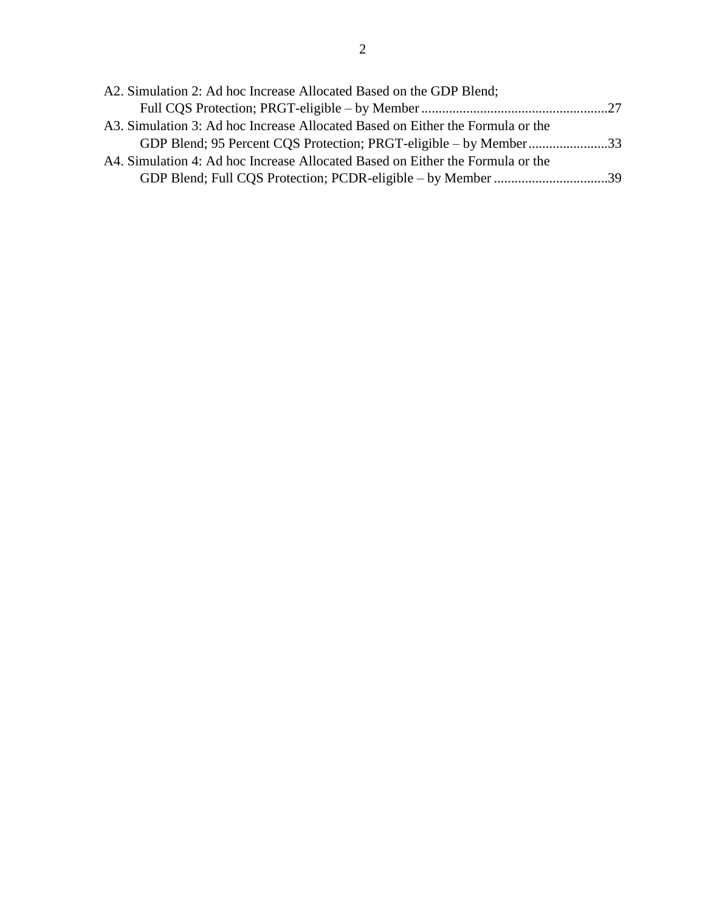| A2. Simulation 2: Ad hoc Increase Allocated Based on the GDP Blend;            |  |
|--------------------------------------------------------------------------------|--|
|                                                                                |  |
| A3. Simulation 3: Ad hoc Increase Allocated Based on Either the Formula or the |  |
| GDP Blend; 95 Percent CQS Protection; PRGT-eligible – by Member33              |  |
| A4. Simulation 4: Ad hoc Increase Allocated Based on Either the Formula or the |  |
| GDP Blend; Full CQS Protection; PCDR-eligible – by Member 39                   |  |
|                                                                                |  |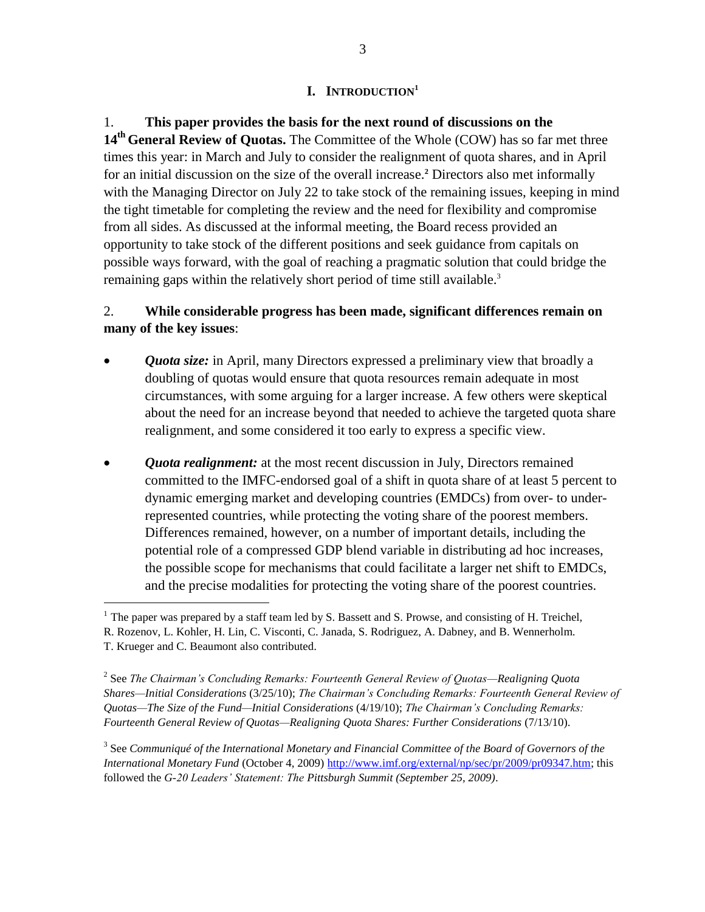### **I. INTRODUCTION<sup>1</sup>**

1. **This paper provides the basis for the next round of discussions on the 14th General Review of Quotas.** The Committee of the Whole (COW) has so far met three times this year: in March and July to consider the realignment of quota shares, and in April for an initial discussion on the size of the overall increase.**<sup>2</sup>** Directors also met informally with the Managing Director on July 22 to take stock of the remaining issues, keeping in mind the tight timetable for completing the review and the need for flexibility and compromise from all sides. As discussed at the informal meeting, the Board recess provided an opportunity to take stock of the different positions and seek guidance from capitals on possible ways forward, with the goal of reaching a pragmatic solution that could bridge the remaining gaps within the relatively short period of time still available.<sup>3</sup>

## 2. **While considerable progress has been made, significant differences remain on many of the key issues**:

- *Quota size:* in April, many Directors expressed a preliminary view that broadly a doubling of quotas would ensure that quota resources remain adequate in most circumstances, with some arguing for a larger increase. A few others were skeptical about the need for an increase beyond that needed to achieve the targeted quota share realignment, and some considered it too early to express a specific view.
- *Quota realignment:* at the most recent discussion in July, Directors remained committed to the IMFC-endorsed goal of a shift in quota share of at least 5 percent to dynamic emerging market and developing countries (EMDCs) from over- to underrepresented countries, while protecting the voting share of the poorest members. Differences remained, however, on a number of important details, including the potential role of a compressed GDP blend variable in distributing ad hoc increases, the possible scope for mechanisms that could facilitate a larger net shift to EMDCs, and the precise modalities for protecting the voting share of the poorest countries.

 $\overline{a}$ 

<sup>&</sup>lt;sup>1</sup> The paper was prepared by a staff team led by S. Bassett and S. Prowse, and consisting of H. Treichel, R. Rozenov, L. Kohler, H. Lin, C. Visconti, C. Janada, S. Rodriguez, A. Dabney, and B. Wennerholm. T. Krueger and C. Beaumont also contributed.

<sup>2</sup> See *The Chairman's Concluding Remarks: Fourteenth General Review of Quotas—Realigning Quota Shares—Initial Considerations* (3/25/10); *The Chairman's Concluding Remarks: Fourteenth General Review of Quotas—The Size of the Fund—Initial Considerations* (4/19/10); *The Chairman's Concluding Remarks: Fourteenth General Review of Quotas—Realigning Quota Shares: Further Considerations* (7/13/10).

<sup>3</sup> See *Communiqué of the International Monetary and Financial Committee of the Board of Governors of the International Monetary Fund* (October 4, 2009) [http://www.imf.org/external/np/sec/pr/2009/pr09347.htm;](http://www.imf.org/external/np/sec/pr/2009/pr09347.htm) this followed the *G-20 Leaders' Statement: The Pittsburgh Summit (September 25, 2009)*.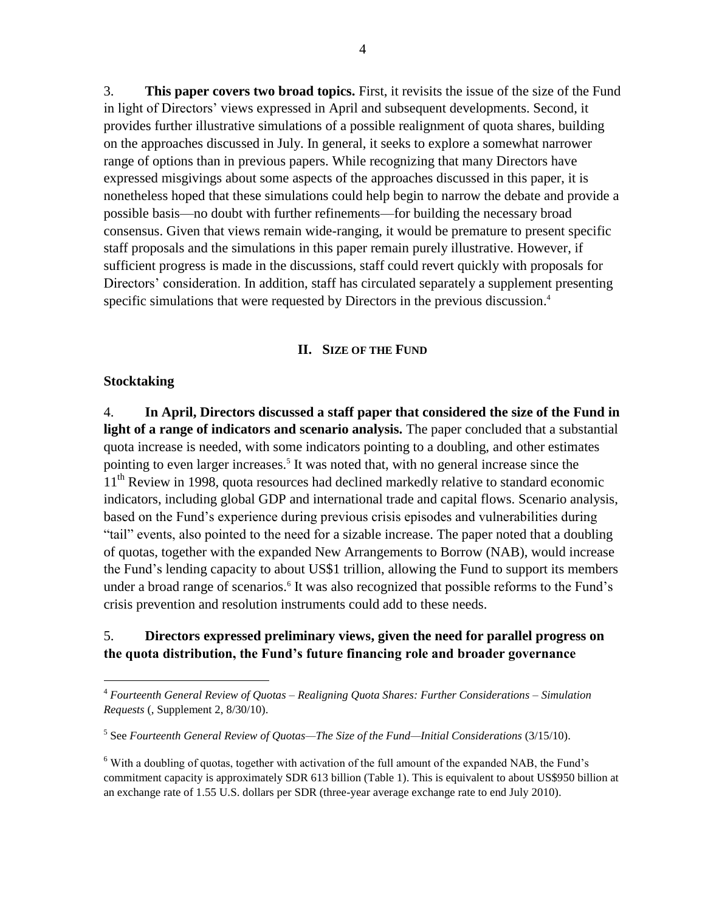3. **This paper covers two broad topics.** First, it revisits the issue of the size of the Fund in light of Directors' views expressed in April and subsequent developments. Second, it provides further illustrative simulations of a possible realignment of quota shares, building on the approaches discussed in July. In general, it seeks to explore a somewhat narrower range of options than in previous papers. While recognizing that many Directors have expressed misgivings about some aspects of the approaches discussed in this paper, it is nonetheless hoped that these simulations could help begin to narrow the debate and provide a possible basis—no doubt with further refinements—for building the necessary broad consensus. Given that views remain wide-ranging, it would be premature to present specific staff proposals and the simulations in this paper remain purely illustrative. However, if sufficient progress is made in the discussions, staff could revert quickly with proposals for Directors' consideration. In addition, staff has circulated separately a supplement presenting specific simulations that were requested by Directors in the previous discussion. 4

## **II. SIZE OF THE FUND**

## **Stocktaking**

 $\overline{a}$ 

4. **In April, Directors discussed a staff paper that considered the size of the Fund in light of a range of indicators and scenario analysis.** The paper concluded that a substantial quota increase is needed, with some indicators pointing to a doubling, and other estimates pointing to even larger increases.<sup>5</sup> It was noted that, with no general increase since the 11<sup>th</sup> Review in 1998, quota resources had declined markedly relative to standard economic indicators, including global GDP and international trade and capital flows. Scenario analysis, based on the Fund's experience during previous crisis episodes and vulnerabilities during ―tail‖ events, also pointed to the need for a sizable increase. The paper noted that a doubling of quotas, together with the expanded New Arrangements to Borrow (NAB), would increase the Fund's lending capacity to about US\$1 trillion, allowing the Fund to support its members under a broad range of scenarios.<sup>6</sup> It was also recognized that possible reforms to the Fund's crisis prevention and resolution instruments could add to these needs.

## 5. **Directors expressed preliminary views, given the need for parallel progress on the quota distribution, the Fund's future financing role and broader governance**

<sup>4</sup> *Fourteenth General Review of Quotas – Realigning Quota Shares: Further Considerations – Simulation Requests* (, Supplement 2, 8/30/10).

<sup>&</sup>lt;sup>5</sup> See *Fourteenth General Review of Quotas—The Size of the Fund—Initial Considerations (3/15/10).* 

 $6$  With a doubling of quotas, together with activation of the full amount of the expanded NAB, the Fund's commitment capacity is approximately SDR 613 billion (Table 1). This is equivalent to about US\$950 billion at an exchange rate of 1.55 U.S. dollars per SDR (three-year average exchange rate to end July 2010).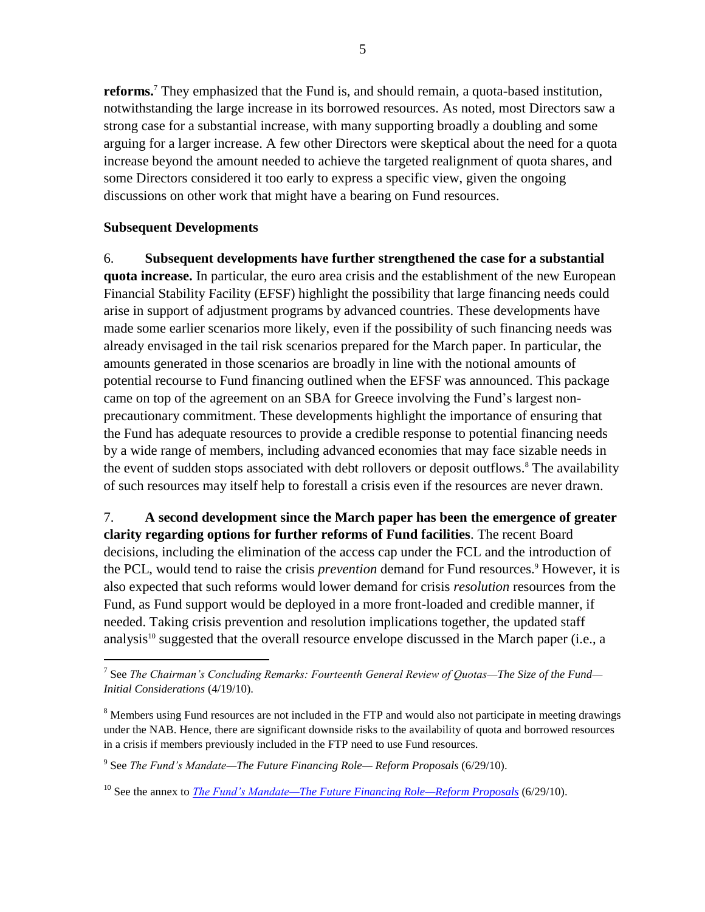**reforms.**<sup>7</sup> They emphasized that the Fund is, and should remain, a quota-based institution, notwithstanding the large increase in its borrowed resources. As noted, most Directors saw a strong case for a substantial increase, with many supporting broadly a doubling and some arguing for a larger increase. A few other Directors were skeptical about the need for a quota increase beyond the amount needed to achieve the targeted realignment of quota shares, and some Directors considered it too early to express a specific view, given the ongoing discussions on other work that might have a bearing on Fund resources.

## **Subsequent Developments**

 $\overline{a}$ 

6. **Subsequent developments have further strengthened the case for a substantial quota increase.** In particular, the euro area crisis and the establishment of the new European Financial Stability Facility (EFSF) highlight the possibility that large financing needs could arise in support of adjustment programs by advanced countries. These developments have made some earlier scenarios more likely, even if the possibility of such financing needs was already envisaged in the tail risk scenarios prepared for the March paper. In particular, the amounts generated in those scenarios are broadly in line with the notional amounts of potential recourse to Fund financing outlined when the EFSF was announced. This package came on top of the agreement on an SBA for Greece involving the Fund's largest nonprecautionary commitment. These developments highlight the importance of ensuring that the Fund has adequate resources to provide a credible response to potential financing needs by a wide range of members, including advanced economies that may face sizable needs in the event of sudden stops associated with debt rollovers or deposit outflows.<sup>8</sup> The availability of such resources may itself help to forestall a crisis even if the resources are never drawn.

7. **A second development since the March paper has been the emergence of greater clarity regarding options for further reforms of Fund facilities**. The recent Board decisions, including the elimination of the access cap under the FCL and the introduction of the PCL, would tend to raise the crisis *prevention* demand for Fund resources.<sup>9</sup> However, it is also expected that such reforms would lower demand for crisis *resolution* resources from the Fund, as Fund support would be deployed in a more front-loaded and credible manner, if needed. Taking crisis prevention and resolution implications together, the updated staff analysis<sup>10</sup> suggested that the overall resource envelope discussed in the March paper (i.e., a

<sup>7</sup> See *The Chairman's Concluding Remarks: Fourteenth General Review of Quotas—The Size of the Fund— Initial Considerations* (4/19/10).

<sup>&</sup>lt;sup>8</sup> Members using Fund resources are not included in the FTP and would also not participate in meeting drawings under the NAB. Hence, there are significant downside risks to the availability of quota and borrowed resources in a crisis if members previously included in the FTP need to use Fund resources.

<sup>9</sup> See *The Fund's Mandate—The Future Financing Role— Reform Proposals* (6/29/10).

<sup>&</sup>lt;sup>10</sup> See the annex to *[The Fund's Mandate—The Future Financing Role—Reform Proposals](http://www.imf.org/external/np/pp/eng/2010/062910.pdf)* (6/29/10).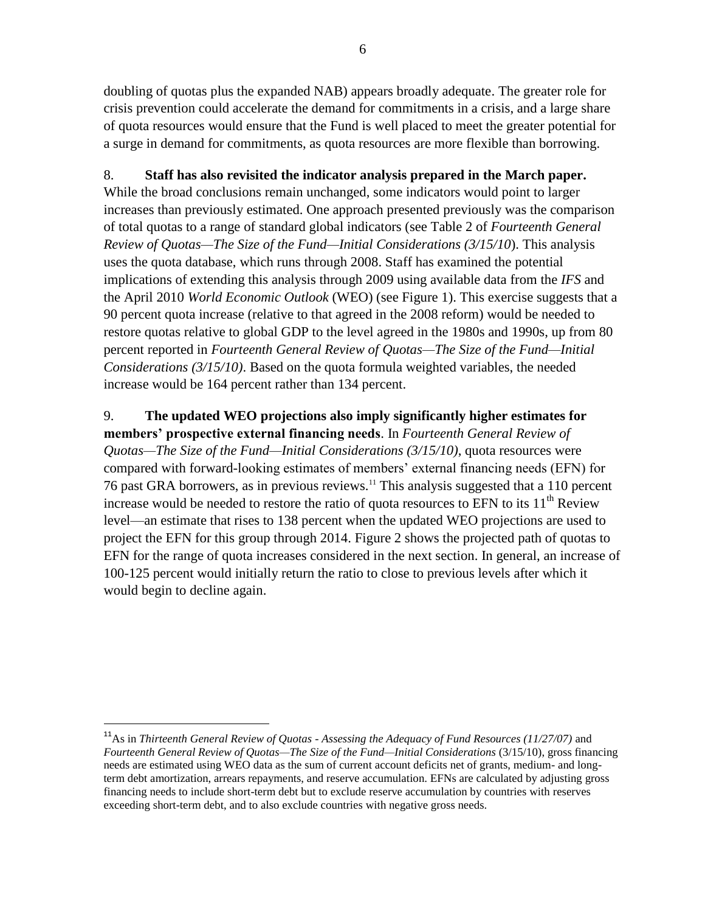doubling of quotas plus the expanded NAB) appears broadly adequate. The greater role for crisis prevention could accelerate the demand for commitments in a crisis, and a large share of quota resources would ensure that the Fund is well placed to meet the greater potential for a surge in demand for commitments, as quota resources are more flexible than borrowing.

## 8. **Staff has also revisited the indicator analysis prepared in the March paper.**

While the broad conclusions remain unchanged, some indicators would point to larger increases than previously estimated. One approach presented previously was the comparison of total quotas to a range of standard global indicators (see Table 2 of *Fourteenth General Review of Quotas—The Size of the Fund—Initial Considerations (3/15/10*). This analysis uses the quota database, which runs through 2008. Staff has examined the potential implications of extending this analysis through 2009 using available data from the *IFS* and the April 2010 *World Economic Outlook* (WEO) (see Figure 1). This exercise suggests that a 90 percent quota increase (relative to that agreed in the 2008 reform) would be needed to restore quotas relative to global GDP to the level agreed in the 1980s and 1990s, up from 80 percent reported in *Fourteenth General Review of Quotas—The Size of the Fund—Initial Considerations (3/15/10)*. Based on the quota formula weighted variables, the needed increase would be 164 percent rather than 134 percent.

9. **The updated WEO projections also imply significantly higher estimates for members' prospective external financing needs**. In *Fourteenth General Review of Quotas—The Size of the Fund—Initial Considerations (3/15/10)*, quota resources were compared with forward-looking estimates of members' external financing needs (EFN) for 76 past GRA borrowers, as in previous reviews.<sup>11</sup> This analysis suggested that a 110 percent increase would be needed to restore the ratio of quota resources to EFN to its  $11<sup>th</sup>$  Review level—an estimate that rises to 138 percent when the updated WEO projections are used to project the EFN for this group through 2014. Figure 2 shows the projected path of quotas to EFN for the range of quota increases considered in the next section. In general, an increase of 100-125 percent would initially return the ratio to close to previous levels after which it would begin to decline again.

 $\overline{a}$ 

<sup>11</sup>As in *Thirteenth General Review of Quotas - Assessing the Adequacy of Fund Resources (11/27/07)* and *Fourteenth General Review of Quotas—The Size of the Fund—Initial Considerations* (3/15/10), gross financing needs are estimated using WEO data as the sum of current account deficits net of grants, medium- and longterm debt amortization, arrears repayments, and reserve accumulation. EFNs are calculated by adjusting gross financing needs to include short-term debt but to exclude reserve accumulation by countries with reserves exceeding short-term debt, and to also exclude countries with negative gross needs.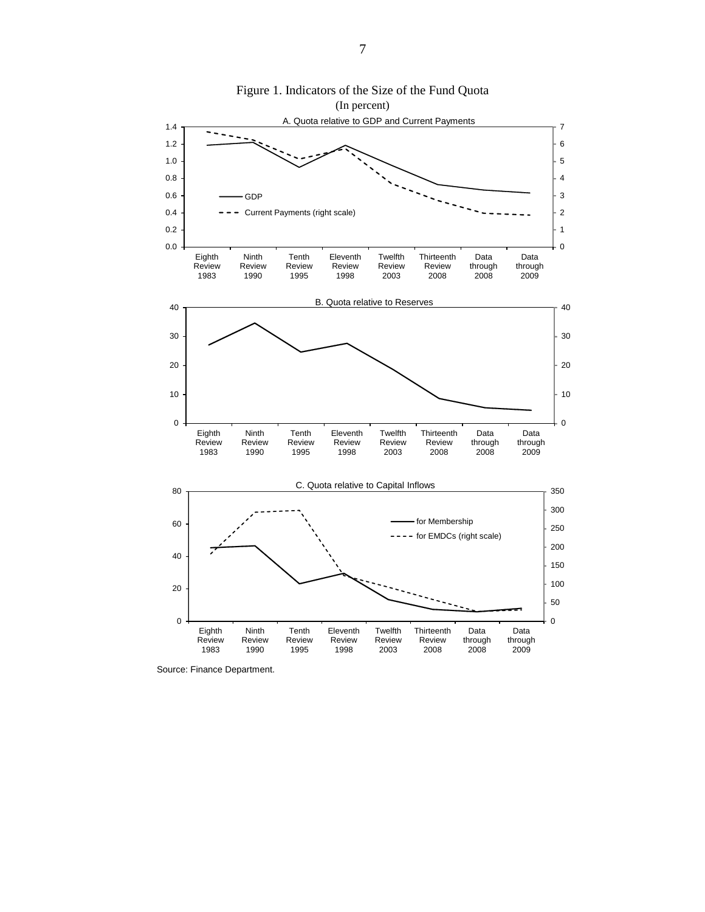

Figure 1. Indicators of the Size of the Fund Quota

Source: Finance Department.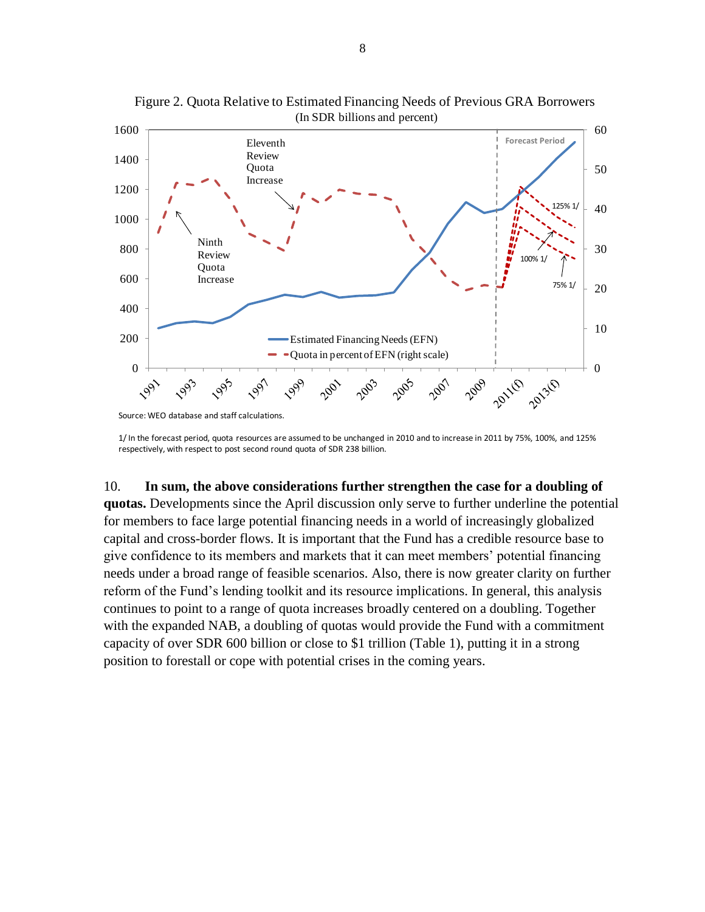

Figure 2. Quota Relative to Estimated Financing Needs of Previous GRA Borrowers (In SDR billions and percent)

1/ In the forecast period, quota resources are assumed to be unchanged in 2010 and to increase in 2011 by 75%, 100%, and 125% respectively, with respect to post second round quota of SDR 238 billion.

### 10. **In sum, the above considerations further strengthen the case for a doubling of**

**quotas.** Developments since the April discussion only serve to further underline the potential for members to face large potential financing needs in a world of increasingly globalized capital and cross-border flows. It is important that the Fund has a credible resource base to give confidence to its members and markets that it can meet members' potential financing needs under a broad range of feasible scenarios. Also, there is now greater clarity on further reform of the Fund's lending toolkit and its resource implications. In general, this analysis continues to point to a range of quota increases broadly centered on a doubling. Together with the expanded NAB, a doubling of quotas would provide the Fund with a commitment capacity of over SDR 600 billion or close to \$1 trillion (Table 1), putting it in a strong position to forestall or cope with potential crises in the coming years.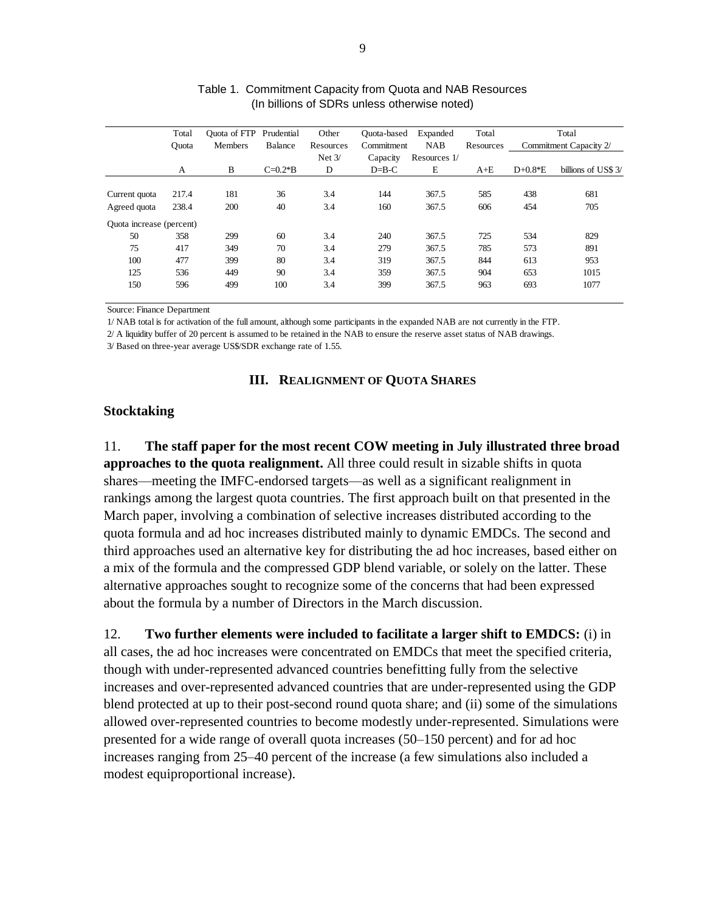|                          | Total        | Quota of FTP Prudential |             | Other     | Quota-based | Expanded     | Total     |           | Total                  |
|--------------------------|--------------|-------------------------|-------------|-----------|-------------|--------------|-----------|-----------|------------------------|
|                          | <b>Ouota</b> | Members                 | Balance     | Resources | Commitment  | <b>NAB</b>   | Resources |           | Commitment Capacity 2/ |
|                          |              |                         |             | Net $3/$  | Capacity    | Resources 1/ |           |           |                        |
|                          | A            | B                       | $C = 0.2*B$ | D         | $D=B-C$     | E            | $A+E$     | $D+0.8*E$ | billions of US\$ 3/    |
|                          |              |                         |             |           |             |              |           |           |                        |
| Current quota            | 217.4        | 181                     | 36          | 3.4       | 144         | 367.5        | 585       | 438       | 681                    |
| Agreed quota             | 238.4        | 200                     | 40          | 3.4       | 160         | 367.5        | 606       | 454       | 705                    |
| Quota increase (percent) |              |                         |             |           |             |              |           |           |                        |
| 50                       | 358          | 299                     | 60          | 3.4       | 240         | 367.5        | 725       | 534       | 829                    |
| 75                       | 417          | 349                     | 70          | 3.4       | 279         | 367.5        | 785       | 573       | 891                    |
| 100                      | 477          | 399                     | 80          | 3.4       | 319         | 367.5        | 844       | 613       | 953                    |
| 125                      | 536          | 449                     | 90          | 3.4       | 359         | 367.5        | 904       | 653       | 1015                   |
| 150                      | 596          | 499                     | 100         | 3.4       | 399         | 367.5        | 963       | 693       | 1077                   |

| Table 1. Commitment Capacity from Quota and NAB Resources |
|-----------------------------------------------------------|
| (In billions of SDRs unless otherwise noted)              |

Source: Finance Department

1/ NAB total is for activation of the full amount, although some participants in the expanded NAB are not currently in the FTP.

2/ A liquidity buffer of 20 percent is assumed to be retained in the NAB to ensure the reserve asset status of NAB drawings.

3/ Based on three-year average US\$/SDR exchange rate of 1.55.

### **III. REALIGNMENT OF QUOTA SHARES**

### **Stocktaking**

11. **The staff paper for the most recent COW meeting in July illustrated three broad approaches to the quota realignment.** All three could result in sizable shifts in quota shares—meeting the IMFC-endorsed targets—as well as a significant realignment in rankings among the largest quota countries. The first approach built on that presented in the March paper, involving a combination of selective increases distributed according to the quota formula and ad hoc increases distributed mainly to dynamic EMDCs. The second and third approaches used an alternative key for distributing the ad hoc increases, based either on a mix of the formula and the compressed GDP blend variable, or solely on the latter. These alternative approaches sought to recognize some of the concerns that had been expressed about the formula by a number of Directors in the March discussion.

12. **Two further elements were included to facilitate a larger shift to EMDCS:** (i) in all cases, the ad hoc increases were concentrated on EMDCs that meet the specified criteria, though with under-represented advanced countries benefitting fully from the selective increases and over-represented advanced countries that are under-represented using the GDP blend protected at up to their post-second round quota share; and (ii) some of the simulations allowed over-represented countries to become modestly under-represented. Simulations were presented for a wide range of overall quota increases (50–150 percent) and for ad hoc increases ranging from 25–40 percent of the increase (a few simulations also included a modest equiproportional increase).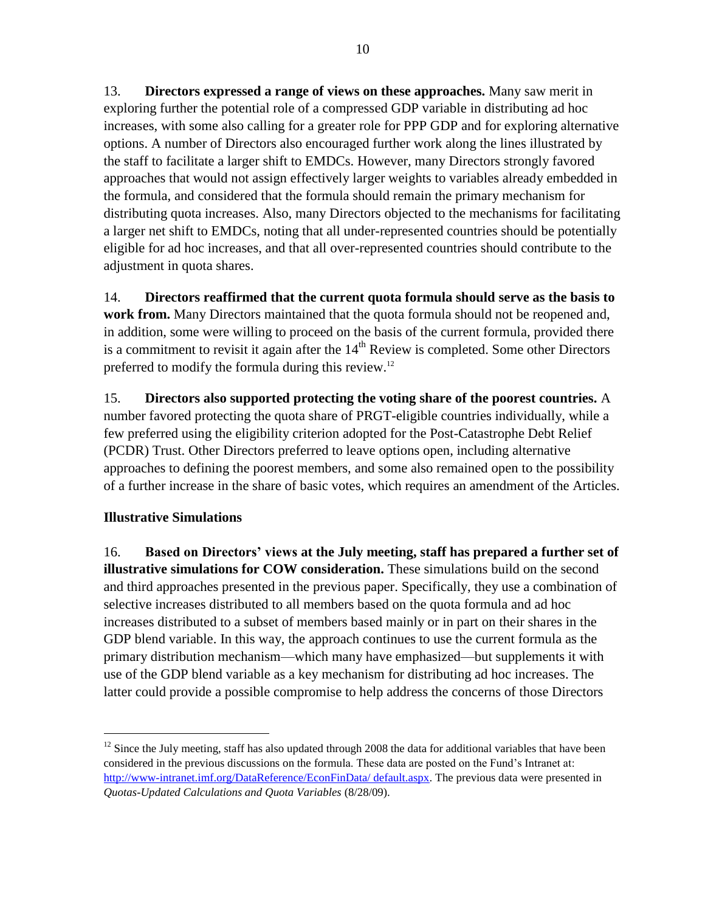13. **Directors expressed a range of views on these approaches.** Many saw merit in exploring further the potential role of a compressed GDP variable in distributing ad hoc increases, with some also calling for a greater role for PPP GDP and for exploring alternative options. A number of Directors also encouraged further work along the lines illustrated by the staff to facilitate a larger shift to EMDCs. However, many Directors strongly favored approaches that would not assign effectively larger weights to variables already embedded in the formula, and considered that the formula should remain the primary mechanism for distributing quota increases. Also, many Directors objected to the mechanisms for facilitating a larger net shift to EMDCs, noting that all under-represented countries should be potentially eligible for ad hoc increases, and that all over-represented countries should contribute to the adjustment in quota shares.

14. **Directors reaffirmed that the current quota formula should serve as the basis to work from.** Many Directors maintained that the quota formula should not be reopened and, in addition, some were willing to proceed on the basis of the current formula, provided there is a commitment to revisit it again after the  $14<sup>th</sup>$  Review is completed. Some other Directors preferred to modify the formula during this review.<sup>12</sup>

15. **Directors also supported protecting the voting share of the poorest countries.** A number favored protecting the quota share of PRGT-eligible countries individually, while a few preferred using the eligibility criterion adopted for the Post-Catastrophe Debt Relief (PCDR) Trust. Other Directors preferred to leave options open, including alternative approaches to defining the poorest members, and some also remained open to the possibility of a further increase in the share of basic votes, which requires an amendment of the Articles.

# **Illustrative Simulations**

 $\overline{a}$ 

16. **Based on Directors' views at the July meeting, staff has prepared a further set of illustrative simulations for COW consideration.** These simulations build on the second and third approaches presented in the previous paper. Specifically, they use a combination of selective increases distributed to all members based on the quota formula and ad hoc increases distributed to a subset of members based mainly or in part on their shares in the GDP blend variable. In this way, the approach continues to use the current formula as the primary distribution mechanism—which many have emphasized—but supplements it with use of the GDP blend variable as a key mechanism for distributing ad hoc increases. The latter could provide a possible compromise to help address the concerns of those Directors

<sup>&</sup>lt;sup>12</sup> Since the July meeting, staff has also updated through 2008 the data for additional variables that have been considered in the previous discussions on the formula. These data are posted on the Fund's Intranet at: [http://www-intranet.imf.org/DataReference/EconFinData/ default.aspx.](http://www-intranet.imf.org/DataReference/EconFinData/%20default.aspx) The previous data were presented in *Quotas-Updated Calculations and Quota Variables* (8/28/09).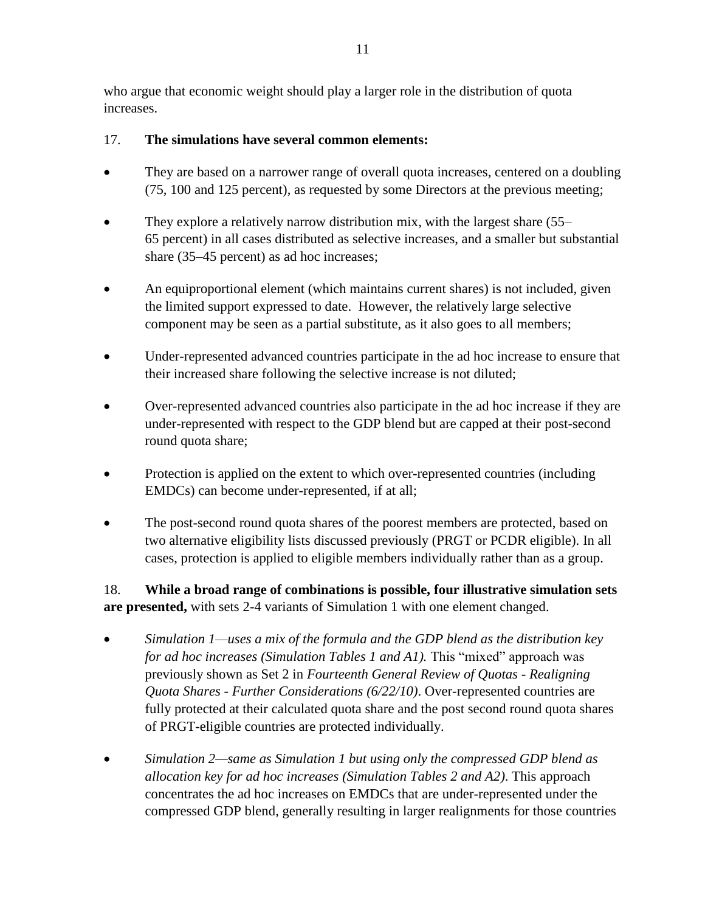who argue that economic weight should play a larger role in the distribution of quota increases.

# 17. **The simulations have several common elements:**

- They are based on a narrower range of overall quota increases, centered on a doubling (75, 100 and 125 percent), as requested by some Directors at the previous meeting;
- They explore a relatively narrow distribution mix, with the largest share (55– 65 percent) in all cases distributed as selective increases, and a smaller but substantial share (35–45 percent) as ad hoc increases;
- An equiproportional element (which maintains current shares) is not included, given the limited support expressed to date. However, the relatively large selective component may be seen as a partial substitute, as it also goes to all members;
- Under-represented advanced countries participate in the ad hoc increase to ensure that their increased share following the selective increase is not diluted;
- Over-represented advanced countries also participate in the ad hoc increase if they are under-represented with respect to the GDP blend but are capped at their post-second round quota share;
- Protection is applied on the extent to which over-represented countries (including EMDCs) can become under-represented, if at all;
- The post-second round quota shares of the poorest members are protected, based on two alternative eligibility lists discussed previously (PRGT or PCDR eligible). In all cases, protection is applied to eligible members individually rather than as a group.

18. **While a broad range of combinations is possible, four illustrative simulation sets are presented,** with sets 2-4 variants of Simulation 1 with one element changed.

- *Simulation 1—uses a mix of the formula and the GDP blend as the distribution key for ad hoc increases (Simulation Tables 1 and A1).* This "mixed" approach was previously shown as Set 2 in *Fourteenth General Review of Quotas - Realigning Quota Shares - Further Considerations (6/22/10)*. Over-represented countries are fully protected at their calculated quota share and the post second round quota shares of PRGT-eligible countries are protected individually.
- *Simulation 2—same as Simulation 1 but using only the compressed GDP blend as allocation key for ad hoc increases (Simulation Tables 2 and A2)*. This approach concentrates the ad hoc increases on EMDCs that are under-represented under the compressed GDP blend, generally resulting in larger realignments for those countries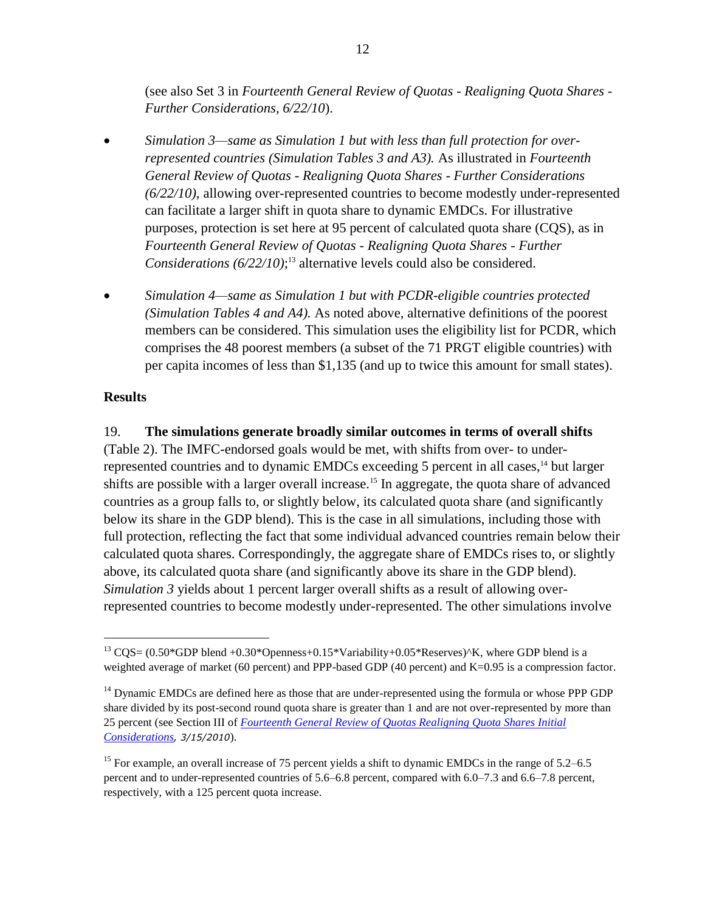(see also Set 3 in *Fourteenth General Review of Quotas - Realigning Quota Shares - Further Considerations, 6/22/10*).

- *Simulation 3—same as Simulation 1 but with less than full protection for overrepresented countries (Simulation Tables 3 and A3).* As illustrated in *Fourteenth General Review of Quotas - Realigning Quota Shares - Further Considerations (6/22/10)*, allowing over-represented countries to become modestly under-represented can facilitate a larger shift in quota share to dynamic EMDCs. For illustrative purposes, protection is set here at 95 percent of calculated quota share (CQS), as in *Fourteenth General Review of Quotas - Realigning Quota Shares - Further Considerations (6/22/10)*; <sup>13</sup> alternative levels could also be considered.
- *Simulation 4—same as Simulation 1 but with PCDR-eligible countries protected (Simulation Tables 4 and A4).* As noted above, alternative definitions of the poorest members can be considered. This simulation uses the eligibility list for PCDR, which comprises the 48 poorest members (a subset of the 71 PRGT eligible countries) with per capita incomes of less than \$1,135 (and up to twice this amount for small states).

### **Results**

 $\overline{a}$ 

### 19. **The simulations generate broadly similar outcomes in terms of overall shifts**

(Table 2). The IMFC-endorsed goals would be met, with shifts from over- to underrepresented countries and to dynamic EMDCs exceeding 5 percent in all cases,<sup>14</sup> but larger shifts are possible with a larger overall increase.<sup>15</sup> In aggregate, the quota share of advanced countries as a group falls to, or slightly below, its calculated quota share (and significantly below its share in the GDP blend). This is the case in all simulations, including those with full protection, reflecting the fact that some individual advanced countries remain below their calculated quota shares. Correspondingly, the aggregate share of EMDCs rises to, or slightly above, its calculated quota share (and significantly above its share in the GDP blend). *Simulation 3* yields about 1 percent larger overall shifts as a result of allowing overrepresented countries to become modestly under-represented. The other simulations involve

<sup>&</sup>lt;sup>13</sup> CQS= (0.50\*GDP blend +0.30\*Openness+0.15\*Variability+0.05\*Reserves)^K, where GDP blend is a weighted average of market (60 percent) and PPP-based GDP (40 percent) and K=0.95 is a compression factor.

<sup>&</sup>lt;sup>14</sup> Dynamic EMDCs are defined here as those that are under-represented using the formula or whose PPP GDP share divided by its post-second round quota share is greater than 1 and are not over-represented by more than 25 percent (see Section III of *[Fourteenth General Review of Quotas Realigning Quota Shares Initial](javascript:void(0))  [Considerations](javascript:void(0)), 3/15/2010*).

<sup>&</sup>lt;sup>15</sup> For example, an overall increase of 75 percent yields a shift to dynamic EMDCs in the range of  $5.2-6.5$ percent and to under-represented countries of 5.6–6.8 percent, compared with 6.0–7.3 and 6.6–7.8 percent, respectively, with a 125 percent quota increase.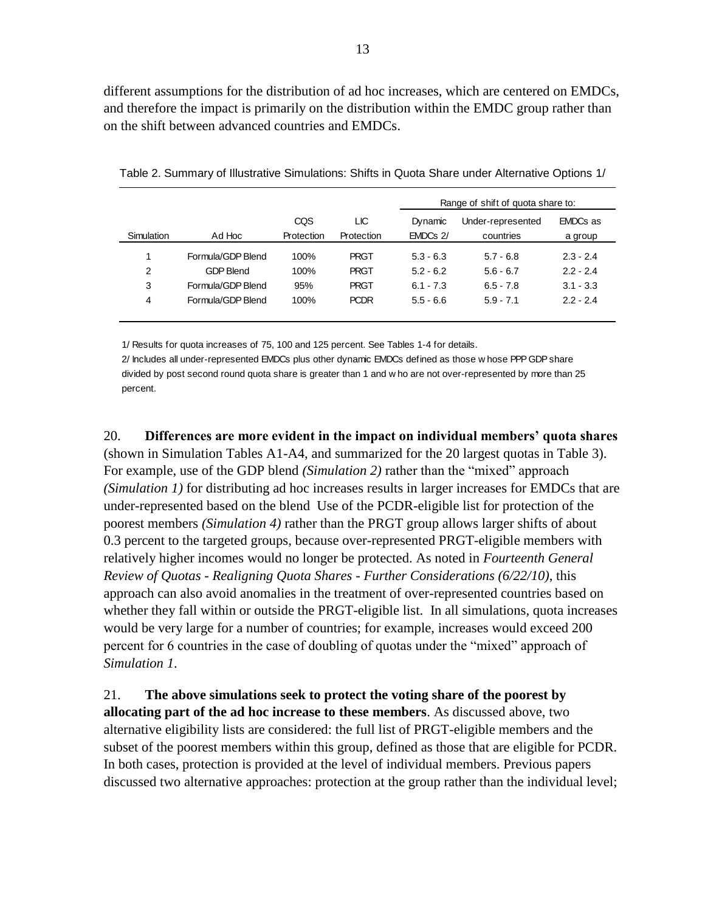different assumptions for the distribution of ad hoc increases, which are centered on EMDCs, and therefore the impact is primarily on the distribution within the EMDC group rather than on the shift between advanced countries and EMDCs.

|            |                   |            |             |             | Range of shift of quota share to: |             |
|------------|-------------------|------------|-------------|-------------|-----------------------------------|-------------|
|            |                   | CQS        | LЮ          | Dynamic     | Under-represented                 | EMDCs as    |
| Simulation | Ad Hoc            | Protection | Protection  | EMDCs 2/    | countries                         | a group     |
| 1          | Formula/GDP Blend | 100%       | <b>PRGT</b> | $5.3 - 6.3$ | $5.7 - 6.8$                       | $2.3 - 2.4$ |
| 2          | <b>GDP Blend</b>  | 100%       | <b>PRGT</b> | $5.2 - 6.2$ | $5.6 - 6.7$                       | $2.2 - 2.4$ |
| 3          | Formula/GDP Blend | 95%        | <b>PRGT</b> | $6.1 - 7.3$ | $6.5 - 7.8$                       | $3.1 - 3.3$ |
| 4          | Formula/GDP Blend | 100%       | <b>PCDR</b> | $5.5 - 6.6$ | $5.9 - 7.1$                       | $2.2 - 2.4$ |

Table 2. Summary of Illustrative Simulations: Shifts in Quota Share under Alternative Options 1/

1/ Results for quota increases of 75, 100 and 125 percent. See Tables 1-4 for details.

2/ Includes all under-represented EMDCs plus other dynamic EMDCs defined as those w hose PPP GDP share divided by post second round quota share is greater than 1 and w ho are not over-represented by more than 25 percent.

20. **Differences are more evident in the impact on individual members' quota shares** (shown in Simulation Tables A1-A4, and summarized for the 20 largest quotas in Table 3). For example, use of the GDP blend *(Simulation 2)* rather than the "mixed" approach *(Simulation 1)* for distributing ad hoc increases results in larger increases for EMDCs that are under-represented based on the blend Use of the PCDR-eligible list for protection of the poorest members *(Simulation 4)* rather than the PRGT group allows larger shifts of about 0.3 percent to the targeted groups, because over-represented PRGT-eligible members with relatively higher incomes would no longer be protected. As noted in *Fourteenth General Review of Quotas - Realigning Quota Shares - Further Considerations (6/22/10)*, this approach can also avoid anomalies in the treatment of over-represented countries based on whether they fall within or outside the PRGT-eligible list. In all simulations, quota increases would be very large for a number of countries; for example, increases would exceed 200 percent for 6 countries in the case of doubling of quotas under the "mixed" approach of *Simulation 1*.

21. **The above simulations seek to protect the voting share of the poorest by allocating part of the ad hoc increase to these members**. As discussed above, two alternative eligibility lists are considered: the full list of PRGT-eligible members and the subset of the poorest members within this group, defined as those that are eligible for PCDR. In both cases, protection is provided at the level of individual members. Previous papers discussed two alternative approaches: protection at the group rather than the individual level;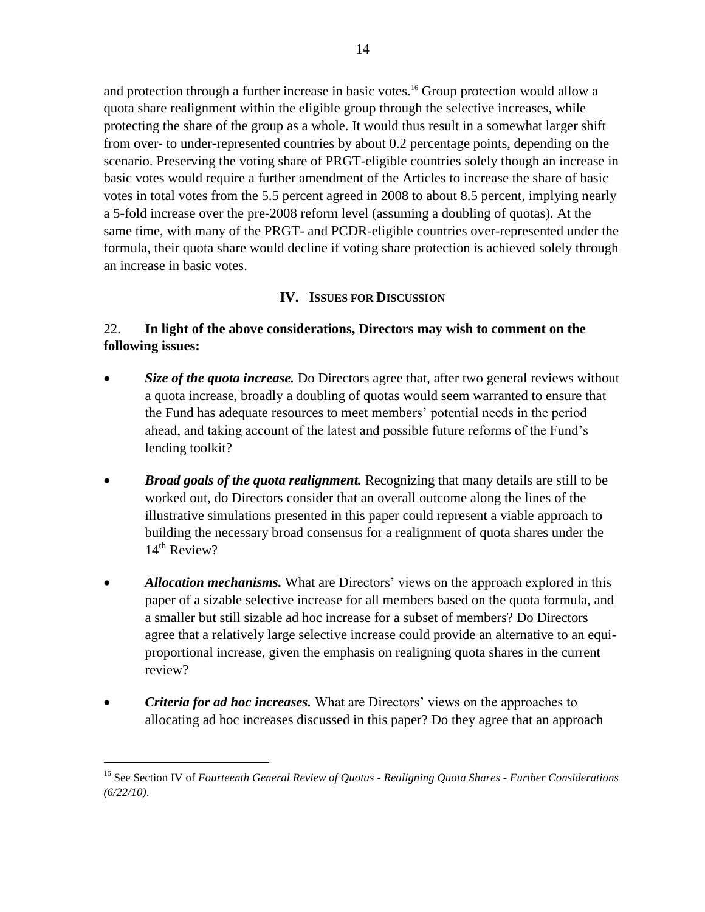and protection through a further increase in basic votes.<sup>16</sup> Group protection would allow a quota share realignment within the eligible group through the selective increases, while protecting the share of the group as a whole. It would thus result in a somewhat larger shift from over- to under-represented countries by about 0.2 percentage points, depending on the scenario. Preserving the voting share of PRGT-eligible countries solely though an increase in basic votes would require a further amendment of the Articles to increase the share of basic votes in total votes from the 5.5 percent agreed in 2008 to about 8.5 percent, implying nearly a 5-fold increase over the pre-2008 reform level (assuming a doubling of quotas). At the same time, with many of the PRGT- and PCDR-eligible countries over-represented under the formula, their quota share would decline if voting share protection is achieved solely through an increase in basic votes.

## **IV. ISSUES FOR DISCUSSION**

# 22. **In light of the above considerations, Directors may wish to comment on the following issues:**

- *Size of the quota increase.* Do Directors agree that, after two general reviews without a quota increase, broadly a doubling of quotas would seem warranted to ensure that the Fund has adequate resources to meet members' potential needs in the period ahead, and taking account of the latest and possible future reforms of the Fund's lending toolkit?
- *Broad goals of the quota realignment.* Recognizing that many details are still to be worked out, do Directors consider that an overall outcome along the lines of the illustrative simulations presented in this paper could represent a viable approach to building the necessary broad consensus for a realignment of quota shares under the  $14<sup>th</sup>$  Review?
- *Allocation mechanisms.* What are Directors' views on the approach explored in this paper of a sizable selective increase for all members based on the quota formula, and a smaller but still sizable ad hoc increase for a subset of members? Do Directors agree that a relatively large selective increase could provide an alternative to an equiproportional increase, given the emphasis on realigning quota shares in the current review?
- *Criteria for ad hoc increases.* What are Directors' views on the approaches to allocating ad hoc increases discussed in this paper? Do they agree that an approach

 $\overline{a}$ 

<sup>16</sup> See Section IV of *Fourteenth General Review of Quotas - Realigning Quota Shares - Further Considerations (6/22/10)*.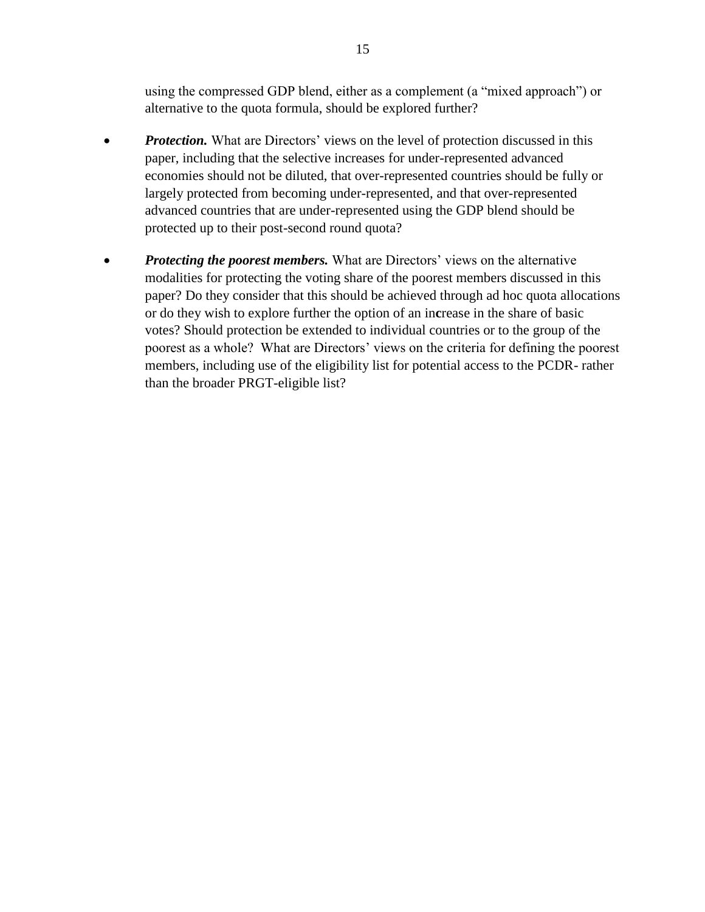using the compressed GDP blend, either as a complement (a "mixed approach") or alternative to the quota formula, should be explored further?

- *Protection.* What are Directors' views on the level of protection discussed in this paper, including that the selective increases for under-represented advanced economies should not be diluted, that over-represented countries should be fully or largely protected from becoming under-represented, and that over-represented advanced countries that are under-represented using the GDP blend should be protected up to their post-second round quota?
- *Protecting the poorest members.* What are Directors' views on the alternative modalities for protecting the voting share of the poorest members discussed in this paper? Do they consider that this should be achieved through ad hoc quota allocations or do they wish to explore further the option of an in**c**rease in the share of basic votes? Should protection be extended to individual countries or to the group of the poorest as a whole? What are Directors' views on the criteria for defining the poorest members, including use of the eligibility list for potential access to the PCDR- rather than the broader PRGT-eligible list?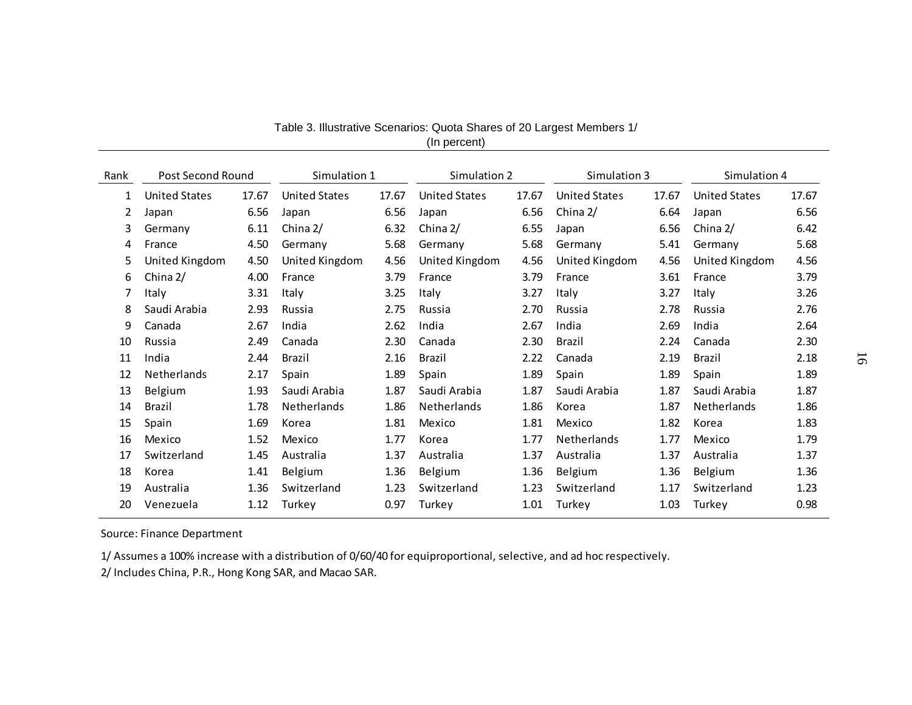| Rank         | Post Second Round<br>Simulation 1 |       |                      | Simulation 2 |                      | Simulation 3 |                      | Simulation 4 |                      |       |
|--------------|-----------------------------------|-------|----------------------|--------------|----------------------|--------------|----------------------|--------------|----------------------|-------|
|              |                                   |       |                      |              |                      |              |                      |              |                      |       |
| $\mathbf{1}$ | <b>United States</b>              | 17.67 | <b>United States</b> | 17.67        | <b>United States</b> | 17.67        | <b>United States</b> | 17.67        | <b>United States</b> | 17.67 |
| 2            | Japan                             | 6.56  | Japan                | 6.56         | Japan                | 6.56         | China 2/             | 6.64         | Japan                | 6.56  |
| 3            | Germany                           | 6.11  | China 2/             | 6.32         | China 2/             | 6.55         | Japan                | 6.56         | China 2/             | 6.42  |
| 4            | France                            | 4.50  | Germany              | 5.68         | Germany              | 5.68         | Germany              | 5.41         | Germany              | 5.68  |
| 5            | United Kingdom                    | 4.50  | United Kingdom       | 4.56         | United Kingdom       | 4.56         | United Kingdom       | 4.56         | United Kingdom       | 4.56  |
| 6            | China 2/                          | 4.00  | France               | 3.79         | France               | 3.79         | France               | 3.61         | France               | 3.79  |
| 7            | Italy                             | 3.31  | Italy                | 3.25         | Italy                | 3.27         | Italy                | 3.27         | Italy                | 3.26  |
| 8            | Saudi Arabia                      | 2.93  | Russia               | 2.75         | Russia               | 2.70         | Russia               | 2.78         | Russia               | 2.76  |
| 9            | Canada                            | 2.67  | India                | 2.62         | India                | 2.67         | India                | 2.69         | India                | 2.64  |
| 10           | Russia                            | 2.49  | Canada               | 2.30         | Canada               | 2.30         | Brazil               | 2.24         | Canada               | 2.30  |
| 11           | India                             | 2.44  | Brazil               | 2.16         | Brazil               | 2.22         | Canada               | 2.19         | <b>Brazil</b>        | 2.18  |
| 12           | Netherlands                       | 2.17  | Spain                | 1.89         | Spain                | 1.89         | Spain                | 1.89         | Spain                | 1.89  |
| 13           | Belgium                           | 1.93  | Saudi Arabia         | 1.87         | Saudi Arabia         | 1.87         | Saudi Arabia         | 1.87         | Saudi Arabia         | 1.87  |
| 14           | Brazil                            | 1.78  | Netherlands          | 1.86         | Netherlands          | 1.86         | Korea                | 1.87         | Netherlands          | 1.86  |
| 15           | Spain                             | 1.69  | Korea                | 1.81         | Mexico               | 1.81         | Mexico               | 1.82         | Korea                | 1.83  |
| 16           | Mexico                            | 1.52  | Mexico               | 1.77         | Korea                | 1.77         | Netherlands          | 1.77         | Mexico               | 1.79  |
| 17           | Switzerland                       | 1.45  | Australia            | 1.37         | Australia            | 1.37         | Australia            | 1.37         | Australia            | 1.37  |
| 18           | Korea                             | 1.41  | Belgium              | 1.36         | Belgium              | 1.36         | Belgium              | 1.36         | Belgium              | 1.36  |
| 19           | Australia                         | 1.36  | Switzerland          | 1.23         | Switzerland          | 1.23         | Switzerland          | 1.17         | Switzerland          | 1.23  |
| 20           | Venezuela                         | 1.12  | Turkey               | 0.97         | Turkey               | 1.01         | Turkey               | 1.03         | Turkey               | 0.98  |

Table 3. Illustrative Scenarios: Quota Shares of 20 Largest Members 1/ (In percent)

Source: Finance Department

1/ Assumes a 100% increase with a distribution of 0/60/40 for equiproportional, selective, and ad hoc respectively.

2/ Includes China, P.R., Hong Kong SAR, and Macao SAR.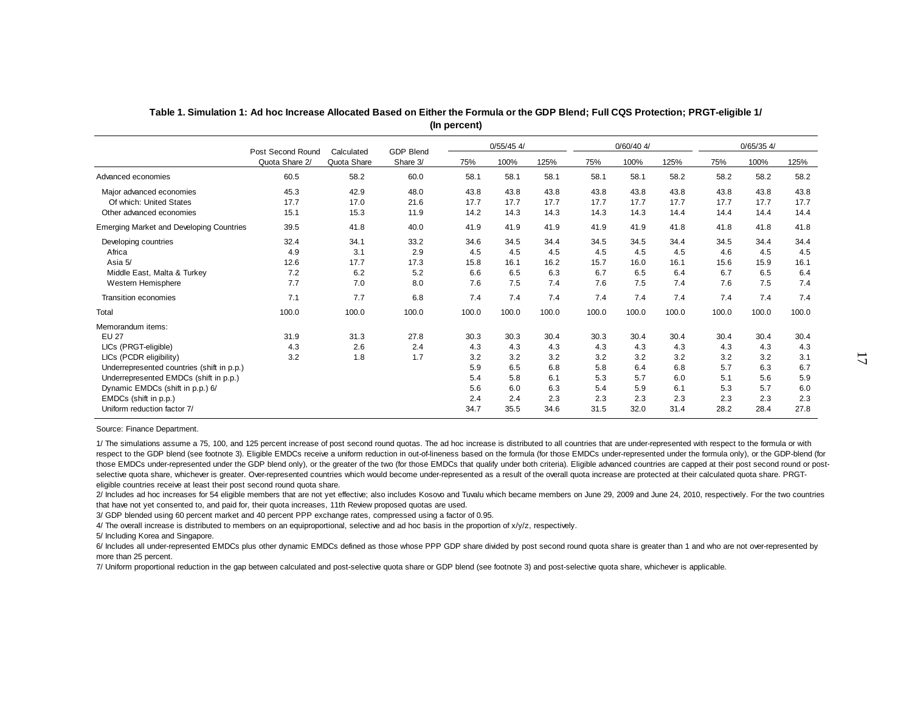|                                                 | Post Second Round | Calculated  | <b>GDP Blend</b> |       | $0/55/45$ 4/ |       |       | $0/60/40$ 4/ |       |       | $0/65/35$ 4/ |       |
|-------------------------------------------------|-------------------|-------------|------------------|-------|--------------|-------|-------|--------------|-------|-------|--------------|-------|
|                                                 | Quota Share 2/    | Quota Share | Share 3/         | 75%   | 100%         | 125%  | 75%   | 100%         | 125%  | 75%   | 100%         | 125%  |
| Advanced economies                              | 60.5              | 58.2        | 60.0             | 58.1  | 58.1         | 58.1  | 58.1  | 58.1         | 58.2  | 58.2  | 58.2         | 58.2  |
| Major advanced economies                        | 45.3              | 42.9        | 48.0             | 43.8  | 43.8         | 43.8  | 43.8  | 43.8         | 43.8  | 43.8  | 43.8         | 43.8  |
| Of which: United States                         | 17.7              | 17.0        | 21.6             | 17.7  | 17.7         | 17.7  | 17.7  | 17.7         | 17.7  | 17.7  | 17.7         | 17.7  |
| Other advanced economies                        | 15.1              | 15.3        | 11.9             | 14.2  | 14.3         | 14.3  | 14.3  | 14.3         | 14.4  | 14.4  | 14.4         | 14.4  |
| <b>Emerging Market and Developing Countries</b> | 39.5              | 41.8        | 40.0             | 41.9  | 41.9         | 41.9  | 41.9  | 41.9         | 41.8  | 41.8  | 41.8         | 41.8  |
| Developing countries                            | 32.4              | 34.1        | 33.2             | 34.6  | 34.5         | 34.4  | 34.5  | 34.5         | 34.4  | 34.5  | 34.4         | 34.4  |
| Africa                                          | 4.9               | 3.1         | 2.9              | 4.5   | 4.5          | 4.5   | 4.5   | 4.5          | 4.5   | 4.6   | 4.5          | 4.5   |
| Asia 5/                                         | 12.6              | 17.7        | 17.3             | 15.8  | 16.1         | 16.2  | 15.7  | 16.0         | 16.1  | 15.6  | 15.9         | 16.1  |
| Middle East, Malta & Turkey                     | 7.2               | 6.2         | 5.2              | 6.6   | 6.5          | 6.3   | 6.7   | 6.5          | 6.4   | 6.7   | 6.5          | 6.4   |
| Western Hemisphere                              | 7.7               | 7.0         | 8.0              | 7.6   | 7.5          | 7.4   | 7.6   | 7.5          | 7.4   | 7.6   | 7.5          | 7.4   |
| Transition economies                            | 7.1               | 7.7         | 6.8              | 7.4   | 7.4          | 7.4   | 7.4   | 7.4          | 7.4   | 7.4   | 7.4          | 7.4   |
| Total                                           | 100.0             | 100.0       | 100.0            | 100.0 | 100.0        | 100.0 | 100.0 | 100.0        | 100.0 | 100.0 | 100.0        | 100.0 |
| Memorandum items:                               |                   |             |                  |       |              |       |       |              |       |       |              |       |
| EU 27                                           | 31.9              | 31.3        | 27.8             | 30.3  | 30.3         | 30.4  | 30.3  | 30.4         | 30.4  | 30.4  | 30.4         | 30.4  |
| LICs (PRGT-eligible)                            | 4.3               | 2.6         | 2.4              | 4.3   | 4.3          | 4.3   | 4.3   | 4.3          | 4.3   | 4.3   | 4.3          | 4.3   |
| LICs (PCDR eligibility)                         | 3.2               | 1.8         | 1.7              | 3.2   | 3.2          | 3.2   | 3.2   | 3.2          | 3.2   | 3.2   | 3.2          | 3.1   |
| Underrepresented countries (shift in p.p.)      |                   |             |                  | 5.9   | 6.5          | 6.8   | 5.8   | 6.4          | 6.8   | 5.7   | 6.3          | 6.7   |
| Underrepresented EMDCs (shift in p.p.)          |                   |             |                  | 5.4   | 5.8          | 6.1   | 5.3   | 5.7          | 6.0   | 5.1   | 5.6          | 5.9   |
| Dynamic EMDCs (shift in p.p.) 6/                |                   |             |                  | 5.6   | 6.0          | 6.3   | 5.4   | 5.9          | 6.1   | 5.3   | 5.7          | 6.0   |
| EMDCs (shift in p.p.)                           |                   |             |                  | 2.4   | 2.4          | 2.3   | 2.3   | 2.3          | 2.3   | 2.3   | 2.3          | 2.3   |
| Uniform reduction factor 7/                     |                   |             |                  | 34.7  | 35.5         | 34.6  | 31.5  | 32.0         | 31.4  | 28.2  | 28.4         | 27.8  |

**Table 1. Simulation 1: Ad hoc Increase Allocated Based on Either the Formula or the GDP Blend; Full CQS Protection; PRGT-eligible 1/ (In percent)**

Source: Finance Department.

1/ The simulations assume a 75, 100, and 125 percent increase of post second round quotas. The ad hoc increase is distributed to all countries that are under-represented with respect to the formula or with respect to the GDP blend (see footnote 3). Eligible EMDCs receive a uniform reduction in out-of-lineness based on the formula (for those EMDCs under-represented under the formula only), or the GDP-blend (for those EMDCs under-represented under the GDP blend only), or the greater of the two (for those EMDCs that qualify under both criteria). Eligible advanced countries are capped at their post second round or postselective quota share, whichever is greater. Over-represented countries which would become under-represented as a result of the overall quota increase are protected at their calculated quota share. PRGTeligible countries receive at least their post second round quota share.

2/ Includes ad hoc increases for 54 eligible members that are not yet effective; also includes Kosovo and Tuvalu which became members on June 29, 2009 and June 24, 2010, respectively. For the two countries that have not yet consented to, and paid for, their quota increases, 11th Review proposed quotas are used.

3/ GDP blended using 60 percent market and 40 percent PPP exchange rates, compressed using a factor of 0.95.

4/ The overall increase is distributed to members on an equiproportional, selective and ad hoc basis in the proportion of x/y/z, respectively.

5/ Including Korea and Singapore.

6/ Includes all under-represented EMDCs plus other dynamic EMDCs defined as those whose PPP GDP share divided by post second round quota share is greater than 1 and who are not over-represented by more than 25 percent.

7/ Uniform proportional reduction in the gap between calculated and post-selective quota share or GDP blend (see footnote 3) and post-selective quota share, whichever is applicable.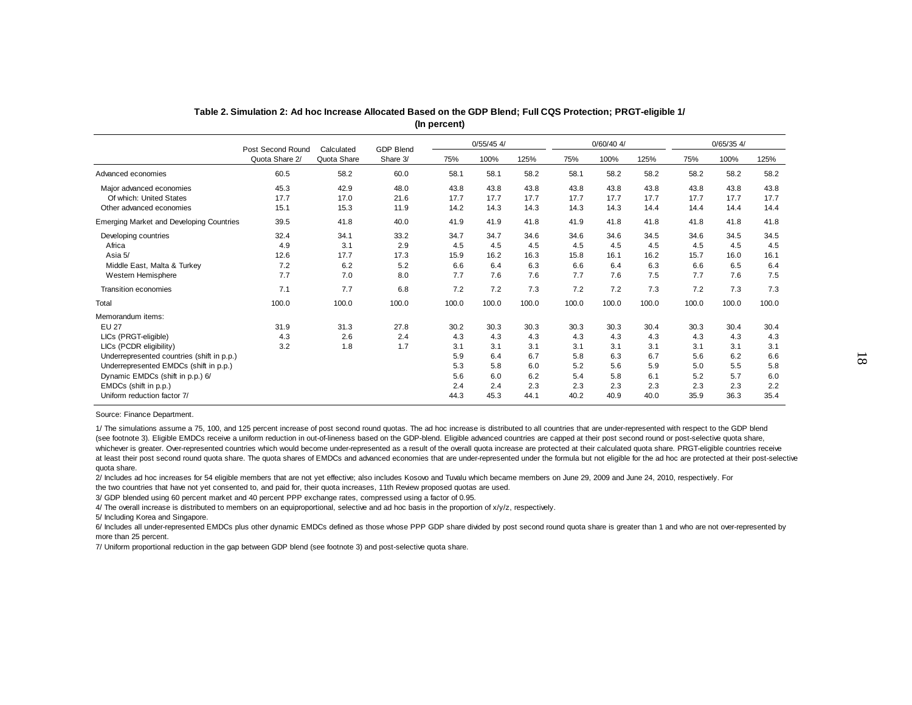|                                                 |                                     |                           |                              |       | $0/55/45$ 4/ |       |       | $0/60/40$ 4/ |       | $0/65/35$ 4/ |       |       |
|-------------------------------------------------|-------------------------------------|---------------------------|------------------------------|-------|--------------|-------|-------|--------------|-------|--------------|-------|-------|
|                                                 | Post Second Round<br>Quota Share 2/ | Calculated<br>Quota Share | <b>GDP Blend</b><br>Share 3/ | 75%   | 100%         | 125%  | 75%   | 100%         | 125%  | 75%          | 100%  | 125%  |
| Advanced economies                              | 60.5                                | 58.2                      | 60.0                         | 58.1  | 58.1         | 58.2  | 58.1  | 58.2         | 58.2  | 58.2         | 58.2  | 58.2  |
| Major advanced economies                        | 45.3                                | 42.9                      | 48.0                         | 43.8  | 43.8         | 43.8  | 43.8  | 43.8         | 43.8  | 43.8         | 43.8  | 43.8  |
| Of which: United States                         | 17.7                                | 17.0                      | 21.6                         | 17.7  | 17.7         | 17.7  | 17.7  | 17.7         | 17.7  | 17.7         | 17.7  | 17.7  |
| Other advanced economies                        | 15.1                                | 15.3                      | 11.9                         | 14.2  | 14.3         | 14.3  | 14.3  | 14.3         | 14.4  | 14.4         | 14.4  | 14.4  |
| <b>Emerging Market and Developing Countries</b> | 39.5                                | 41.8                      | 40.0                         | 41.9  | 41.9         | 41.8  | 41.9  | 41.8         | 41.8  | 41.8         | 41.8  | 41.8  |
| Developing countries                            | 32.4                                | 34.1                      | 33.2                         | 34.7  | 34.7         | 34.6  | 34.6  | 34.6         | 34.5  | 34.6         | 34.5  | 34.5  |
| Africa                                          | 4.9                                 | 3.1                       | 2.9                          | 4.5   | 4.5          | 4.5   | 4.5   | 4.5          | 4.5   | 4.5          | 4.5   | 4.5   |
| Asia 5/                                         | 12.6                                | 17.7                      | 17.3                         | 15.9  | 16.2         | 16.3  | 15.8  | 16.1         | 16.2  | 15.7         | 16.0  | 16.1  |
| Middle East, Malta & Turkey                     | 7.2                                 | 6.2                       | 5.2                          | 6.6   | 6.4          | 6.3   | 6.6   | 6.4          | 6.3   | 6.6          | 6.5   | 6.4   |
| Western Hemisphere                              | 7.7                                 | 7.0                       | 8.0                          | 7.7   | 7.6          | 7.6   | 7.7   | 7.6          | 7.5   | 7.7          | 7.6   | 7.5   |
| Transition economies                            | 7.1                                 | 7.7                       | 6.8                          | 7.2   | 7.2          | 7.3   | 7.2   | 7.2          | 7.3   | 7.2          | 7.3   | 7.3   |
| Total                                           | 100.0                               | 100.0                     | 100.0                        | 100.0 | 100.0        | 100.0 | 100.0 | 100.0        | 100.0 | 100.0        | 100.0 | 100.0 |
| Memorandum items:                               |                                     |                           |                              |       |              |       |       |              |       |              |       |       |
| <b>EU 27</b>                                    | 31.9                                | 31.3                      | 27.8                         | 30.2  | 30.3         | 30.3  | 30.3  | 30.3         | 30.4  | 30.3         | 30.4  | 30.4  |
| LICs (PRGT-eligible)                            | 4.3                                 | 2.6                       | 2.4                          | 4.3   | 4.3          | 4.3   | 4.3   | 4.3          | 4.3   | 4.3          | 4.3   | 4.3   |
| LICs (PCDR eligibility)                         | 3.2                                 | 1.8                       | 1.7                          | 3.1   | 3.1          | 3.1   | 3.1   | 3.1          | 3.1   | 3.1          | 3.1   | 3.1   |
| Underrepresented countries (shift in p.p.)      |                                     |                           |                              | 5.9   | 6.4          | 6.7   | 5.8   | 6.3          | 6.7   | 5.6          | 6.2   | 6.6   |
| Underrepresented EMDCs (shift in p.p.)          |                                     |                           |                              | 5.3   | 5.8          | 6.0   | 5.2   | 5.6          | 5.9   | 5.0          | 5.5   | 5.8   |
| Dynamic EMDCs (shift in p.p.) 6/                |                                     |                           |                              | 5.6   | 6.0          | 6.2   | 5.4   | 5.8          | 6.1   | 5.2          | 5.7   | 6.0   |
| EMDCs (shift in p.p.)                           |                                     |                           |                              | 2.4   | 2.4          | 2.3   | 2.3   | 2.3          | 2.3   | 2.3          | 2.3   | 2.2   |
| Uniform reduction factor 7/                     |                                     |                           |                              | 44.3  | 45.3         | 44.1  | 40.2  | 40.9         | 40.0  | 35.9         | 36.3  | 35.4  |

**Table 2. Simulation 2: Ad hoc Increase Allocated Based on the GDP Blend; Full CQS Protection; PRGT-eligible 1/ (In percent)**

Source: Finance Department.

1/ The simulations assume a 75, 100, and 125 percent increase of post second round quotas. The ad hoc increase is distributed to all countries that are under-represented with respect to the GDP blend (see footnote 3). Eligible EMDCs receive a uniform reduction in out-of-lineness based on the GDP-blend. Eligible advanced countries are capped at their post second round or post-selective quota share, whichever is greater. Over-represented countries which would become under-represented as a result of the overall quota increase are protected at their calculated quota share. PRGT-eligible countries receive at least their post second round quota share. The quota shares of EMDCs and advanced economies that are under-represented under the formula but not eligible for the ad hoc are protected at their post-selective quota share.

2/ Includes ad hoc increases for 54 eligible members that are not yet effective; also includes Kosovo and Tuvalu which became members on June 29, 2009 and June 24, 2010, respectively. For the two countries that have not yet consented to, and paid for, their quota increases, 11th Review proposed quotas are used.

3/ GDP blended using 60 percent market and 40 percent PPP exchange rates, compressed using a factor of 0.95.

4/ The overall increase is distributed to members on an equiproportional, selective and ad hoc basis in the proportion of x/y/z, respectively.

5/ Including Korea and Singapore.

6/ Includes all under-represented EMDCs plus other dynamic EMDCs defined as those whose PPP GDP share divided by post second round quota share is greater than 1 and who are not over-represented by more than 25 percent.

7/ Uniform proportional reduction in the gap between GDP blend (see footnote 3) and post-selective quota share.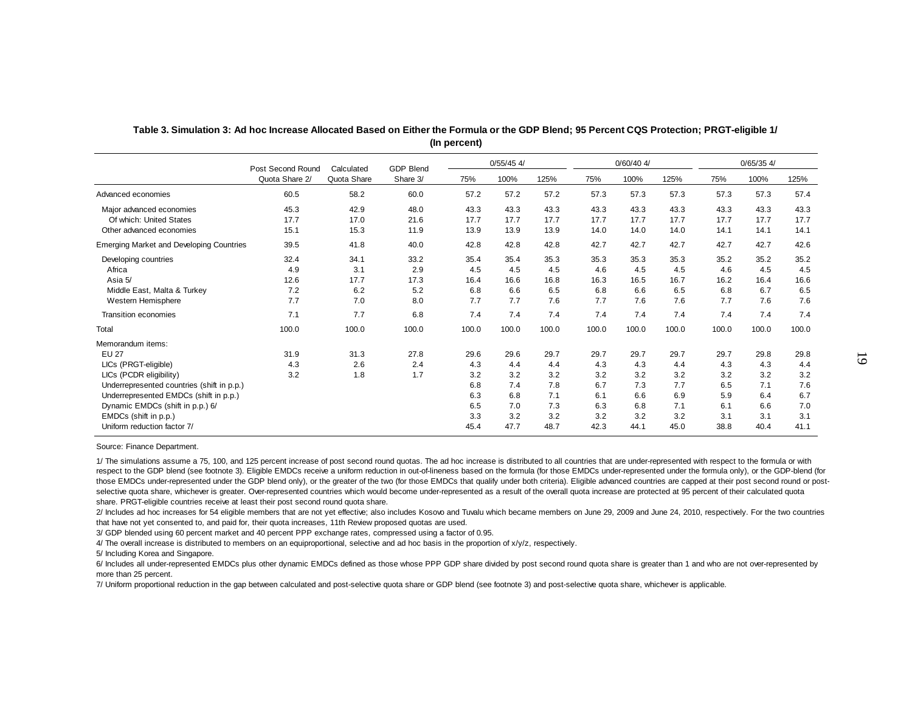|                                                 | Post Second Round | Calculated  | <b>GDP Blend</b> |       | $0/55/45$ 4/ |       |       | $0/60/40$ 4/ |       |       | $0/65/35$ 4/ |       |
|-------------------------------------------------|-------------------|-------------|------------------|-------|--------------|-------|-------|--------------|-------|-------|--------------|-------|
|                                                 | Quota Share 2/    | Quota Share | Share 3/         | 75%   | 100%         | 125%  | 75%   | 100%         | 125%  | 75%   | 100%         | 125%  |
| Advanced economies                              | 60.5              | 58.2        | 60.0             | 57.2  | 57.2         | 57.2  | 57.3  | 57.3         | 57.3  | 57.3  | 57.3         | 57.4  |
| Major advanced economies                        | 45.3              | 42.9        | 48.0             | 43.3  | 43.3         | 43.3  | 43.3  | 43.3         | 43.3  | 43.3  | 43.3         | 43.3  |
| Of which: United States                         | 17.7              | 17.0        | 21.6             | 17.7  | 17.7         | 17.7  | 17.7  | 17.7         | 17.7  | 17.7  | 17.7         | 17.7  |
| Other advanced economies                        | 15.1              | 15.3        | 11.9             | 13.9  | 13.9         | 13.9  | 14.0  | 14.0         | 14.0  | 14.1  | 14.1         | 14.1  |
| <b>Emerging Market and Developing Countries</b> | 39.5              | 41.8        | 40.0             | 42.8  | 42.8         | 42.8  | 42.7  | 42.7         | 42.7  | 42.7  | 42.7         | 42.6  |
| Developing countries                            | 32.4              | 34.1        | 33.2             | 35.4  | 35.4         | 35.3  | 35.3  | 35.3         | 35.3  | 35.2  | 35.2         | 35.2  |
| Africa                                          | 4.9               | 3.1         | 2.9              | 4.5   | 4.5          | 4.5   | 4.6   | 4.5          | 4.5   | 4.6   | 4.5          | 4.5   |
| Asia 5/                                         | 12.6              | 17.7        | 17.3             | 16.4  | 16.6         | 16.8  | 16.3  | 16.5         | 16.7  | 16.2  | 16.4         | 16.6  |
| Middle East, Malta & Turkey                     | 7.2               | 6.2         | 5.2              | 6.8   | 6.6          | 6.5   | 6.8   | 6.6          | 6.5   | 6.8   | 6.7          | 6.5   |
| Western Hemisphere                              | 7.7               | 7.0         | 8.0              | 7.7   | 7.7          | 7.6   | 7.7   | 7.6          | 7.6   | 7.7   | 7.6          | 7.6   |
| Transition economies                            | 7.1               | 7.7         | 6.8              | 7.4   | 7.4          | 7.4   | 7.4   | 7.4          | 7.4   | 7.4   | 7.4          | 7.4   |
| Total                                           | 100.0             | 100.0       | 100.0            | 100.0 | 100.0        | 100.0 | 100.0 | 100.0        | 100.0 | 100.0 | 100.0        | 100.0 |
| Memorandum items:                               |                   |             |                  |       |              |       |       |              |       |       |              |       |
| <b>EU 27</b>                                    | 31.9              | 31.3        | 27.8             | 29.6  | 29.6         | 29.7  | 29.7  | 29.7         | 29.7  | 29.7  | 29.8         | 29.8  |
| LICs (PRGT-eligible)                            | 4.3               | 2.6         | 2.4              | 4.3   | 4.4          | 4.4   | 4.3   | 4.3          | 4.4   | 4.3   | 4.3          | 4.4   |
| LICs (PCDR eligibility)                         | 3.2               | 1.8         | 1.7              | 3.2   | 3.2          | 3.2   | 3.2   | 3.2          | 3.2   | 3.2   | 3.2          | 3.2   |
| Underrepresented countries (shift in p.p.)      |                   |             |                  | 6.8   | 7.4          | 7.8   | 6.7   | 7.3          | 7.7   | 6.5   | 7.1          | 7.6   |
| Underrepresented EMDCs (shift in p.p.)          |                   |             |                  | 6.3   | 6.8          | 7.1   | 6.1   | 6.6          | 6.9   | 5.9   | 6.4          | 6.7   |
| Dynamic EMDCs (shift in p.p.) 6/                |                   |             |                  | 6.5   | 7.0          | 7.3   | 6.3   | 6.8          | 7.1   | 6.1   | 6.6          | 7.0   |
| EMDCs (shift in p.p.)                           |                   |             |                  | 3.3   | 3.2          | 3.2   | 3.2   | 3.2          | 3.2   | 3.1   | 3.1          | 3.1   |
| Uniform reduction factor 7/                     |                   |             |                  | 45.4  | 47.7         | 48.7  | 42.3  | 44.1         | 45.0  | 38.8  | 40.4         | 41.1  |

#### **Table 3. Simulation 3: Ad hoc Increase Allocated Based on Either the Formula or the GDP Blend; 95 Percent CQS Protection; PRGT-eligible 1/ (In percent)**

Source: Finance Department.

1/ The simulations assume a 75, 100, and 125 percent increase of post second round quotas. The ad hoc increase is distributed to all countries that are under-represented with respect to the formula or with respect to the GDP blend (see footnote 3). Eligible EMDCs receive a uniform reduction in out-of-lineness based on the formula (for those EMDCs under-represented under the formula only), or the GDP-blend (for those EMDCs under-represented under the GDP blend only), or the greater of the two (for those EMDCs that qualify under both criteria). Eligible advanced countries are capped at their post second round or postselective quota share, whichever is greater. Over-represented countries which would become under-represented as a result of the overall quota increase are protected at 95 percent of their calculated quota share. PRGT-eligible countries receive at least their post second round quota share.

2/ Includes ad hoc increases for 54 eligible members that are not yet effective; also includes Kosovo and Tuvalu which became members on June 29, 2009 and June 24, 2010, respectively. For the two countries that have not yet consented to, and paid for, their quota increases, 11th Review proposed quotas are used.

3/ GDP blended using 60 percent market and 40 percent PPP exchange rates, compressed using a factor of 0.95.

4/ The overall increase is distributed to members on an equiproportional, selective and ad hoc basis in the proportion of x/y/z, respectively.

5/ Including Korea and Singapore.

6/ Includes all under-represented EMDCs plus other dynamic EMDCs defined as those whose PPP GDP share divided by post second round quota share is greater than 1 and who are not over-represented by more than 25 percent.

7/ Uniform proportional reduction in the gap between calculated and post-selective quota share or GDP blend (see footnote 3) and post-selective quota share, whichever is applicable.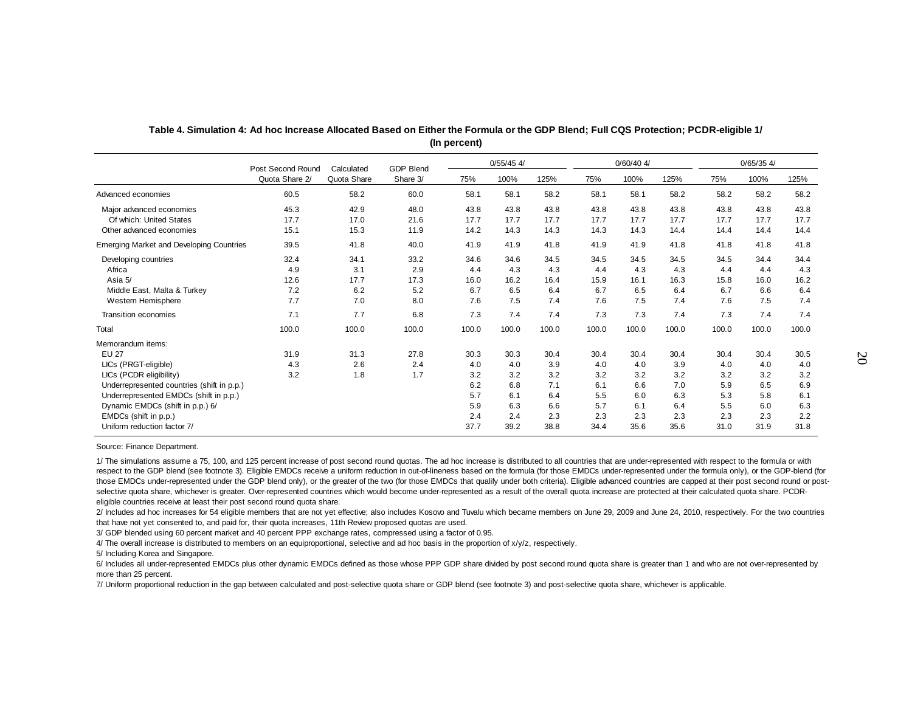|                                                 | Post Second Round | $0/55/45$ 4/<br><b>GDP Blend</b><br>Calculated |          |       |       |       |       | $0/60/40$ 4/ |       | $0/65/35$ 4/ |       |       |
|-------------------------------------------------|-------------------|------------------------------------------------|----------|-------|-------|-------|-------|--------------|-------|--------------|-------|-------|
|                                                 | Quota Share 2/    | Quota Share                                    | Share 3/ | 75%   | 100%  | 125%  | 75%   | 100%         | 125%  | 75%          | 100%  | 125%  |
| Advanced economies                              | 60.5              | 58.2                                           | 60.0     | 58.1  | 58.1  | 58.2  | 58.1  | 58.1         | 58.2  | 58.2         | 58.2  | 58.2  |
| Major advanced economies                        | 45.3              | 42.9                                           | 48.0     | 43.8  | 43.8  | 43.8  | 43.8  | 43.8         | 43.8  | 43.8         | 43.8  | 43.8  |
| Of which: United States                         | 17.7              | 17.0                                           | 21.6     | 17.7  | 17.7  | 17.7  | 17.7  | 17.7         | 17.7  | 17.7         | 17.7  | 17.7  |
| Other advanced economies                        | 15.1              | 15.3                                           | 11.9     | 14.2  | 14.3  | 14.3  | 14.3  | 14.3         | 14.4  | 14.4         | 14.4  | 14.4  |
| <b>Emerging Market and Developing Countries</b> | 39.5              | 41.8                                           | 40.0     | 41.9  | 41.9  | 41.8  | 41.9  | 41.9         | 41.8  | 41.8         | 41.8  | 41.8  |
| Developing countries                            | 32.4              | 34.1                                           | 33.2     | 34.6  | 34.6  | 34.5  | 34.5  | 34.5         | 34.5  | 34.5         | 34.4  | 34.4  |
| Africa                                          | 4.9               | 3.1                                            | 2.9      | 4.4   | 4.3   | 4.3   | 4.4   | 4.3          | 4.3   | 4.4          | 4.4   | 4.3   |
| Asia 5/                                         | 12.6              | 17.7                                           | 17.3     | 16.0  | 16.2  | 16.4  | 15.9  | 16.1         | 16.3  | 15.8         | 16.0  | 16.2  |
| Middle East, Malta & Turkey                     | 7.2               | 6.2                                            | 5.2      | 6.7   | 6.5   | 6.4   | 6.7   | 6.5          | 6.4   | 6.7          | 6.6   | 6.4   |
| Western Hemisphere                              | 7.7               | 7.0                                            | 8.0      | 7.6   | 7.5   | 7.4   | 7.6   | 7.5          | 7.4   | 7.6          | 7.5   | 7.4   |
| Transition economies                            | 7.1               | 7.7                                            | 6.8      | 7.3   | 7.4   | 7.4   | 7.3   | 7.3          | 7.4   | 7.3          | 7.4   | 7.4   |
| Total                                           | 100.0             | 100.0                                          | 100.0    | 100.0 | 100.0 | 100.0 | 100.0 | 100.0        | 100.0 | 100.0        | 100.0 | 100.0 |
| Memorandum items:                               |                   |                                                |          |       |       |       |       |              |       |              |       |       |
| <b>EU 27</b>                                    | 31.9              | 31.3                                           | 27.8     | 30.3  | 30.3  | 30.4  | 30.4  | 30.4         | 30.4  | 30.4         | 30.4  | 30.5  |
| LICs (PRGT-eligible)                            | 4.3               | 2.6                                            | 2.4      | 4.0   | 4.0   | 3.9   | 4.0   | 4.0          | 3.9   | 4.0          | 4.0   | 4.0   |
| LICs (PCDR eligibility)                         | 3.2               | 1.8                                            | 1.7      | 3.2   | 3.2   | 3.2   | 3.2   | 3.2          | 3.2   | 3.2          | 3.2   | 3.2   |
| Underrepresented countries (shift in p.p.)      |                   |                                                |          | 6.2   | 6.8   | 7.1   | 6.1   | 6.6          | 7.0   | 5.9          | 6.5   | 6.9   |
| Underrepresented EMDCs (shift in p.p.)          |                   |                                                |          | 5.7   | 6.1   | 6.4   | 5.5   | 6.0          | 6.3   | 5.3          | 5.8   | 6.1   |
| Dynamic EMDCs (shift in p.p.) 6/                |                   |                                                |          | 5.9   | 6.3   | 6.6   | 5.7   | 6.1          | 6.4   | 5.5          | 6.0   | 6.3   |
| EMDCs (shift in p.p.)                           |                   |                                                |          | 2.4   | 2.4   | 2.3   | 2.3   | 2.3          | 2.3   | 2.3          | 2.3   | 2.2   |
| Uniform reduction factor 7/                     |                   |                                                |          | 37.7  | 39.2  | 38.8  | 34.4  | 35.6         | 35.6  | 31.0         | 31.9  | 31.8  |

#### **Table 4. Simulation 4: Ad hoc Increase Allocated Based on Either the Formula or the GDP Blend; Full CQS Protection; PCDR-eligible 1/ (In percent)**

Source: Finance Department.

1/ The simulations assume a 75, 100, and 125 percent increase of post second round quotas. The ad hoc increase is distributed to all countries that are under-represented with respect to the formula or with respect to the GDP blend (see footnote 3). Eligible EMDCs receive a uniform reduction in out-of-lineness based on the formula (for those EMDCs under-represented under the formula only), or the GDP-blend (for those EMDCs under-represented under the GDP blend only), or the greater of the two (for those EMDCs that qualify under both criteria). Eligible advanced countries are capped at their post second round or postselective quota share, whichever is greater. Over-represented countries which would become under-represented as a result of the overall quota increase are protected at their calculated quota share. PCDReligible countries receive at least their post second round quota share.

2/ Includes ad hoc increases for 54 eligible members that are not yet effective; also includes Kosovo and Tuvalu which became members on June 29, 2009 and June 24, 2010, respectively. For the two countries that have not yet consented to, and paid for, their quota increases, 11th Review proposed quotas are used.

3/ GDP blended using 60 percent market and 40 percent PPP exchange rates, compressed using a factor of 0.95.

4/ The overall increase is distributed to members on an equiproportional, selective and ad hoc basis in the proportion of x/y/z, respectively.

5/ Including Korea and Singapore.

6/ Includes all under-represented EMDCs plus other dynamic EMDCs defined as those whose PPP GDP share divided by post second round quota share is greater than 1 and who are not over-represented by more than 25 percent.

7/ Uniform proportional reduction in the gap between calculated and post-selective quota share or GDP blend (see footnote 3) and post-selective quota share, whichever is applicable.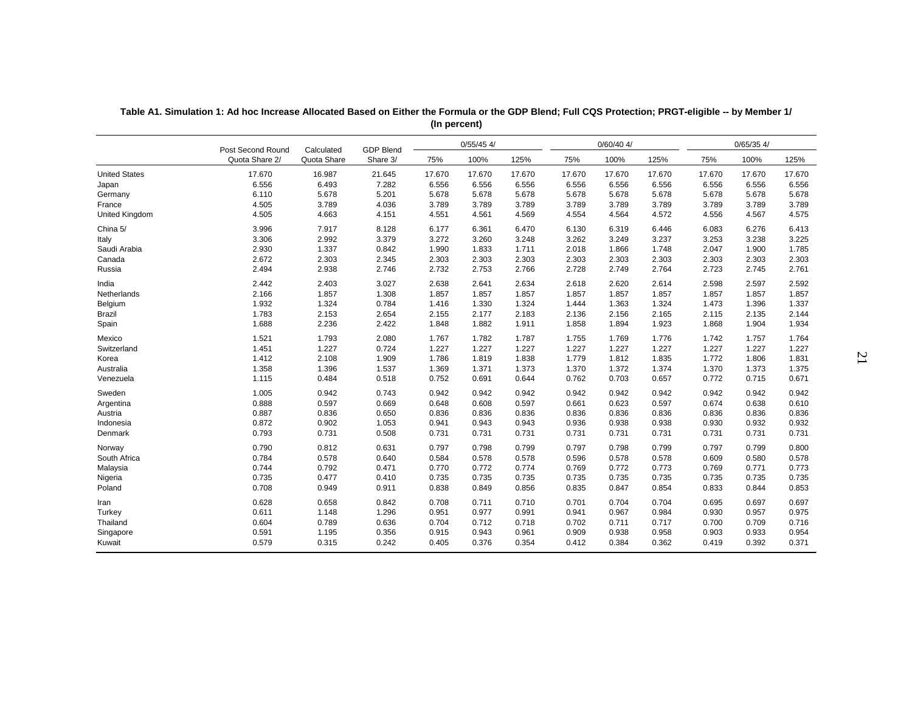|                       | Post Second Round | Calculated  | <b>GDP Blend</b> |        | $0/55/45$ 4/ |        |        | $0/60/40$ 4/ |        |        | 0/65/354/ |        |
|-----------------------|-------------------|-------------|------------------|--------|--------------|--------|--------|--------------|--------|--------|-----------|--------|
|                       | Quota Share 2/    | Quota Share | Share 3/         | 75%    | 100%         | 125%   | 75%    | 100%         | 125%   | 75%    | 100%      | 125%   |
| <b>United States</b>  | 17.670            | 16.987      | 21.645           | 17.670 | 17.670       | 17.670 | 17.670 | 17.670       | 17.670 | 17.670 | 17.670    | 17.670 |
| Japan                 | 6.556             | 6.493       | 7.282            | 6.556  | 6.556        | 6.556  | 6.556  | 6.556        | 6.556  | 6.556  | 6.556     | 6.556  |
| Germany               | 6.110             | 5.678       | 5.201            | 5.678  | 5.678        | 5.678  | 5.678  | 5.678        | 5.678  | 5.678  | 5.678     | 5.678  |
| France                | 4.505             | 3.789       | 4.036            | 3.789  | 3.789        | 3.789  | 3.789  | 3.789        | 3.789  | 3.789  | 3.789     | 3.789  |
| <b>United Kingdom</b> | 4.505             | 4.663       | 4.151            | 4.551  | 4.561        | 4.569  | 4.554  | 4.564        | 4.572  | 4.556  | 4.567     | 4.575  |
| China 5/              | 3.996             | 7.917       | 8.128            | 6.177  | 6.361        | 6.470  | 6.130  | 6.319        | 6.446  | 6.083  | 6.276     | 6.413  |
| Italy                 | 3.306             | 2.992       | 3.379            | 3.272  | 3.260        | 3.248  | 3.262  | 3.249        | 3.237  | 3.253  | 3.238     | 3.225  |
| Saudi Arabia          | 2.930             | 1.337       | 0.842            | 1.990  | 1.833        | 1.711  | 2.018  | 1.866        | 1.748  | 2.047  | 1.900     | 1.785  |
| Canada                | 2.672             | 2.303       | 2.345            | 2.303  | 2.303        | 2.303  | 2.303  | 2.303        | 2.303  | 2.303  | 2.303     | 2.303  |
| Russia                | 2.494             | 2.938       | 2.746            | 2.732  | 2.753        | 2.766  | 2.728  | 2.749        | 2.764  | 2.723  | 2.745     | 2.761  |
| India                 | 2.442             | 2.403       | 3.027            | 2.638  | 2.641        | 2.634  | 2.618  | 2.620        | 2.614  | 2.598  | 2.597     | 2.592  |
| Netherlands           | 2.166             | 1.857       | 1.308            | 1.857  | 1.857        | 1.857  | 1.857  | 1.857        | 1.857  | 1.857  | 1.857     | 1.857  |
| Belgium               | 1.932             | 1.324       | 0.784            | 1.416  | 1.330        | 1.324  | 1.444  | 1.363        | 1.324  | 1.473  | 1.396     | 1.337  |
| <b>Brazil</b>         | 1.783             | 2.153       | 2.654            | 2.155  | 2.177        | 2.183  | 2.136  | 2.156        | 2.165  | 2.115  | 2.135     | 2.144  |
| Spain                 | 1.688             | 2.236       | 2.422            | 1.848  | 1.882        | 1.911  | 1.858  | 1.894        | 1.923  | 1.868  | 1.904     | 1.934  |
| Mexico                | 1.521             | 1.793       | 2.080            | 1.767  | 1.782        | 1.787  | 1.755  | 1.769        | 1.776  | 1.742  | 1.757     | 1.764  |
| Switzerland           | 1.451             | 1.227       | 0.724            | 1.227  | 1.227        | 1.227  | 1.227  | 1.227        | 1.227  | 1.227  | 1.227     | 1.227  |
| Korea                 | 1.412             | 2.108       | 1.909            | 1.786  | 1.819        | 1.838  | 1.779  | 1.812        | 1.835  | 1.772  | 1.806     | 1.831  |
| Australia             | 1.358             | 1.396       | 1.537            | 1.369  | 1.371        | 1.373  | 1.370  | 1.372        | 1.374  | 1.370  | 1.373     | 1.375  |
| Venezuela             | 1.115             | 0.484       | 0.518            | 0.752  | 0.691        | 0.644  | 0.762  | 0.703        | 0.657  | 0.772  | 0.715     | 0.671  |
| Sweden                | 1.005             | 0.942       | 0.743            | 0.942  | 0.942        | 0.942  | 0.942  | 0.942        | 0.942  | 0.942  | 0.942     | 0.942  |
| Argentina             | 0.888             | 0.597       | 0.669            | 0.648  | 0.608        | 0.597  | 0.661  | 0.623        | 0.597  | 0.674  | 0.638     | 0.610  |
| Austria               | 0.887             | 0.836       | 0.650            | 0.836  | 0.836        | 0.836  | 0.836  | 0.836        | 0.836  | 0.836  | 0.836     | 0.836  |
| Indonesia             | 0.872             | 0.902       | 1.053            | 0.941  | 0.943        | 0.943  | 0.936  | 0.938        | 0.938  | 0.930  | 0.932     | 0.932  |
| Denmark               | 0.793             | 0.731       | 0.508            | 0.731  | 0.731        | 0.731  | 0.731  | 0.731        | 0.731  | 0.731  | 0.731     | 0.731  |
| Norway                | 0.790             | 0.812       | 0.631            | 0.797  | 0.798        | 0.799  | 0.797  | 0.798        | 0.799  | 0.797  | 0.799     | 0.800  |
| South Africa          | 0.784             | 0.578       | 0.640            | 0.584  | 0.578        | 0.578  | 0.596  | 0.578        | 0.578  | 0.609  | 0.580     | 0.578  |
| Malaysia              | 0.744             | 0.792       | 0.471            | 0.770  | 0.772        | 0.774  | 0.769  | 0.772        | 0.773  | 0.769  | 0.771     | 0.773  |
| Nigeria               | 0.735             | 0.477       | 0.410            | 0.735  | 0.735        | 0.735  | 0.735  | 0.735        | 0.735  | 0.735  | 0.735     | 0.735  |
| Poland                | 0.708             | 0.949       | 0.911            | 0.838  | 0.849        | 0.856  | 0.835  | 0.847        | 0.854  | 0.833  | 0.844     | 0.853  |
| Iran                  | 0.628             | 0.658       | 0.842            | 0.708  | 0.711        | 0.710  | 0.701  | 0.704        | 0.704  | 0.695  | 0.697     | 0.697  |
| Turkey                | 0.611             | 1.148       | 1.296            | 0.951  | 0.977        | 0.991  | 0.941  | 0.967        | 0.984  | 0.930  | 0.957     | 0.975  |
| Thailand              | 0.604             | 0.789       | 0.636            | 0.704  | 0.712        | 0.718  | 0.702  | 0.711        | 0.717  | 0.700  | 0.709     | 0.716  |
| Singapore             | 0.591             | 1.195       | 0.356            | 0.915  | 0.943        | 0.961  | 0.909  | 0.938        | 0.958  | 0.903  | 0.933     | 0.954  |
| Kuwait                | 0.579             | 0.315       | 0.242            | 0.405  | 0.376        | 0.354  | 0.412  | 0.384        | 0.362  | 0.419  | 0.392     | 0.371  |

| Table A1. Simulation 1: Ad hoc Increase Allocated Based on Either the Formula or the GDP Blend; Full CQS Protection; PRGT-eligible -- by Member 1/ |
|----------------------------------------------------------------------------------------------------------------------------------------------------|
| (In percent)                                                                                                                                       |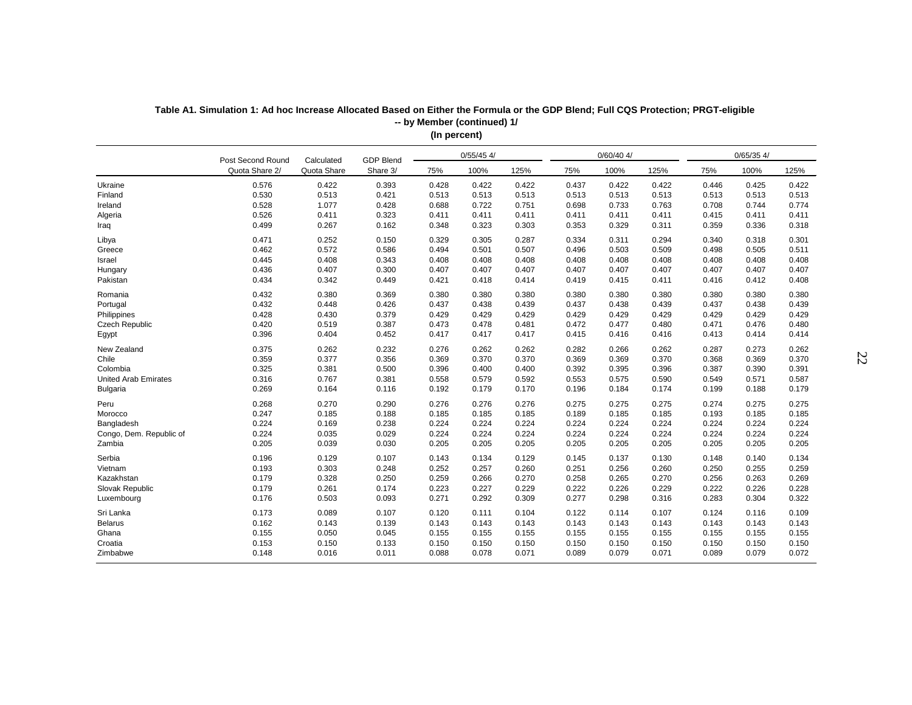|                             | Post Second Round | Calculated  | <b>GDP Blend</b> |       | $0/55/45$ 4/ |       |       | $0/60/40$ 4/ |       |       | $0/65/35$ 4/ |       |
|-----------------------------|-------------------|-------------|------------------|-------|--------------|-------|-------|--------------|-------|-------|--------------|-------|
|                             | Quota Share 2/    | Quota Share | Share 3/         | 75%   | 100%         | 125%  | 75%   | 100%         | 125%  | 75%   | 100%         | 125%  |
| Ukraine                     | 0.576             | 0.422       | 0.393            | 0.428 | 0.422        | 0.422 | 0.437 | 0.422        | 0.422 | 0.446 | 0.425        | 0.422 |
| Finland                     | 0.530             | 0.513       | 0.421            | 0.513 | 0.513        | 0.513 | 0.513 | 0.513        | 0.513 | 0.513 | 0.513        | 0.513 |
| Ireland                     | 0.528             | 1.077       | 0.428            | 0.688 | 0.722        | 0.751 | 0.698 | 0.733        | 0.763 | 0.708 | 0.744        | 0.774 |
| Algeria                     | 0.526             | 0.411       | 0.323            | 0.411 | 0.411        | 0.411 | 0.411 | 0.411        | 0.411 | 0.415 | 0.411        | 0.411 |
| Iraq                        | 0.499             | 0.267       | 0.162            | 0.348 | 0.323        | 0.303 | 0.353 | 0.329        | 0.311 | 0.359 | 0.336        | 0.318 |
| Libya                       | 0.471             | 0.252       | 0.150            | 0.329 | 0.305        | 0.287 | 0.334 | 0.311        | 0.294 | 0.340 | 0.318        | 0.301 |
| Greece                      | 0.462             | 0.572       | 0.586            | 0.494 | 0.501        | 0.507 | 0.496 | 0.503        | 0.509 | 0.498 | 0.505        | 0.511 |
| Israel                      | 0.445             | 0.408       | 0.343            | 0.408 | 0.408        | 0.408 | 0.408 | 0.408        | 0.408 | 0.408 | 0.408        | 0.408 |
| Hungary                     | 0.436             | 0.407       | 0.300            | 0.407 | 0.407        | 0.407 | 0.407 | 0.407        | 0.407 | 0.407 | 0.407        | 0.407 |
| Pakistan                    | 0.434             | 0.342       | 0.449            | 0.421 | 0.418        | 0.414 | 0.419 | 0.415        | 0.411 | 0.416 | 0.412        | 0.408 |
| Romania                     | 0.432             | 0.380       | 0.369            | 0.380 | 0.380        | 0.380 | 0.380 | 0.380        | 0.380 | 0.380 | 0.380        | 0.380 |
| Portugal                    | 0.432             | 0.448       | 0.426            | 0.437 | 0.438        | 0.439 | 0.437 | 0.438        | 0.439 | 0.437 | 0.438        | 0.439 |
| Philippines                 | 0.428             | 0.430       | 0.379            | 0.429 | 0.429        | 0.429 | 0.429 | 0.429        | 0.429 | 0.429 | 0.429        | 0.429 |
| Czech Republic              | 0.420             | 0.519       | 0.387            | 0.473 | 0.478        | 0.481 | 0.472 | 0.477        | 0.480 | 0.471 | 0.476        | 0.480 |
| Egypt                       | 0.396             | 0.404       | 0.452            | 0.417 | 0.417        | 0.417 | 0.415 | 0.416        | 0.416 | 0.413 | 0.414        | 0.414 |
| New Zealand                 | 0.375             | 0.262       | 0.232            | 0.276 | 0.262        | 0.262 | 0.282 | 0.266        | 0.262 | 0.287 | 0.273        | 0.262 |
| Chile                       | 0.359             | 0.377       | 0.356            | 0.369 | 0.370        | 0.370 | 0.369 | 0.369        | 0.370 | 0.368 | 0.369        | 0.370 |
| Colombia                    | 0.325             | 0.381       | 0.500            | 0.396 | 0.400        | 0.400 | 0.392 | 0.395        | 0.396 | 0.387 | 0.390        | 0.391 |
| <b>United Arab Emirates</b> | 0.316             | 0.767       | 0.381            | 0.558 | 0.579        | 0.592 | 0.553 | 0.575        | 0.590 | 0.549 | 0.571        | 0.587 |
| <b>Bulgaria</b>             | 0.269             | 0.164       | 0.116            | 0.192 | 0.179        | 0.170 | 0.196 | 0.184        | 0.174 | 0.199 | 0.188        | 0.179 |
| Peru                        | 0.268             | 0.270       | 0.290            | 0.276 | 0.276        | 0.276 | 0.275 | 0.275        | 0.275 | 0.274 | 0.275        | 0.275 |
| Morocco                     | 0.247             | 0.185       | 0.188            | 0.185 | 0.185        | 0.185 | 0.189 | 0.185        | 0.185 | 0.193 | 0.185        | 0.185 |
| Bangladesh                  | 0.224             | 0.169       | 0.238            | 0.224 | 0.224        | 0.224 | 0.224 | 0.224        | 0.224 | 0.224 | 0.224        | 0.224 |
| Congo, Dem. Republic of     | 0.224             | 0.035       | 0.029            | 0.224 | 0.224        | 0.224 | 0.224 | 0.224        | 0.224 | 0.224 | 0.224        | 0.224 |
| Zambia                      | 0.205             | 0.039       | 0.030            | 0.205 | 0.205        | 0.205 | 0.205 | 0.205        | 0.205 | 0.205 | 0.205        | 0.205 |
| Serbia                      | 0.196             | 0.129       | 0.107            | 0.143 | 0.134        | 0.129 | 0.145 | 0.137        | 0.130 | 0.148 | 0.140        | 0.134 |
| Vietnam                     | 0.193             | 0.303       | 0.248            | 0.252 | 0.257        | 0.260 | 0.251 | 0.256        | 0.260 | 0.250 | 0.255        | 0.259 |
| Kazakhstan                  | 0.179             | 0.328       | 0.250            | 0.259 | 0.266        | 0.270 | 0.258 | 0.265        | 0.270 | 0.256 | 0.263        | 0.269 |
| Slovak Republic             | 0.179             | 0.261       | 0.174            | 0.223 | 0.227        | 0.229 | 0.222 | 0.226        | 0.229 | 0.222 | 0.226        | 0.228 |
| Luxembourg                  | 0.176             | 0.503       | 0.093            | 0.271 | 0.292        | 0.309 | 0.277 | 0.298        | 0.316 | 0.283 | 0.304        | 0.322 |
| Sri Lanka                   | 0.173             | 0.089       | 0.107            | 0.120 | 0.111        | 0.104 | 0.122 | 0.114        | 0.107 | 0.124 | 0.116        | 0.109 |
| Belarus                     | 0.162             | 0.143       | 0.139            | 0.143 | 0.143        | 0.143 | 0.143 | 0.143        | 0.143 | 0.143 | 0.143        | 0.143 |
| Ghana                       | 0.155             | 0.050       | 0.045            | 0.155 | 0.155        | 0.155 | 0.155 | 0.155        | 0.155 | 0.155 | 0.155        | 0.155 |
| Croatia                     | 0.153             | 0.150       | 0.133            | 0.150 | 0.150        | 0.150 | 0.150 | 0.150        | 0.150 | 0.150 | 0.150        | 0.150 |
| Zimbabwe                    | 0.148             | 0.016       | 0.011            | 0.088 | 0.078        | 0.071 | 0.089 | 0.079        | 0.071 | 0.089 | 0.079        | 0.072 |
|                             |                   |             |                  |       |              |       |       |              |       |       |              |       |

**Table A1. Simulation 1: Ad hoc Increase Allocated Based on Either the Formula or the GDP Blend; Full CQS Protection; PRGT-eligible (In percent) -- by Member (continued) 1/**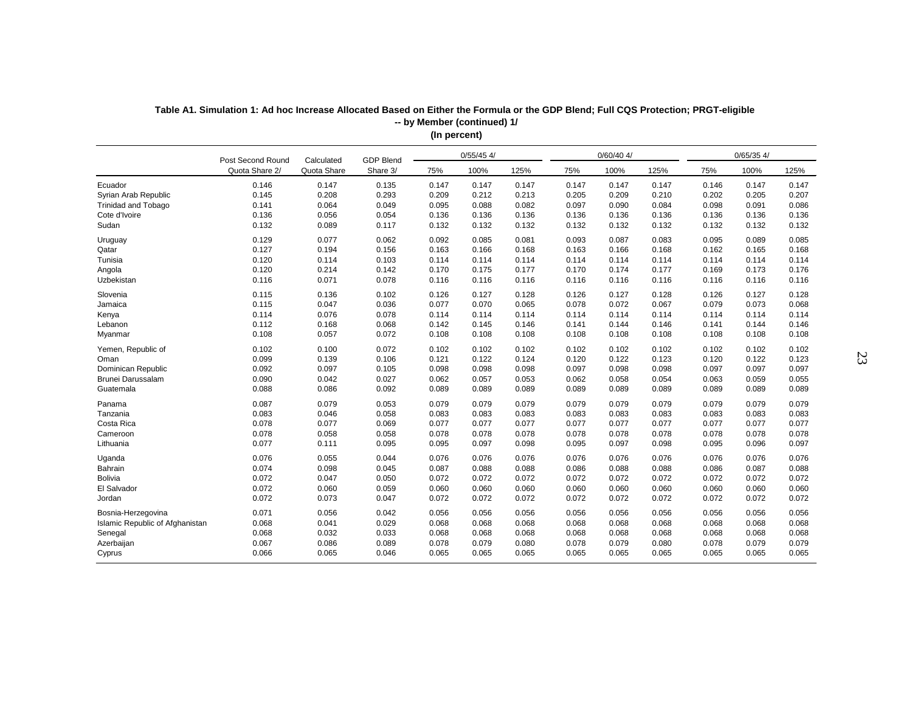|                                 |                   |             |                  |       | $0/55/45$ 4/ |       |       | $0/60/40$ 4/ |       |       | $0/65/35$ 4/ |       |
|---------------------------------|-------------------|-------------|------------------|-------|--------------|-------|-------|--------------|-------|-------|--------------|-------|
|                                 | Post Second Round | Calculated  | <b>GDP Blend</b> |       |              |       |       |              |       |       |              |       |
|                                 | Quota Share 2/    | Quota Share | Share 3/         | 75%   | 100%         | 125%  | 75%   | 100%         | 125%  | 75%   | 100%         | 125%  |
| Ecuador                         | 0.146             | 0.147       | 0.135            | 0.147 | 0.147        | 0.147 | 0.147 | 0.147        | 0.147 | 0.146 | 0.147        | 0.147 |
| Syrian Arab Republic            | 0.145             | 0.208       | 0.293            | 0.209 | 0.212        | 0.213 | 0.205 | 0.209        | 0.210 | 0.202 | 0.205        | 0.207 |
| <b>Trinidad and Tobago</b>      | 0.141             | 0.064       | 0.049            | 0.095 | 0.088        | 0.082 | 0.097 | 0.090        | 0.084 | 0.098 | 0.091        | 0.086 |
| Cote d'Ivoire                   | 0.136             | 0.056       | 0.054            | 0.136 | 0.136        | 0.136 | 0.136 | 0.136        | 0.136 | 0.136 | 0.136        | 0.136 |
| Sudan                           | 0.132             | 0.089       | 0.117            | 0.132 | 0.132        | 0.132 | 0.132 | 0.132        | 0.132 | 0.132 | 0.132        | 0.132 |
| Uruguay                         | 0.129             | 0.077       | 0.062            | 0.092 | 0.085        | 0.081 | 0.093 | 0.087        | 0.083 | 0.095 | 0.089        | 0.085 |
| Qatar                           | 0.127             | 0.194       | 0.156            | 0.163 | 0.166        | 0.168 | 0.163 | 0.166        | 0.168 | 0.162 | 0.165        | 0.168 |
| Tunisia                         | 0.120             | 0.114       | 0.103            | 0.114 | 0.114        | 0.114 | 0.114 | 0.114        | 0.114 | 0.114 | 0.114        | 0.114 |
| Angola                          | 0.120             | 0.214       | 0.142            | 0.170 | 0.175        | 0.177 | 0.170 | 0.174        | 0.177 | 0.169 | 0.173        | 0.176 |
| Uzbekistan                      | 0.116             | 0.071       | 0.078            | 0.116 | 0.116        | 0.116 | 0.116 | 0.116        | 0.116 | 0.116 | 0.116        | 0.116 |
| Slovenia                        | 0.115             | 0.136       | 0.102            | 0.126 | 0.127        | 0.128 | 0.126 | 0.127        | 0.128 | 0.126 | 0.127        | 0.128 |
| Jamaica                         | 0.115             | 0.047       | 0.036            | 0.077 | 0.070        | 0.065 | 0.078 | 0.072        | 0.067 | 0.079 | 0.073        | 0.068 |
| Kenya                           | 0.114             | 0.076       | 0.078            | 0.114 | 0.114        | 0.114 | 0.114 | 0.114        | 0.114 | 0.114 | 0.114        | 0.114 |
| Lebanon                         | 0.112             | 0.168       | 0.068            | 0.142 | 0.145        | 0.146 | 0.141 | 0.144        | 0.146 | 0.141 | 0.144        | 0.146 |
| Myanmar                         | 0.108             | 0.057       | 0.072            | 0.108 | 0.108        | 0.108 | 0.108 | 0.108        | 0.108 | 0.108 | 0.108        | 0.108 |
| Yemen, Republic of              | 0.102             | 0.100       | 0.072            | 0.102 | 0.102        | 0.102 | 0.102 | 0.102        | 0.102 | 0.102 | 0.102        | 0.102 |
| Oman                            | 0.099             | 0.139       | 0.106            | 0.121 | 0.122        | 0.124 | 0.120 | 0.122        | 0.123 | 0.120 | 0.122        | 0.123 |
| Dominican Republic              | 0.092             | 0.097       | 0.105            | 0.098 | 0.098        | 0.098 | 0.097 | 0.098        | 0.098 | 0.097 | 0.097        | 0.097 |
| Brunei Darussalam               | 0.090             | 0.042       | 0.027            | 0.062 | 0.057        | 0.053 | 0.062 | 0.058        | 0.054 | 0.063 | 0.059        | 0.055 |
| Guatemala                       | 0.088             | 0.086       | 0.092            | 0.089 | 0.089        | 0.089 | 0.089 | 0.089        | 0.089 | 0.089 | 0.089        | 0.089 |
| Panama                          | 0.087             | 0.079       | 0.053            | 0.079 | 0.079        | 0.079 | 0.079 | 0.079        | 0.079 | 0.079 | 0.079        | 0.079 |
| Tanzania                        | 0.083             | 0.046       | 0.058            | 0.083 | 0.083        | 0.083 | 0.083 | 0.083        | 0.083 | 0.083 | 0.083        | 0.083 |
| Costa Rica                      | 0.078             | 0.077       | 0.069            | 0.077 | 0.077        | 0.077 | 0.077 | 0.077        | 0.077 | 0.077 | 0.077        | 0.077 |
| Cameroon                        | 0.078             | 0.058       | 0.058            | 0.078 | 0.078        | 0.078 | 0.078 | 0.078        | 0.078 | 0.078 | 0.078        | 0.078 |
|                                 |                   |             |                  |       |              |       |       |              |       |       |              |       |
| Lithuania                       | 0.077             | 0.111       | 0.095            | 0.095 | 0.097        | 0.098 | 0.095 | 0.097        | 0.098 | 0.095 | 0.096        | 0.097 |
| Uganda                          | 0.076             | 0.055       | 0.044            | 0.076 | 0.076        | 0.076 | 0.076 | 0.076        | 0.076 | 0.076 | 0.076        | 0.076 |
| Bahrain                         | 0.074             | 0.098       | 0.045            | 0.087 | 0.088        | 0.088 | 0.086 | 0.088        | 0.088 | 0.086 | 0.087        | 0.088 |
| <b>Bolivia</b>                  | 0.072             | 0.047       | 0.050            | 0.072 | 0.072        | 0.072 | 0.072 | 0.072        | 0.072 | 0.072 | 0.072        | 0.072 |
| El Salvador                     | 0.072             | 0.060       | 0.059            | 0.060 | 0.060        | 0.060 | 0.060 | 0.060        | 0.060 | 0.060 | 0.060        | 0.060 |
| Jordan                          | 0.072             | 0.073       | 0.047            | 0.072 | 0.072        | 0.072 | 0.072 | 0.072        | 0.072 | 0.072 | 0.072        | 0.072 |
| Bosnia-Herzegovina              | 0.071             | 0.056       | 0.042            | 0.056 | 0.056        | 0.056 | 0.056 | 0.056        | 0.056 | 0.056 | 0.056        | 0.056 |
| Islamic Republic of Afghanistan | 0.068             | 0.041       | 0.029            | 0.068 | 0.068        | 0.068 | 0.068 | 0.068        | 0.068 | 0.068 | 0.068        | 0.068 |
| Senegal                         | 0.068             | 0.032       | 0.033            | 0.068 | 0.068        | 0.068 | 0.068 | 0.068        | 0.068 | 0.068 | 0.068        | 0.068 |
| Azerbaijan                      | 0.067             | 0.086       | 0.089            | 0.078 | 0.079        | 0.080 | 0.078 | 0.079        | 0.080 | 0.078 | 0.079        | 0.079 |
| Cyprus                          | 0.066             | 0.065       | 0.046            | 0.065 | 0.065        | 0.065 | 0.065 | 0.065        | 0.065 | 0.065 | 0.065        | 0.065 |
|                                 |                   |             |                  |       |              |       |       |              |       |       |              |       |

**Table A1. Simulation 1: Ad hoc Increase Allocated Based on Either the Formula or the GDP Blend; Full CQS Protection; PRGT-eligible (In percent) -- by Member (continued) 1/**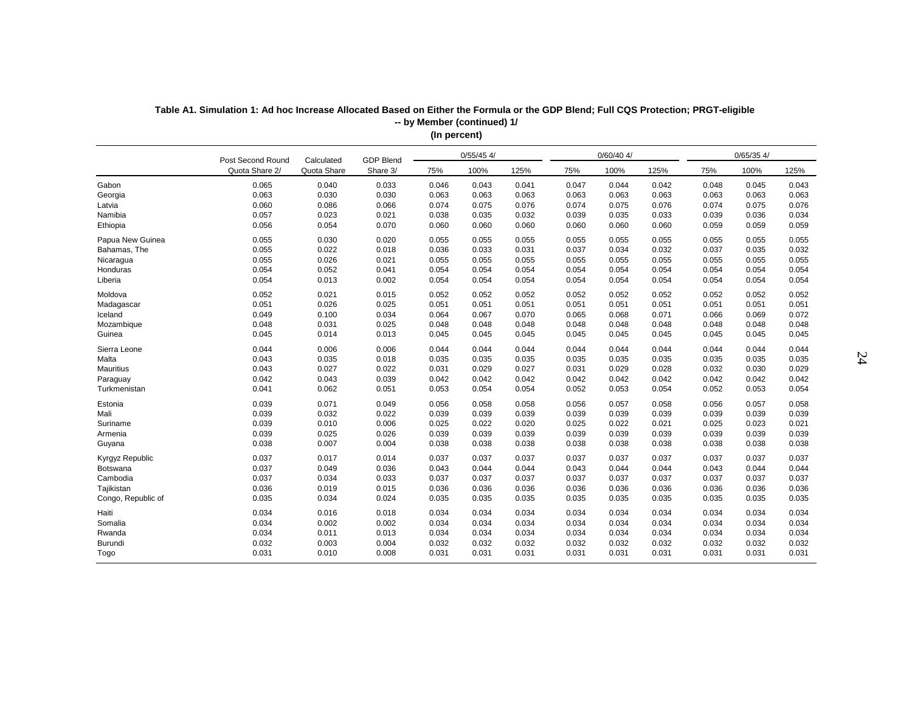| $0/60/40$ 4/<br>0/65/354/<br>$0/55/45$ 4/<br><b>GDP Blend</b><br>Post Second Round<br>Calculated<br>Quota Share<br>Quota Share 2/<br>Share 3/<br>100%<br>100%<br>100%<br>75%<br>125%<br>75%<br>125%<br>75%<br>125%<br>Gabon<br>0.040<br>0.033<br>0.042<br>0.043<br>0.065<br>0.046<br>0.043<br>0.041<br>0.047<br>0.044<br>0.048<br>0.045<br>0.063<br>0.030<br>0.030<br>0.063<br>0.063<br>0.063<br>0.063<br>0.063<br>0.063<br>0.063<br>0.063<br>0.063<br>Georgia<br>0.060<br>0.086<br>0.066<br>0.074<br>0.075<br>0.076<br>0.074<br>0.075<br>0.076<br>0.074<br>0.075<br>0.076<br>Latvia<br>0.057<br>0.023<br>0.021<br>0.038<br>0.035<br>0.032<br>0.039<br>0.035<br>0.033<br>0.039<br>0.036<br>0.034<br>0.056<br>0.054<br>0.070<br>0.060<br>0.060<br>0.060<br>0.060<br>0.060<br>0.060<br>0.059<br>0.059<br>0.059<br>Ethiopia<br>Papua New Guinea<br>0.055<br>0.030<br>0.020<br>0.055<br>0.055<br>0.055<br>0.055<br>0.055<br>0.055<br>0.055<br>0.055<br>0.055<br>0.022<br>0.055<br>0.018<br>0.036<br>0.033<br>0.031<br>0.037<br>0.034<br>0.032<br>0.037<br>0.035<br>0.032<br>Bahamas, The<br>0.026<br>0.055<br>0.021<br>0.055<br>0.055<br>0.055<br>0.055<br>0.055<br>0.055<br>0.055<br>0.055<br>0.055<br>0.052<br>0.054<br>0.041<br>0.054<br>0.054<br>0.054<br>0.054<br>0.054<br>0.054<br>0.054<br>0.054<br>0.054<br>Honduras<br>0.054<br>0.054<br>0.054<br>Liberia<br>0.013<br>0.002<br>0.054<br>0.054<br>0.054<br>0.054<br>0.054<br>0.054<br>0.054<br>0.052<br>0.021<br>0.015<br>0.052<br>0.052<br>0.052<br>0.052<br>0.052<br>0.052<br>0.052<br>Moldova<br>0.052<br>0.052<br>0.051<br>0.026<br>0.025<br>0.051<br>0.051<br>0.051<br>0.051<br>0.051<br>0.051<br>0.051<br>0.051<br>0.051<br>Madagascar<br>0.049<br>0.100<br>0.034<br>0.064<br>0.067<br>0.070<br>0.071<br>0.069<br>0.072<br>Iceland<br>0.065<br>0.068<br>0.066<br>0.048<br>0.031<br>0.025<br>0.048<br>0.048<br>0.048<br>0.048<br>0.048<br>0.048<br>0.048<br>0.048<br>0.048<br>Mozambique<br>0.045<br>0.013<br>0.045<br>0.045<br>0.045<br>0.045<br>Guinea<br>0.014<br>0.045<br>0.045<br>0.045<br>0.045<br>0.045<br>0.044<br>0.006<br>0.006<br>0.044<br>0.044<br>0.044<br>0.044<br>0.044<br>0.044<br>0.044<br>0.044<br>0.044<br>Sierra Leone<br>0.043<br>0.035<br>0.018<br>0.035<br>0.035<br>0.035<br>0.035<br>0.035<br>0.035<br>0.035<br>0.035<br>0.035<br>Malta<br>0.043<br>0.027<br><b>Mauritius</b><br>0.022<br>0.031<br>0.029<br>0.027<br>0.031<br>0.029<br>0.028<br>0.032<br>0.030<br>0.029<br>0.042<br>0.043<br>0.039<br>0.042<br>0.042<br>0.042<br>0.042<br>0.042<br>0.042<br>0.042<br>0.042<br>Paraguay<br>0.042<br>0.062<br>0.051<br>0.041<br>0.053<br>0.054<br>0.054<br>0.052<br>0.053<br>0.054<br>0.052<br>0.053<br>0.054<br>Turkmenistan<br>0.071<br>0.039<br>0.049<br>0.056<br>0.058<br>0.057<br>0.058<br>0.057<br>0.058<br>Estonia<br>0.058<br>0.056<br>0.056<br>0.039<br>0.032<br>0.022<br>0.039<br>0.039<br>0.039<br>Mali<br>0.039<br>0.039<br>0.039<br>0.039<br>0.039<br>0.039<br>0.039<br>0.010<br>0.006<br>0.025<br>0.022<br>0.020<br>0.025<br>0.022<br>0.021<br>0.025<br>0.023<br>0.021<br>Suriname<br>0.039<br>0.025<br>0.026<br>0.039<br>0.039<br>0.039<br>0.039<br>Armenia<br>0.039<br>0.039<br>0.039<br>0.039<br>0.039<br>0.038<br>0.007<br>0.004<br>0.038<br>0.038<br>Guyana<br>0.038<br>0.038<br>0.038<br>0.038<br>0.038<br>0.038<br>0.038<br>0.037<br>0.037<br>0.037<br>0.037<br>0.017<br>0.014<br>0.037<br>0.037<br>0.037<br>0.037<br>0.037<br>0.037<br>0.037<br>0.049<br>0.036<br>0.043<br>0.044<br>0.044<br>0.043<br>0.044<br>0.044<br>0.043<br>0.044<br>0.044<br>Botswana<br>Cambodia<br>0.037<br>0.034<br>0.033<br>0.037<br>0.037<br>0.037<br>0.037<br>0.037<br>0.037<br>0.037<br>0.037<br>0.037<br>0.036<br>0.019<br>0.015<br>0.036<br>0.036<br>0.036<br>0.036<br>0.036<br>0.036<br>0.036<br>0.036<br>0.036<br>0.035<br>0.034<br>0.024<br>0.035<br>0.035<br>0.035<br>0.035<br>0.035<br>0.035<br>Congo, Republic of<br>0.035<br>0.035<br>0.035<br>0.034<br>0.016<br>0.018<br>0.034<br>0.034<br>0.034<br>0.034<br>0.034<br>0.034<br>0.034<br>0.034<br>0.034<br>Haiti<br>0.034<br>0.002<br>0.002<br>0.034<br>0.034<br>0.034<br>0.034<br>0.034<br>0.034<br>0.034<br>0.034<br>0.034<br>Somalia<br>0.034<br>0.011<br>0.013<br>0.034<br>Rwanda<br>0.034<br>0.034<br>0.034<br>0.034<br>0.034<br>0.034<br>0.034<br>0.034<br>Burundi<br>0.032<br>0.003<br>0.004<br>0.032<br>0.032<br>0.032<br>0.032<br>0.032<br>0.032<br>0.032<br>0.032<br>0.032<br>0.031<br>0.010<br>0.008<br>0.031<br>0.031<br>0.031<br>0.031<br>0.031<br>0.031<br>0.031<br>0.031<br>0.031<br>Togo |                 |  |  |  |  |  |  |
|-----------------------------------------------------------------------------------------------------------------------------------------------------------------------------------------------------------------------------------------------------------------------------------------------------------------------------------------------------------------------------------------------------------------------------------------------------------------------------------------------------------------------------------------------------------------------------------------------------------------------------------------------------------------------------------------------------------------------------------------------------------------------------------------------------------------------------------------------------------------------------------------------------------------------------------------------------------------------------------------------------------------------------------------------------------------------------------------------------------------------------------------------------------------------------------------------------------------------------------------------------------------------------------------------------------------------------------------------------------------------------------------------------------------------------------------------------------------------------------------------------------------------------------------------------------------------------------------------------------------------------------------------------------------------------------------------------------------------------------------------------------------------------------------------------------------------------------------------------------------------------------------------------------------------------------------------------------------------------------------------------------------------------------------------------------------------------------------------------------------------------------------------------------------------------------------------------------------------------------------------------------------------------------------------------------------------------------------------------------------------------------------------------------------------------------------------------------------------------------------------------------------------------------------------------------------------------------------------------------------------------------------------------------------------------------------------------------------------------------------------------------------------------------------------------------------------------------------------------------------------------------------------------------------------------------------------------------------------------------------------------------------------------------------------------------------------------------------------------------------------------------------------------------------------------------------------------------------------------------------------------------------------------------------------------------------------------------------------------------------------------------------------------------------------------------------------------------------------------------------------------------------------------------------------------------------------------------------------------------------------------------------------------------------------------------------------------------------------------------------------------------------------------------------------------------------------------------------------------------------------------------------------------------------------------------------------------------------------------------------------------------------------------------------------------------------------------------------------------------------------------------------------------------------------------------------------------------------------------------------------------------------------------------------------------------------------------------------------------------------------------------------------------------------------------------------------------------------------------------------------------------------------------------------------------|-----------------|--|--|--|--|--|--|
|                                                                                                                                                                                                                                                                                                                                                                                                                                                                                                                                                                                                                                                                                                                                                                                                                                                                                                                                                                                                                                                                                                                                                                                                                                                                                                                                                                                                                                                                                                                                                                                                                                                                                                                                                                                                                                                                                                                                                                                                                                                                                                                                                                                                                                                                                                                                                                                                                                                                                                                                                                                                                                                                                                                                                                                                                                                                                                                                                                                                                                                                                                                                                                                                                                                                                                                                                                                                                                                                                                                                                                                                                                                                                                                                                                                                                                                                                                                                                                                                                                                                                                                                                                                                                                                                                                                                                                                                                                                                                                                                                     |                 |  |  |  |  |  |  |
|                                                                                                                                                                                                                                                                                                                                                                                                                                                                                                                                                                                                                                                                                                                                                                                                                                                                                                                                                                                                                                                                                                                                                                                                                                                                                                                                                                                                                                                                                                                                                                                                                                                                                                                                                                                                                                                                                                                                                                                                                                                                                                                                                                                                                                                                                                                                                                                                                                                                                                                                                                                                                                                                                                                                                                                                                                                                                                                                                                                                                                                                                                                                                                                                                                                                                                                                                                                                                                                                                                                                                                                                                                                                                                                                                                                                                                                                                                                                                                                                                                                                                                                                                                                                                                                                                                                                                                                                                                                                                                                                                     |                 |  |  |  |  |  |  |
|                                                                                                                                                                                                                                                                                                                                                                                                                                                                                                                                                                                                                                                                                                                                                                                                                                                                                                                                                                                                                                                                                                                                                                                                                                                                                                                                                                                                                                                                                                                                                                                                                                                                                                                                                                                                                                                                                                                                                                                                                                                                                                                                                                                                                                                                                                                                                                                                                                                                                                                                                                                                                                                                                                                                                                                                                                                                                                                                                                                                                                                                                                                                                                                                                                                                                                                                                                                                                                                                                                                                                                                                                                                                                                                                                                                                                                                                                                                                                                                                                                                                                                                                                                                                                                                                                                                                                                                                                                                                                                                                                     |                 |  |  |  |  |  |  |
|                                                                                                                                                                                                                                                                                                                                                                                                                                                                                                                                                                                                                                                                                                                                                                                                                                                                                                                                                                                                                                                                                                                                                                                                                                                                                                                                                                                                                                                                                                                                                                                                                                                                                                                                                                                                                                                                                                                                                                                                                                                                                                                                                                                                                                                                                                                                                                                                                                                                                                                                                                                                                                                                                                                                                                                                                                                                                                                                                                                                                                                                                                                                                                                                                                                                                                                                                                                                                                                                                                                                                                                                                                                                                                                                                                                                                                                                                                                                                                                                                                                                                                                                                                                                                                                                                                                                                                                                                                                                                                                                                     |                 |  |  |  |  |  |  |
|                                                                                                                                                                                                                                                                                                                                                                                                                                                                                                                                                                                                                                                                                                                                                                                                                                                                                                                                                                                                                                                                                                                                                                                                                                                                                                                                                                                                                                                                                                                                                                                                                                                                                                                                                                                                                                                                                                                                                                                                                                                                                                                                                                                                                                                                                                                                                                                                                                                                                                                                                                                                                                                                                                                                                                                                                                                                                                                                                                                                                                                                                                                                                                                                                                                                                                                                                                                                                                                                                                                                                                                                                                                                                                                                                                                                                                                                                                                                                                                                                                                                                                                                                                                                                                                                                                                                                                                                                                                                                                                                                     |                 |  |  |  |  |  |  |
|                                                                                                                                                                                                                                                                                                                                                                                                                                                                                                                                                                                                                                                                                                                                                                                                                                                                                                                                                                                                                                                                                                                                                                                                                                                                                                                                                                                                                                                                                                                                                                                                                                                                                                                                                                                                                                                                                                                                                                                                                                                                                                                                                                                                                                                                                                                                                                                                                                                                                                                                                                                                                                                                                                                                                                                                                                                                                                                                                                                                                                                                                                                                                                                                                                                                                                                                                                                                                                                                                                                                                                                                                                                                                                                                                                                                                                                                                                                                                                                                                                                                                                                                                                                                                                                                                                                                                                                                                                                                                                                                                     | Namibia         |  |  |  |  |  |  |
|                                                                                                                                                                                                                                                                                                                                                                                                                                                                                                                                                                                                                                                                                                                                                                                                                                                                                                                                                                                                                                                                                                                                                                                                                                                                                                                                                                                                                                                                                                                                                                                                                                                                                                                                                                                                                                                                                                                                                                                                                                                                                                                                                                                                                                                                                                                                                                                                                                                                                                                                                                                                                                                                                                                                                                                                                                                                                                                                                                                                                                                                                                                                                                                                                                                                                                                                                                                                                                                                                                                                                                                                                                                                                                                                                                                                                                                                                                                                                                                                                                                                                                                                                                                                                                                                                                                                                                                                                                                                                                                                                     |                 |  |  |  |  |  |  |
|                                                                                                                                                                                                                                                                                                                                                                                                                                                                                                                                                                                                                                                                                                                                                                                                                                                                                                                                                                                                                                                                                                                                                                                                                                                                                                                                                                                                                                                                                                                                                                                                                                                                                                                                                                                                                                                                                                                                                                                                                                                                                                                                                                                                                                                                                                                                                                                                                                                                                                                                                                                                                                                                                                                                                                                                                                                                                                                                                                                                                                                                                                                                                                                                                                                                                                                                                                                                                                                                                                                                                                                                                                                                                                                                                                                                                                                                                                                                                                                                                                                                                                                                                                                                                                                                                                                                                                                                                                                                                                                                                     |                 |  |  |  |  |  |  |
|                                                                                                                                                                                                                                                                                                                                                                                                                                                                                                                                                                                                                                                                                                                                                                                                                                                                                                                                                                                                                                                                                                                                                                                                                                                                                                                                                                                                                                                                                                                                                                                                                                                                                                                                                                                                                                                                                                                                                                                                                                                                                                                                                                                                                                                                                                                                                                                                                                                                                                                                                                                                                                                                                                                                                                                                                                                                                                                                                                                                                                                                                                                                                                                                                                                                                                                                                                                                                                                                                                                                                                                                                                                                                                                                                                                                                                                                                                                                                                                                                                                                                                                                                                                                                                                                                                                                                                                                                                                                                                                                                     |                 |  |  |  |  |  |  |
|                                                                                                                                                                                                                                                                                                                                                                                                                                                                                                                                                                                                                                                                                                                                                                                                                                                                                                                                                                                                                                                                                                                                                                                                                                                                                                                                                                                                                                                                                                                                                                                                                                                                                                                                                                                                                                                                                                                                                                                                                                                                                                                                                                                                                                                                                                                                                                                                                                                                                                                                                                                                                                                                                                                                                                                                                                                                                                                                                                                                                                                                                                                                                                                                                                                                                                                                                                                                                                                                                                                                                                                                                                                                                                                                                                                                                                                                                                                                                                                                                                                                                                                                                                                                                                                                                                                                                                                                                                                                                                                                                     | Nicaragua       |  |  |  |  |  |  |
|                                                                                                                                                                                                                                                                                                                                                                                                                                                                                                                                                                                                                                                                                                                                                                                                                                                                                                                                                                                                                                                                                                                                                                                                                                                                                                                                                                                                                                                                                                                                                                                                                                                                                                                                                                                                                                                                                                                                                                                                                                                                                                                                                                                                                                                                                                                                                                                                                                                                                                                                                                                                                                                                                                                                                                                                                                                                                                                                                                                                                                                                                                                                                                                                                                                                                                                                                                                                                                                                                                                                                                                                                                                                                                                                                                                                                                                                                                                                                                                                                                                                                                                                                                                                                                                                                                                                                                                                                                                                                                                                                     |                 |  |  |  |  |  |  |
|                                                                                                                                                                                                                                                                                                                                                                                                                                                                                                                                                                                                                                                                                                                                                                                                                                                                                                                                                                                                                                                                                                                                                                                                                                                                                                                                                                                                                                                                                                                                                                                                                                                                                                                                                                                                                                                                                                                                                                                                                                                                                                                                                                                                                                                                                                                                                                                                                                                                                                                                                                                                                                                                                                                                                                                                                                                                                                                                                                                                                                                                                                                                                                                                                                                                                                                                                                                                                                                                                                                                                                                                                                                                                                                                                                                                                                                                                                                                                                                                                                                                                                                                                                                                                                                                                                                                                                                                                                                                                                                                                     |                 |  |  |  |  |  |  |
|                                                                                                                                                                                                                                                                                                                                                                                                                                                                                                                                                                                                                                                                                                                                                                                                                                                                                                                                                                                                                                                                                                                                                                                                                                                                                                                                                                                                                                                                                                                                                                                                                                                                                                                                                                                                                                                                                                                                                                                                                                                                                                                                                                                                                                                                                                                                                                                                                                                                                                                                                                                                                                                                                                                                                                                                                                                                                                                                                                                                                                                                                                                                                                                                                                                                                                                                                                                                                                                                                                                                                                                                                                                                                                                                                                                                                                                                                                                                                                                                                                                                                                                                                                                                                                                                                                                                                                                                                                                                                                                                                     |                 |  |  |  |  |  |  |
|                                                                                                                                                                                                                                                                                                                                                                                                                                                                                                                                                                                                                                                                                                                                                                                                                                                                                                                                                                                                                                                                                                                                                                                                                                                                                                                                                                                                                                                                                                                                                                                                                                                                                                                                                                                                                                                                                                                                                                                                                                                                                                                                                                                                                                                                                                                                                                                                                                                                                                                                                                                                                                                                                                                                                                                                                                                                                                                                                                                                                                                                                                                                                                                                                                                                                                                                                                                                                                                                                                                                                                                                                                                                                                                                                                                                                                                                                                                                                                                                                                                                                                                                                                                                                                                                                                                                                                                                                                                                                                                                                     |                 |  |  |  |  |  |  |
|                                                                                                                                                                                                                                                                                                                                                                                                                                                                                                                                                                                                                                                                                                                                                                                                                                                                                                                                                                                                                                                                                                                                                                                                                                                                                                                                                                                                                                                                                                                                                                                                                                                                                                                                                                                                                                                                                                                                                                                                                                                                                                                                                                                                                                                                                                                                                                                                                                                                                                                                                                                                                                                                                                                                                                                                                                                                                                                                                                                                                                                                                                                                                                                                                                                                                                                                                                                                                                                                                                                                                                                                                                                                                                                                                                                                                                                                                                                                                                                                                                                                                                                                                                                                                                                                                                                                                                                                                                                                                                                                                     |                 |  |  |  |  |  |  |
|                                                                                                                                                                                                                                                                                                                                                                                                                                                                                                                                                                                                                                                                                                                                                                                                                                                                                                                                                                                                                                                                                                                                                                                                                                                                                                                                                                                                                                                                                                                                                                                                                                                                                                                                                                                                                                                                                                                                                                                                                                                                                                                                                                                                                                                                                                                                                                                                                                                                                                                                                                                                                                                                                                                                                                                                                                                                                                                                                                                                                                                                                                                                                                                                                                                                                                                                                                                                                                                                                                                                                                                                                                                                                                                                                                                                                                                                                                                                                                                                                                                                                                                                                                                                                                                                                                                                                                                                                                                                                                                                                     |                 |  |  |  |  |  |  |
|                                                                                                                                                                                                                                                                                                                                                                                                                                                                                                                                                                                                                                                                                                                                                                                                                                                                                                                                                                                                                                                                                                                                                                                                                                                                                                                                                                                                                                                                                                                                                                                                                                                                                                                                                                                                                                                                                                                                                                                                                                                                                                                                                                                                                                                                                                                                                                                                                                                                                                                                                                                                                                                                                                                                                                                                                                                                                                                                                                                                                                                                                                                                                                                                                                                                                                                                                                                                                                                                                                                                                                                                                                                                                                                                                                                                                                                                                                                                                                                                                                                                                                                                                                                                                                                                                                                                                                                                                                                                                                                                                     |                 |  |  |  |  |  |  |
|                                                                                                                                                                                                                                                                                                                                                                                                                                                                                                                                                                                                                                                                                                                                                                                                                                                                                                                                                                                                                                                                                                                                                                                                                                                                                                                                                                                                                                                                                                                                                                                                                                                                                                                                                                                                                                                                                                                                                                                                                                                                                                                                                                                                                                                                                                                                                                                                                                                                                                                                                                                                                                                                                                                                                                                                                                                                                                                                                                                                                                                                                                                                                                                                                                                                                                                                                                                                                                                                                                                                                                                                                                                                                                                                                                                                                                                                                                                                                                                                                                                                                                                                                                                                                                                                                                                                                                                                                                                                                                                                                     |                 |  |  |  |  |  |  |
|                                                                                                                                                                                                                                                                                                                                                                                                                                                                                                                                                                                                                                                                                                                                                                                                                                                                                                                                                                                                                                                                                                                                                                                                                                                                                                                                                                                                                                                                                                                                                                                                                                                                                                                                                                                                                                                                                                                                                                                                                                                                                                                                                                                                                                                                                                                                                                                                                                                                                                                                                                                                                                                                                                                                                                                                                                                                                                                                                                                                                                                                                                                                                                                                                                                                                                                                                                                                                                                                                                                                                                                                                                                                                                                                                                                                                                                                                                                                                                                                                                                                                                                                                                                                                                                                                                                                                                                                                                                                                                                                                     |                 |  |  |  |  |  |  |
|                                                                                                                                                                                                                                                                                                                                                                                                                                                                                                                                                                                                                                                                                                                                                                                                                                                                                                                                                                                                                                                                                                                                                                                                                                                                                                                                                                                                                                                                                                                                                                                                                                                                                                                                                                                                                                                                                                                                                                                                                                                                                                                                                                                                                                                                                                                                                                                                                                                                                                                                                                                                                                                                                                                                                                                                                                                                                                                                                                                                                                                                                                                                                                                                                                                                                                                                                                                                                                                                                                                                                                                                                                                                                                                                                                                                                                                                                                                                                                                                                                                                                                                                                                                                                                                                                                                                                                                                                                                                                                                                                     |                 |  |  |  |  |  |  |
|                                                                                                                                                                                                                                                                                                                                                                                                                                                                                                                                                                                                                                                                                                                                                                                                                                                                                                                                                                                                                                                                                                                                                                                                                                                                                                                                                                                                                                                                                                                                                                                                                                                                                                                                                                                                                                                                                                                                                                                                                                                                                                                                                                                                                                                                                                                                                                                                                                                                                                                                                                                                                                                                                                                                                                                                                                                                                                                                                                                                                                                                                                                                                                                                                                                                                                                                                                                                                                                                                                                                                                                                                                                                                                                                                                                                                                                                                                                                                                                                                                                                                                                                                                                                                                                                                                                                                                                                                                                                                                                                                     |                 |  |  |  |  |  |  |
|                                                                                                                                                                                                                                                                                                                                                                                                                                                                                                                                                                                                                                                                                                                                                                                                                                                                                                                                                                                                                                                                                                                                                                                                                                                                                                                                                                                                                                                                                                                                                                                                                                                                                                                                                                                                                                                                                                                                                                                                                                                                                                                                                                                                                                                                                                                                                                                                                                                                                                                                                                                                                                                                                                                                                                                                                                                                                                                                                                                                                                                                                                                                                                                                                                                                                                                                                                                                                                                                                                                                                                                                                                                                                                                                                                                                                                                                                                                                                                                                                                                                                                                                                                                                                                                                                                                                                                                                                                                                                                                                                     |                 |  |  |  |  |  |  |
|                                                                                                                                                                                                                                                                                                                                                                                                                                                                                                                                                                                                                                                                                                                                                                                                                                                                                                                                                                                                                                                                                                                                                                                                                                                                                                                                                                                                                                                                                                                                                                                                                                                                                                                                                                                                                                                                                                                                                                                                                                                                                                                                                                                                                                                                                                                                                                                                                                                                                                                                                                                                                                                                                                                                                                                                                                                                                                                                                                                                                                                                                                                                                                                                                                                                                                                                                                                                                                                                                                                                                                                                                                                                                                                                                                                                                                                                                                                                                                                                                                                                                                                                                                                                                                                                                                                                                                                                                                                                                                                                                     |                 |  |  |  |  |  |  |
|                                                                                                                                                                                                                                                                                                                                                                                                                                                                                                                                                                                                                                                                                                                                                                                                                                                                                                                                                                                                                                                                                                                                                                                                                                                                                                                                                                                                                                                                                                                                                                                                                                                                                                                                                                                                                                                                                                                                                                                                                                                                                                                                                                                                                                                                                                                                                                                                                                                                                                                                                                                                                                                                                                                                                                                                                                                                                                                                                                                                                                                                                                                                                                                                                                                                                                                                                                                                                                                                                                                                                                                                                                                                                                                                                                                                                                                                                                                                                                                                                                                                                                                                                                                                                                                                                                                                                                                                                                                                                                                                                     |                 |  |  |  |  |  |  |
|                                                                                                                                                                                                                                                                                                                                                                                                                                                                                                                                                                                                                                                                                                                                                                                                                                                                                                                                                                                                                                                                                                                                                                                                                                                                                                                                                                                                                                                                                                                                                                                                                                                                                                                                                                                                                                                                                                                                                                                                                                                                                                                                                                                                                                                                                                                                                                                                                                                                                                                                                                                                                                                                                                                                                                                                                                                                                                                                                                                                                                                                                                                                                                                                                                                                                                                                                                                                                                                                                                                                                                                                                                                                                                                                                                                                                                                                                                                                                                                                                                                                                                                                                                                                                                                                                                                                                                                                                                                                                                                                                     |                 |  |  |  |  |  |  |
|                                                                                                                                                                                                                                                                                                                                                                                                                                                                                                                                                                                                                                                                                                                                                                                                                                                                                                                                                                                                                                                                                                                                                                                                                                                                                                                                                                                                                                                                                                                                                                                                                                                                                                                                                                                                                                                                                                                                                                                                                                                                                                                                                                                                                                                                                                                                                                                                                                                                                                                                                                                                                                                                                                                                                                                                                                                                                                                                                                                                                                                                                                                                                                                                                                                                                                                                                                                                                                                                                                                                                                                                                                                                                                                                                                                                                                                                                                                                                                                                                                                                                                                                                                                                                                                                                                                                                                                                                                                                                                                                                     |                 |  |  |  |  |  |  |
|                                                                                                                                                                                                                                                                                                                                                                                                                                                                                                                                                                                                                                                                                                                                                                                                                                                                                                                                                                                                                                                                                                                                                                                                                                                                                                                                                                                                                                                                                                                                                                                                                                                                                                                                                                                                                                                                                                                                                                                                                                                                                                                                                                                                                                                                                                                                                                                                                                                                                                                                                                                                                                                                                                                                                                                                                                                                                                                                                                                                                                                                                                                                                                                                                                                                                                                                                                                                                                                                                                                                                                                                                                                                                                                                                                                                                                                                                                                                                                                                                                                                                                                                                                                                                                                                                                                                                                                                                                                                                                                                                     |                 |  |  |  |  |  |  |
|                                                                                                                                                                                                                                                                                                                                                                                                                                                                                                                                                                                                                                                                                                                                                                                                                                                                                                                                                                                                                                                                                                                                                                                                                                                                                                                                                                                                                                                                                                                                                                                                                                                                                                                                                                                                                                                                                                                                                                                                                                                                                                                                                                                                                                                                                                                                                                                                                                                                                                                                                                                                                                                                                                                                                                                                                                                                                                                                                                                                                                                                                                                                                                                                                                                                                                                                                                                                                                                                                                                                                                                                                                                                                                                                                                                                                                                                                                                                                                                                                                                                                                                                                                                                                                                                                                                                                                                                                                                                                                                                                     | Kyrgyz Republic |  |  |  |  |  |  |
|                                                                                                                                                                                                                                                                                                                                                                                                                                                                                                                                                                                                                                                                                                                                                                                                                                                                                                                                                                                                                                                                                                                                                                                                                                                                                                                                                                                                                                                                                                                                                                                                                                                                                                                                                                                                                                                                                                                                                                                                                                                                                                                                                                                                                                                                                                                                                                                                                                                                                                                                                                                                                                                                                                                                                                                                                                                                                                                                                                                                                                                                                                                                                                                                                                                                                                                                                                                                                                                                                                                                                                                                                                                                                                                                                                                                                                                                                                                                                                                                                                                                                                                                                                                                                                                                                                                                                                                                                                                                                                                                                     |                 |  |  |  |  |  |  |
|                                                                                                                                                                                                                                                                                                                                                                                                                                                                                                                                                                                                                                                                                                                                                                                                                                                                                                                                                                                                                                                                                                                                                                                                                                                                                                                                                                                                                                                                                                                                                                                                                                                                                                                                                                                                                                                                                                                                                                                                                                                                                                                                                                                                                                                                                                                                                                                                                                                                                                                                                                                                                                                                                                                                                                                                                                                                                                                                                                                                                                                                                                                                                                                                                                                                                                                                                                                                                                                                                                                                                                                                                                                                                                                                                                                                                                                                                                                                                                                                                                                                                                                                                                                                                                                                                                                                                                                                                                                                                                                                                     |                 |  |  |  |  |  |  |
|                                                                                                                                                                                                                                                                                                                                                                                                                                                                                                                                                                                                                                                                                                                                                                                                                                                                                                                                                                                                                                                                                                                                                                                                                                                                                                                                                                                                                                                                                                                                                                                                                                                                                                                                                                                                                                                                                                                                                                                                                                                                                                                                                                                                                                                                                                                                                                                                                                                                                                                                                                                                                                                                                                                                                                                                                                                                                                                                                                                                                                                                                                                                                                                                                                                                                                                                                                                                                                                                                                                                                                                                                                                                                                                                                                                                                                                                                                                                                                                                                                                                                                                                                                                                                                                                                                                                                                                                                                                                                                                                                     | Tajikistan      |  |  |  |  |  |  |
|                                                                                                                                                                                                                                                                                                                                                                                                                                                                                                                                                                                                                                                                                                                                                                                                                                                                                                                                                                                                                                                                                                                                                                                                                                                                                                                                                                                                                                                                                                                                                                                                                                                                                                                                                                                                                                                                                                                                                                                                                                                                                                                                                                                                                                                                                                                                                                                                                                                                                                                                                                                                                                                                                                                                                                                                                                                                                                                                                                                                                                                                                                                                                                                                                                                                                                                                                                                                                                                                                                                                                                                                                                                                                                                                                                                                                                                                                                                                                                                                                                                                                                                                                                                                                                                                                                                                                                                                                                                                                                                                                     |                 |  |  |  |  |  |  |
|                                                                                                                                                                                                                                                                                                                                                                                                                                                                                                                                                                                                                                                                                                                                                                                                                                                                                                                                                                                                                                                                                                                                                                                                                                                                                                                                                                                                                                                                                                                                                                                                                                                                                                                                                                                                                                                                                                                                                                                                                                                                                                                                                                                                                                                                                                                                                                                                                                                                                                                                                                                                                                                                                                                                                                                                                                                                                                                                                                                                                                                                                                                                                                                                                                                                                                                                                                                                                                                                                                                                                                                                                                                                                                                                                                                                                                                                                                                                                                                                                                                                                                                                                                                                                                                                                                                                                                                                                                                                                                                                                     |                 |  |  |  |  |  |  |
|                                                                                                                                                                                                                                                                                                                                                                                                                                                                                                                                                                                                                                                                                                                                                                                                                                                                                                                                                                                                                                                                                                                                                                                                                                                                                                                                                                                                                                                                                                                                                                                                                                                                                                                                                                                                                                                                                                                                                                                                                                                                                                                                                                                                                                                                                                                                                                                                                                                                                                                                                                                                                                                                                                                                                                                                                                                                                                                                                                                                                                                                                                                                                                                                                                                                                                                                                                                                                                                                                                                                                                                                                                                                                                                                                                                                                                                                                                                                                                                                                                                                                                                                                                                                                                                                                                                                                                                                                                                                                                                                                     |                 |  |  |  |  |  |  |
|                                                                                                                                                                                                                                                                                                                                                                                                                                                                                                                                                                                                                                                                                                                                                                                                                                                                                                                                                                                                                                                                                                                                                                                                                                                                                                                                                                                                                                                                                                                                                                                                                                                                                                                                                                                                                                                                                                                                                                                                                                                                                                                                                                                                                                                                                                                                                                                                                                                                                                                                                                                                                                                                                                                                                                                                                                                                                                                                                                                                                                                                                                                                                                                                                                                                                                                                                                                                                                                                                                                                                                                                                                                                                                                                                                                                                                                                                                                                                                                                                                                                                                                                                                                                                                                                                                                                                                                                                                                                                                                                                     |                 |  |  |  |  |  |  |
|                                                                                                                                                                                                                                                                                                                                                                                                                                                                                                                                                                                                                                                                                                                                                                                                                                                                                                                                                                                                                                                                                                                                                                                                                                                                                                                                                                                                                                                                                                                                                                                                                                                                                                                                                                                                                                                                                                                                                                                                                                                                                                                                                                                                                                                                                                                                                                                                                                                                                                                                                                                                                                                                                                                                                                                                                                                                                                                                                                                                                                                                                                                                                                                                                                                                                                                                                                                                                                                                                                                                                                                                                                                                                                                                                                                                                                                                                                                                                                                                                                                                                                                                                                                                                                                                                                                                                                                                                                                                                                                                                     |                 |  |  |  |  |  |  |
|                                                                                                                                                                                                                                                                                                                                                                                                                                                                                                                                                                                                                                                                                                                                                                                                                                                                                                                                                                                                                                                                                                                                                                                                                                                                                                                                                                                                                                                                                                                                                                                                                                                                                                                                                                                                                                                                                                                                                                                                                                                                                                                                                                                                                                                                                                                                                                                                                                                                                                                                                                                                                                                                                                                                                                                                                                                                                                                                                                                                                                                                                                                                                                                                                                                                                                                                                                                                                                                                                                                                                                                                                                                                                                                                                                                                                                                                                                                                                                                                                                                                                                                                                                                                                                                                                                                                                                                                                                                                                                                                                     |                 |  |  |  |  |  |  |

**Table A1. Simulation 1: Ad hoc Increase Allocated Based on Either the Formula or the GDP Blend; Full CQS Protection; PRGT-eligible (In percent) -- by Member (continued) 1/**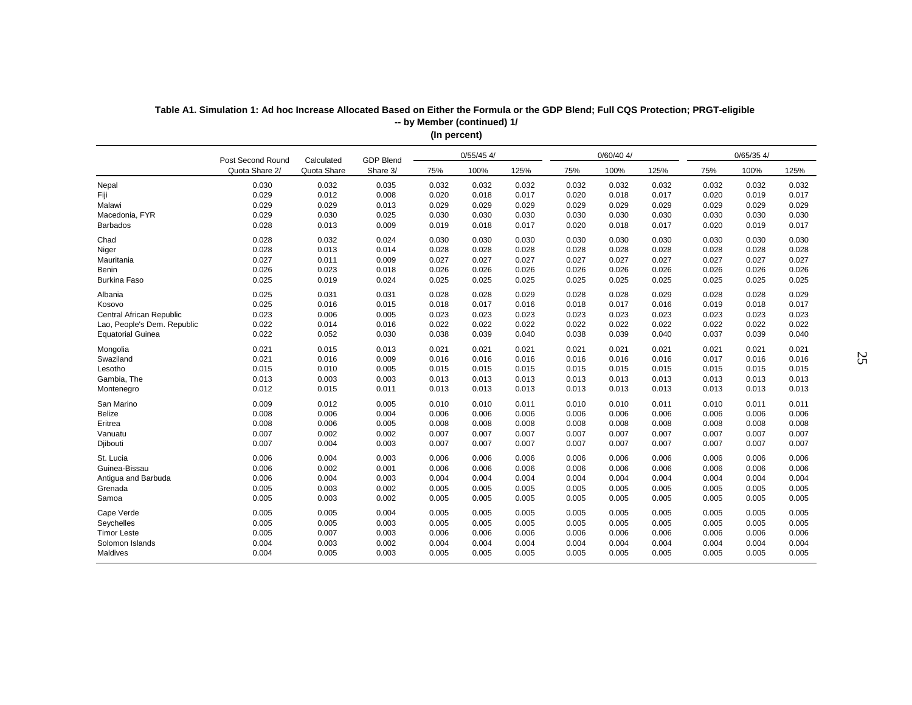| $0/60/40$ 4/<br>$0/55/45$ 4/<br>$0/65/35$ 4/<br><b>GDP Blend</b><br>Post Second Round<br>Calculated<br>Quota Share<br>100%<br>Quota Share 2/<br>Share 3/<br>75%<br>125%<br>75%<br>100%<br>125%<br>75%<br>100%<br>125%<br>0.030<br>0.032<br>0.035<br>0.032<br>0.032<br>0.032<br>0.032<br>0.032<br>0.032<br>0.032<br>0.032<br>0.032<br>Nepal<br>0.029<br>0.012<br>0.008<br>0.018<br>0.017<br>0.018<br>0.017<br>0.019<br>0.017<br>Fiji<br>0.020<br>0.020<br>0.020<br>0.029<br>0.029<br>0.013<br>0.029<br>Malawi<br>0.029<br>0.029<br>0.029<br>0.029<br>0.029<br>0.029<br>0.029<br>0.029<br>0.029<br>0.030<br>0.025<br>0.030<br>0.030<br>Macedonia, FYR<br>0.030<br>0.030<br>0.030<br>0.030<br>0.030<br>0.030<br>0.030<br>0.028<br>0.013<br>0.009<br>0.019<br>0.018<br>0.017<br>0.020<br>0.018<br>0.017<br>0.019<br>0.017<br><b>Barbados</b><br>0.020<br>0.028<br>0.032<br>0.024<br>0.030<br>0.030<br>0.030<br>Chad<br>0.030<br>0.030<br>0.030<br>0.030<br>0.030<br>0.030<br>0.028<br>0.013<br>0.014<br>0.028<br>0.028<br>0.028<br>0.028<br>0.028<br>0.028<br>0.028<br>0.028<br>0.028<br>Niger<br>Mauritania<br>0.027<br>0.011<br>0.009<br>0.027<br>0.027<br>0.027<br>0.027<br>0.027<br>0.027<br>0.027<br>0.027<br>0.027<br>0.026<br>0.023<br>0.018<br>0.026<br>0.026<br>0.026<br>0.026<br>Benin<br>0.026<br>0.026<br>0.026<br>0.026<br>0.026<br>0.025<br>0.019<br>0.024<br>0.025<br><b>Burkina Faso</b><br>0.025<br>0.025<br>0.025<br>0.025<br>0.025<br>0.025<br>0.025<br>0.025<br>0.025<br>0.031<br>0.031<br>0.028<br>0.028<br>0.029<br>0.028<br>0.028<br>0.029<br>0.028<br>0.028<br>0.029<br>Albania<br>0.025<br>0.016<br>0.015<br>0.018<br>0.017<br>0.016<br>0.017<br>0.016<br>0.018<br>0.017<br>Kosovo<br>0.018<br>0.019<br>0.023<br>0.006<br>0.005<br>0.023<br>0.023<br>0.023<br>0.023<br>0.023<br>0.023<br>0.023<br>Central African Republic<br>0.023<br>0.023<br>0.022<br>0.014<br>0.016<br>0.022<br>0.022<br>0.022<br>0.022<br>Lao, People's Dem. Republic<br>0.022<br>0.022<br>0.022<br>0.022<br>0.022<br>0.022<br><b>Equatorial Guinea</b><br>0.052<br>0.030<br>0.038<br>0.039<br>0.040<br>0.038<br>0.039<br>0.040<br>0.037<br>0.039<br>0.040<br>0.015<br>0.021<br>0.013<br>0.021<br>0.021<br>0.021<br>0.021<br>0.021<br>0.021<br>0.021<br>0.021<br>0.021<br>Mongolia<br>Swaziland<br>0.021<br>0.016<br>0.009<br>0.016<br>0.016<br>0.016<br>0.016<br>0.016<br>0.016<br>0.017<br>0.016<br>0.016<br>Lesotho<br>0.015<br>0.010<br>0.005<br>0.015<br>0.015<br>0.015<br>0.015<br>0.015<br>0.015<br>0.015<br>0.015<br>0.015<br>Gambia, The<br>0.013<br>0.003<br>0.003<br>0.013<br>0.013<br>0.013<br>0.013<br>0.013<br>0.013<br>0.013<br>0.013<br>0.013<br>0.012<br>0.015<br>0.011<br>0.013<br>0.013<br>0.013<br>0.013<br>0.013<br>0.013<br>0.013<br>0.013<br>Montenegro<br>0.013<br>0.012<br>San Marino<br>0.009<br>0.005<br>0.010<br>0.010<br>0.011<br>0.010<br>0.010<br>0.011<br>0.010<br>0.011<br>0.011<br>0.008<br><b>Belize</b><br>0.006<br>0.004<br>0.006<br>0.006<br>0.006<br>0.006<br>0.006<br>0.006<br>0.006<br>0.006<br>0.006<br>0.008<br>0.006<br>0.005<br>0.008<br>0.008<br>0.008<br>0.008<br>0.008<br>0.008<br>0.008<br>0.008<br>0.008<br>Eritrea<br>0.007<br>0.002<br>0.002<br>0.007<br>0.007<br>0.007<br>0.007<br>Vanuatu<br>0.007<br>0.007<br>0.007<br>0.007<br>0.007<br>0.007<br>0.004<br>0.003<br>0.007<br>0.007<br>0.007<br>0.007<br>0.007<br>0.007<br>0.007<br>0.007<br>0.007<br>Djibouti<br>St. Lucia<br>0.006<br>0.004<br>0.003<br>0.006<br>0.006<br>0.006<br>0.006<br>0.006<br>0.006<br>0.006<br>0.006<br>0.006<br>Guinea-Bissau<br>0.006<br>0.002<br>0.001<br>0.006<br>0.006<br>0.006<br>0.006<br>0.006<br>0.006<br>0.006<br>0.006<br>0.006<br>0.006<br>0.004<br>0.003<br>0.004<br>0.004<br>0.004<br>0.004<br>Antigua and Barbuda<br>0.004<br>0.004<br>0.004<br>0.004<br>0.004<br>0.005<br>0.003<br>0.002<br>0.005<br>0.005<br>0.005<br>Grenada<br>0.005<br>0.005<br>0.005<br>0.005<br>0.005<br>0.005<br>0.005<br>0.003<br>Samoa<br>0.002<br>0.005<br>0.005<br>0.005<br>0.005<br>0.005<br>0.005<br>0.005<br>0.005<br>0.005<br>Cape Verde<br>0.005<br>0.005<br>0.004<br>0.005<br>0.005<br>0.005<br>0.005<br>0.005<br>0.005<br>0.005<br>0.005<br>0.005<br>0.005<br>0.005<br>0.005<br>Seychelles<br>0.003<br>0.005<br>0.005<br>0.005<br>0.005<br>0.005<br>0.005<br>0.005<br>0.005<br><b>Timor Leste</b><br>0.005<br>0.007<br>0.003<br>0.006<br>0.006<br>0.006<br>0.006<br>0.006<br>0.006<br>0.006<br>0.006<br>0.006<br>0.004<br>0.003<br>0.002<br>0.004<br>0.004<br>0.004<br>Solomon Islands<br>0.004<br>0.004<br>0.004<br>0.004<br>0.004<br>0.004<br>Maldives<br>0.004<br>0.005<br>0.003<br>0.005<br>0.005<br>0.005<br>0.005<br>0.005<br>0.005<br>0.005<br>0.005<br>0.005 |  |  |  |  |  |  |  |
|--------------------------------------------------------------------------------------------------------------------------------------------------------------------------------------------------------------------------------------------------------------------------------------------------------------------------------------------------------------------------------------------------------------------------------------------------------------------------------------------------------------------------------------------------------------------------------------------------------------------------------------------------------------------------------------------------------------------------------------------------------------------------------------------------------------------------------------------------------------------------------------------------------------------------------------------------------------------------------------------------------------------------------------------------------------------------------------------------------------------------------------------------------------------------------------------------------------------------------------------------------------------------------------------------------------------------------------------------------------------------------------------------------------------------------------------------------------------------------------------------------------------------------------------------------------------------------------------------------------------------------------------------------------------------------------------------------------------------------------------------------------------------------------------------------------------------------------------------------------------------------------------------------------------------------------------------------------------------------------------------------------------------------------------------------------------------------------------------------------------------------------------------------------------------------------------------------------------------------------------------------------------------------------------------------------------------------------------------------------------------------------------------------------------------------------------------------------------------------------------------------------------------------------------------------------------------------------------------------------------------------------------------------------------------------------------------------------------------------------------------------------------------------------------------------------------------------------------------------------------------------------------------------------------------------------------------------------------------------------------------------------------------------------------------------------------------------------------------------------------------------------------------------------------------------------------------------------------------------------------------------------------------------------------------------------------------------------------------------------------------------------------------------------------------------------------------------------------------------------------------------------------------------------------------------------------------------------------------------------------------------------------------------------------------------------------------------------------------------------------------------------------------------------------------------------------------------------------------------------------------------------------------------------------------------------------------------------------------------------------------------------------------------------------------------------------------------------------------------------------------------------------------------------------------------------------------------------------------------------------------------------------------------------------------------------------------------------------------------------------------------------------------------------------------------------------------------------------------------------------------------------------------------------------------------------------------------------------------------------------------------------------------------------------------------------------------|--|--|--|--|--|--|--|
|                                                                                                                                                                                                                                                                                                                                                                                                                                                                                                                                                                                                                                                                                                                                                                                                                                                                                                                                                                                                                                                                                                                                                                                                                                                                                                                                                                                                                                                                                                                                                                                                                                                                                                                                                                                                                                                                                                                                                                                                                                                                                                                                                                                                                                                                                                                                                                                                                                                                                                                                                                                                                                                                                                                                                                                                                                                                                                                                                                                                                                                                                                                                                                                                                                                                                                                                                                                                                                                                                                                                                                                                                                                                                                                                                                                                                                                                                                                                                                                                                                                                                                                                                                                                                                                                                                                                                                                                                                                                                                                                                                                                                                                                                                  |  |  |  |  |  |  |  |
|                                                                                                                                                                                                                                                                                                                                                                                                                                                                                                                                                                                                                                                                                                                                                                                                                                                                                                                                                                                                                                                                                                                                                                                                                                                                                                                                                                                                                                                                                                                                                                                                                                                                                                                                                                                                                                                                                                                                                                                                                                                                                                                                                                                                                                                                                                                                                                                                                                                                                                                                                                                                                                                                                                                                                                                                                                                                                                                                                                                                                                                                                                                                                                                                                                                                                                                                                                                                                                                                                                                                                                                                                                                                                                                                                                                                                                                                                                                                                                                                                                                                                                                                                                                                                                                                                                                                                                                                                                                                                                                                                                                                                                                                                                  |  |  |  |  |  |  |  |
|                                                                                                                                                                                                                                                                                                                                                                                                                                                                                                                                                                                                                                                                                                                                                                                                                                                                                                                                                                                                                                                                                                                                                                                                                                                                                                                                                                                                                                                                                                                                                                                                                                                                                                                                                                                                                                                                                                                                                                                                                                                                                                                                                                                                                                                                                                                                                                                                                                                                                                                                                                                                                                                                                                                                                                                                                                                                                                                                                                                                                                                                                                                                                                                                                                                                                                                                                                                                                                                                                                                                                                                                                                                                                                                                                                                                                                                                                                                                                                                                                                                                                                                                                                                                                                                                                                                                                                                                                                                                                                                                                                                                                                                                                                  |  |  |  |  |  |  |  |
|                                                                                                                                                                                                                                                                                                                                                                                                                                                                                                                                                                                                                                                                                                                                                                                                                                                                                                                                                                                                                                                                                                                                                                                                                                                                                                                                                                                                                                                                                                                                                                                                                                                                                                                                                                                                                                                                                                                                                                                                                                                                                                                                                                                                                                                                                                                                                                                                                                                                                                                                                                                                                                                                                                                                                                                                                                                                                                                                                                                                                                                                                                                                                                                                                                                                                                                                                                                                                                                                                                                                                                                                                                                                                                                                                                                                                                                                                                                                                                                                                                                                                                                                                                                                                                                                                                                                                                                                                                                                                                                                                                                                                                                                                                  |  |  |  |  |  |  |  |
|                                                                                                                                                                                                                                                                                                                                                                                                                                                                                                                                                                                                                                                                                                                                                                                                                                                                                                                                                                                                                                                                                                                                                                                                                                                                                                                                                                                                                                                                                                                                                                                                                                                                                                                                                                                                                                                                                                                                                                                                                                                                                                                                                                                                                                                                                                                                                                                                                                                                                                                                                                                                                                                                                                                                                                                                                                                                                                                                                                                                                                                                                                                                                                                                                                                                                                                                                                                                                                                                                                                                                                                                                                                                                                                                                                                                                                                                                                                                                                                                                                                                                                                                                                                                                                                                                                                                                                                                                                                                                                                                                                                                                                                                                                  |  |  |  |  |  |  |  |
|                                                                                                                                                                                                                                                                                                                                                                                                                                                                                                                                                                                                                                                                                                                                                                                                                                                                                                                                                                                                                                                                                                                                                                                                                                                                                                                                                                                                                                                                                                                                                                                                                                                                                                                                                                                                                                                                                                                                                                                                                                                                                                                                                                                                                                                                                                                                                                                                                                                                                                                                                                                                                                                                                                                                                                                                                                                                                                                                                                                                                                                                                                                                                                                                                                                                                                                                                                                                                                                                                                                                                                                                                                                                                                                                                                                                                                                                                                                                                                                                                                                                                                                                                                                                                                                                                                                                                                                                                                                                                                                                                                                                                                                                                                  |  |  |  |  |  |  |  |
|                                                                                                                                                                                                                                                                                                                                                                                                                                                                                                                                                                                                                                                                                                                                                                                                                                                                                                                                                                                                                                                                                                                                                                                                                                                                                                                                                                                                                                                                                                                                                                                                                                                                                                                                                                                                                                                                                                                                                                                                                                                                                                                                                                                                                                                                                                                                                                                                                                                                                                                                                                                                                                                                                                                                                                                                                                                                                                                                                                                                                                                                                                                                                                                                                                                                                                                                                                                                                                                                                                                                                                                                                                                                                                                                                                                                                                                                                                                                                                                                                                                                                                                                                                                                                                                                                                                                                                                                                                                                                                                                                                                                                                                                                                  |  |  |  |  |  |  |  |
|                                                                                                                                                                                                                                                                                                                                                                                                                                                                                                                                                                                                                                                                                                                                                                                                                                                                                                                                                                                                                                                                                                                                                                                                                                                                                                                                                                                                                                                                                                                                                                                                                                                                                                                                                                                                                                                                                                                                                                                                                                                                                                                                                                                                                                                                                                                                                                                                                                                                                                                                                                                                                                                                                                                                                                                                                                                                                                                                                                                                                                                                                                                                                                                                                                                                                                                                                                                                                                                                                                                                                                                                                                                                                                                                                                                                                                                                                                                                                                                                                                                                                                                                                                                                                                                                                                                                                                                                                                                                                                                                                                                                                                                                                                  |  |  |  |  |  |  |  |
|                                                                                                                                                                                                                                                                                                                                                                                                                                                                                                                                                                                                                                                                                                                                                                                                                                                                                                                                                                                                                                                                                                                                                                                                                                                                                                                                                                                                                                                                                                                                                                                                                                                                                                                                                                                                                                                                                                                                                                                                                                                                                                                                                                                                                                                                                                                                                                                                                                                                                                                                                                                                                                                                                                                                                                                                                                                                                                                                                                                                                                                                                                                                                                                                                                                                                                                                                                                                                                                                                                                                                                                                                                                                                                                                                                                                                                                                                                                                                                                                                                                                                                                                                                                                                                                                                                                                                                                                                                                                                                                                                                                                                                                                                                  |  |  |  |  |  |  |  |
|                                                                                                                                                                                                                                                                                                                                                                                                                                                                                                                                                                                                                                                                                                                                                                                                                                                                                                                                                                                                                                                                                                                                                                                                                                                                                                                                                                                                                                                                                                                                                                                                                                                                                                                                                                                                                                                                                                                                                                                                                                                                                                                                                                                                                                                                                                                                                                                                                                                                                                                                                                                                                                                                                                                                                                                                                                                                                                                                                                                                                                                                                                                                                                                                                                                                                                                                                                                                                                                                                                                                                                                                                                                                                                                                                                                                                                                                                                                                                                                                                                                                                                                                                                                                                                                                                                                                                                                                                                                                                                                                                                                                                                                                                                  |  |  |  |  |  |  |  |
|                                                                                                                                                                                                                                                                                                                                                                                                                                                                                                                                                                                                                                                                                                                                                                                                                                                                                                                                                                                                                                                                                                                                                                                                                                                                                                                                                                                                                                                                                                                                                                                                                                                                                                                                                                                                                                                                                                                                                                                                                                                                                                                                                                                                                                                                                                                                                                                                                                                                                                                                                                                                                                                                                                                                                                                                                                                                                                                                                                                                                                                                                                                                                                                                                                                                                                                                                                                                                                                                                                                                                                                                                                                                                                                                                                                                                                                                                                                                                                                                                                                                                                                                                                                                                                                                                                                                                                                                                                                                                                                                                                                                                                                                                                  |  |  |  |  |  |  |  |
|                                                                                                                                                                                                                                                                                                                                                                                                                                                                                                                                                                                                                                                                                                                                                                                                                                                                                                                                                                                                                                                                                                                                                                                                                                                                                                                                                                                                                                                                                                                                                                                                                                                                                                                                                                                                                                                                                                                                                                                                                                                                                                                                                                                                                                                                                                                                                                                                                                                                                                                                                                                                                                                                                                                                                                                                                                                                                                                                                                                                                                                                                                                                                                                                                                                                                                                                                                                                                                                                                                                                                                                                                                                                                                                                                                                                                                                                                                                                                                                                                                                                                                                                                                                                                                                                                                                                                                                                                                                                                                                                                                                                                                                                                                  |  |  |  |  |  |  |  |
|                                                                                                                                                                                                                                                                                                                                                                                                                                                                                                                                                                                                                                                                                                                                                                                                                                                                                                                                                                                                                                                                                                                                                                                                                                                                                                                                                                                                                                                                                                                                                                                                                                                                                                                                                                                                                                                                                                                                                                                                                                                                                                                                                                                                                                                                                                                                                                                                                                                                                                                                                                                                                                                                                                                                                                                                                                                                                                                                                                                                                                                                                                                                                                                                                                                                                                                                                                                                                                                                                                                                                                                                                                                                                                                                                                                                                                                                                                                                                                                                                                                                                                                                                                                                                                                                                                                                                                                                                                                                                                                                                                                                                                                                                                  |  |  |  |  |  |  |  |
|                                                                                                                                                                                                                                                                                                                                                                                                                                                                                                                                                                                                                                                                                                                                                                                                                                                                                                                                                                                                                                                                                                                                                                                                                                                                                                                                                                                                                                                                                                                                                                                                                                                                                                                                                                                                                                                                                                                                                                                                                                                                                                                                                                                                                                                                                                                                                                                                                                                                                                                                                                                                                                                                                                                                                                                                                                                                                                                                                                                                                                                                                                                                                                                                                                                                                                                                                                                                                                                                                                                                                                                                                                                                                                                                                                                                                                                                                                                                                                                                                                                                                                                                                                                                                                                                                                                                                                                                                                                                                                                                                                                                                                                                                                  |  |  |  |  |  |  |  |
|                                                                                                                                                                                                                                                                                                                                                                                                                                                                                                                                                                                                                                                                                                                                                                                                                                                                                                                                                                                                                                                                                                                                                                                                                                                                                                                                                                                                                                                                                                                                                                                                                                                                                                                                                                                                                                                                                                                                                                                                                                                                                                                                                                                                                                                                                                                                                                                                                                                                                                                                                                                                                                                                                                                                                                                                                                                                                                                                                                                                                                                                                                                                                                                                                                                                                                                                                                                                                                                                                                                                                                                                                                                                                                                                                                                                                                                                                                                                                                                                                                                                                                                                                                                                                                                                                                                                                                                                                                                                                                                                                                                                                                                                                                  |  |  |  |  |  |  |  |
|                                                                                                                                                                                                                                                                                                                                                                                                                                                                                                                                                                                                                                                                                                                                                                                                                                                                                                                                                                                                                                                                                                                                                                                                                                                                                                                                                                                                                                                                                                                                                                                                                                                                                                                                                                                                                                                                                                                                                                                                                                                                                                                                                                                                                                                                                                                                                                                                                                                                                                                                                                                                                                                                                                                                                                                                                                                                                                                                                                                                                                                                                                                                                                                                                                                                                                                                                                                                                                                                                                                                                                                                                                                                                                                                                                                                                                                                                                                                                                                                                                                                                                                                                                                                                                                                                                                                                                                                                                                                                                                                                                                                                                                                                                  |  |  |  |  |  |  |  |
|                                                                                                                                                                                                                                                                                                                                                                                                                                                                                                                                                                                                                                                                                                                                                                                                                                                                                                                                                                                                                                                                                                                                                                                                                                                                                                                                                                                                                                                                                                                                                                                                                                                                                                                                                                                                                                                                                                                                                                                                                                                                                                                                                                                                                                                                                                                                                                                                                                                                                                                                                                                                                                                                                                                                                                                                                                                                                                                                                                                                                                                                                                                                                                                                                                                                                                                                                                                                                                                                                                                                                                                                                                                                                                                                                                                                                                                                                                                                                                                                                                                                                                                                                                                                                                                                                                                                                                                                                                                                                                                                                                                                                                                                                                  |  |  |  |  |  |  |  |
|                                                                                                                                                                                                                                                                                                                                                                                                                                                                                                                                                                                                                                                                                                                                                                                                                                                                                                                                                                                                                                                                                                                                                                                                                                                                                                                                                                                                                                                                                                                                                                                                                                                                                                                                                                                                                                                                                                                                                                                                                                                                                                                                                                                                                                                                                                                                                                                                                                                                                                                                                                                                                                                                                                                                                                                                                                                                                                                                                                                                                                                                                                                                                                                                                                                                                                                                                                                                                                                                                                                                                                                                                                                                                                                                                                                                                                                                                                                                                                                                                                                                                                                                                                                                                                                                                                                                                                                                                                                                                                                                                                                                                                                                                                  |  |  |  |  |  |  |  |
|                                                                                                                                                                                                                                                                                                                                                                                                                                                                                                                                                                                                                                                                                                                                                                                                                                                                                                                                                                                                                                                                                                                                                                                                                                                                                                                                                                                                                                                                                                                                                                                                                                                                                                                                                                                                                                                                                                                                                                                                                                                                                                                                                                                                                                                                                                                                                                                                                                                                                                                                                                                                                                                                                                                                                                                                                                                                                                                                                                                                                                                                                                                                                                                                                                                                                                                                                                                                                                                                                                                                                                                                                                                                                                                                                                                                                                                                                                                                                                                                                                                                                                                                                                                                                                                                                                                                                                                                                                                                                                                                                                                                                                                                                                  |  |  |  |  |  |  |  |
|                                                                                                                                                                                                                                                                                                                                                                                                                                                                                                                                                                                                                                                                                                                                                                                                                                                                                                                                                                                                                                                                                                                                                                                                                                                                                                                                                                                                                                                                                                                                                                                                                                                                                                                                                                                                                                                                                                                                                                                                                                                                                                                                                                                                                                                                                                                                                                                                                                                                                                                                                                                                                                                                                                                                                                                                                                                                                                                                                                                                                                                                                                                                                                                                                                                                                                                                                                                                                                                                                                                                                                                                                                                                                                                                                                                                                                                                                                                                                                                                                                                                                                                                                                                                                                                                                                                                                                                                                                                                                                                                                                                                                                                                                                  |  |  |  |  |  |  |  |
|                                                                                                                                                                                                                                                                                                                                                                                                                                                                                                                                                                                                                                                                                                                                                                                                                                                                                                                                                                                                                                                                                                                                                                                                                                                                                                                                                                                                                                                                                                                                                                                                                                                                                                                                                                                                                                                                                                                                                                                                                                                                                                                                                                                                                                                                                                                                                                                                                                                                                                                                                                                                                                                                                                                                                                                                                                                                                                                                                                                                                                                                                                                                                                                                                                                                                                                                                                                                                                                                                                                                                                                                                                                                                                                                                                                                                                                                                                                                                                                                                                                                                                                                                                                                                                                                                                                                                                                                                                                                                                                                                                                                                                                                                                  |  |  |  |  |  |  |  |
|                                                                                                                                                                                                                                                                                                                                                                                                                                                                                                                                                                                                                                                                                                                                                                                                                                                                                                                                                                                                                                                                                                                                                                                                                                                                                                                                                                                                                                                                                                                                                                                                                                                                                                                                                                                                                                                                                                                                                                                                                                                                                                                                                                                                                                                                                                                                                                                                                                                                                                                                                                                                                                                                                                                                                                                                                                                                                                                                                                                                                                                                                                                                                                                                                                                                                                                                                                                                                                                                                                                                                                                                                                                                                                                                                                                                                                                                                                                                                                                                                                                                                                                                                                                                                                                                                                                                                                                                                                                                                                                                                                                                                                                                                                  |  |  |  |  |  |  |  |
|                                                                                                                                                                                                                                                                                                                                                                                                                                                                                                                                                                                                                                                                                                                                                                                                                                                                                                                                                                                                                                                                                                                                                                                                                                                                                                                                                                                                                                                                                                                                                                                                                                                                                                                                                                                                                                                                                                                                                                                                                                                                                                                                                                                                                                                                                                                                                                                                                                                                                                                                                                                                                                                                                                                                                                                                                                                                                                                                                                                                                                                                                                                                                                                                                                                                                                                                                                                                                                                                                                                                                                                                                                                                                                                                                                                                                                                                                                                                                                                                                                                                                                                                                                                                                                                                                                                                                                                                                                                                                                                                                                                                                                                                                                  |  |  |  |  |  |  |  |
|                                                                                                                                                                                                                                                                                                                                                                                                                                                                                                                                                                                                                                                                                                                                                                                                                                                                                                                                                                                                                                                                                                                                                                                                                                                                                                                                                                                                                                                                                                                                                                                                                                                                                                                                                                                                                                                                                                                                                                                                                                                                                                                                                                                                                                                                                                                                                                                                                                                                                                                                                                                                                                                                                                                                                                                                                                                                                                                                                                                                                                                                                                                                                                                                                                                                                                                                                                                                                                                                                                                                                                                                                                                                                                                                                                                                                                                                                                                                                                                                                                                                                                                                                                                                                                                                                                                                                                                                                                                                                                                                                                                                                                                                                                  |  |  |  |  |  |  |  |
|                                                                                                                                                                                                                                                                                                                                                                                                                                                                                                                                                                                                                                                                                                                                                                                                                                                                                                                                                                                                                                                                                                                                                                                                                                                                                                                                                                                                                                                                                                                                                                                                                                                                                                                                                                                                                                                                                                                                                                                                                                                                                                                                                                                                                                                                                                                                                                                                                                                                                                                                                                                                                                                                                                                                                                                                                                                                                                                                                                                                                                                                                                                                                                                                                                                                                                                                                                                                                                                                                                                                                                                                                                                                                                                                                                                                                                                                                                                                                                                                                                                                                                                                                                                                                                                                                                                                                                                                                                                                                                                                                                                                                                                                                                  |  |  |  |  |  |  |  |
|                                                                                                                                                                                                                                                                                                                                                                                                                                                                                                                                                                                                                                                                                                                                                                                                                                                                                                                                                                                                                                                                                                                                                                                                                                                                                                                                                                                                                                                                                                                                                                                                                                                                                                                                                                                                                                                                                                                                                                                                                                                                                                                                                                                                                                                                                                                                                                                                                                                                                                                                                                                                                                                                                                                                                                                                                                                                                                                                                                                                                                                                                                                                                                                                                                                                                                                                                                                                                                                                                                                                                                                                                                                                                                                                                                                                                                                                                                                                                                                                                                                                                                                                                                                                                                                                                                                                                                                                                                                                                                                                                                                                                                                                                                  |  |  |  |  |  |  |  |
|                                                                                                                                                                                                                                                                                                                                                                                                                                                                                                                                                                                                                                                                                                                                                                                                                                                                                                                                                                                                                                                                                                                                                                                                                                                                                                                                                                                                                                                                                                                                                                                                                                                                                                                                                                                                                                                                                                                                                                                                                                                                                                                                                                                                                                                                                                                                                                                                                                                                                                                                                                                                                                                                                                                                                                                                                                                                                                                                                                                                                                                                                                                                                                                                                                                                                                                                                                                                                                                                                                                                                                                                                                                                                                                                                                                                                                                                                                                                                                                                                                                                                                                                                                                                                                                                                                                                                                                                                                                                                                                                                                                                                                                                                                  |  |  |  |  |  |  |  |
|                                                                                                                                                                                                                                                                                                                                                                                                                                                                                                                                                                                                                                                                                                                                                                                                                                                                                                                                                                                                                                                                                                                                                                                                                                                                                                                                                                                                                                                                                                                                                                                                                                                                                                                                                                                                                                                                                                                                                                                                                                                                                                                                                                                                                                                                                                                                                                                                                                                                                                                                                                                                                                                                                                                                                                                                                                                                                                                                                                                                                                                                                                                                                                                                                                                                                                                                                                                                                                                                                                                                                                                                                                                                                                                                                                                                                                                                                                                                                                                                                                                                                                                                                                                                                                                                                                                                                                                                                                                                                                                                                                                                                                                                                                  |  |  |  |  |  |  |  |
|                                                                                                                                                                                                                                                                                                                                                                                                                                                                                                                                                                                                                                                                                                                                                                                                                                                                                                                                                                                                                                                                                                                                                                                                                                                                                                                                                                                                                                                                                                                                                                                                                                                                                                                                                                                                                                                                                                                                                                                                                                                                                                                                                                                                                                                                                                                                                                                                                                                                                                                                                                                                                                                                                                                                                                                                                                                                                                                                                                                                                                                                                                                                                                                                                                                                                                                                                                                                                                                                                                                                                                                                                                                                                                                                                                                                                                                                                                                                                                                                                                                                                                                                                                                                                                                                                                                                                                                                                                                                                                                                                                                                                                                                                                  |  |  |  |  |  |  |  |
|                                                                                                                                                                                                                                                                                                                                                                                                                                                                                                                                                                                                                                                                                                                                                                                                                                                                                                                                                                                                                                                                                                                                                                                                                                                                                                                                                                                                                                                                                                                                                                                                                                                                                                                                                                                                                                                                                                                                                                                                                                                                                                                                                                                                                                                                                                                                                                                                                                                                                                                                                                                                                                                                                                                                                                                                                                                                                                                                                                                                                                                                                                                                                                                                                                                                                                                                                                                                                                                                                                                                                                                                                                                                                                                                                                                                                                                                                                                                                                                                                                                                                                                                                                                                                                                                                                                                                                                                                                                                                                                                                                                                                                                                                                  |  |  |  |  |  |  |  |
|                                                                                                                                                                                                                                                                                                                                                                                                                                                                                                                                                                                                                                                                                                                                                                                                                                                                                                                                                                                                                                                                                                                                                                                                                                                                                                                                                                                                                                                                                                                                                                                                                                                                                                                                                                                                                                                                                                                                                                                                                                                                                                                                                                                                                                                                                                                                                                                                                                                                                                                                                                                                                                                                                                                                                                                                                                                                                                                                                                                                                                                                                                                                                                                                                                                                                                                                                                                                                                                                                                                                                                                                                                                                                                                                                                                                                                                                                                                                                                                                                                                                                                                                                                                                                                                                                                                                                                                                                                                                                                                                                                                                                                                                                                  |  |  |  |  |  |  |  |
|                                                                                                                                                                                                                                                                                                                                                                                                                                                                                                                                                                                                                                                                                                                                                                                                                                                                                                                                                                                                                                                                                                                                                                                                                                                                                                                                                                                                                                                                                                                                                                                                                                                                                                                                                                                                                                                                                                                                                                                                                                                                                                                                                                                                                                                                                                                                                                                                                                                                                                                                                                                                                                                                                                                                                                                                                                                                                                                                                                                                                                                                                                                                                                                                                                                                                                                                                                                                                                                                                                                                                                                                                                                                                                                                                                                                                                                                                                                                                                                                                                                                                                                                                                                                                                                                                                                                                                                                                                                                                                                                                                                                                                                                                                  |  |  |  |  |  |  |  |
|                                                                                                                                                                                                                                                                                                                                                                                                                                                                                                                                                                                                                                                                                                                                                                                                                                                                                                                                                                                                                                                                                                                                                                                                                                                                                                                                                                                                                                                                                                                                                                                                                                                                                                                                                                                                                                                                                                                                                                                                                                                                                                                                                                                                                                                                                                                                                                                                                                                                                                                                                                                                                                                                                                                                                                                                                                                                                                                                                                                                                                                                                                                                                                                                                                                                                                                                                                                                                                                                                                                                                                                                                                                                                                                                                                                                                                                                                                                                                                                                                                                                                                                                                                                                                                                                                                                                                                                                                                                                                                                                                                                                                                                                                                  |  |  |  |  |  |  |  |
|                                                                                                                                                                                                                                                                                                                                                                                                                                                                                                                                                                                                                                                                                                                                                                                                                                                                                                                                                                                                                                                                                                                                                                                                                                                                                                                                                                                                                                                                                                                                                                                                                                                                                                                                                                                                                                                                                                                                                                                                                                                                                                                                                                                                                                                                                                                                                                                                                                                                                                                                                                                                                                                                                                                                                                                                                                                                                                                                                                                                                                                                                                                                                                                                                                                                                                                                                                                                                                                                                                                                                                                                                                                                                                                                                                                                                                                                                                                                                                                                                                                                                                                                                                                                                                                                                                                                                                                                                                                                                                                                                                                                                                                                                                  |  |  |  |  |  |  |  |
|                                                                                                                                                                                                                                                                                                                                                                                                                                                                                                                                                                                                                                                                                                                                                                                                                                                                                                                                                                                                                                                                                                                                                                                                                                                                                                                                                                                                                                                                                                                                                                                                                                                                                                                                                                                                                                                                                                                                                                                                                                                                                                                                                                                                                                                                                                                                                                                                                                                                                                                                                                                                                                                                                                                                                                                                                                                                                                                                                                                                                                                                                                                                                                                                                                                                                                                                                                                                                                                                                                                                                                                                                                                                                                                                                                                                                                                                                                                                                                                                                                                                                                                                                                                                                                                                                                                                                                                                                                                                                                                                                                                                                                                                                                  |  |  |  |  |  |  |  |
|                                                                                                                                                                                                                                                                                                                                                                                                                                                                                                                                                                                                                                                                                                                                                                                                                                                                                                                                                                                                                                                                                                                                                                                                                                                                                                                                                                                                                                                                                                                                                                                                                                                                                                                                                                                                                                                                                                                                                                                                                                                                                                                                                                                                                                                                                                                                                                                                                                                                                                                                                                                                                                                                                                                                                                                                                                                                                                                                                                                                                                                                                                                                                                                                                                                                                                                                                                                                                                                                                                                                                                                                                                                                                                                                                                                                                                                                                                                                                                                                                                                                                                                                                                                                                                                                                                                                                                                                                                                                                                                                                                                                                                                                                                  |  |  |  |  |  |  |  |
|                                                                                                                                                                                                                                                                                                                                                                                                                                                                                                                                                                                                                                                                                                                                                                                                                                                                                                                                                                                                                                                                                                                                                                                                                                                                                                                                                                                                                                                                                                                                                                                                                                                                                                                                                                                                                                                                                                                                                                                                                                                                                                                                                                                                                                                                                                                                                                                                                                                                                                                                                                                                                                                                                                                                                                                                                                                                                                                                                                                                                                                                                                                                                                                                                                                                                                                                                                                                                                                                                                                                                                                                                                                                                                                                                                                                                                                                                                                                                                                                                                                                                                                                                                                                                                                                                                                                                                                                                                                                                                                                                                                                                                                                                                  |  |  |  |  |  |  |  |
|                                                                                                                                                                                                                                                                                                                                                                                                                                                                                                                                                                                                                                                                                                                                                                                                                                                                                                                                                                                                                                                                                                                                                                                                                                                                                                                                                                                                                                                                                                                                                                                                                                                                                                                                                                                                                                                                                                                                                                                                                                                                                                                                                                                                                                                                                                                                                                                                                                                                                                                                                                                                                                                                                                                                                                                                                                                                                                                                                                                                                                                                                                                                                                                                                                                                                                                                                                                                                                                                                                                                                                                                                                                                                                                                                                                                                                                                                                                                                                                                                                                                                                                                                                                                                                                                                                                                                                                                                                                                                                                                                                                                                                                                                                  |  |  |  |  |  |  |  |

**Table A1. Simulation 1: Ad hoc Increase Allocated Based on Either the Formula or the GDP Blend; Full CQS Protection; PRGT-eligible (In percent) -- by Member (continued) 1/**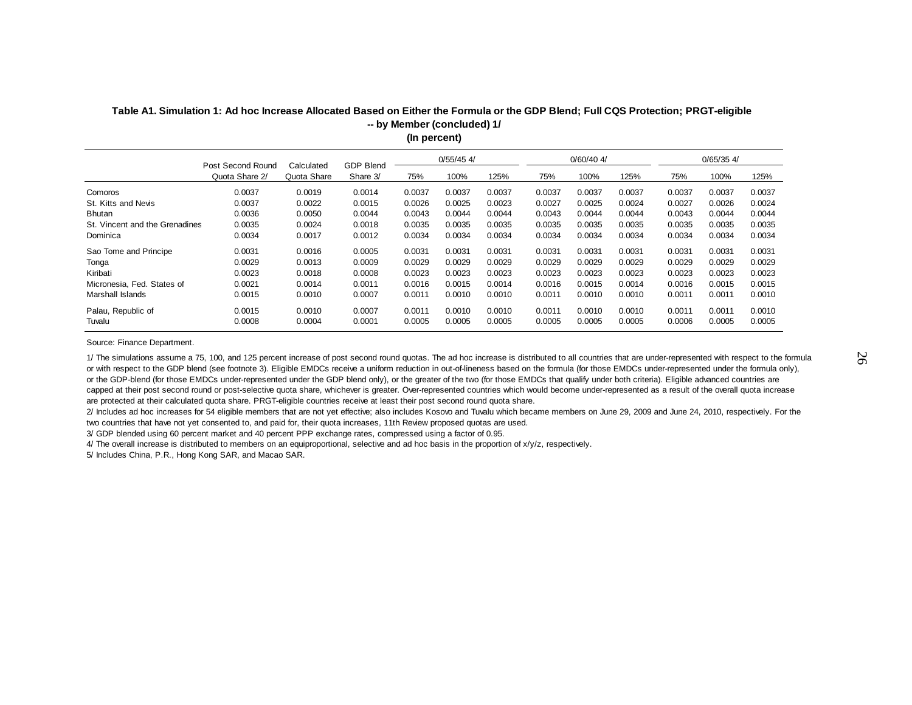|                                          |                   |            |           |        |              |        |        |              |        | $0/65/35$ 4/ |        |
|------------------------------------------|-------------------|------------|-----------|--------|--------------|--------|--------|--------------|--------|--------------|--------|
| Quota Share 2/                           | Quota Share       | Share 3/   | 75%       | 100%   | 125%         | 75%    | 100%   | 125%         | 75%    | 100%         | 125%   |
| 0.0037                                   | 0.0019            | 0.0014     | 0.0037    | 0.0037 | 0.0037       | 0.0037 | 0.0037 | 0.0037       | 0.0037 | 0.0037       | 0.0037 |
| 0.0037                                   | 0.0022            | 0.0015     | 0.0026    | 0.0025 | 0.0023       | 0.0027 | 0.0025 | 0.0024       | 0.0027 | 0.0026       | 0.0024 |
| 0.0036                                   | 0.0050            | 0.0044     | 0.0043    | 0.0044 | 0.0044       | 0.0043 | 0.0044 | 0.0044       | 0.0043 | 0.0044       | 0.0044 |
| 0.0035<br>St. Vincent and the Grenadines | 0.0024            | 0.0018     | 0.0035    | 0.0035 | 0.0035       | 0.0035 | 0.0035 | 0.0035       | 0.0035 | 0.0035       | 0.0035 |
| 0.0034                                   | 0.0017            | 0.0012     | 0.0034    | 0.0034 | 0.0034       | 0.0034 | 0.0034 | 0.0034       | 0.0034 | 0.0034       | 0.0034 |
| 0.0031                                   | 0.0016            | 0.0005     | 0.0031    | 0.0031 | 0.0031       | 0.0031 | 0.0031 | 0.0031       | 0.0031 | 0.0031       | 0.0031 |
| 0.0029                                   | 0.0013            | 0.0009     | 0.0029    | 0.0029 | 0.0029       | 0.0029 | 0.0029 | 0.0029       | 0.0029 | 0.0029       | 0.0029 |
| 0.0023                                   | 0.0018            | 0.0008     | 0.0023    | 0.0023 | 0.0023       | 0.0023 | 0.0023 | 0.0023       | 0.0023 | 0.0023       | 0.0023 |
| 0.0021                                   | 0.0014            | 0.0011     | 0.0016    | 0.0015 | 0.0014       | 0.0016 | 0.0015 | 0.0014       | 0.0016 | 0.0015       | 0.0015 |
| 0.0015                                   | 0.0010            | 0.0007     | 0.0011    | 0.0010 | 0.0010       | 0.0011 | 0.0010 | 0.0010       | 0.0011 | 0.0011       | 0.0010 |
| 0.0015                                   | 0.0010            | 0.0007     | 0.0011    | 0.0010 | 0.0010       | 0.0011 | 0.0010 | 0.0010       | 0.0011 | 0.0011       | 0.0010 |
| 0.0008                                   | 0.0004            | 0.0001     | 0.0005    | 0.0005 | 0.0005       | 0.0005 | 0.0005 | 0.0005       | 0.0006 | 0.0005       | 0.0005 |
|                                          | Post Second Round | Calculated | GDP Blend |        | $0/55/45$ 4/ |        |        | $0/60/40$ 4/ |        |              |        |

### **Table A1. Simulation 1: Ad hoc Increase Allocated Based on Either the Formula or the GDP Blend; Full CQS Protection; PRGT-eligible (In percent) -- by Member (concluded) 1/**

Source: Finance Department.

1/ The simulations assume a 75, 100, and 125 percent increase of post second round quotas. The ad hoc increase is distributed to all countries that are under-represented with respect to the formula or with respect to the GDP blend (see footnote 3). Eligible EMDCs receive a uniform reduction in out-of-lineness based on the formula (for those EMDCs under-represented under the formula only), or the GDP-blend (for those EMDCs under-represented under the GDP blend only), or the greater of the two (for those EMDCs that qualify under both criteria). Eligible advanced countries are capped at their post second round or post-selective quota share, whichever is greater. Over-represented countries which would become under-represented as a result of the overall quota increase are protected at their calculated quota share. PRGT-eligible countries receive at least their post second round quota share.

2/ Includes ad hoc increases for 54 eligible members that are not yet effective; also includes Kosovo and Tuvalu which became members on June 29, 2009 and June 24, 2010, respectively. For the two countries that have not yet consented to, and paid for, their quota increases, 11th Review proposed quotas are used.

3/ GDP blended using 60 percent market and 40 percent PPP exchange rates, compressed using a factor of 0.95.

4/ The overall increase is distributed to members on an equiproportional, selective and ad hoc basis in the proportion of x/y/z, respectively.

5/ Includes China, P.R., Hong Kong SAR, and Macao SAR.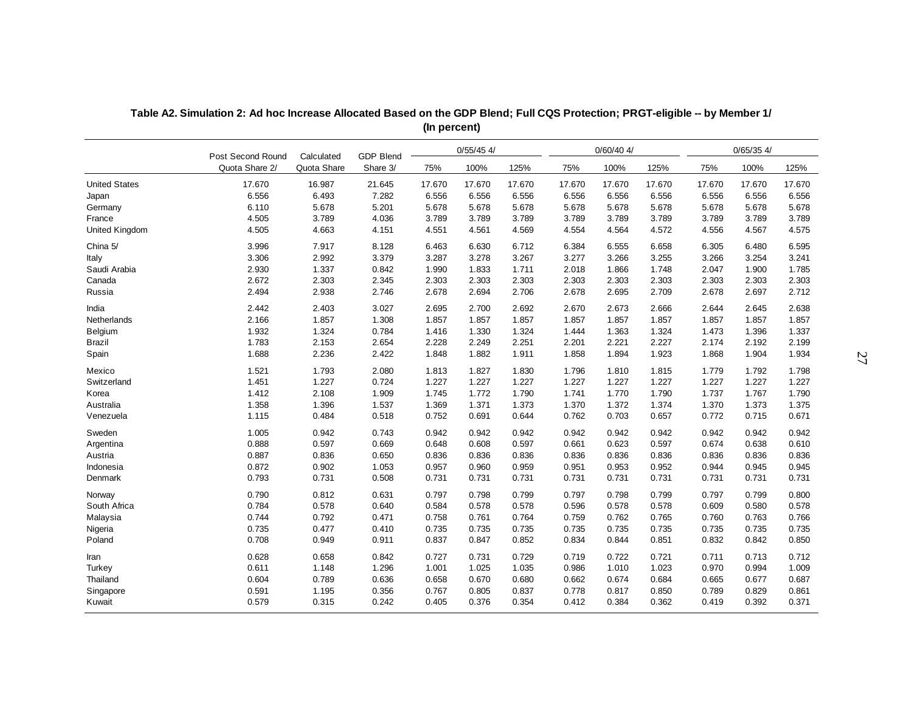| $0/55/45$ 4/<br>$0/60/40$ 4/<br>Post Second Round<br>Calculated<br><b>GDP Blend</b>                                      | $0/65/35$ 4/ |        |
|--------------------------------------------------------------------------------------------------------------------------|--------------|--------|
| Quota Share 2/<br>Quota Share<br>Share 3/<br>100%<br>125%<br>75%<br>100%<br>125%<br>75%<br>75%                           | 100%         | 125%   |
| <b>United States</b><br>17.670<br>16.987<br>21.645<br>17.670<br>17.670<br>17.670<br>17.670<br>17.670<br>17.670<br>17.670 | 17.670       | 17.670 |
| 6.556<br>6.493<br>7.282<br>6.556<br>6.556<br>6.556<br>6.556<br>6.556<br>6.556<br>6.556<br>Japan                          | 6.556        | 6.556  |
| 6.110<br>5.678<br>5.201<br>5.678<br>5.678<br>5.678<br>5.678<br>5.678<br>5.678<br>Germany<br>5.678                        | 5.678        | 5.678  |
| 4.505<br>3.789<br>4.036<br>3.789<br>3.789<br>3.789<br>3.789<br>3.789<br>3.789<br>3.789<br>France                         | 3.789        | 3.789  |
| 4.505<br>4.663<br><b>United Kingdom</b><br>4.151<br>4.551<br>4.561<br>4.569<br>4.554<br>4.564<br>4.572<br>4.556          | 4.567        | 4.575  |
| 3.996<br>7.917<br>6.630<br>6.712<br>6.555<br>6.658<br>China 5/<br>8.128<br>6.463<br>6.384<br>6.305                       | 6.480        | 6.595  |
| 3.306<br>2.992<br>3.379<br>3.287<br>3.278<br>3.267<br>3.277<br>3.266<br>3.255<br>3.266<br>Italy                          | 3.254        | 3.241  |
| Saudi Arabia<br>2.930<br>1.337<br>0.842<br>1.990<br>1.833<br>1.711<br>2.018<br>1.866<br>1.748<br>2.047                   | 1.900        | 1.785  |
| 2.672<br>2.303<br>2.345<br>2.303<br>2.303<br>2.303<br>Canada<br>2.303<br>2.303<br>2.303<br>2.303                         | 2.303        | 2.303  |
| 2.494<br>Russia<br>2.938<br>2.746<br>2.678<br>2.694<br>2.706<br>2.678<br>2.695<br>2.709<br>2.678                         | 2.697        | 2.712  |
| 2.673<br>India<br>2.442<br>2.403<br>3.027<br>2.695<br>2.700<br>2.692<br>2.670<br>2.666<br>2.644                          | 2.645        | 2.638  |
| 2.166<br>1.857<br>1.308<br>1.857<br>1.857<br>1.857<br>1.857<br>1.857<br>1.857<br>Netherlands<br>1.857                    | 1.857        | 1.857  |
| 1.932<br>1.324<br>0.784<br>1.330<br>1.324<br>1.363<br>1.324<br>Belgium<br>1.416<br>1.444<br>1.473                        | 1.396        | 1.337  |
| 1.783<br>2.153<br>2.654<br>2.228<br>2.249<br>2.201<br>2.221<br>2.227<br>2.174<br><b>Brazil</b><br>2.251                  | 2.192        | 2.199  |
| Spain<br>1.688<br>2.236<br>2.422<br>1.848<br>1.882<br>1.911<br>1.858<br>1.894<br>1.923<br>1.868                          | 1.904        | 1.934  |
| Mexico<br>1.521<br>1.793<br>2.080<br>1.827<br>1.813<br>1.830<br>1.796<br>1.810<br>1.815<br>1.779                         | 1.792        | 1.798  |
| 1.451<br>1.227<br>0.724<br>1.227<br>1.227<br>1.227<br>Switzerland<br>1.227<br>1.227<br>1.227<br>1.227                    | 1.227        | 1.227  |
| 1.412<br>2.108<br>1.772<br>1.770<br>Korea<br>1.909<br>1.745<br>1.790<br>1.741<br>1.790<br>1.737                          | 1.767        | 1.790  |
| Australia<br>1.358<br>1.396<br>1.537<br>1.369<br>1.371<br>1.373<br>1.370<br>1.372<br>1.374<br>1.370                      | 1.373        | 1.375  |
| 1.115<br>Venezuela<br>0.484<br>0.518<br>0.752<br>0.691<br>0.762<br>0.703<br>0.657<br>0.772<br>0.644                      | 0.715        | 0.671  |
| 1.005<br>0.942<br>0.942<br>0.942<br>Sweden<br>0.743<br>0.942<br>0.942<br>0.942<br>0.942<br>0.942                         | 0.942        | 0.942  |
| 0.888<br>0.597<br>0.669<br>0.648<br>0.674<br>0.608<br>0.597<br>0.661<br>0.623<br>0.597<br>Argentina                      | 0.638        | 0.610  |
| Austria<br>0.887<br>0.836<br>0.650<br>0.836<br>0.836<br>0.836<br>0.836<br>0.836<br>0.836<br>0.836                        | 0.836        | 0.836  |
| 0.872<br>0.902<br>1.053<br>0.957<br>0.960<br>0.959<br>0.951<br>0.953<br>0.952<br>0.944<br>Indonesia                      | 0.945        | 0.945  |
| 0.793<br>0.731<br>0.508<br>0.731<br>0.731<br>0.731<br>0.731<br>0.731<br>0.731<br>0.731<br>Denmark                        | 0.731        | 0.731  |
| 0.790<br>0.812<br>0.631<br>0.799<br>0.799<br>0.797<br>0.798<br>0.797<br>0.798<br>0.797<br>Norway                         | 0.799        | 0.800  |
| South Africa<br>0.784<br>0.578<br>0.640<br>0.584<br>0.578<br>0.578<br>0.596<br>0.578<br>0.578<br>0.609                   | 0.580        | 0.578  |
| 0.744<br>0.792<br>0.471<br>0.761<br>0.764<br>0.762<br>0.765<br>Malaysia<br>0.758<br>0.759<br>0.760                       | 0.763        | 0.766  |
| 0.735<br>0.477<br>0.735<br>Nigeria<br>0.410<br>0.735<br>0.735<br>0.735<br>0.735<br>0.735<br>0.735                        | 0.735        | 0.735  |
| 0.708<br>0.949<br>Poland<br>0.911<br>0.837<br>0.847<br>0.852<br>0.834<br>0.844<br>0.851<br>0.832                         | 0.842        | 0.850  |
| 0.628<br>0.658<br>0.842<br>0.727<br>0.731<br>0.729<br>0.719<br>0.722<br>0.721<br>0.711<br>Iran                           | 0.713        | 0.712  |
| 0.611<br>1.148<br>1.296<br>1.001<br>1.025<br>1.035<br>1.010<br>1.023<br>0.970<br>Turkey<br>0.986                         | 0.994        | 1.009  |
| Thailand<br>0.604<br>0.789<br>0.636<br>0.670<br>0.674<br>0.658<br>0.680<br>0.662<br>0.684<br>0.665                       | 0.677        | 0.687  |
| 0.591<br>Singapore<br>1.195<br>0.356<br>0.767<br>0.805<br>0.837<br>0.778<br>0.817<br>0.850<br>0.789                      | 0.829        | 0.861  |
| Kuwait<br>0.579<br>0.315<br>0.242<br>0.405<br>0.376<br>0.354<br>0.412<br>0.384<br>0.362<br>0.419                         | 0.392        | 0.371  |

**Table A2. Simulation 2: Ad hoc Increase Allocated Based on the GDP Blend; Full CQS Protection; PRGT-eligible -- by Member 1/ (In percent)**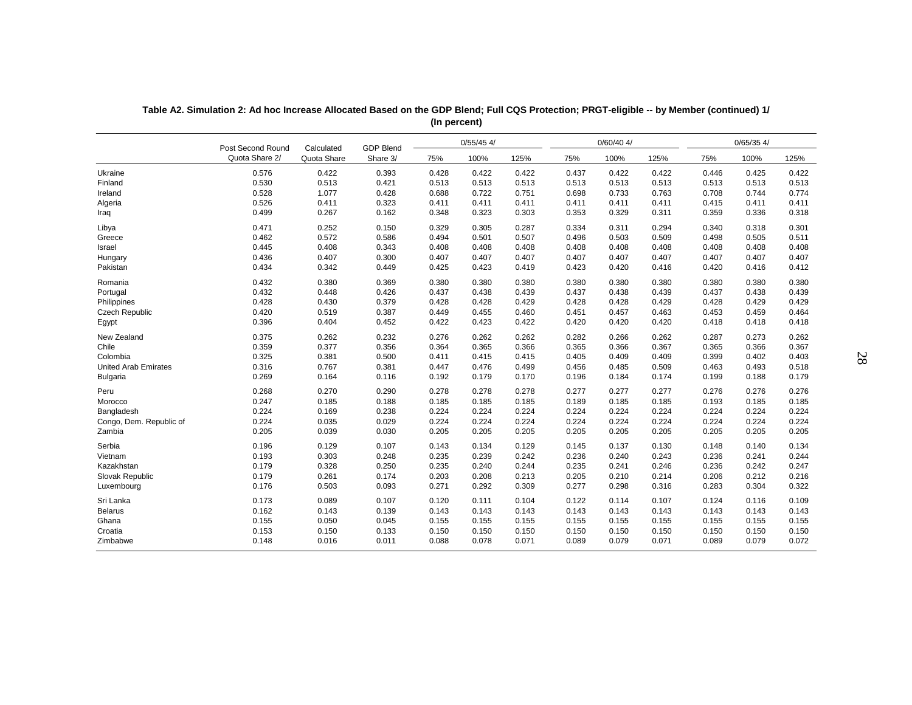|                             | Post Second Round | Calculated  | <b>GDP Blend</b> |       | $0/55/45$ 4/ |       |       | $0/60/40$ 4/ |       |       | $0/65/35$ 4/ |       |
|-----------------------------|-------------------|-------------|------------------|-------|--------------|-------|-------|--------------|-------|-------|--------------|-------|
|                             | Quota Share 2/    | Quota Share | Share 3/         | 75%   | 100%         | 125%  | 75%   | 100%         | 125%  | 75%   | 100%         | 125%  |
| Ukraine                     | 0.576             | 0.422       | 0.393            | 0.428 | 0.422        | 0.422 | 0.437 | 0.422        | 0.422 | 0.446 | 0.425        | 0.422 |
| Finland                     | 0.530             | 0.513       | 0.421            | 0.513 | 0.513        | 0.513 | 0.513 | 0.513        | 0.513 | 0.513 | 0.513        | 0.513 |
| Ireland                     | 0.528             | 1.077       | 0.428            | 0.688 | 0.722        | 0.751 | 0.698 | 0.733        | 0.763 | 0.708 | 0.744        | 0.774 |
| Algeria                     | 0.526             | 0.411       | 0.323            | 0.411 | 0.411        | 0.411 | 0.411 | 0.411        | 0.411 | 0.415 | 0.411        | 0.411 |
| Iraq                        | 0.499             | 0.267       | 0.162            | 0.348 | 0.323        | 0.303 | 0.353 | 0.329        | 0.311 | 0.359 | 0.336        | 0.318 |
| Libya                       | 0.471             | 0.252       | 0.150            | 0.329 | 0.305        | 0.287 | 0.334 | 0.311        | 0.294 | 0.340 | 0.318        | 0.301 |
| Greece                      | 0.462             | 0.572       | 0.586            | 0.494 | 0.501        | 0.507 | 0.496 | 0.503        | 0.509 | 0.498 | 0.505        | 0.511 |
| Israel                      | 0.445             | 0.408       | 0.343            | 0.408 | 0.408        | 0.408 | 0.408 | 0.408        | 0.408 | 0.408 | 0.408        | 0.408 |
| Hungary                     | 0.436             | 0.407       | 0.300            | 0.407 | 0.407        | 0.407 | 0.407 | 0.407        | 0.407 | 0.407 | 0.407        | 0.407 |
| Pakistan                    | 0.434             | 0.342       | 0.449            | 0.425 | 0.423        | 0.419 | 0.423 | 0.420        | 0.416 | 0.420 | 0.416        | 0.412 |
| Romania                     | 0.432             | 0.380       | 0.369            | 0.380 | 0.380        | 0.380 | 0.380 | 0.380        | 0.380 | 0.380 | 0.380        | 0.380 |
| Portugal                    | 0.432             | 0.448       | 0.426            | 0.437 | 0.438        | 0.439 | 0.437 | 0.438        | 0.439 | 0.437 | 0.438        | 0.439 |
| Philippines                 | 0.428             | 0.430       | 0.379            | 0.428 | 0.428        | 0.429 | 0.428 | 0.428        | 0.429 | 0.428 | 0.429        | 0.429 |
| <b>Czech Republic</b>       | 0.420             | 0.519       | 0.387            | 0.449 | 0.455        | 0.460 | 0.451 | 0.457        | 0.463 | 0.453 | 0.459        | 0.464 |
| Egypt                       | 0.396             | 0.404       | 0.452            | 0.422 | 0.423        | 0.422 | 0.420 | 0.420        | 0.420 | 0.418 | 0.418        | 0.418 |
| New Zealand                 | 0.375             | 0.262       | 0.232            | 0.276 | 0.262        | 0.262 | 0.282 | 0.266        | 0.262 | 0.287 | 0.273        | 0.262 |
| Chile                       | 0.359             | 0.377       | 0.356            | 0.364 | 0.365        | 0.366 | 0.365 | 0.366        | 0.367 | 0.365 | 0.366        | 0.367 |
| Colombia                    | 0.325             | 0.381       | 0.500            | 0.411 | 0.415        | 0.415 | 0.405 | 0.409        | 0.409 | 0.399 | 0.402        | 0.403 |
| <b>United Arab Emirates</b> | 0.316             | 0.767       | 0.381            | 0.447 | 0.476        | 0.499 | 0.456 | 0.485        | 0.509 | 0.463 | 0.493        | 0.518 |
| Bulgaria                    | 0.269             | 0.164       | 0.116            | 0.192 | 0.179        | 0.170 | 0.196 | 0.184        | 0.174 | 0.199 | 0.188        | 0.179 |
| Peru                        | 0.268             | 0.270       | 0.290            | 0.278 | 0.278        | 0.278 | 0.277 | 0.277        | 0.277 | 0.276 | 0.276        | 0.276 |
| Morocco                     | 0.247             | 0.185       | 0.188            | 0.185 | 0.185        | 0.185 | 0.189 | 0.185        | 0.185 | 0.193 | 0.185        | 0.185 |
| Bangladesh                  | 0.224             | 0.169       | 0.238            | 0.224 | 0.224        | 0.224 | 0.224 | 0.224        | 0.224 | 0.224 | 0.224        | 0.224 |
| Congo, Dem. Republic of     | 0.224             | 0.035       | 0.029            | 0.224 | 0.224        | 0.224 | 0.224 | 0.224        | 0.224 | 0.224 | 0.224        | 0.224 |
| Zambia                      | 0.205             | 0.039       | 0.030            | 0.205 | 0.205        | 0.205 | 0.205 | 0.205        | 0.205 | 0.205 | 0.205        | 0.205 |
| Serbia                      | 0.196             | 0.129       | 0.107            | 0.143 | 0.134        | 0.129 | 0.145 | 0.137        | 0.130 | 0.148 | 0.140        | 0.134 |
| Vietnam                     | 0.193             | 0.303       | 0.248            | 0.235 | 0.239        | 0.242 | 0.236 | 0.240        | 0.243 | 0.236 | 0.241        | 0.244 |
| Kazakhstan                  | 0.179             | 0.328       | 0.250            | 0.235 | 0.240        | 0.244 | 0.235 | 0.241        | 0.246 | 0.236 | 0.242        | 0.247 |
| Slovak Republic             | 0.179             | 0.261       | 0.174            | 0.203 | 0.208        | 0.213 | 0.205 | 0.210        | 0.214 | 0.206 | 0.212        | 0.216 |
| Luxembourg                  | 0.176             | 0.503       | 0.093            | 0.271 | 0.292        | 0.309 | 0.277 | 0.298        | 0.316 | 0.283 | 0.304        | 0.322 |
| Sri Lanka                   | 0.173             | 0.089       | 0.107            | 0.120 | 0.111        | 0.104 | 0.122 | 0.114        | 0.107 | 0.124 | 0.116        | 0.109 |
| <b>Belarus</b>              | 0.162             | 0.143       | 0.139            | 0.143 | 0.143        | 0.143 | 0.143 | 0.143        | 0.143 | 0.143 | 0.143        | 0.143 |
| Ghana                       | 0.155             | 0.050       | 0.045            | 0.155 | 0.155        | 0.155 | 0.155 | 0.155        | 0.155 | 0.155 | 0.155        | 0.155 |
| Croatia                     | 0.153             | 0.150       | 0.133            | 0.150 | 0.150        | 0.150 | 0.150 | 0.150        | 0.150 | 0.150 | 0.150        | 0.150 |
| Zimbabwe                    | 0.148             | 0.016       | 0.011            | 0.088 | 0.078        | 0.071 | 0.089 | 0.079        | 0.071 | 0.089 | 0.079        | 0.072 |

**Table A2. Simulation 2: Ad hoc Increase Allocated Based on the GDP Blend; Full CQS Protection; PRGT-eligible -- by Member (continued) 1/ (In percent)**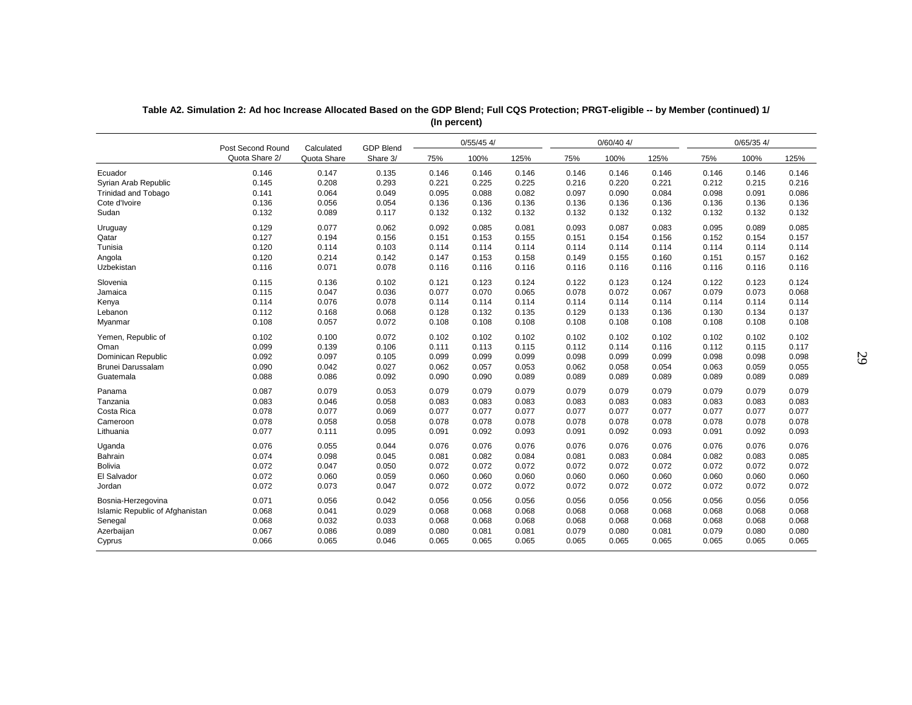|                                 | Post Second Round | Calculated  | <b>GDP Blend</b> |       | $0/55/45$ 4/ |       |       | $0/60/40$ 4/ |       |       | $0/65/35$ 4/ |       |
|---------------------------------|-------------------|-------------|------------------|-------|--------------|-------|-------|--------------|-------|-------|--------------|-------|
|                                 | Quota Share 2/    | Quota Share | Share 3/         | 75%   | 100%         | 125%  | 75%   | 100%         | 125%  | 75%   | 100%         | 125%  |
| Ecuador                         | 0.146             | 0.147       | 0.135            | 0.146 | 0.146        | 0.146 | 0.146 | 0.146        | 0.146 | 0.146 | 0.146        | 0.146 |
| Syrian Arab Republic            | 0.145             | 0.208       | 0.293            | 0.221 | 0.225        | 0.225 | 0.216 | 0.220        | 0.221 | 0.212 | 0.215        | 0.216 |
| <b>Trinidad and Tobago</b>      | 0.141             | 0.064       | 0.049            | 0.095 | 0.088        | 0.082 | 0.097 | 0.090        | 0.084 | 0.098 | 0.091        | 0.086 |
| Cote d'Ivoire                   | 0.136             | 0.056       | 0.054            | 0.136 | 0.136        | 0.136 | 0.136 | 0.136        | 0.136 | 0.136 | 0.136        | 0.136 |
| Sudan                           | 0.132             | 0.089       | 0.117            | 0.132 | 0.132        | 0.132 | 0.132 | 0.132        | 0.132 | 0.132 | 0.132        | 0.132 |
| Uruguay                         | 0.129             | 0.077       | 0.062            | 0.092 | 0.085        | 0.081 | 0.093 | 0.087        | 0.083 | 0.095 | 0.089        | 0.085 |
| Qatar                           | 0.127             | 0.194       | 0.156            | 0.151 | 0.153        | 0.155 | 0.151 | 0.154        | 0.156 | 0.152 | 0.154        | 0.157 |
| Tunisia                         | 0.120             | 0.114       | 0.103            | 0.114 | 0.114        | 0.114 | 0.114 | 0.114        | 0.114 | 0.114 | 0.114        | 0.114 |
| Angola                          | 0.120             | 0.214       | 0.142            | 0.147 | 0.153        | 0.158 | 0.149 | 0.155        | 0.160 | 0.151 | 0.157        | 0.162 |
| Uzbekistan                      | 0.116             | 0.071       | 0.078            | 0.116 | 0.116        | 0.116 | 0.116 | 0.116        | 0.116 | 0.116 | 0.116        | 0.116 |
| Slovenia                        | 0.115             | 0.136       | 0.102            | 0.121 | 0.123        | 0.124 | 0.122 | 0.123        | 0.124 | 0.122 | 0.123        | 0.124 |
| Jamaica                         | 0.115             | 0.047       | 0.036            | 0.077 | 0.070        | 0.065 | 0.078 | 0.072        | 0.067 | 0.079 | 0.073        | 0.068 |
| Kenya                           | 0.114             | 0.076       | 0.078            | 0.114 | 0.114        | 0.114 | 0.114 | 0.114        | 0.114 | 0.114 | 0.114        | 0.114 |
| Lebanon                         | 0.112             | 0.168       | 0.068            | 0.128 | 0.132        | 0.135 | 0.129 | 0.133        | 0.136 | 0.130 | 0.134        | 0.137 |
| Myanmar                         | 0.108             | 0.057       | 0.072            | 0.108 | 0.108        | 0.108 | 0.108 | 0.108        | 0.108 | 0.108 | 0.108        | 0.108 |
| Yemen, Republic of              | 0.102             | 0.100       | 0.072            | 0.102 | 0.102        | 0.102 | 0.102 | 0.102        | 0.102 | 0.102 | 0.102        | 0.102 |
| Oman                            | 0.099             | 0.139       | 0.106            | 0.111 | 0.113        | 0.115 | 0.112 | 0.114        | 0.116 | 0.112 | 0.115        | 0.117 |
| Dominican Republic              | 0.092             | 0.097       | 0.105            | 0.099 | 0.099        | 0.099 | 0.098 | 0.099        | 0.099 | 0.098 | 0.098        | 0.098 |
| Brunei Darussalam               | 0.090             | 0.042       | 0.027            | 0.062 | 0.057        | 0.053 | 0.062 | 0.058        | 0.054 | 0.063 | 0.059        | 0.055 |
| Guatemala                       | 0.088             | 0.086       | 0.092            | 0.090 | 0.090        | 0.089 | 0.089 | 0.089        | 0.089 | 0.089 | 0.089        | 0.089 |
| Panama                          | 0.087             | 0.079       | 0.053            | 0.079 | 0.079        | 0.079 | 0.079 | 0.079        | 0.079 | 0.079 | 0.079        | 0.079 |
| Tanzania                        | 0.083             | 0.046       | 0.058            | 0.083 | 0.083        | 0.083 | 0.083 | 0.083        | 0.083 | 0.083 | 0.083        | 0.083 |
| Costa Rica                      | 0.078             | 0.077       | 0.069            | 0.077 | 0.077        | 0.077 | 0.077 | 0.077        | 0.077 | 0.077 | 0.077        | 0.077 |
| Cameroon                        | 0.078             | 0.058       | 0.058            | 0.078 | 0.078        | 0.078 | 0.078 | 0.078        | 0.078 | 0.078 | 0.078        | 0.078 |
| Lithuania                       | 0.077             | 0.111       | 0.095            | 0.091 | 0.092        | 0.093 | 0.091 | 0.092        | 0.093 | 0.091 | 0.092        | 0.093 |
| Uganda                          | 0.076             | 0.055       | 0.044            | 0.076 | 0.076        | 0.076 | 0.076 | 0.076        | 0.076 | 0.076 | 0.076        | 0.076 |
| Bahrain                         | 0.074             | 0.098       | 0.045            | 0.081 | 0.082        | 0.084 | 0.081 | 0.083        | 0.084 | 0.082 | 0.083        | 0.085 |
| Bolivia                         | 0.072             | 0.047       | 0.050            | 0.072 | 0.072        | 0.072 | 0.072 | 0.072        | 0.072 | 0.072 | 0.072        | 0.072 |
| El Salvador                     | 0.072             | 0.060       | 0.059            | 0.060 | 0.060        | 0.060 | 0.060 | 0.060        | 0.060 | 0.060 | 0.060        | 0.060 |
| Jordan                          | 0.072             | 0.073       | 0.047            | 0.072 | 0.072        | 0.072 | 0.072 | 0.072        | 0.072 | 0.072 | 0.072        | 0.072 |
| Bosnia-Herzegovina              | 0.071             | 0.056       | 0.042            | 0.056 | 0.056        | 0.056 | 0.056 | 0.056        | 0.056 | 0.056 | 0.056        | 0.056 |
| Islamic Republic of Afghanistan | 0.068             | 0.041       | 0.029            | 0.068 | 0.068        | 0.068 | 0.068 | 0.068        | 0.068 | 0.068 | 0.068        | 0.068 |
| Senegal                         | 0.068             | 0.032       | 0.033            | 0.068 | 0.068        | 0.068 | 0.068 | 0.068        | 0.068 | 0.068 | 0.068        | 0.068 |
| Azerbaijan                      | 0.067             | 0.086       | 0.089            | 0.080 | 0.081        | 0.081 | 0.079 | 0.080        | 0.081 | 0.079 | 0.080        | 0.080 |
| Cyprus                          | 0.066             | 0.065       | 0.046            | 0.065 | 0.065        | 0.065 | 0.065 | 0.065        | 0.065 | 0.065 | 0.065        | 0.065 |

**Table A2. Simulation 2: Ad hoc Increase Allocated Based on the GDP Blend; Full CQS Protection; PRGT-eligible -- by Member (continued) 1/ (In percent)**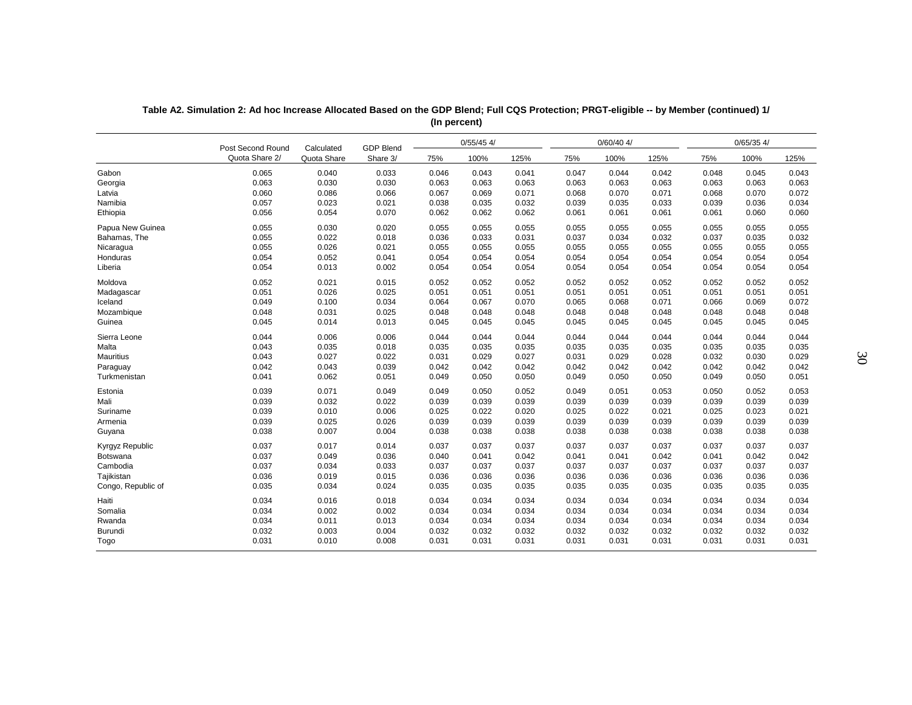|                    | Post Second Round | Calculated  | <b>GDP Blend</b> |       | $0/55/45$ 4/ |       |       | $0/60/40$ 4/ |       |       | $0/65/35$ 4/ |       |
|--------------------|-------------------|-------------|------------------|-------|--------------|-------|-------|--------------|-------|-------|--------------|-------|
|                    | Quota Share 2/    | Quota Share | Share 3/         | 75%   | 100%         | 125%  | 75%   | 100%         | 125%  | 75%   | 100%         | 125%  |
| Gabon              | 0.065             | 0.040       | 0.033            | 0.046 | 0.043        | 0.041 | 0.047 | 0.044        | 0.042 | 0.048 | 0.045        | 0.043 |
| Georgia            | 0.063             | 0.030       | 0.030            | 0.063 | 0.063        | 0.063 | 0.063 | 0.063        | 0.063 | 0.063 | 0.063        | 0.063 |
| Latvia             | 0.060             | 0.086       | 0.066            | 0.067 | 0.069        | 0.071 | 0.068 | 0.070        | 0.071 | 0.068 | 0.070        | 0.072 |
| Namibia            | 0.057             | 0.023       | 0.021            | 0.038 | 0.035        | 0.032 | 0.039 | 0.035        | 0.033 | 0.039 | 0.036        | 0.034 |
| Ethiopia           | 0.056             | 0.054       | 0.070            | 0.062 | 0.062        | 0.062 | 0.061 | 0.061        | 0.061 | 0.061 | 0.060        | 0.060 |
| Papua New Guinea   | 0.055             | 0.030       | 0.020            | 0.055 | 0.055        | 0.055 | 0.055 | 0.055        | 0.055 | 0.055 | 0.055        | 0.055 |
| Bahamas, The       | 0.055             | 0.022       | 0.018            | 0.036 | 0.033        | 0.031 | 0.037 | 0.034        | 0.032 | 0.037 | 0.035        | 0.032 |
| Nicaragua          | 0.055             | 0.026       | 0.021            | 0.055 | 0.055        | 0.055 | 0.055 | 0.055        | 0.055 | 0.055 | 0.055        | 0.055 |
| Honduras           | 0.054             | 0.052       | 0.041            | 0.054 | 0.054        | 0.054 | 0.054 | 0.054        | 0.054 | 0.054 | 0.054        | 0.054 |
| Liberia            | 0.054             | 0.013       | 0.002            | 0.054 | 0.054        | 0.054 | 0.054 | 0.054        | 0.054 | 0.054 | 0.054        | 0.054 |
| Moldova            | 0.052             | 0.021       | 0.015            | 0.052 | 0.052        | 0.052 | 0.052 | 0.052        | 0.052 | 0.052 | 0.052        | 0.052 |
| Madagascar         | 0.051             | 0.026       | 0.025            | 0.051 | 0.051        | 0.051 | 0.051 | 0.051        | 0.051 | 0.051 | 0.051        | 0.051 |
| Iceland            | 0.049             | 0.100       | 0.034            | 0.064 | 0.067        | 0.070 | 0.065 | 0.068        | 0.071 | 0.066 | 0.069        | 0.072 |
| Mozambique         | 0.048             | 0.031       | 0.025            | 0.048 | 0.048        | 0.048 | 0.048 | 0.048        | 0.048 | 0.048 | 0.048        | 0.048 |
| Guinea             | 0.045             | 0.014       | 0.013            | 0.045 | 0.045        | 0.045 | 0.045 | 0.045        | 0.045 | 0.045 | 0.045        | 0.045 |
| Sierra Leone       | 0.044             | 0.006       | 0.006            | 0.044 | 0.044        | 0.044 | 0.044 | 0.044        | 0.044 | 0.044 | 0.044        | 0.044 |
| Malta              | 0.043             | 0.035       | 0.018            | 0.035 | 0.035        | 0.035 | 0.035 | 0.035        | 0.035 | 0.035 | 0.035        | 0.035 |
| <b>Mauritius</b>   | 0.043             | 0.027       | 0.022            | 0.031 | 0.029        | 0.027 | 0.031 | 0.029        | 0.028 | 0.032 | 0.030        | 0.029 |
| Paraguay           | 0.042             | 0.043       | 0.039            | 0.042 | 0.042        | 0.042 | 0.042 | 0.042        | 0.042 | 0.042 | 0.042        | 0.042 |
| Turkmenistan       | 0.041             | 0.062       | 0.051            | 0.049 | 0.050        | 0.050 | 0.049 | 0.050        | 0.050 | 0.049 | 0.050        | 0.051 |
| Estonia            | 0.039             | 0.071       | 0.049            | 0.049 | 0.050        | 0.052 | 0.049 | 0.051        | 0.053 | 0.050 | 0.052        | 0.053 |
| Mali               | 0.039             | 0.032       | 0.022            | 0.039 | 0.039        | 0.039 | 0.039 | 0.039        | 0.039 | 0.039 | 0.039        | 0.039 |
| Suriname           | 0.039             | 0.010       | 0.006            | 0.025 | 0.022        | 0.020 | 0.025 | 0.022        | 0.021 | 0.025 | 0.023        | 0.021 |
| Armenia            | 0.039             | 0.025       | 0.026            | 0.039 | 0.039        | 0.039 | 0.039 | 0.039        | 0.039 | 0.039 | 0.039        | 0.039 |
| Guyana             | 0.038             | 0.007       | 0.004            | 0.038 | 0.038        | 0.038 | 0.038 | 0.038        | 0.038 | 0.038 | 0.038        | 0.038 |
| Kyrgyz Republic    | 0.037             | 0.017       | 0.014            | 0.037 | 0.037        | 0.037 | 0.037 | 0.037        | 0.037 | 0.037 | 0.037        | 0.037 |
| Botswana           | 0.037             | 0.049       | 0.036            | 0.040 | 0.041        | 0.042 | 0.041 | 0.041        | 0.042 | 0.041 | 0.042        | 0.042 |
| Cambodia           | 0.037             | 0.034       | 0.033            | 0.037 | 0.037        | 0.037 | 0.037 | 0.037        | 0.037 | 0.037 | 0.037        | 0.037 |
| Tajikistan         | 0.036             | 0.019       | 0.015            | 0.036 | 0.036        | 0.036 | 0.036 | 0.036        | 0.036 | 0.036 | 0.036        | 0.036 |
| Congo, Republic of | 0.035             | 0.034       | 0.024            | 0.035 | 0.035        | 0.035 | 0.035 | 0.035        | 0.035 | 0.035 | 0.035        | 0.035 |
| Haiti              | 0.034             | 0.016       | 0.018            | 0.034 | 0.034        | 0.034 | 0.034 | 0.034        | 0.034 | 0.034 | 0.034        | 0.034 |
| Somalia            | 0.034             | 0.002       | 0.002            | 0.034 | 0.034        | 0.034 | 0.034 | 0.034        | 0.034 | 0.034 | 0.034        | 0.034 |
| Rwanda             | 0.034             | 0.011       | 0.013            | 0.034 | 0.034        | 0.034 | 0.034 | 0.034        | 0.034 | 0.034 | 0.034        | 0.034 |
| <b>Burundi</b>     | 0.032             | 0.003       | 0.004            | 0.032 | 0.032        | 0.032 | 0.032 | 0.032        | 0.032 | 0.032 | 0.032        | 0.032 |
| Togo               | 0.031             | 0.010       | 0.008            | 0.031 | 0.031        | 0.031 | 0.031 | 0.031        | 0.031 | 0.031 | 0.031        | 0.031 |

| Table A2. Simulation 2: Ad hoc Increase Allocated Based on the GDP Blend; Full CQS Protection; PRGT-eligible -- by Member (continued) 1/ |  |
|------------------------------------------------------------------------------------------------------------------------------------------|--|
| (In percent)                                                                                                                             |  |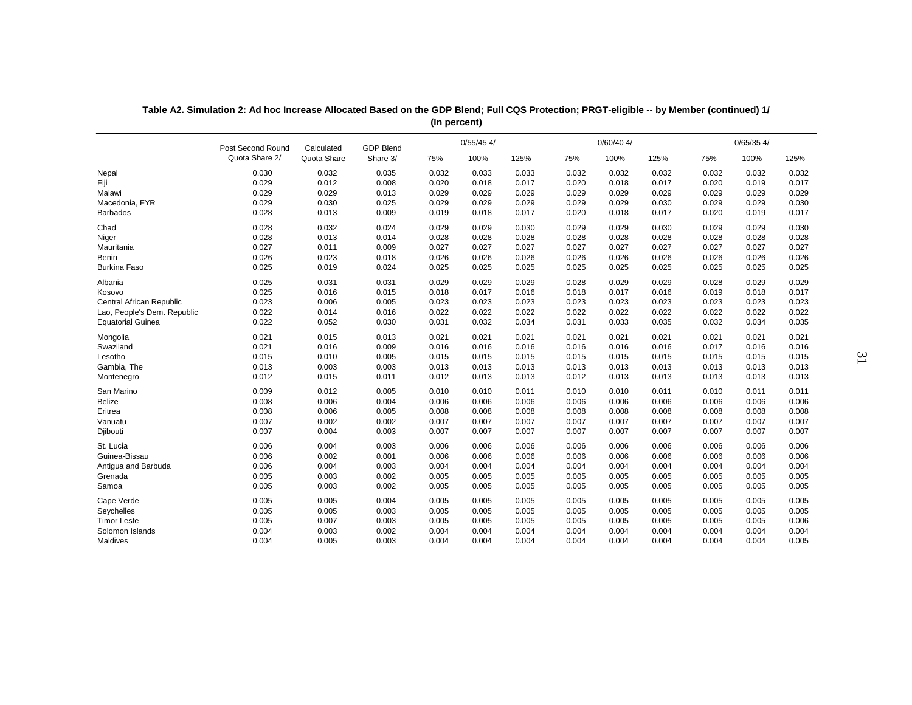|                                 | Post Second Round | Calculated  | <b>GDP Blend</b> |       | $0/55/45$ 4/ |       |       | $0/60/40$ 4/ |       |       | $0/65/35$ 4/ |       |
|---------------------------------|-------------------|-------------|------------------|-------|--------------|-------|-------|--------------|-------|-------|--------------|-------|
|                                 | Quota Share 2/    | Quota Share | Share 3/         | 75%   | 100%         | 125%  | 75%   | 100%         | 125%  | 75%   | 100%         | 125%  |
| Nepal                           | 0.030             | 0.032       | 0.035            | 0.032 | 0.033        | 0.033 | 0.032 | 0.032        | 0.032 | 0.032 | 0.032        | 0.032 |
| Fiji                            | 0.029             | 0.012       | 0.008            | 0.020 | 0.018        | 0.017 | 0.020 | 0.018        | 0.017 | 0.020 | 0.019        | 0.017 |
| Malawi                          | 0.029             | 0.029       | 0.013            | 0.029 | 0.029        | 0.029 | 0.029 | 0.029        | 0.029 | 0.029 | 0.029        | 0.029 |
| Macedonia, FYR                  | 0.029             | 0.030       | 0.025            | 0.029 | 0.029        | 0.029 | 0.029 | 0.029        | 0.030 | 0.029 | 0.029        | 0.030 |
| <b>Barbados</b>                 | 0.028             | 0.013       | 0.009            | 0.019 | 0.018        | 0.017 | 0.020 | 0.018        | 0.017 | 0.020 | 0.019        | 0.017 |
| Chad                            | 0.028             | 0.032       | 0.024            | 0.029 | 0.029        | 0.030 | 0.029 | 0.029        | 0.030 | 0.029 | 0.029        | 0.030 |
| Niger                           | 0.028             | 0.013       | 0.014            | 0.028 | 0.028        | 0.028 | 0.028 | 0.028        | 0.028 | 0.028 | 0.028        | 0.028 |
| Mauritania                      | 0.027             | 0.011       | 0.009            | 0.027 | 0.027        | 0.027 | 0.027 | 0.027        | 0.027 | 0.027 | 0.027        | 0.027 |
| <b>Benin</b>                    | 0.026             | 0.023       | 0.018            | 0.026 | 0.026        | 0.026 | 0.026 | 0.026        | 0.026 | 0.026 | 0.026        | 0.026 |
| <b>Burkina Faso</b>             | 0.025             | 0.019       | 0.024            | 0.025 | 0.025        | 0.025 | 0.025 | 0.025        | 0.025 | 0.025 | 0.025        | 0.025 |
| Albania                         | 0.025             | 0.031       | 0.031            | 0.029 | 0.029        | 0.029 | 0.028 | 0.029        | 0.029 | 0.028 | 0.029        | 0.029 |
| Kosovo                          | 0.025             | 0.016       | 0.015            | 0.018 | 0.017        | 0.016 | 0.018 | 0.017        | 0.016 | 0.019 | 0.018        | 0.017 |
| <b>Central African Republic</b> | 0.023             | 0.006       | 0.005            | 0.023 | 0.023        | 0.023 | 0.023 | 0.023        | 0.023 | 0.023 | 0.023        | 0.023 |
| Lao, People's Dem. Republic     | 0.022             | 0.014       | 0.016            | 0.022 | 0.022        | 0.022 | 0.022 | 0.022        | 0.022 | 0.022 | 0.022        | 0.022 |
| <b>Equatorial Guinea</b>        | 0.022             | 0.052       | 0.030            | 0.031 | 0.032        | 0.034 | 0.031 | 0.033        | 0.035 | 0.032 | 0.034        | 0.035 |
| Mongolia                        | 0.021             | 0.015       | 0.013            | 0.021 | 0.021        | 0.021 | 0.021 | 0.021        | 0.021 | 0.021 | 0.021        | 0.021 |
| Swaziland                       | 0.021             | 0.016       | 0.009            | 0.016 | 0.016        | 0.016 | 0.016 | 0.016        | 0.016 | 0.017 | 0.016        | 0.016 |
| Lesotho                         | 0.015             | 0.010       | 0.005            | 0.015 | 0.015        | 0.015 | 0.015 | 0.015        | 0.015 | 0.015 | 0.015        | 0.015 |
| Gambia, The                     | 0.013             | 0.003       | 0.003            | 0.013 | 0.013        | 0.013 | 0.013 | 0.013        | 0.013 | 0.013 | 0.013        | 0.013 |
| Montenegro                      | 0.012             | 0.015       | 0.011            | 0.012 | 0.013        | 0.013 | 0.012 | 0.013        | 0.013 | 0.013 | 0.013        | 0.013 |
| San Marino                      | 0.009             | 0.012       | 0.005            | 0.010 | 0.010        | 0.011 | 0.010 | 0.010        | 0.011 | 0.010 | 0.011        | 0.011 |
| <b>Belize</b>                   | 0.008             | 0.006       | 0.004            | 0.006 | 0.006        | 0.006 | 0.006 | 0.006        | 0.006 | 0.006 | 0.006        | 0.006 |
| Eritrea                         | 0.008             | 0.006       | 0.005            | 0.008 | 0.008        | 0.008 | 0.008 | 0.008        | 0.008 | 0.008 | 0.008        | 0.008 |
| Vanuatu                         | 0.007             | 0.002       | 0.002            | 0.007 | 0.007        | 0.007 | 0.007 | 0.007        | 0.007 | 0.007 | 0.007        | 0.007 |
| Djibouti                        | 0.007             | 0.004       | 0.003            | 0.007 | 0.007        | 0.007 | 0.007 | 0.007        | 0.007 | 0.007 | 0.007        | 0.007 |
| St. Lucia                       | 0.006             | 0.004       | 0.003            | 0.006 | 0.006        | 0.006 | 0.006 | 0.006        | 0.006 | 0.006 | 0.006        | 0.006 |
| Guinea-Bissau                   | 0.006             | 0.002       | 0.001            | 0.006 | 0.006        | 0.006 | 0.006 | 0.006        | 0.006 | 0.006 | 0.006        | 0.006 |
| Antigua and Barbuda             | 0.006             | 0.004       | 0.003            | 0.004 | 0.004        | 0.004 | 0.004 | 0.004        | 0.004 | 0.004 | 0.004        | 0.004 |
| Grenada                         | 0.005             | 0.003       | 0.002            | 0.005 | 0.005        | 0.005 | 0.005 | 0.005        | 0.005 | 0.005 | 0.005        | 0.005 |
| Samoa                           | 0.005             | 0.003       | 0.002            | 0.005 | 0.005        | 0.005 | 0.005 | 0.005        | 0.005 | 0.005 | 0.005        | 0.005 |
| Cape Verde                      | 0.005             | 0.005       | 0.004            | 0.005 | 0.005        | 0.005 | 0.005 | 0.005        | 0.005 | 0.005 | 0.005        | 0.005 |
| Seychelles                      | 0.005             | 0.005       | 0.003            | 0.005 | 0.005        | 0.005 | 0.005 | 0.005        | 0.005 | 0.005 | 0.005        | 0.005 |
| <b>Timor Leste</b>              | 0.005             | 0.007       | 0.003            | 0.005 | 0.005        | 0.005 | 0.005 | 0.005        | 0.005 | 0.005 | 0.005        | 0.006 |
| Solomon Islands                 | 0.004             | 0.003       | 0.002            | 0.004 | 0.004        | 0.004 | 0.004 | 0.004        | 0.004 | 0.004 | 0.004        | 0.004 |
| Maldives                        | 0.004             | 0.005       | 0.003            | 0.004 | 0.004        | 0.004 | 0.004 | 0.004        | 0.004 | 0.004 | 0.004        | 0.005 |

**Table A2. Simulation 2: Ad hoc Increase Allocated Based on the GDP Blend; Full CQS Protection; PRGT-eligible -- by Member (continued) 1/ (In percent)**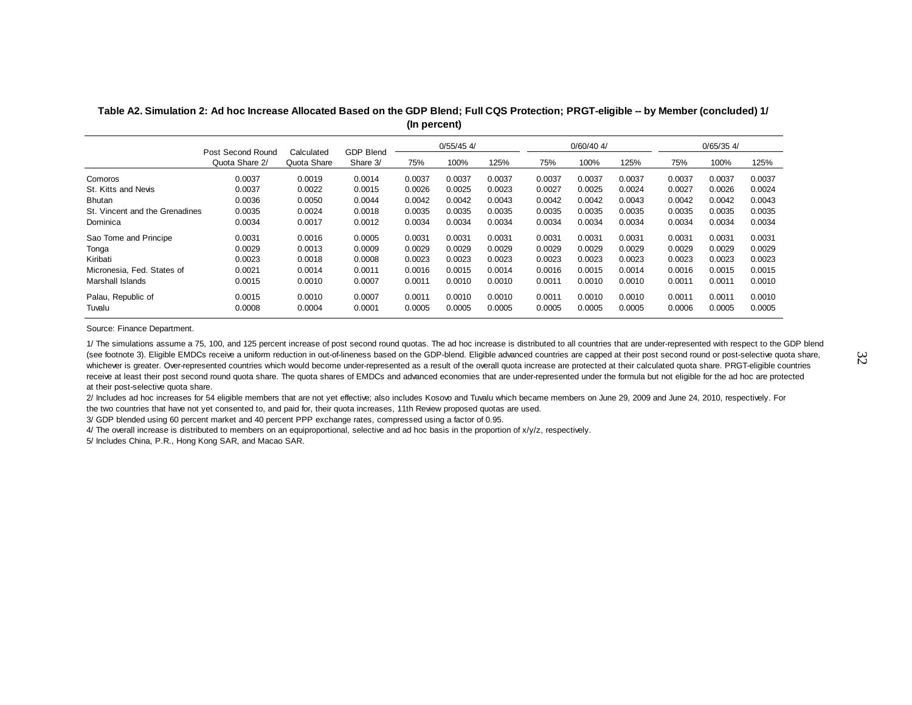**Table A2. Simulation 2: Ad hoc Increase Allocated Based on the GDP Blend; Full CQS Protection; PRGT-eligible -- by Member (concluded) 1/ (In percent)**

|                                | Post Second Round<br>Quota Share 2/ | Calculated  | <b>GDP Blend</b> |        | $0/55/45$ 4/ |        |        | $0/60/40$ 4/ |        |        | $0/65/35$ 4/ |        |
|--------------------------------|-------------------------------------|-------------|------------------|--------|--------------|--------|--------|--------------|--------|--------|--------------|--------|
|                                |                                     | Quota Share | Share 3/         | 75%    | 100%         | 125%   | 75%    | 100%         | 125%   | 75%    | 100%         | 125%   |
| Comoros                        | 0.0037                              | 0.0019      | 0.0014           | 0.0037 | 0.0037       | 0.0037 | 0.0037 | 0.0037       | 0.0037 | 0.0037 | 0.0037       | 0.0037 |
| St. Kitts and Nevis            | 0.0037                              | 0.0022      | 0.0015           | 0.0026 | 0.0025       | 0.0023 | 0.0027 | 0.0025       | 0.0024 | 0.0027 | 0.0026       | 0.0024 |
| Bhutan                         | 0.0036                              | 0.0050      | 0.0044           | 0.0042 | 0.0042       | 0.0043 | 0.0042 | 0.0042       | 0.0043 | 0.0042 | 0.0042       | 0.0043 |
| St. Vincent and the Grenadines | 0.0035                              | 0.0024      | 0.0018           | 0.0035 | 0.0035       | 0.0035 | 0.0035 | 0.0035       | 0.0035 | 0.0035 | 0.0035       | 0.0035 |
| Dominica                       | 0.0034                              | 0.0017      | 0.0012           | 0.0034 | 0.0034       | 0.0034 | 0.0034 | 0.0034       | 0.0034 | 0.0034 | 0.0034       | 0.0034 |
| Sao Tome and Principe          | 0.0031                              | 0.0016      | 0.0005           | 0.0031 | 0.0031       | 0.0031 | 0.0031 | 0.0031       | 0.0031 | 0.0031 | 0.0031       | 0.0031 |
| Tonga                          | 0.0029                              | 0.0013      | 0.0009           | 0.0029 | 0.0029       | 0.0029 | 0.0029 | 0.0029       | 0.0029 | 0.0029 | 0.0029       | 0.0029 |
| Kiribati                       | 0.0023                              | 0.0018      | 0.0008           | 0.0023 | 0.0023       | 0.0023 | 0.0023 | 0.0023       | 0.0023 | 0.0023 | 0.0023       | 0.0023 |
| Micronesia, Fed. States of     | 0.0021                              | 0.0014      | 0.0011           | 0.0016 | 0.0015       | 0.0014 | 0.0016 | 0.0015       | 0.0014 | 0.0016 | 0.0015       | 0.0015 |
| Marshall Islands               | 0.0015                              | 0.0010      | 0.0007           | 0.0011 | 0.0010       | 0.0010 | 0.0011 | 0.0010       | 0.0010 | 0.0011 | 0.0011       | 0.0010 |
| Palau, Republic of             | 0.0015                              | 0.0010      | 0.0007           | 0.0011 | 0.0010       | 0.0010 | 0.0011 | 0.0010       | 0.0010 | 0.0011 | 0.0011       | 0.0010 |
| Tuvalu                         | 0.0008                              | 0.0004      | 0.0001           | 0.0005 | 0.0005       | 0.0005 | 0.0005 | 0.0005       | 0.0005 | 0.0006 | 0.0005       | 0.0005 |

Source: Finance Department.

1/ The simulations assume a 75, 100, and 125 percent increase of post second round quotas. The ad hoc increase is distributed to all countries that are under-represented with respect to the GDP blend (see footnote 3). Eligible EMDCs receive a uniform reduction in out-of-lineness based on the GDP-blend. Eligible advanced countries are capped at their post second round or post-selective quota share, whichever is greater. Over-represented countries which would become under-represented as a result of the overall quota increase are protected at their calculated quota share. PRGT-eligible countries receive at least their post second round quota share. The quota shares of EMDCs and advanced economies that are under-represented under the formula but not eligible for the ad hoc are protected at their post-selective quota share.

2/ Includes ad hoc increases for 54 eligible members that are not yet effective; also includes Kosovo and Tuvalu which became members on June 29, 2009 and June 24, 2010, respectively. For the two countries that have not yet consented to, and paid for, their quota increases, 11th Review proposed quotas are used.

3/ GDP blended using 60 percent market and 40 percent PPP exchange rates, compressed using a factor of 0.95.

4/ The overall increase is distributed to members on an equiproportional, selective and ad hoc basis in the proportion of x/y/z, respectively.

5/ Includes China, P.R., Hong Kong SAR, and Macao SAR.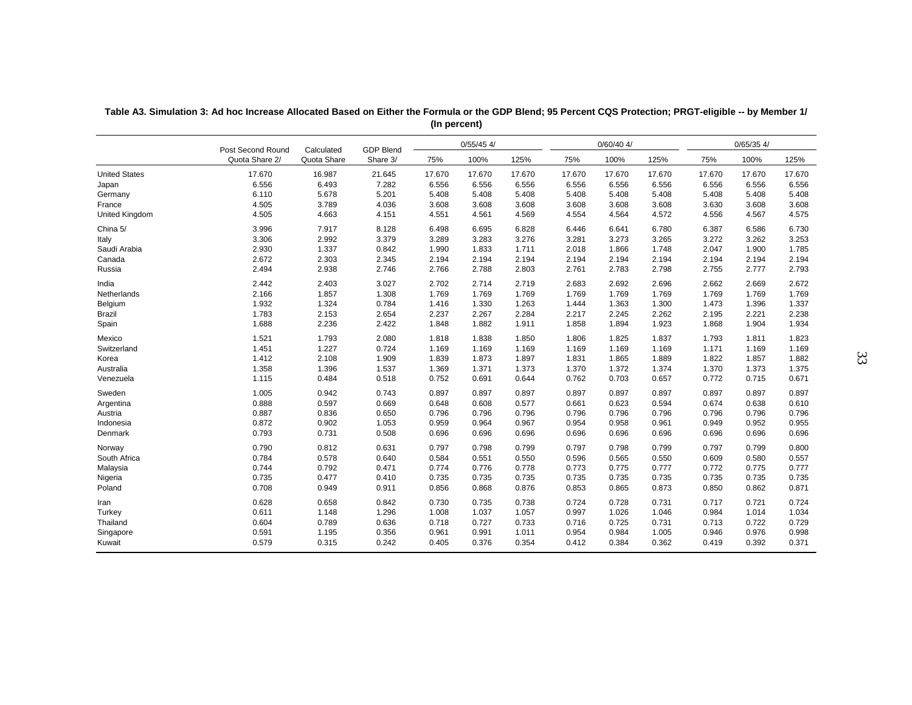|                      | Post Second Round | Calculated  | <b>GDP Blend</b> |        | $0/55/45$ 4/ |        |        | $0/60/40$ 4/ |        |        | $0/65/35$ 4/ |        |
|----------------------|-------------------|-------------|------------------|--------|--------------|--------|--------|--------------|--------|--------|--------------|--------|
|                      | Quota Share 2/    | Quota Share | Share 3/         | 75%    | 100%         | 125%   | 75%    | 100%         | 125%   | 75%    | 100%         | 125%   |
| <b>United States</b> | 17.670            | 16.987      | 21.645           | 17.670 | 17.670       | 17.670 | 17.670 | 17.670       | 17.670 | 17.670 | 17.670       | 17.670 |
| Japan                | 6.556             | 6.493       | 7.282            | 6.556  | 6.556        | 6.556  | 6.556  | 6.556        | 6.556  | 6.556  | 6.556        | 6.556  |
| Germany              | 6.110             | 5.678       | 5.201            | 5.408  | 5.408        | 5.408  | 5.408  | 5.408        | 5.408  | 5.408  | 5.408        | 5.408  |
| France               | 4.505             | 3.789       | 4.036            | 3.608  | 3.608        | 3.608  | 3.608  | 3.608        | 3.608  | 3.630  | 3.608        | 3.608  |
| United Kingdom       | 4.505             | 4.663       | 4.151            | 4.551  | 4.561        | 4.569  | 4.554  | 4.564        | 4.572  | 4.556  | 4.567        | 4.575  |
| China 5/             | 3.996             | 7.917       | 8.128            | 6.498  | 6.695        | 6.828  | 6.446  | 6.641        | 6.780  | 6.387  | 6.586        | 6.730  |
| Italy                | 3.306             | 2.992       | 3.379            | 3.289  | 3.283        | 3.276  | 3.281  | 3.273        | 3.265  | 3.272  | 3.262        | 3.253  |
| Saudi Arabia         | 2.930             | 1.337       | 0.842            | 1.990  | 1.833        | 1.711  | 2.018  | 1.866        | 1.748  | 2.047  | 1.900        | 1.785  |
| Canada               | 2.672             | 2.303       | 2.345            | 2.194  | 2.194        | 2.194  | 2.194  | 2.194        | 2.194  | 2.194  | 2.194        | 2.194  |
| Russia               | 2.494             | 2.938       | 2.746            | 2.766  | 2.788        | 2.803  | 2.761  | 2.783        | 2.798  | 2.755  | 2.777        | 2.793  |
| India                | 2.442             | 2.403       | 3.027            | 2.702  | 2.714        | 2.719  | 2.683  | 2.692        | 2.696  | 2.662  | 2.669        | 2.672  |
| Netherlands          | 2.166             | 1.857       | 1.308            | 1.769  | 1.769        | 1.769  | 1.769  | 1.769        | 1.769  | 1.769  | 1.769        | 1.769  |
| Belgium              | 1.932             | 1.324       | 0.784            | 1.416  | 1.330        | 1.263  | 1.444  | 1.363        | 1.300  | 1.473  | 1.396        | 1.337  |
| <b>Brazil</b>        | 1.783             | 2.153       | 2.654            | 2.237  | 2.267        | 2.284  | 2.217  | 2.245        | 2.262  | 2.195  | 2.221        | 2.238  |
| Spain                | 1.688             | 2.236       | 2.422            | 1.848  | 1.882        | 1.911  | 1.858  | 1.894        | 1.923  | 1.868  | 1.904        | 1.934  |
| Mexico               | 1.521             | 1.793       | 2.080            | 1.818  | 1.838        | 1.850  | 1.806  | 1.825        | 1.837  | 1.793  | 1.811        | 1.823  |
| Switzerland          | 1.451             | 1.227       | 0.724            | 1.169  | 1.169        | 1.169  | 1.169  | 1.169        | 1.169  | 1.171  | 1.169        | 1.169  |
| Korea                | 1.412             | 2.108       | 1.909            | 1.839  | 1.873        | 1.897  | 1.831  | 1.865        | 1.889  | 1.822  | 1.857        | 1.882  |
| Australia            | 1.358             | 1.396       | 1.537            | 1.369  | 1.371        | 1.373  | 1.370  | 1.372        | 1.374  | 1.370  | 1.373        | 1.375  |
| Venezuela            | 1.115             | 0.484       | 0.518            | 0.752  | 0.691        | 0.644  | 0.762  | 0.703        | 0.657  | 0.772  | 0.715        | 0.671  |
| Sweden               | 1.005             | 0.942       | 0.743            | 0.897  | 0.897        | 0.897  | 0.897  | 0.897        | 0.897  | 0.897  | 0.897        | 0.897  |
| Argentina            | 0.888             | 0.597       | 0.669            | 0.648  | 0.608        | 0.577  | 0.661  | 0.623        | 0.594  | 0.674  | 0.638        | 0.610  |
| Austria              | 0.887             | 0.836       | 0.650            | 0.796  | 0.796        | 0.796  | 0.796  | 0.796        | 0.796  | 0.796  | 0.796        | 0.796  |
| Indonesia            | 0.872             | 0.902       | 1.053            | 0.959  | 0.964        | 0.967  | 0.954  | 0.958        | 0.961  | 0.949  | 0.952        | 0.955  |
| Denmark              | 0.793             | 0.731       | 0.508            | 0.696  | 0.696        | 0.696  | 0.696  | 0.696        | 0.696  | 0.696  | 0.696        | 0.696  |
| Norway               | 0.790             | 0.812       | 0.631            | 0.797  | 0.798        | 0.799  | 0.797  | 0.798        | 0.799  | 0.797  | 0.799        | 0.800  |
| South Africa         | 0.784             | 0.578       | 0.640            | 0.584  | 0.551        | 0.550  | 0.596  | 0.565        | 0.550  | 0.609  | 0.580        | 0.557  |
| Malaysia             | 0.744             | 0.792       | 0.471            | 0.774  | 0.776        | 0.778  | 0.773  | 0.775        | 0.777  | 0.772  | 0.775        | 0.777  |
| Nigeria              | 0.735             | 0.477       | 0.410            | 0.735  | 0.735        | 0.735  | 0.735  | 0.735        | 0.735  | 0.735  | 0.735        | 0.735  |
| Poland               | 0.708             | 0.949       | 0.911            | 0.856  | 0.868        | 0.876  | 0.853  | 0.865        | 0.873  | 0.850  | 0.862        | 0.871  |
| Iran                 | 0.628             | 0.658       | 0.842            | 0.730  | 0.735        | 0.738  | 0.724  | 0.728        | 0.731  | 0.717  | 0.721        | 0.724  |
| Turkey               | 0.611             | 1.148       | 1.296            | 1.008  | 1.037        | 1.057  | 0.997  | 1.026        | 1.046  | 0.984  | 1.014        | 1.034  |
| Thailand             | 0.604             | 0.789       | 0.636            | 0.718  | 0.727        | 0.733  | 0.716  | 0.725        | 0.731  | 0.713  | 0.722        | 0.729  |
| Singapore            | 0.591             | 1.195       | 0.356            | 0.961  | 0.991        | 1.011  | 0.954  | 0.984        | 1.005  | 0.946  | 0.976        | 0.998  |
| Kuwait               | 0.579             | 0.315       | 0.242            | 0.405  | 0.376        | 0.354  | 0.412  | 0.384        | 0.362  | 0.419  | 0.392        | 0.371  |

### **Table A3. Simulation 3: Ad hoc Increase Allocated Based on Either the Formula or the GDP Blend; 95 Percent CQS Protection; PRGT-eligible -- by Member 1/ (In percent)**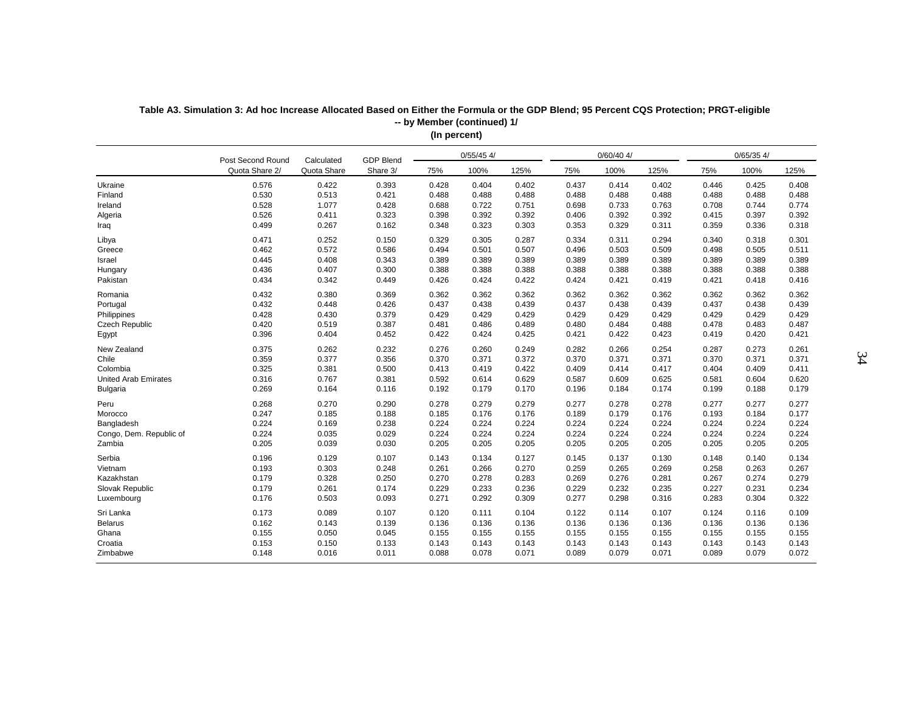| $0/60/40$ 4/<br>$0/65/35$ 4/<br>$0/55/45$ 4/<br>Post Second Round<br><b>GDP Blend</b><br>Calculated<br>Quota Share<br>100%<br>Quota Share 2/<br>Share 3/<br>100%<br>125%<br>75%<br>125%<br>75%<br>100%<br>125%<br>75%<br>0.576<br>0.422<br>0.393<br>0.428<br>0.402<br>0.402<br>Ukraine<br>0.404<br>0.437<br>0.414<br>0.446<br>0.425<br>0.408<br>0.513<br>0.530<br>0.421<br>0.488<br>0.488<br>0.488<br>0.488<br>0.488<br>0.488<br>0.488<br>0.488<br>0.488<br>Finland<br>0.528<br>1.077<br>0.428<br>0.688<br>0.722<br>0.751<br>0.733<br>0.744<br>0.774<br>Ireland<br>0.698<br>0.763<br>0.708<br>0.526<br>0.411<br>0.323<br>0.398<br>0.392<br>0.392<br>0.392<br>0.392<br>0.415<br>0.397<br>0.392<br>Algeria<br>0.406<br>0.499<br>0.267<br>0.323<br>0.329<br>0.162<br>0.348<br>0.303<br>0.353<br>0.311<br>0.359<br>0.336<br>0.318<br>Iraq<br>0.471<br>0.252<br>0.150<br>0.329<br>0.305<br>0.287<br>0.311<br>0.294<br>0.340<br>0.318<br>0.301<br>Libya<br>0.334<br>0.462<br>0.572<br>0.586<br>0.507<br>Greece<br>0.494<br>0.501<br>0.496<br>0.503<br>0.509<br>0.498<br>0.505<br>0.511<br>0.445<br>0.408<br>0.343<br>0.389<br>0.389<br>0.389<br>0.389<br>0.389<br>0.389<br>0.389<br>0.389<br>0.389<br>Israel<br>0.436<br>0.407<br>0.300<br>0.388<br>0.388<br>0.388<br>0.388<br>0.388<br>0.388<br>0.388<br>0.388<br>0.388<br>Hungary<br>0.434<br>0.342<br>0.449<br>0.426<br>0.424<br>0.422<br>0.421<br>0.421<br>0.416<br>Pakistan<br>0.424<br>0.419<br>0.418<br>0.432<br>0.380<br>0.369<br>0.362<br>0.362<br>0.362<br>0.362<br>0.362<br>0.362<br>0.362<br>Romania<br>0.362<br>0.362<br>0.432<br>0.448<br>0.426<br>0.437<br>0.438<br>0.439<br>0.437<br>0.438<br>0.439<br>0.437<br>0.438<br>0.439<br>Portugal<br>0.428<br>0.430<br>0.379<br>0.429<br>0.429<br>0.429<br>0.429<br>0.429<br>0.429<br>0.429<br>Philippines<br>0.429<br>0.429<br>0.420<br>0.519<br>0.387<br>0.481<br>0.486<br>0.489<br>0.484<br>0.478<br>0.483<br>Czech Republic<br>0.480<br>0.488<br>0.487<br>0.396<br>0.404<br>Egypt<br>0.452<br>0.422<br>0.424<br>0.425<br>0.421<br>0.422<br>0.423<br>0.419<br>0.420<br>0.421<br>New Zealand<br>0.375<br>0.262<br>0.232<br>0.276<br>0.249<br>0.266<br>0.254<br>0.273<br>0.261<br>0.260<br>0.282<br>0.287<br>0.359<br>0.377<br>0.371<br>Chile<br>0.356<br>0.370<br>0.371<br>0.372<br>0.370<br>0.371<br>0.370<br>0.371<br>0.371<br>0.325<br>0.381<br>0.500<br>0.414<br>Colombia<br>0.413<br>0.419<br>0.422<br>0.409<br>0.417<br>0.404<br>0.409<br>0.411<br>0.316<br>0.767<br>0.629<br><b>United Arab Emirates</b><br>0.381<br>0.592<br>0.614<br>0.587<br>0.609<br>0.625<br>0.581<br>0.604<br>0.620<br>0.269<br>0.164<br>0.192<br>0.170<br>0.184<br>Bulgaria<br>0.116<br>0.179<br>0.196<br>0.174<br>0.199<br>0.188<br>0.179<br>0.268<br>0.270<br>0.290<br>0.278<br>0.279<br>0.279<br>0.277<br>0.278<br>0.278<br>0.277<br>0.277<br>0.277<br>Peru<br>0.247<br>0.185<br>0.188<br>0.185<br>0.176<br>0.176<br>0.189<br>0.179<br>0.176<br>0.193<br>0.184<br>0.177<br>Morocco<br>Bangladesh<br>0.224<br>0.169<br>0.238<br>0.224<br>0.224<br>0.224<br>0.224<br>0.224<br>0.224<br>0.224<br>0.224<br>0.224<br>0.224<br>0.035<br>0.029<br>0.224<br>0.224<br>0.224<br>0.224<br>0.224<br>0.224<br>0.224<br>0.224<br>0.224<br>Congo, Dem. Republic of<br>0.205<br>0.039<br>0.030<br>0.205<br>0.205<br>0.205<br>0.205<br>0.205<br>0.205<br>0.205<br>Zambia<br>0.205<br>0.205<br>Serbia<br>0.196<br>0.129<br>0.107<br>0.143<br>0.134<br>0.127<br>0.145<br>0.137<br>0.130<br>0.148<br>0.140<br>0.134<br>0.193<br>0.303<br>0.248<br>0.270<br>0.265<br>0.261<br>0.266<br>0.259<br>0.269<br>0.258<br>0.263<br>0.267<br>Vietnam<br>0.179<br>0.328<br>0.276<br>Kazakhstan<br>0.250<br>0.270<br>0.278<br>0.283<br>0.269<br>0.281<br>0.267<br>0.274<br>0.279<br>0.179<br>0.261<br>0.174<br>0.232<br>Slovak Republic<br>0.229<br>0.233<br>0.236<br>0.229<br>0.235<br>0.227<br>0.231<br>0.234<br>Luxembourg<br>0.176<br>0.503<br>0.093<br>0.271<br>0.292<br>0.309<br>0.277<br>0.298<br>0.316<br>0.283<br>0.304<br>0.322<br>0.173<br>0.089<br>0.120<br>0.111<br>0.104<br>0.114<br>0.116<br>0.109<br>Sri Lanka<br>0.107<br>0.122<br>0.107<br>0.124<br><b>Belarus</b><br>0.162<br>0.143<br>0.139<br>0.136<br>0.136<br>0.136<br>0.136<br>0.136<br>0.136<br>0.136<br>0.136<br>0.136<br>Ghana<br>0.155<br>0.050<br>0.045<br>0.155<br>0.155<br>0.155<br>0.155<br>0.155<br>0.155<br>0.155<br>0.155<br>0.155<br>0.153<br>0.150<br>0.133<br>0.143<br>Croatia<br>0.143<br>0.143<br>0.143<br>0.143<br>0.143<br>0.143<br>0.143<br>0.143<br>0.148<br>0.016<br>0.088<br>0.078<br>0.071<br>0.089<br>0.079<br>0.089<br>0.079<br>0.072<br>Zimbabwe<br>0.011<br>0.071 |  |  | $\cdots$ respectively. |  |  |  |  |
|----------------------------------------------------------------------------------------------------------------------------------------------------------------------------------------------------------------------------------------------------------------------------------------------------------------------------------------------------------------------------------------------------------------------------------------------------------------------------------------------------------------------------------------------------------------------------------------------------------------------------------------------------------------------------------------------------------------------------------------------------------------------------------------------------------------------------------------------------------------------------------------------------------------------------------------------------------------------------------------------------------------------------------------------------------------------------------------------------------------------------------------------------------------------------------------------------------------------------------------------------------------------------------------------------------------------------------------------------------------------------------------------------------------------------------------------------------------------------------------------------------------------------------------------------------------------------------------------------------------------------------------------------------------------------------------------------------------------------------------------------------------------------------------------------------------------------------------------------------------------------------------------------------------------------------------------------------------------------------------------------------------------------------------------------------------------------------------------------------------------------------------------------------------------------------------------------------------------------------------------------------------------------------------------------------------------------------------------------------------------------------------------------------------------------------------------------------------------------------------------------------------------------------------------------------------------------------------------------------------------------------------------------------------------------------------------------------------------------------------------------------------------------------------------------------------------------------------------------------------------------------------------------------------------------------------------------------------------------------------------------------------------------------------------------------------------------------------------------------------------------------------------------------------------------------------------------------------------------------------------------------------------------------------------------------------------------------------------------------------------------------------------------------------------------------------------------------------------------------------------------------------------------------------------------------------------------------------------------------------------------------------------------------------------------------------------------------------------------------------------------------------------------------------------------------------------------------------------------------------------------------------------------------------------------------------------------------------------------------------------------------------------------------------------------------------------------------------------------------------------------------------------------------------------------------------------------------------------------------------------------------------------------------------------------------------------------------------------------------------------------------------------------------------------------------------------------------------------------------------------------------------------------------------------------------------------------------------------------------------------------|--|--|------------------------|--|--|--|--|
|                                                                                                                                                                                                                                                                                                                                                                                                                                                                                                                                                                                                                                                                                                                                                                                                                                                                                                                                                                                                                                                                                                                                                                                                                                                                                                                                                                                                                                                                                                                                                                                                                                                                                                                                                                                                                                                                                                                                                                                                                                                                                                                                                                                                                                                                                                                                                                                                                                                                                                                                                                                                                                                                                                                                                                                                                                                                                                                                                                                                                                                                                                                                                                                                                                                                                                                                                                                                                                                                                                                                                                                                                                                                                                                                                                                                                                                                                                                                                                                                                                                                                                                                                                                                                                                                                                                                                                                                                                                                                                                                                                                                                            |  |  |                        |  |  |  |  |
|                                                                                                                                                                                                                                                                                                                                                                                                                                                                                                                                                                                                                                                                                                                                                                                                                                                                                                                                                                                                                                                                                                                                                                                                                                                                                                                                                                                                                                                                                                                                                                                                                                                                                                                                                                                                                                                                                                                                                                                                                                                                                                                                                                                                                                                                                                                                                                                                                                                                                                                                                                                                                                                                                                                                                                                                                                                                                                                                                                                                                                                                                                                                                                                                                                                                                                                                                                                                                                                                                                                                                                                                                                                                                                                                                                                                                                                                                                                                                                                                                                                                                                                                                                                                                                                                                                                                                                                                                                                                                                                                                                                                                            |  |  |                        |  |  |  |  |
|                                                                                                                                                                                                                                                                                                                                                                                                                                                                                                                                                                                                                                                                                                                                                                                                                                                                                                                                                                                                                                                                                                                                                                                                                                                                                                                                                                                                                                                                                                                                                                                                                                                                                                                                                                                                                                                                                                                                                                                                                                                                                                                                                                                                                                                                                                                                                                                                                                                                                                                                                                                                                                                                                                                                                                                                                                                                                                                                                                                                                                                                                                                                                                                                                                                                                                                                                                                                                                                                                                                                                                                                                                                                                                                                                                                                                                                                                                                                                                                                                                                                                                                                                                                                                                                                                                                                                                                                                                                                                                                                                                                                                            |  |  |                        |  |  |  |  |
|                                                                                                                                                                                                                                                                                                                                                                                                                                                                                                                                                                                                                                                                                                                                                                                                                                                                                                                                                                                                                                                                                                                                                                                                                                                                                                                                                                                                                                                                                                                                                                                                                                                                                                                                                                                                                                                                                                                                                                                                                                                                                                                                                                                                                                                                                                                                                                                                                                                                                                                                                                                                                                                                                                                                                                                                                                                                                                                                                                                                                                                                                                                                                                                                                                                                                                                                                                                                                                                                                                                                                                                                                                                                                                                                                                                                                                                                                                                                                                                                                                                                                                                                                                                                                                                                                                                                                                                                                                                                                                                                                                                                                            |  |  |                        |  |  |  |  |
|                                                                                                                                                                                                                                                                                                                                                                                                                                                                                                                                                                                                                                                                                                                                                                                                                                                                                                                                                                                                                                                                                                                                                                                                                                                                                                                                                                                                                                                                                                                                                                                                                                                                                                                                                                                                                                                                                                                                                                                                                                                                                                                                                                                                                                                                                                                                                                                                                                                                                                                                                                                                                                                                                                                                                                                                                                                                                                                                                                                                                                                                                                                                                                                                                                                                                                                                                                                                                                                                                                                                                                                                                                                                                                                                                                                                                                                                                                                                                                                                                                                                                                                                                                                                                                                                                                                                                                                                                                                                                                                                                                                                                            |  |  |                        |  |  |  |  |
|                                                                                                                                                                                                                                                                                                                                                                                                                                                                                                                                                                                                                                                                                                                                                                                                                                                                                                                                                                                                                                                                                                                                                                                                                                                                                                                                                                                                                                                                                                                                                                                                                                                                                                                                                                                                                                                                                                                                                                                                                                                                                                                                                                                                                                                                                                                                                                                                                                                                                                                                                                                                                                                                                                                                                                                                                                                                                                                                                                                                                                                                                                                                                                                                                                                                                                                                                                                                                                                                                                                                                                                                                                                                                                                                                                                                                                                                                                                                                                                                                                                                                                                                                                                                                                                                                                                                                                                                                                                                                                                                                                                                                            |  |  |                        |  |  |  |  |
|                                                                                                                                                                                                                                                                                                                                                                                                                                                                                                                                                                                                                                                                                                                                                                                                                                                                                                                                                                                                                                                                                                                                                                                                                                                                                                                                                                                                                                                                                                                                                                                                                                                                                                                                                                                                                                                                                                                                                                                                                                                                                                                                                                                                                                                                                                                                                                                                                                                                                                                                                                                                                                                                                                                                                                                                                                                                                                                                                                                                                                                                                                                                                                                                                                                                                                                                                                                                                                                                                                                                                                                                                                                                                                                                                                                                                                                                                                                                                                                                                                                                                                                                                                                                                                                                                                                                                                                                                                                                                                                                                                                                                            |  |  |                        |  |  |  |  |
|                                                                                                                                                                                                                                                                                                                                                                                                                                                                                                                                                                                                                                                                                                                                                                                                                                                                                                                                                                                                                                                                                                                                                                                                                                                                                                                                                                                                                                                                                                                                                                                                                                                                                                                                                                                                                                                                                                                                                                                                                                                                                                                                                                                                                                                                                                                                                                                                                                                                                                                                                                                                                                                                                                                                                                                                                                                                                                                                                                                                                                                                                                                                                                                                                                                                                                                                                                                                                                                                                                                                                                                                                                                                                                                                                                                                                                                                                                                                                                                                                                                                                                                                                                                                                                                                                                                                                                                                                                                                                                                                                                                                                            |  |  |                        |  |  |  |  |
|                                                                                                                                                                                                                                                                                                                                                                                                                                                                                                                                                                                                                                                                                                                                                                                                                                                                                                                                                                                                                                                                                                                                                                                                                                                                                                                                                                                                                                                                                                                                                                                                                                                                                                                                                                                                                                                                                                                                                                                                                                                                                                                                                                                                                                                                                                                                                                                                                                                                                                                                                                                                                                                                                                                                                                                                                                                                                                                                                                                                                                                                                                                                                                                                                                                                                                                                                                                                                                                                                                                                                                                                                                                                                                                                                                                                                                                                                                                                                                                                                                                                                                                                                                                                                                                                                                                                                                                                                                                                                                                                                                                                                            |  |  |                        |  |  |  |  |
|                                                                                                                                                                                                                                                                                                                                                                                                                                                                                                                                                                                                                                                                                                                                                                                                                                                                                                                                                                                                                                                                                                                                                                                                                                                                                                                                                                                                                                                                                                                                                                                                                                                                                                                                                                                                                                                                                                                                                                                                                                                                                                                                                                                                                                                                                                                                                                                                                                                                                                                                                                                                                                                                                                                                                                                                                                                                                                                                                                                                                                                                                                                                                                                                                                                                                                                                                                                                                                                                                                                                                                                                                                                                                                                                                                                                                                                                                                                                                                                                                                                                                                                                                                                                                                                                                                                                                                                                                                                                                                                                                                                                                            |  |  |                        |  |  |  |  |
|                                                                                                                                                                                                                                                                                                                                                                                                                                                                                                                                                                                                                                                                                                                                                                                                                                                                                                                                                                                                                                                                                                                                                                                                                                                                                                                                                                                                                                                                                                                                                                                                                                                                                                                                                                                                                                                                                                                                                                                                                                                                                                                                                                                                                                                                                                                                                                                                                                                                                                                                                                                                                                                                                                                                                                                                                                                                                                                                                                                                                                                                                                                                                                                                                                                                                                                                                                                                                                                                                                                                                                                                                                                                                                                                                                                                                                                                                                                                                                                                                                                                                                                                                                                                                                                                                                                                                                                                                                                                                                                                                                                                                            |  |  |                        |  |  |  |  |
|                                                                                                                                                                                                                                                                                                                                                                                                                                                                                                                                                                                                                                                                                                                                                                                                                                                                                                                                                                                                                                                                                                                                                                                                                                                                                                                                                                                                                                                                                                                                                                                                                                                                                                                                                                                                                                                                                                                                                                                                                                                                                                                                                                                                                                                                                                                                                                                                                                                                                                                                                                                                                                                                                                                                                                                                                                                                                                                                                                                                                                                                                                                                                                                                                                                                                                                                                                                                                                                                                                                                                                                                                                                                                                                                                                                                                                                                                                                                                                                                                                                                                                                                                                                                                                                                                                                                                                                                                                                                                                                                                                                                                            |  |  |                        |  |  |  |  |
|                                                                                                                                                                                                                                                                                                                                                                                                                                                                                                                                                                                                                                                                                                                                                                                                                                                                                                                                                                                                                                                                                                                                                                                                                                                                                                                                                                                                                                                                                                                                                                                                                                                                                                                                                                                                                                                                                                                                                                                                                                                                                                                                                                                                                                                                                                                                                                                                                                                                                                                                                                                                                                                                                                                                                                                                                                                                                                                                                                                                                                                                                                                                                                                                                                                                                                                                                                                                                                                                                                                                                                                                                                                                                                                                                                                                                                                                                                                                                                                                                                                                                                                                                                                                                                                                                                                                                                                                                                                                                                                                                                                                                            |  |  |                        |  |  |  |  |
|                                                                                                                                                                                                                                                                                                                                                                                                                                                                                                                                                                                                                                                                                                                                                                                                                                                                                                                                                                                                                                                                                                                                                                                                                                                                                                                                                                                                                                                                                                                                                                                                                                                                                                                                                                                                                                                                                                                                                                                                                                                                                                                                                                                                                                                                                                                                                                                                                                                                                                                                                                                                                                                                                                                                                                                                                                                                                                                                                                                                                                                                                                                                                                                                                                                                                                                                                                                                                                                                                                                                                                                                                                                                                                                                                                                                                                                                                                                                                                                                                                                                                                                                                                                                                                                                                                                                                                                                                                                                                                                                                                                                                            |  |  |                        |  |  |  |  |
|                                                                                                                                                                                                                                                                                                                                                                                                                                                                                                                                                                                                                                                                                                                                                                                                                                                                                                                                                                                                                                                                                                                                                                                                                                                                                                                                                                                                                                                                                                                                                                                                                                                                                                                                                                                                                                                                                                                                                                                                                                                                                                                                                                                                                                                                                                                                                                                                                                                                                                                                                                                                                                                                                                                                                                                                                                                                                                                                                                                                                                                                                                                                                                                                                                                                                                                                                                                                                                                                                                                                                                                                                                                                                                                                                                                                                                                                                                                                                                                                                                                                                                                                                                                                                                                                                                                                                                                                                                                                                                                                                                                                                            |  |  |                        |  |  |  |  |
|                                                                                                                                                                                                                                                                                                                                                                                                                                                                                                                                                                                                                                                                                                                                                                                                                                                                                                                                                                                                                                                                                                                                                                                                                                                                                                                                                                                                                                                                                                                                                                                                                                                                                                                                                                                                                                                                                                                                                                                                                                                                                                                                                                                                                                                                                                                                                                                                                                                                                                                                                                                                                                                                                                                                                                                                                                                                                                                                                                                                                                                                                                                                                                                                                                                                                                                                                                                                                                                                                                                                                                                                                                                                                                                                                                                                                                                                                                                                                                                                                                                                                                                                                                                                                                                                                                                                                                                                                                                                                                                                                                                                                            |  |  |                        |  |  |  |  |
|                                                                                                                                                                                                                                                                                                                                                                                                                                                                                                                                                                                                                                                                                                                                                                                                                                                                                                                                                                                                                                                                                                                                                                                                                                                                                                                                                                                                                                                                                                                                                                                                                                                                                                                                                                                                                                                                                                                                                                                                                                                                                                                                                                                                                                                                                                                                                                                                                                                                                                                                                                                                                                                                                                                                                                                                                                                                                                                                                                                                                                                                                                                                                                                                                                                                                                                                                                                                                                                                                                                                                                                                                                                                                                                                                                                                                                                                                                                                                                                                                                                                                                                                                                                                                                                                                                                                                                                                                                                                                                                                                                                                                            |  |  |                        |  |  |  |  |
|                                                                                                                                                                                                                                                                                                                                                                                                                                                                                                                                                                                                                                                                                                                                                                                                                                                                                                                                                                                                                                                                                                                                                                                                                                                                                                                                                                                                                                                                                                                                                                                                                                                                                                                                                                                                                                                                                                                                                                                                                                                                                                                                                                                                                                                                                                                                                                                                                                                                                                                                                                                                                                                                                                                                                                                                                                                                                                                                                                                                                                                                                                                                                                                                                                                                                                                                                                                                                                                                                                                                                                                                                                                                                                                                                                                                                                                                                                                                                                                                                                                                                                                                                                                                                                                                                                                                                                                                                                                                                                                                                                                                                            |  |  |                        |  |  |  |  |
|                                                                                                                                                                                                                                                                                                                                                                                                                                                                                                                                                                                                                                                                                                                                                                                                                                                                                                                                                                                                                                                                                                                                                                                                                                                                                                                                                                                                                                                                                                                                                                                                                                                                                                                                                                                                                                                                                                                                                                                                                                                                                                                                                                                                                                                                                                                                                                                                                                                                                                                                                                                                                                                                                                                                                                                                                                                                                                                                                                                                                                                                                                                                                                                                                                                                                                                                                                                                                                                                                                                                                                                                                                                                                                                                                                                                                                                                                                                                                                                                                                                                                                                                                                                                                                                                                                                                                                                                                                                                                                                                                                                                                            |  |  |                        |  |  |  |  |
|                                                                                                                                                                                                                                                                                                                                                                                                                                                                                                                                                                                                                                                                                                                                                                                                                                                                                                                                                                                                                                                                                                                                                                                                                                                                                                                                                                                                                                                                                                                                                                                                                                                                                                                                                                                                                                                                                                                                                                                                                                                                                                                                                                                                                                                                                                                                                                                                                                                                                                                                                                                                                                                                                                                                                                                                                                                                                                                                                                                                                                                                                                                                                                                                                                                                                                                                                                                                                                                                                                                                                                                                                                                                                                                                                                                                                                                                                                                                                                                                                                                                                                                                                                                                                                                                                                                                                                                                                                                                                                                                                                                                                            |  |  |                        |  |  |  |  |
|                                                                                                                                                                                                                                                                                                                                                                                                                                                                                                                                                                                                                                                                                                                                                                                                                                                                                                                                                                                                                                                                                                                                                                                                                                                                                                                                                                                                                                                                                                                                                                                                                                                                                                                                                                                                                                                                                                                                                                                                                                                                                                                                                                                                                                                                                                                                                                                                                                                                                                                                                                                                                                                                                                                                                                                                                                                                                                                                                                                                                                                                                                                                                                                                                                                                                                                                                                                                                                                                                                                                                                                                                                                                                                                                                                                                                                                                                                                                                                                                                                                                                                                                                                                                                                                                                                                                                                                                                                                                                                                                                                                                                            |  |  |                        |  |  |  |  |
|                                                                                                                                                                                                                                                                                                                                                                                                                                                                                                                                                                                                                                                                                                                                                                                                                                                                                                                                                                                                                                                                                                                                                                                                                                                                                                                                                                                                                                                                                                                                                                                                                                                                                                                                                                                                                                                                                                                                                                                                                                                                                                                                                                                                                                                                                                                                                                                                                                                                                                                                                                                                                                                                                                                                                                                                                                                                                                                                                                                                                                                                                                                                                                                                                                                                                                                                                                                                                                                                                                                                                                                                                                                                                                                                                                                                                                                                                                                                                                                                                                                                                                                                                                                                                                                                                                                                                                                                                                                                                                                                                                                                                            |  |  |                        |  |  |  |  |
|                                                                                                                                                                                                                                                                                                                                                                                                                                                                                                                                                                                                                                                                                                                                                                                                                                                                                                                                                                                                                                                                                                                                                                                                                                                                                                                                                                                                                                                                                                                                                                                                                                                                                                                                                                                                                                                                                                                                                                                                                                                                                                                                                                                                                                                                                                                                                                                                                                                                                                                                                                                                                                                                                                                                                                                                                                                                                                                                                                                                                                                                                                                                                                                                                                                                                                                                                                                                                                                                                                                                                                                                                                                                                                                                                                                                                                                                                                                                                                                                                                                                                                                                                                                                                                                                                                                                                                                                                                                                                                                                                                                                                            |  |  |                        |  |  |  |  |
|                                                                                                                                                                                                                                                                                                                                                                                                                                                                                                                                                                                                                                                                                                                                                                                                                                                                                                                                                                                                                                                                                                                                                                                                                                                                                                                                                                                                                                                                                                                                                                                                                                                                                                                                                                                                                                                                                                                                                                                                                                                                                                                                                                                                                                                                                                                                                                                                                                                                                                                                                                                                                                                                                                                                                                                                                                                                                                                                                                                                                                                                                                                                                                                                                                                                                                                                                                                                                                                                                                                                                                                                                                                                                                                                                                                                                                                                                                                                                                                                                                                                                                                                                                                                                                                                                                                                                                                                                                                                                                                                                                                                                            |  |  |                        |  |  |  |  |
|                                                                                                                                                                                                                                                                                                                                                                                                                                                                                                                                                                                                                                                                                                                                                                                                                                                                                                                                                                                                                                                                                                                                                                                                                                                                                                                                                                                                                                                                                                                                                                                                                                                                                                                                                                                                                                                                                                                                                                                                                                                                                                                                                                                                                                                                                                                                                                                                                                                                                                                                                                                                                                                                                                                                                                                                                                                                                                                                                                                                                                                                                                                                                                                                                                                                                                                                                                                                                                                                                                                                                                                                                                                                                                                                                                                                                                                                                                                                                                                                                                                                                                                                                                                                                                                                                                                                                                                                                                                                                                                                                                                                                            |  |  |                        |  |  |  |  |
|                                                                                                                                                                                                                                                                                                                                                                                                                                                                                                                                                                                                                                                                                                                                                                                                                                                                                                                                                                                                                                                                                                                                                                                                                                                                                                                                                                                                                                                                                                                                                                                                                                                                                                                                                                                                                                                                                                                                                                                                                                                                                                                                                                                                                                                                                                                                                                                                                                                                                                                                                                                                                                                                                                                                                                                                                                                                                                                                                                                                                                                                                                                                                                                                                                                                                                                                                                                                                                                                                                                                                                                                                                                                                                                                                                                                                                                                                                                                                                                                                                                                                                                                                                                                                                                                                                                                                                                                                                                                                                                                                                                                                            |  |  |                        |  |  |  |  |
|                                                                                                                                                                                                                                                                                                                                                                                                                                                                                                                                                                                                                                                                                                                                                                                                                                                                                                                                                                                                                                                                                                                                                                                                                                                                                                                                                                                                                                                                                                                                                                                                                                                                                                                                                                                                                                                                                                                                                                                                                                                                                                                                                                                                                                                                                                                                                                                                                                                                                                                                                                                                                                                                                                                                                                                                                                                                                                                                                                                                                                                                                                                                                                                                                                                                                                                                                                                                                                                                                                                                                                                                                                                                                                                                                                                                                                                                                                                                                                                                                                                                                                                                                                                                                                                                                                                                                                                                                                                                                                                                                                                                                            |  |  |                        |  |  |  |  |
|                                                                                                                                                                                                                                                                                                                                                                                                                                                                                                                                                                                                                                                                                                                                                                                                                                                                                                                                                                                                                                                                                                                                                                                                                                                                                                                                                                                                                                                                                                                                                                                                                                                                                                                                                                                                                                                                                                                                                                                                                                                                                                                                                                                                                                                                                                                                                                                                                                                                                                                                                                                                                                                                                                                                                                                                                                                                                                                                                                                                                                                                                                                                                                                                                                                                                                                                                                                                                                                                                                                                                                                                                                                                                                                                                                                                                                                                                                                                                                                                                                                                                                                                                                                                                                                                                                                                                                                                                                                                                                                                                                                                                            |  |  |                        |  |  |  |  |
|                                                                                                                                                                                                                                                                                                                                                                                                                                                                                                                                                                                                                                                                                                                                                                                                                                                                                                                                                                                                                                                                                                                                                                                                                                                                                                                                                                                                                                                                                                                                                                                                                                                                                                                                                                                                                                                                                                                                                                                                                                                                                                                                                                                                                                                                                                                                                                                                                                                                                                                                                                                                                                                                                                                                                                                                                                                                                                                                                                                                                                                                                                                                                                                                                                                                                                                                                                                                                                                                                                                                                                                                                                                                                                                                                                                                                                                                                                                                                                                                                                                                                                                                                                                                                                                                                                                                                                                                                                                                                                                                                                                                                            |  |  |                        |  |  |  |  |
|                                                                                                                                                                                                                                                                                                                                                                                                                                                                                                                                                                                                                                                                                                                                                                                                                                                                                                                                                                                                                                                                                                                                                                                                                                                                                                                                                                                                                                                                                                                                                                                                                                                                                                                                                                                                                                                                                                                                                                                                                                                                                                                                                                                                                                                                                                                                                                                                                                                                                                                                                                                                                                                                                                                                                                                                                                                                                                                                                                                                                                                                                                                                                                                                                                                                                                                                                                                                                                                                                                                                                                                                                                                                                                                                                                                                                                                                                                                                                                                                                                                                                                                                                                                                                                                                                                                                                                                                                                                                                                                                                                                                                            |  |  |                        |  |  |  |  |
|                                                                                                                                                                                                                                                                                                                                                                                                                                                                                                                                                                                                                                                                                                                                                                                                                                                                                                                                                                                                                                                                                                                                                                                                                                                                                                                                                                                                                                                                                                                                                                                                                                                                                                                                                                                                                                                                                                                                                                                                                                                                                                                                                                                                                                                                                                                                                                                                                                                                                                                                                                                                                                                                                                                                                                                                                                                                                                                                                                                                                                                                                                                                                                                                                                                                                                                                                                                                                                                                                                                                                                                                                                                                                                                                                                                                                                                                                                                                                                                                                                                                                                                                                                                                                                                                                                                                                                                                                                                                                                                                                                                                                            |  |  |                        |  |  |  |  |
|                                                                                                                                                                                                                                                                                                                                                                                                                                                                                                                                                                                                                                                                                                                                                                                                                                                                                                                                                                                                                                                                                                                                                                                                                                                                                                                                                                                                                                                                                                                                                                                                                                                                                                                                                                                                                                                                                                                                                                                                                                                                                                                                                                                                                                                                                                                                                                                                                                                                                                                                                                                                                                                                                                                                                                                                                                                                                                                                                                                                                                                                                                                                                                                                                                                                                                                                                                                                                                                                                                                                                                                                                                                                                                                                                                                                                                                                                                                                                                                                                                                                                                                                                                                                                                                                                                                                                                                                                                                                                                                                                                                                                            |  |  |                        |  |  |  |  |
|                                                                                                                                                                                                                                                                                                                                                                                                                                                                                                                                                                                                                                                                                                                                                                                                                                                                                                                                                                                                                                                                                                                                                                                                                                                                                                                                                                                                                                                                                                                                                                                                                                                                                                                                                                                                                                                                                                                                                                                                                                                                                                                                                                                                                                                                                                                                                                                                                                                                                                                                                                                                                                                                                                                                                                                                                                                                                                                                                                                                                                                                                                                                                                                                                                                                                                                                                                                                                                                                                                                                                                                                                                                                                                                                                                                                                                                                                                                                                                                                                                                                                                                                                                                                                                                                                                                                                                                                                                                                                                                                                                                                                            |  |  |                        |  |  |  |  |
|                                                                                                                                                                                                                                                                                                                                                                                                                                                                                                                                                                                                                                                                                                                                                                                                                                                                                                                                                                                                                                                                                                                                                                                                                                                                                                                                                                                                                                                                                                                                                                                                                                                                                                                                                                                                                                                                                                                                                                                                                                                                                                                                                                                                                                                                                                                                                                                                                                                                                                                                                                                                                                                                                                                                                                                                                                                                                                                                                                                                                                                                                                                                                                                                                                                                                                                                                                                                                                                                                                                                                                                                                                                                                                                                                                                                                                                                                                                                                                                                                                                                                                                                                                                                                                                                                                                                                                                                                                                                                                                                                                                                                            |  |  |                        |  |  |  |  |
|                                                                                                                                                                                                                                                                                                                                                                                                                                                                                                                                                                                                                                                                                                                                                                                                                                                                                                                                                                                                                                                                                                                                                                                                                                                                                                                                                                                                                                                                                                                                                                                                                                                                                                                                                                                                                                                                                                                                                                                                                                                                                                                                                                                                                                                                                                                                                                                                                                                                                                                                                                                                                                                                                                                                                                                                                                                                                                                                                                                                                                                                                                                                                                                                                                                                                                                                                                                                                                                                                                                                                                                                                                                                                                                                                                                                                                                                                                                                                                                                                                                                                                                                                                                                                                                                                                                                                                                                                                                                                                                                                                                                                            |  |  |                        |  |  |  |  |
|                                                                                                                                                                                                                                                                                                                                                                                                                                                                                                                                                                                                                                                                                                                                                                                                                                                                                                                                                                                                                                                                                                                                                                                                                                                                                                                                                                                                                                                                                                                                                                                                                                                                                                                                                                                                                                                                                                                                                                                                                                                                                                                                                                                                                                                                                                                                                                                                                                                                                                                                                                                                                                                                                                                                                                                                                                                                                                                                                                                                                                                                                                                                                                                                                                                                                                                                                                                                                                                                                                                                                                                                                                                                                                                                                                                                                                                                                                                                                                                                                                                                                                                                                                                                                                                                                                                                                                                                                                                                                                                                                                                                                            |  |  |                        |  |  |  |  |
|                                                                                                                                                                                                                                                                                                                                                                                                                                                                                                                                                                                                                                                                                                                                                                                                                                                                                                                                                                                                                                                                                                                                                                                                                                                                                                                                                                                                                                                                                                                                                                                                                                                                                                                                                                                                                                                                                                                                                                                                                                                                                                                                                                                                                                                                                                                                                                                                                                                                                                                                                                                                                                                                                                                                                                                                                                                                                                                                                                                                                                                                                                                                                                                                                                                                                                                                                                                                                                                                                                                                                                                                                                                                                                                                                                                                                                                                                                                                                                                                                                                                                                                                                                                                                                                                                                                                                                                                                                                                                                                                                                                                                            |  |  |                        |  |  |  |  |

**Table A3. Simulation 3: Ad hoc Increase Allocated Based on Either the Formula or the GDP Blend; 95 Percent CQS Protection; PRGT-eligible (In percent) -- by Member (continued) 1/**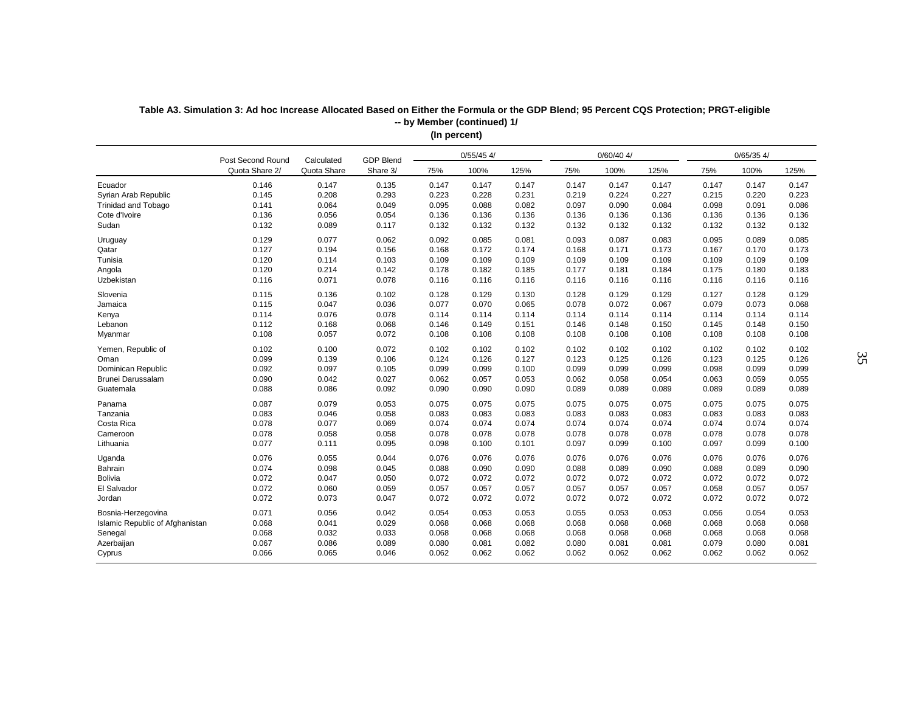|                                 | Post Second Round | Calculated  | <b>GDP Blend</b> |       | $0/55/45$ 4/ |       |       | $0/60/40$ 4/ |       |       | $0/65/35$ 4/ |       |
|---------------------------------|-------------------|-------------|------------------|-------|--------------|-------|-------|--------------|-------|-------|--------------|-------|
|                                 | Quota Share 2/    | Quota Share | Share 3/         | 75%   | 100%         | 125%  | 75%   | 100%         | 125%  | 75%   | 100%         | 125%  |
| Ecuador                         | 0.146             | 0.147       | 0.135            | 0.147 | 0.147        | 0.147 | 0.147 | 0.147        | 0.147 | 0.147 | 0.147        | 0.147 |
| Syrian Arab Republic            | 0.145             | 0.208       | 0.293            | 0.223 | 0.228        | 0.231 | 0.219 | 0.224        | 0.227 | 0.215 | 0.220        | 0.223 |
| <b>Trinidad and Tobago</b>      | 0.141             | 0.064       | 0.049            | 0.095 | 0.088        | 0.082 | 0.097 | 0.090        | 0.084 | 0.098 | 0.091        | 0.086 |
| Cote d'Ivoire                   | 0.136             | 0.056       | 0.054            | 0.136 | 0.136        | 0.136 | 0.136 | 0.136        | 0.136 | 0.136 | 0.136        | 0.136 |
| Sudan                           | 0.132             | 0.089       | 0.117            | 0.132 | 0.132        | 0.132 | 0.132 | 0.132        | 0.132 | 0.132 | 0.132        | 0.132 |
| Uruguay                         | 0.129             | 0.077       | 0.062            | 0.092 | 0.085        | 0.081 | 0.093 | 0.087        | 0.083 | 0.095 | 0.089        | 0.085 |
| Qatar                           | 0.127             | 0.194       | 0.156            | 0.168 | 0.172        | 0.174 | 0.168 | 0.171        | 0.173 | 0.167 | 0.170        | 0.173 |
| Tunisia                         | 0.120             | 0.114       | 0.103            | 0.109 | 0.109        | 0.109 | 0.109 | 0.109        | 0.109 | 0.109 | 0.109        | 0.109 |
| Angola                          | 0.120             | 0.214       | 0.142            | 0.178 | 0.182        | 0.185 | 0.177 | 0.181        | 0.184 | 0.175 | 0.180        | 0.183 |
| Uzbekistan                      | 0.116             | 0.071       | 0.078            | 0.116 | 0.116        | 0.116 | 0.116 | 0.116        | 0.116 | 0.116 | 0.116        | 0.116 |
| Slovenia                        | 0.115             | 0.136       | 0.102            | 0.128 | 0.129        | 0.130 | 0.128 | 0.129        | 0.129 | 0.127 | 0.128        | 0.129 |
| Jamaica                         | 0.115             | 0.047       | 0.036            | 0.077 | 0.070        | 0.065 | 0.078 | 0.072        | 0.067 | 0.079 | 0.073        | 0.068 |
| Kenya                           | 0.114             | 0.076       | 0.078            | 0.114 | 0.114        | 0.114 | 0.114 | 0.114        | 0.114 | 0.114 | 0.114        | 0.114 |
| Lebanon                         | 0.112             | 0.168       | 0.068            | 0.146 | 0.149        | 0.151 | 0.146 | 0.148        | 0.150 | 0.145 | 0.148        | 0.150 |
| Myanmar                         | 0.108             | 0.057       | 0.072            | 0.108 | 0.108        | 0.108 | 0.108 | 0.108        | 0.108 | 0.108 | 0.108        | 0.108 |
| Yemen, Republic of              | 0.102             | 0.100       | 0.072            | 0.102 | 0.102        | 0.102 | 0.102 | 0.102        | 0.102 | 0.102 | 0.102        | 0.102 |
| Oman                            | 0.099             | 0.139       | 0.106            | 0.124 | 0.126        | 0.127 | 0.123 | 0.125        | 0.126 | 0.123 | 0.125        | 0.126 |
| Dominican Republic              | 0.092             | 0.097       | 0.105            | 0.099 | 0.099        | 0.100 | 0.099 | 0.099        | 0.099 | 0.098 | 0.099        | 0.099 |
| Brunei Darussalam               | 0.090             | 0.042       | 0.027            | 0.062 | 0.057        | 0.053 | 0.062 | 0.058        | 0.054 | 0.063 | 0.059        | 0.055 |
| Guatemala                       | 0.088             | 0.086       | 0.092            | 0.090 | 0.090        | 0.090 | 0.089 | 0.089        | 0.089 | 0.089 | 0.089        | 0.089 |
| Panama                          | 0.087             | 0.079       | 0.053            | 0.075 | 0.075        | 0.075 | 0.075 | 0.075        | 0.075 | 0.075 | 0.075        | 0.075 |
| Tanzania                        | 0.083             | 0.046       | 0.058            | 0.083 | 0.083        | 0.083 | 0.083 | 0.083        | 0.083 | 0.083 | 0.083        | 0.083 |
| Costa Rica                      | 0.078             | 0.077       | 0.069            | 0.074 | 0.074        | 0.074 | 0.074 | 0.074        | 0.074 | 0.074 | 0.074        | 0.074 |
| Cameroon                        | 0.078             | 0.058       | 0.058            | 0.078 | 0.078        | 0.078 | 0.078 | 0.078        | 0.078 | 0.078 | 0.078        | 0.078 |
| Lithuania                       | 0.077             | 0.111       | 0.095            | 0.098 | 0.100        | 0.101 | 0.097 | 0.099        | 0.100 | 0.097 | 0.099        | 0.100 |
| Uganda                          | 0.076             | 0.055       | 0.044            | 0.076 | 0.076        | 0.076 | 0.076 | 0.076        | 0.076 | 0.076 | 0.076        | 0.076 |
| Bahrain                         | 0.074             | 0.098       | 0.045            | 0.088 | 0.090        | 0.090 | 0.088 | 0.089        | 0.090 | 0.088 | 0.089        | 0.090 |
| <b>Bolivia</b>                  | 0.072             | 0.047       | 0.050            | 0.072 | 0.072        | 0.072 | 0.072 | 0.072        | 0.072 | 0.072 | 0.072        | 0.072 |
| El Salvador                     | 0.072             | 0.060       | 0.059            | 0.057 | 0.057        | 0.057 | 0.057 | 0.057        | 0.057 | 0.058 | 0.057        | 0.057 |
| Jordan                          | 0.072             | 0.073       | 0.047            | 0.072 | 0.072        | 0.072 | 0.072 | 0.072        | 0.072 | 0.072 | 0.072        | 0.072 |
| Bosnia-Herzegovina              | 0.071             | 0.056       | 0.042            | 0.054 | 0.053        | 0.053 | 0.055 | 0.053        | 0.053 | 0.056 | 0.054        | 0.053 |
| Islamic Republic of Afghanistan | 0.068             | 0.041       | 0.029            | 0.068 | 0.068        | 0.068 | 0.068 | 0.068        | 0.068 | 0.068 | 0.068        | 0.068 |
| Senegal                         | 0.068             | 0.032       | 0.033            | 0.068 | 0.068        | 0.068 | 0.068 | 0.068        | 0.068 | 0.068 | 0.068        | 0.068 |
| Azerbaijan                      | 0.067             | 0.086       | 0.089            | 0.080 | 0.081        | 0.082 | 0.080 | 0.081        | 0.081 | 0.079 | 0.080        | 0.081 |
| Cyprus                          | 0.066             | 0.065       | 0.046            | 0.062 | 0.062        | 0.062 | 0.062 | 0.062        | 0.062 | 0.062 | 0.062        | 0.062 |

**Table A3. Simulation 3: Ad hoc Increase Allocated Based on Either the Formula or the GDP Blend; 95 Percent CQS Protection; PRGT-eligible (In percent) -- by Member (continued) 1/**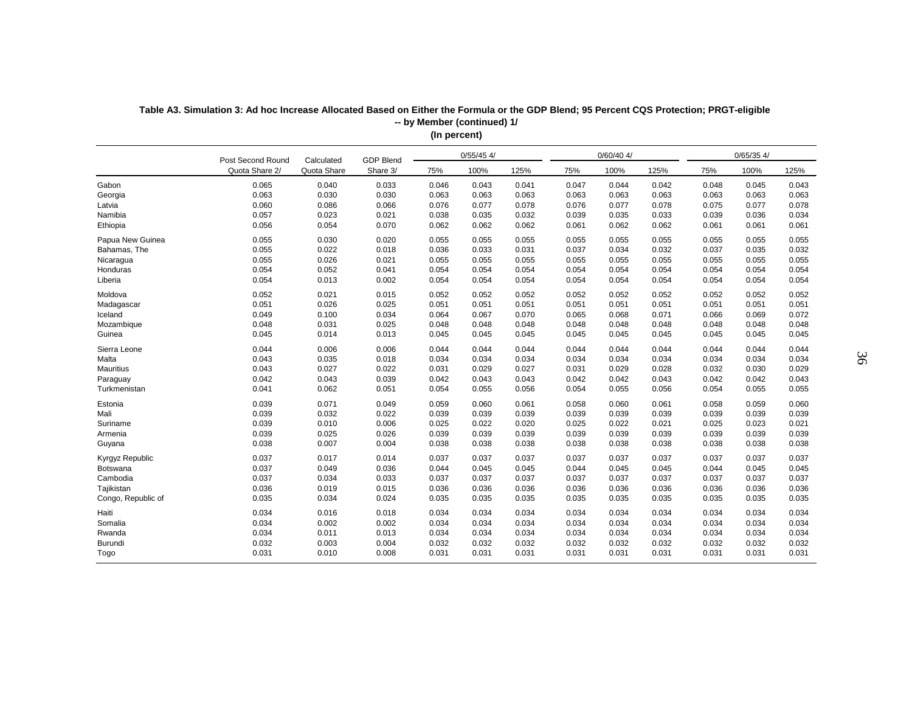|                    |                |                                                              |          | $($ po. oo, |       |       |       |              |       |       |              |       |
|--------------------|----------------|--------------------------------------------------------------|----------|-------------|-------|-------|-------|--------------|-------|-------|--------------|-------|
|                    |                | $0/55/45$ 4/<br>GDP Blend<br>Post Second Round<br>Calculated |          |             |       |       |       | $0/60/40$ 4/ |       |       | $0/65/35$ 4/ |       |
|                    | Quota Share 2/ | Quota Share                                                  | Share 3/ | 75%         | 100%  | 125%  | 75%   | 100%         | 125%  | 75%   | 100%         | 125%  |
| Gabon              | 0.065          | 0.040                                                        | 0.033    | 0.046       | 0.043 | 0.041 | 0.047 | 0.044        | 0.042 | 0.048 | 0.045        | 0.043 |
| Georgia            | 0.063          | 0.030                                                        | 0.030    | 0.063       | 0.063 | 0.063 | 0.063 | 0.063        | 0.063 | 0.063 | 0.063        | 0.063 |
| Latvia             | 0.060          | 0.086                                                        | 0.066    | 0.076       | 0.077 | 0.078 | 0.076 | 0.077        | 0.078 | 0.075 | 0.077        | 0.078 |
| Namibia            | 0.057          | 0.023                                                        | 0.021    | 0.038       | 0.035 | 0.032 | 0.039 | 0.035        | 0.033 | 0.039 | 0.036        | 0.034 |
| Ethiopia           | 0.056          | 0.054                                                        | 0.070    | 0.062       | 0.062 | 0.062 | 0.061 | 0.062        | 0.062 | 0.061 | 0.061        | 0.061 |
| Papua New Guinea   | 0.055          | 0.030                                                        | 0.020    | 0.055       | 0.055 | 0.055 | 0.055 | 0.055        | 0.055 | 0.055 | 0.055        | 0.055 |
| Bahamas, The       | 0.055          | 0.022                                                        | 0.018    | 0.036       | 0.033 | 0.031 | 0.037 | 0.034        | 0.032 | 0.037 | 0.035        | 0.032 |
| Nicaragua          | 0.055          | 0.026                                                        | 0.021    | 0.055       | 0.055 | 0.055 | 0.055 | 0.055        | 0.055 | 0.055 | 0.055        | 0.055 |
| Honduras           | 0.054          | 0.052                                                        | 0.041    | 0.054       | 0.054 | 0.054 | 0.054 | 0.054        | 0.054 | 0.054 | 0.054        | 0.054 |
| Liberia            | 0.054          | 0.013                                                        | 0.002    | 0.054       | 0.054 | 0.054 | 0.054 | 0.054        | 0.054 | 0.054 | 0.054        | 0.054 |
| Moldova            | 0.052          | 0.021                                                        | 0.015    | 0.052       | 0.052 | 0.052 | 0.052 | 0.052        | 0.052 | 0.052 | 0.052        | 0.052 |
| Madagascar         | 0.051          | 0.026                                                        | 0.025    | 0.051       | 0.051 | 0.051 | 0.051 | 0.051        | 0.051 | 0.051 | 0.051        | 0.051 |
| Iceland            | 0.049          | 0.100                                                        | 0.034    | 0.064       | 0.067 | 0.070 | 0.065 | 0.068        | 0.071 | 0.066 | 0.069        | 0.072 |
| Mozambique         | 0.048          | 0.031                                                        | 0.025    | 0.048       | 0.048 | 0.048 | 0.048 | 0.048        | 0.048 | 0.048 | 0.048        | 0.048 |
| Guinea             | 0.045          | 0.014                                                        | 0.013    | 0.045       | 0.045 | 0.045 | 0.045 | 0.045        | 0.045 | 0.045 | 0.045        | 0.045 |
| Sierra Leone       | 0.044          | 0.006                                                        | 0.006    | 0.044       | 0.044 | 0.044 | 0.044 | 0.044        | 0.044 | 0.044 | 0.044        | 0.044 |
| Malta              | 0.043          | 0.035                                                        | 0.018    | 0.034       | 0.034 | 0.034 | 0.034 | 0.034        | 0.034 | 0.034 | 0.034        | 0.034 |
| <b>Mauritius</b>   | 0.043          | 0.027                                                        | 0.022    | 0.031       | 0.029 | 0.027 | 0.031 | 0.029        | 0.028 | 0.032 | 0.030        | 0.029 |
| Paraguay           | 0.042          | 0.043                                                        | 0.039    | 0.042       | 0.043 | 0.043 | 0.042 | 0.042        | 0.043 | 0.042 | 0.042        | 0.043 |
| Turkmenistan       | 0.041          | 0.062                                                        | 0.051    | 0.054       | 0.055 | 0.056 | 0.054 | 0.055        | 0.056 | 0.054 | 0.055        | 0.055 |
| Estonia            | 0.039          | 0.071                                                        | 0.049    | 0.059       | 0.060 | 0.061 | 0.058 | 0.060        | 0.061 | 0.058 | 0.059        | 0.060 |
| Mali               | 0.039          | 0.032                                                        | 0.022    | 0.039       | 0.039 | 0.039 | 0.039 | 0.039        | 0.039 | 0.039 | 0.039        | 0.039 |
| Suriname           | 0.039          | 0.010                                                        | 0.006    | 0.025       | 0.022 | 0.020 | 0.025 | 0.022        | 0.021 | 0.025 | 0.023        | 0.021 |
| Armenia            | 0.039          | 0.025                                                        | 0.026    | 0.039       | 0.039 | 0.039 | 0.039 | 0.039        | 0.039 | 0.039 | 0.039        | 0.039 |
| Guyana             | 0.038          | 0.007                                                        | 0.004    | 0.038       | 0.038 | 0.038 | 0.038 | 0.038        | 0.038 | 0.038 | 0.038        | 0.038 |
| Kyrgyz Republic    | 0.037          | 0.017                                                        | 0.014    | 0.037       | 0.037 | 0.037 | 0.037 | 0.037        | 0.037 | 0.037 | 0.037        | 0.037 |
| Botswana           | 0.037          | 0.049                                                        | 0.036    | 0.044       | 0.045 | 0.045 | 0.044 | 0.045        | 0.045 | 0.044 | 0.045        | 0.045 |
| Cambodia           | 0.037          | 0.034                                                        | 0.033    | 0.037       | 0.037 | 0.037 | 0.037 | 0.037        | 0.037 | 0.037 | 0.037        | 0.037 |
| Tajikistan         | 0.036          | 0.019                                                        | 0.015    | 0.036       | 0.036 | 0.036 | 0.036 | 0.036        | 0.036 | 0.036 | 0.036        | 0.036 |
| Congo, Republic of | 0.035          | 0.034                                                        | 0.024    | 0.035       | 0.035 | 0.035 | 0.035 | 0.035        | 0.035 | 0.035 | 0.035        | 0.035 |
| Haiti              | 0.034          | 0.016                                                        | 0.018    | 0.034       | 0.034 | 0.034 | 0.034 | 0.034        | 0.034 | 0.034 | 0.034        | 0.034 |
| Somalia            | 0.034          | 0.002                                                        | 0.002    | 0.034       | 0.034 | 0.034 | 0.034 | 0.034        | 0.034 | 0.034 | 0.034        | 0.034 |
| Rwanda             | 0.034          | 0.011                                                        | 0.013    | 0.034       | 0.034 | 0.034 | 0.034 | 0.034        | 0.034 | 0.034 | 0.034        | 0.034 |
| Burundi            | 0.032          | 0.003                                                        | 0.004    | 0.032       | 0.032 | 0.032 | 0.032 | 0.032        | 0.032 | 0.032 | 0.032        | 0.032 |
| Togo               | 0.031          | 0.010                                                        | 0.008    | 0.031       | 0.031 | 0.031 | 0.031 | 0.031        | 0.031 | 0.031 | 0.031        | 0.031 |
|                    |                |                                                              |          |             |       |       |       |              |       |       |              |       |

**Table A3. Simulation 3: Ad hoc Increase Allocated Based on Either the Formula or the GDP Blend; 95 Percent CQS Protection; PRGT-eligible (In percent) -- by Member (continued) 1/**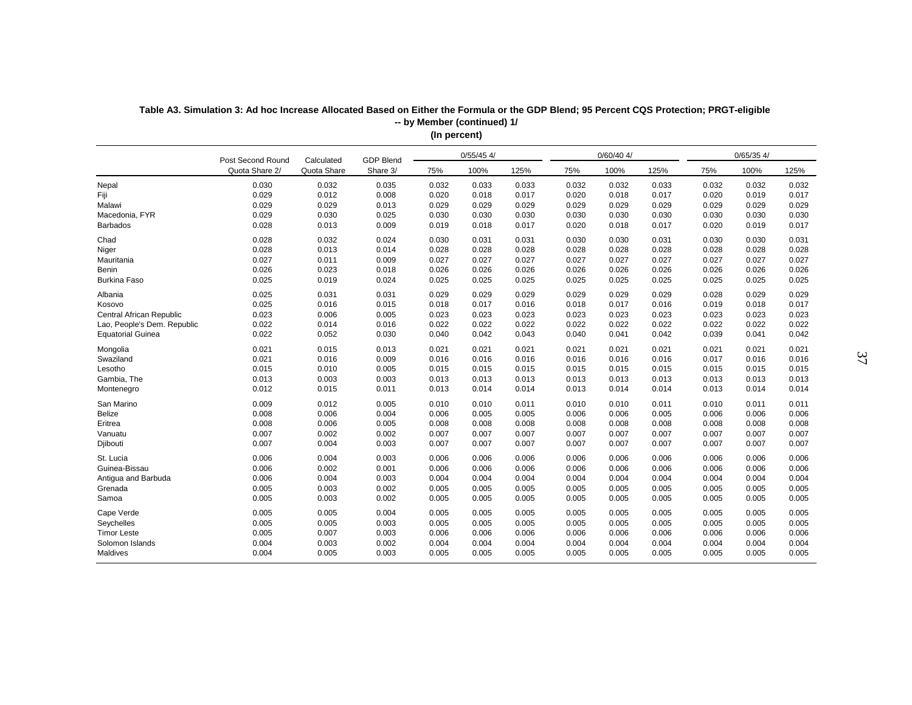|                             |                |                                                              |          | in hercent) |       |       |       |       |       |       |              |       |
|-----------------------------|----------------|--------------------------------------------------------------|----------|-------------|-------|-------|-------|-------|-------|-------|--------------|-------|
|                             |                | $0/55/45$ 4/<br>GDP Blend<br>Post Second Round<br>Calculated |          |             |       |       |       |       |       |       | $0/65/35$ 4/ |       |
|                             | Quota Share 2/ | Quota Share                                                  | Share 3/ | 75%         | 100%  | 125%  | 75%   | 100%  | 125%  | 75%   | 100%         | 125%  |
| Nepal                       | 0.030          | 0.032                                                        | 0.035    | 0.032       | 0.033 | 0.033 | 0.032 | 0.032 | 0.033 | 0.032 | 0.032        | 0.032 |
| Fiji                        | 0.029          | 0.012                                                        | 0.008    | 0.020       | 0.018 | 0.017 | 0.020 | 0.018 | 0.017 | 0.020 | 0.019        | 0.017 |
| Malawi                      | 0.029          | 0.029                                                        | 0.013    | 0.029       | 0.029 | 0.029 | 0.029 | 0.029 | 0.029 | 0.029 | 0.029        | 0.029 |
| Macedonia, FYR              | 0.029          | 0.030                                                        | 0.025    | 0.030       | 0.030 | 0.030 | 0.030 | 0.030 | 0.030 | 0.030 | 0.030        | 0.030 |
| <b>Barbados</b>             | 0.028          | 0.013                                                        | 0.009    | 0.019       | 0.018 | 0.017 | 0.020 | 0.018 | 0.017 | 0.020 | 0.019        | 0.017 |
| Chad                        | 0.028          | 0.032                                                        | 0.024    | 0.030       | 0.031 | 0.031 | 0.030 | 0.030 | 0.031 | 0.030 | 0.030        | 0.031 |
| Niger                       | 0.028          | 0.013                                                        | 0.014    | 0.028       | 0.028 | 0.028 | 0.028 | 0.028 | 0.028 | 0.028 | 0.028        | 0.028 |
| Mauritania                  | 0.027          | 0.011                                                        | 0.009    | 0.027       | 0.027 | 0.027 | 0.027 | 0.027 | 0.027 | 0.027 | 0.027        | 0.027 |
| Benin                       | 0.026          | 0.023                                                        | 0.018    | 0.026       | 0.026 | 0.026 | 0.026 | 0.026 | 0.026 | 0.026 | 0.026        | 0.026 |
| <b>Burkina Faso</b>         | 0.025          | 0.019                                                        | 0.024    | 0.025       | 0.025 | 0.025 | 0.025 | 0.025 | 0.025 | 0.025 | 0.025        | 0.025 |
| Albania                     | 0.025          | 0.031                                                        | 0.031    | 0.029       | 0.029 | 0.029 | 0.029 | 0.029 | 0.029 | 0.028 | 0.029        | 0.029 |
| Kosovo                      | 0.025          | 0.016                                                        | 0.015    | 0.018       | 0.017 | 0.016 | 0.018 | 0.017 | 0.016 | 0.019 | 0.018        | 0.017 |
| Central African Republic    | 0.023          | 0.006                                                        | 0.005    | 0.023       | 0.023 | 0.023 | 0.023 | 0.023 | 0.023 | 0.023 | 0.023        | 0.023 |
| Lao, People's Dem. Republic | 0.022          | 0.014                                                        | 0.016    | 0.022       | 0.022 | 0.022 | 0.022 | 0.022 | 0.022 | 0.022 | 0.022        | 0.022 |
| <b>Equatorial Guinea</b>    | 0.022          | 0.052                                                        | 0.030    | 0.040       | 0.042 | 0.043 | 0.040 | 0.041 | 0.042 | 0.039 | 0.041        | 0.042 |
| Mongolia                    | 0.021          | 0.015                                                        | 0.013    | 0.021       | 0.021 | 0.021 | 0.021 | 0.021 | 0.021 | 0.021 | 0.021        | 0.021 |
| Swaziland                   | 0.021          | 0.016                                                        | 0.009    | 0.016       | 0.016 | 0.016 | 0.016 | 0.016 | 0.016 | 0.017 | 0.016        | 0.016 |
| Lesotho                     | 0.015          | 0.010                                                        | 0.005    | 0.015       | 0.015 | 0.015 | 0.015 | 0.015 | 0.015 | 0.015 | 0.015        | 0.015 |
| Gambia, The                 | 0.013          | 0.003                                                        | 0.003    | 0.013       | 0.013 | 0.013 | 0.013 | 0.013 | 0.013 | 0.013 | 0.013        | 0.013 |
| Montenegro                  | 0.012          | 0.015                                                        | 0.011    | 0.013       | 0.014 | 0.014 | 0.013 | 0.014 | 0.014 | 0.013 | 0.014        | 0.014 |
| San Marino                  | 0.009          | 0.012                                                        | 0.005    | 0.010       | 0.010 | 0.011 | 0.010 | 0.010 | 0.011 | 0.010 | 0.011        | 0.011 |
| Belize                      | 0.008          | 0.006                                                        | 0.004    | 0.006       | 0.005 | 0.005 | 0.006 | 0.006 | 0.005 | 0.006 | 0.006        | 0.006 |
| Eritrea                     | 0.008          | 0.006                                                        | 0.005    | 0.008       | 0.008 | 0.008 | 0.008 | 0.008 | 0.008 | 0.008 | 0.008        | 0.008 |
| Vanuatu                     | 0.007          | 0.002                                                        | 0.002    | 0.007       | 0.007 | 0.007 | 0.007 | 0.007 | 0.007 | 0.007 | 0.007        | 0.007 |
| Djibouti                    | 0.007          | 0.004                                                        | 0.003    | 0.007       | 0.007 | 0.007 | 0.007 | 0.007 | 0.007 | 0.007 | 0.007        | 0.007 |
| St. Lucia                   | 0.006          | 0.004                                                        | 0.003    | 0.006       | 0.006 | 0.006 | 0.006 | 0.006 | 0.006 | 0.006 | 0.006        | 0.006 |
| Guinea-Bissau               | 0.006          | 0.002                                                        | 0.001    | 0.006       | 0.006 | 0.006 | 0.006 | 0.006 | 0.006 | 0.006 | 0.006        | 0.006 |
| Antigua and Barbuda         | 0.006          | 0.004                                                        | 0.003    | 0.004       | 0.004 | 0.004 | 0.004 | 0.004 | 0.004 | 0.004 | 0.004        | 0.004 |
| Grenada                     | 0.005          | 0.003                                                        | 0.002    | 0.005       | 0.005 | 0.005 | 0.005 | 0.005 | 0.005 | 0.005 | 0.005        | 0.005 |
| Samoa                       | 0.005          | 0.003                                                        | 0.002    | 0.005       | 0.005 | 0.005 | 0.005 | 0.005 | 0.005 | 0.005 | 0.005        | 0.005 |
| Cape Verde                  | 0.005          | 0.005                                                        | 0.004    | 0.005       | 0.005 | 0.005 | 0.005 | 0.005 | 0.005 | 0.005 | 0.005        | 0.005 |
| Seychelles                  | 0.005          | 0.005                                                        | 0.003    | 0.005       | 0.005 | 0.005 | 0.005 | 0.005 | 0.005 | 0.005 | 0.005        | 0.005 |
| <b>Timor Leste</b>          | 0.005          | 0.007                                                        | 0.003    | 0.006       | 0.006 | 0.006 | 0.006 | 0.006 | 0.006 | 0.006 | 0.006        | 0.006 |
| Solomon Islands             | 0.004          | 0.003                                                        | 0.002    | 0.004       | 0.004 | 0.004 | 0.004 | 0.004 | 0.004 | 0.004 | 0.004        | 0.004 |
| Maldives                    | 0.004          | 0.005                                                        | 0.003    | 0.005       | 0.005 | 0.005 | 0.005 | 0.005 | 0.005 | 0.005 | 0.005        | 0.005 |

**Table A3. Simulation 3: Ad hoc Increase Allocated Based on Either the Formula or the GDP Blend; 95 Percent CQS Protection; PRGT-eligible (In percent) -- by Member (continued) 1/**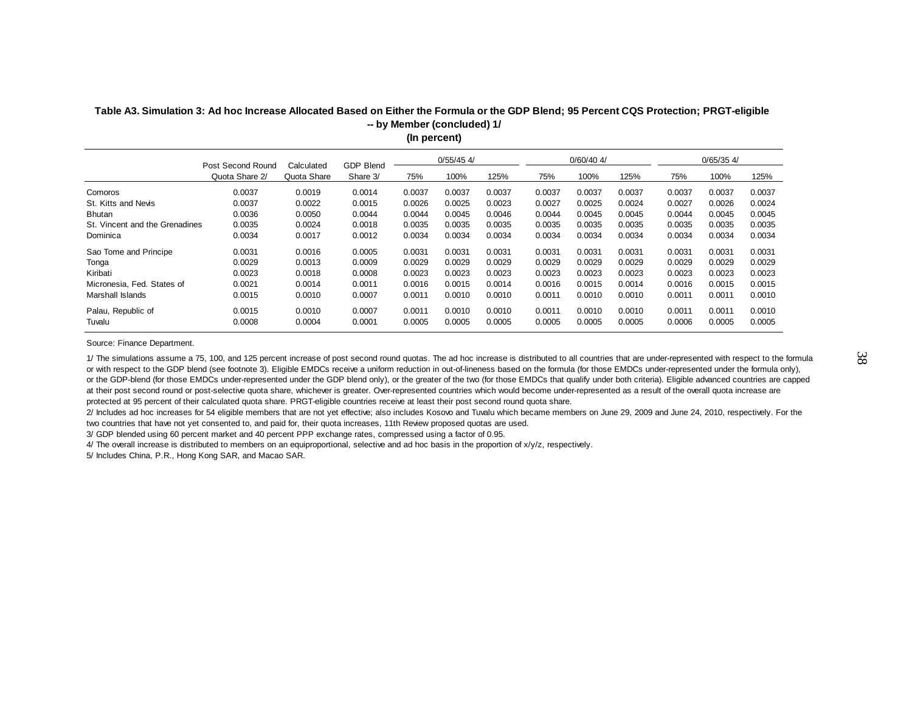|                | $0/55/45$ 4/<br>$0/60/40$ 4/<br>$0/65/35$ 4/        |            |                  |        |             |        |        |        |        |        |        |  |  |  |  |
|----------------|-----------------------------------------------------|------------|------------------|--------|-------------|--------|--------|--------|--------|--------|--------|--|--|--|--|
| Quota Share 2/ | Quota Share                                         | Share 3/   | 75%              | 100%   | 125%        | 75%    | 100%   | 125%   | 75%    | 100%   | 125%   |  |  |  |  |
| 0.0037         | 0.0019                                              | 0.0014     | 0.0037           | 0.0037 | 0.0037      | 0.0037 | 0.0037 | 0.0037 | 0.0037 | 0.0037 | 0.0037 |  |  |  |  |
| 0.0037         | 0.0022                                              | 0.0015     | 0.0026           | 0.0025 | 0.0023      | 0.0027 | 0.0025 | 0.0024 | 0.0027 | 0.0026 | 0.0024 |  |  |  |  |
| 0.0036         | 0.0050                                              | 0.0044     | 0.0044           | 0.0045 | 0.0046      | 0.0044 | 0.0045 | 0.0045 | 0.0044 | 0.0045 | 0.0045 |  |  |  |  |
| 0.0035         | 0.0024                                              | 0.0018     | 0.0035           | 0.0035 | 0.0035      | 0.0035 | 0.0035 | 0.0035 | 0.0035 | 0.0035 | 0.0035 |  |  |  |  |
| 0.0034         | 0.0017                                              | 0.0012     | 0.0034           | 0.0034 | 0.0034      | 0.0034 | 0.0034 | 0.0034 | 0.0034 | 0.0034 | 0.0034 |  |  |  |  |
| 0.0031         | 0.0016                                              | 0.0005     | 0.0031           | 0.0031 | 0.0031      | 0.0031 | 0.0031 | 0.0031 | 0.0031 | 0.0031 | 0.0031 |  |  |  |  |
| 0.0029         | 0.0013                                              | 0.0009     | 0.0029           | 0.0029 | 0.0029      | 0.0029 | 0.0029 | 0.0029 | 0.0029 | 0.0029 | 0.0029 |  |  |  |  |
| 0.0023         | 0.0018                                              | 0.0008     | 0.0023           | 0.0023 | 0.0023      | 0.0023 | 0.0023 | 0.0023 | 0.0023 | 0.0023 | 0.0023 |  |  |  |  |
| 0.0021         | 0.0014                                              | 0.0011     | 0.0016           | 0.0015 | 0.0014      | 0.0016 | 0.0015 | 0.0014 | 0.0016 | 0.0015 | 0.0015 |  |  |  |  |
| 0.0015         | 0.0010                                              | 0.0007     | 0.0011           | 0.0010 | 0.0010      | 0.0011 | 0.0010 | 0.0010 | 0.0011 | 0.0011 | 0.0010 |  |  |  |  |
| 0.0015         | 0.0010                                              | 0.0007     | 0.0011           | 0.0010 | 0.0010      | 0.0011 | 0.0010 | 0.0010 | 0.0011 | 0.0011 | 0.0010 |  |  |  |  |
| 0.0008         | 0.0004                                              | 0.0001     | 0.0005           | 0.0005 | 0.0005      | 0.0005 | 0.0005 | 0.0005 | 0.0006 | 0.0005 | 0.0005 |  |  |  |  |
|                | Post Second Round<br>St. Vincent and the Grenadines | Calculated | <b>GDP Blend</b> |        | in hercenn) |        |        |        |        |        |        |  |  |  |  |

#### **Table A3. Simulation 3: Ad hoc Increase Allocated Based on Either the Formula or the GDP Blend; 95 Percent CQS Protection; PRGT-eligible (In percent) -- by Member (concluded) 1/**

Source: Finance Department.

1/ The simulations assume a 75, 100, and 125 percent increase of post second round quotas. The ad hoc increase is distributed to all countries that are under-represented with respect to the formula or with respect to the GDP blend (see footnote 3). Eligible EMDCs receive a uniform reduction in out-of-lineness based on the formula (for those EMDCs under-represented under the formula only), or the GDP-blend (for those EMDCs under-represented under the GDP blend only), or the greater of the two (for those EMDCs that qualify under both criteria). Eligible advanced countries are capped at their post second round or post-selective quota share, whichever is greater. Over-represented countries which would become under-represented as a result of the overall quota increase are protected at 95 percent of their calculated quota share. PRGT-eligible countries receive at least their post second round quota share.

2/ Includes ad hoc increases for 54 eligible members that are not yet effective; also includes Kosovo and Tuvalu which became members on June 29, 2009 and June 24, 2010, respectively. For the two countries that have not yet consented to, and paid for, their quota increases, 11th Review proposed quotas are used.

3/ GDP blended using 60 percent market and 40 percent PPP exchange rates, compressed using a factor of 0.95.

4/ The overall increase is distributed to members on an equiproportional, selective and ad hoc basis in the proportion of x/y/z, respectively.

5/ Includes China, P.R., Hong Kong SAR, and Macao SAR.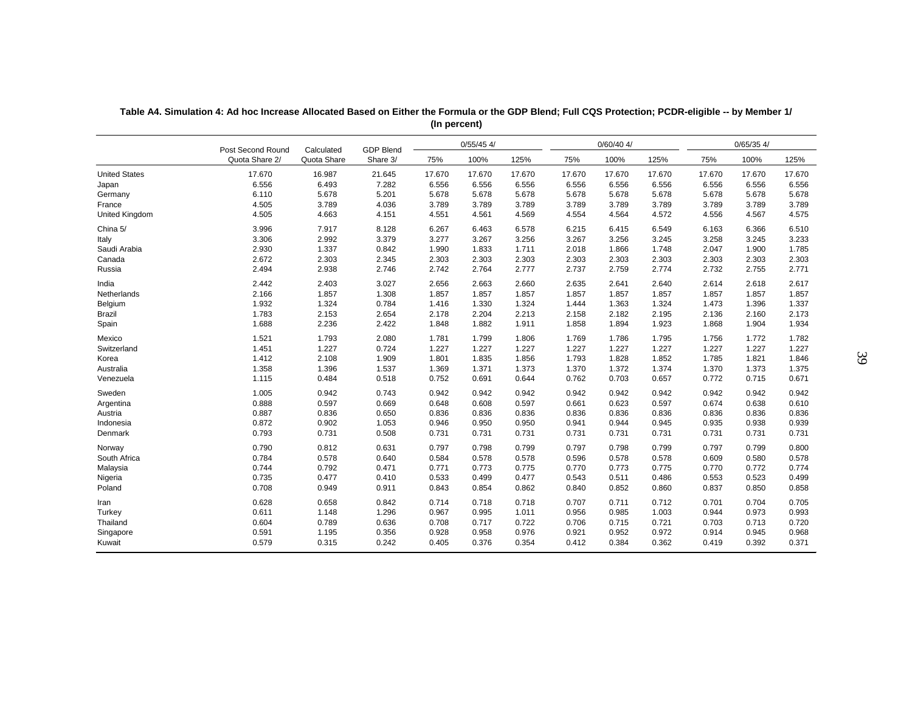|                       | Post Second Round | Calculated  | <b>GDP Blend</b> |        | $0/55/45$ 4/ |        |        | $0/60/40$ 4/ |        |        | $0/65/35$ 4/ |        |
|-----------------------|-------------------|-------------|------------------|--------|--------------|--------|--------|--------------|--------|--------|--------------|--------|
|                       | Quota Share 2/    | Quota Share | Share 3/         | 75%    | 100%         | 125%   | 75%    | 100%         | 125%   | 75%    | 100%         | 125%   |
| <b>United States</b>  | 17.670            | 16.987      | 21.645           | 17.670 | 17.670       | 17.670 | 17.670 | 17.670       | 17.670 | 17.670 | 17.670       | 17.670 |
| Japan                 | 6.556             | 6.493       | 7.282            | 6.556  | 6.556        | 6.556  | 6.556  | 6.556        | 6.556  | 6.556  | 6.556        | 6.556  |
| Germany               | 6.110             | 5.678       | 5.201            | 5.678  | 5.678        | 5.678  | 5.678  | 5.678        | 5.678  | 5.678  | 5.678        | 5.678  |
| France                | 4.505             | 3.789       | 4.036            | 3.789  | 3.789        | 3.789  | 3.789  | 3.789        | 3.789  | 3.789  | 3.789        | 3.789  |
| <b>United Kingdom</b> | 4.505             | 4.663       | 4.151            | 4.551  | 4.561        | 4.569  | 4.554  | 4.564        | 4.572  | 4.556  | 4.567        | 4.575  |
| China 5/              | 3.996             | 7.917       | 8.128            | 6.267  | 6.463        | 6.578  | 6.215  | 6.415        | 6.549  | 6.163  | 6.366        | 6.510  |
| Italy                 | 3.306             | 2.992       | 3.379            | 3.277  | 3.267        | 3.256  | 3.267  | 3.256        | 3.245  | 3.258  | 3.245        | 3.233  |
| Saudi Arabia          | 2.930             | 1.337       | 0.842            | 1.990  | 1.833        | 1.711  | 2.018  | 1.866        | 1.748  | 2.047  | 1.900        | 1.785  |
| Canada                | 2.672             | 2.303       | 2.345            | 2.303  | 2.303        | 2.303  | 2.303  | 2.303        | 2.303  | 2.303  | 2.303        | 2.303  |
| Russia                | 2.494             | 2.938       | 2.746            | 2.742  | 2.764        | 2.777  | 2.737  | 2.759        | 2.774  | 2.732  | 2.755        | 2.771  |
| India                 | 2.442             | 2.403       | 3.027            | 2.656  | 2.663        | 2.660  | 2.635  | 2.641        | 2.640  | 2.614  | 2.618        | 2.617  |
| Netherlands           | 2.166             | 1.857       | 1.308            | 1.857  | 1.857        | 1.857  | 1.857  | 1.857        | 1.857  | 1.857  | 1.857        | 1.857  |
| Belgium               | 1.932             | 1.324       | 0.784            | 1.416  | 1.330        | 1.324  | 1.444  | 1.363        | 1.324  | 1.473  | 1.396        | 1.337  |
| Brazil                | 1.783             | 2.153       | 2.654            | 2.178  | 2.204        | 2.213  | 2.158  | 2.182        | 2.195  | 2.136  | 2.160        | 2.173  |
| Spain                 | 1.688             | 2.236       | 2.422            | 1.848  | 1.882        | 1.911  | 1.858  | 1.894        | 1.923  | 1.868  | 1.904        | 1.934  |
| Mexico                | 1.521             | 1.793       | 2.080            | 1.781  | 1.799        | 1.806  | 1.769  | 1.786        | 1.795  | 1.756  | 1.772        | 1.782  |
| Switzerland           | 1.451             | 1.227       | 0.724            | 1.227  | 1.227        | 1.227  | 1.227  | 1.227        | 1.227  | 1.227  | 1.227        | 1.227  |
| Korea                 | 1.412             | 2.108       | 1.909            | 1.801  | 1.835        | 1.856  | 1.793  | 1.828        | 1.852  | 1.785  | 1.821        | 1.846  |
| Australia             | 1.358             | 1.396       | 1.537            | 1.369  | 1.371        | 1.373  | 1.370  | 1.372        | 1.374  | 1.370  | 1.373        | 1.375  |
| Venezuela             | 1.115             | 0.484       | 0.518            | 0.752  | 0.691        | 0.644  | 0.762  | 0.703        | 0.657  | 0.772  | 0.715        | 0.671  |
| Sweden                | 1.005             | 0.942       | 0.743            | 0.942  | 0.942        | 0.942  | 0.942  | 0.942        | 0.942  | 0.942  | 0.942        | 0.942  |
| Argentina             | 0.888             | 0.597       | 0.669            | 0.648  | 0.608        | 0.597  | 0.661  | 0.623        | 0.597  | 0.674  | 0.638        | 0.610  |
| Austria               | 0.887             | 0.836       | 0.650            | 0.836  | 0.836        | 0.836  | 0.836  | 0.836        | 0.836  | 0.836  | 0.836        | 0.836  |
| Indonesia             | 0.872             | 0.902       | 1.053            | 0.946  | 0.950        | 0.950  | 0.941  | 0.944        | 0.945  | 0.935  | 0.938        | 0.939  |
| Denmark               | 0.793             | 0.731       | 0.508            | 0.731  | 0.731        | 0.731  | 0.731  | 0.731        | 0.731  | 0.731  | 0.731        | 0.731  |
| Norway                | 0.790             | 0.812       | 0.631            | 0.797  | 0.798        | 0.799  | 0.797  | 0.798        | 0.799  | 0.797  | 0.799        | 0.800  |
| South Africa          | 0.784             | 0.578       | 0.640            | 0.584  | 0.578        | 0.578  | 0.596  | 0.578        | 0.578  | 0.609  | 0.580        | 0.578  |
| Malaysia              | 0.744             | 0.792       | 0.471            | 0.771  | 0.773        | 0.775  | 0.770  | 0.773        | 0.775  | 0.770  | 0.772        | 0.774  |
| Nigeria               | 0.735             | 0.477       | 0.410            | 0.533  | 0.499        | 0.477  | 0.543  | 0.511        | 0.486  | 0.553  | 0.523        | 0.499  |
| Poland                | 0.708             | 0.949       | 0.911            | 0.843  | 0.854        | 0.862  | 0.840  | 0.852        | 0.860  | 0.837  | 0.850        | 0.858  |
| Iran                  | 0.628             | 0.658       | 0.842            | 0.714  | 0.718        | 0.718  | 0.707  | 0.711        | 0.712  | 0.701  | 0.704        | 0.705  |
| Turkey                | 0.611             | 1.148       | 1.296            | 0.967  | 0.995        | 1.011  | 0.956  | 0.985        | 1.003  | 0.944  | 0.973        | 0.993  |
| Thailand              | 0.604             | 0.789       | 0.636            | 0.708  | 0.717        | 0.722  | 0.706  | 0.715        | 0.721  | 0.703  | 0.713        | 0.720  |
| Singapore             | 0.591             | 1.195       | 0.356            | 0.928  | 0.958        | 0.976  | 0.921  | 0.952        | 0.972  | 0.914  | 0.945        | 0.968  |
| Kuwait                | 0.579             | 0.315       | 0.242            | 0.405  | 0.376        | 0.354  | 0.412  | 0.384        | 0.362  | 0.419  | 0.392        | 0.371  |

**Table A4. Simulation 4: Ad hoc Increase Allocated Based on Either the Formula or the GDP Blend; Full CQS Protection; PCDR-eligible -- by Member 1/ (In percent)**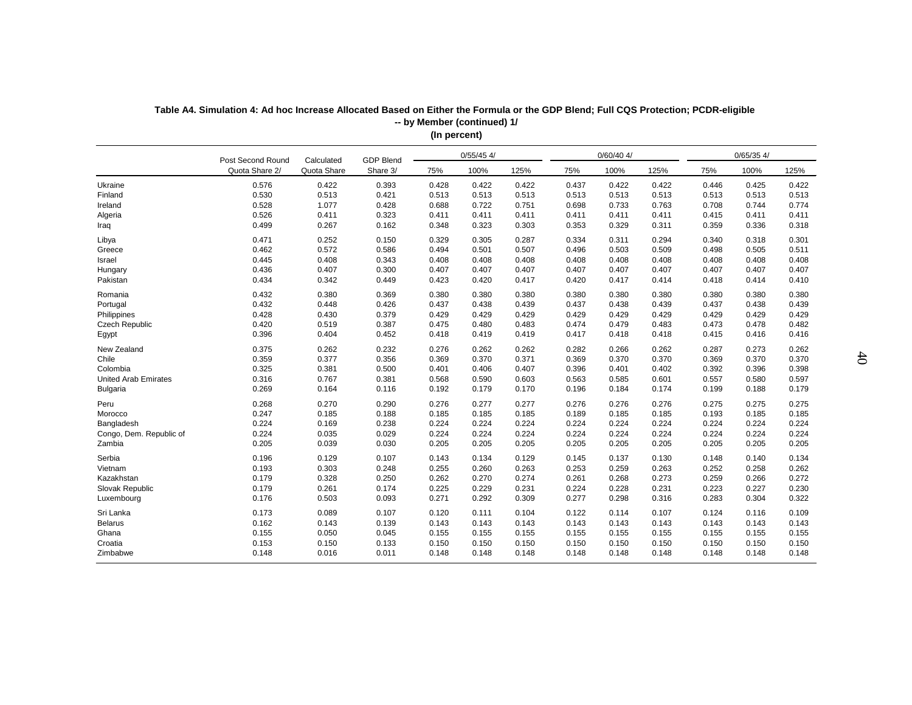|                             | Post Second Round | Calculated  | <b>GDP Blend</b> |       | $0/55/45$ 4/ |       |       | $0/60/40$ 4/ |       |       | $0/65/35$ 4/ |       |
|-----------------------------|-------------------|-------------|------------------|-------|--------------|-------|-------|--------------|-------|-------|--------------|-------|
|                             | Quota Share 2/    | Quota Share | Share 3/         | 75%   | 100%         | 125%  | 75%   | 100%         | 125%  | 75%   | 100%         | 125%  |
| Ukraine                     | 0.576             | 0.422       | 0.393            | 0.428 | 0.422        | 0.422 | 0.437 | 0.422        | 0.422 | 0.446 | 0.425        | 0.422 |
| Finland                     | 0.530             | 0.513       | 0.421            | 0.513 | 0.513        | 0.513 | 0.513 | 0.513        | 0.513 | 0.513 | 0.513        | 0.513 |
| Ireland                     | 0.528             | 1.077       | 0.428            | 0.688 | 0.722        | 0.751 | 0.698 | 0.733        | 0.763 | 0.708 | 0.744        | 0.774 |
| Algeria                     | 0.526             | 0.411       | 0.323            | 0.411 | 0.411        | 0.411 | 0.411 | 0.411        | 0.411 | 0.415 | 0.411        | 0.411 |
| Iraq                        | 0.499             | 0.267       | 0.162            | 0.348 | 0.323        | 0.303 | 0.353 | 0.329        | 0.311 | 0.359 | 0.336        | 0.318 |
| Libya                       | 0.471             | 0.252       | 0.150            | 0.329 | 0.305        | 0.287 | 0.334 | 0.311        | 0.294 | 0.340 | 0.318        | 0.301 |
| Greece                      | 0.462             | 0.572       | 0.586            | 0.494 | 0.501        | 0.507 | 0.496 | 0.503        | 0.509 | 0.498 | 0.505        | 0.511 |
| Israel                      | 0.445             | 0.408       | 0.343            | 0.408 | 0.408        | 0.408 | 0.408 | 0.408        | 0.408 | 0.408 | 0.408        | 0.408 |
| Hungary                     | 0.436             | 0.407       | 0.300            | 0.407 | 0.407        | 0.407 | 0.407 | 0.407        | 0.407 | 0.407 | 0.407        | 0.407 |
| Pakistan                    | 0.434             | 0.342       | 0.449            | 0.423 | 0.420        | 0.417 | 0.420 | 0.417        | 0.414 | 0.418 | 0.414        | 0.410 |
| Romania                     | 0.432             | 0.380       | 0.369            | 0.380 | 0.380        | 0.380 | 0.380 | 0.380        | 0.380 | 0.380 | 0.380        | 0.380 |
| Portugal                    | 0.432             | 0.448       | 0.426            | 0.437 | 0.438        | 0.439 | 0.437 | 0.438        | 0.439 | 0.437 | 0.438        | 0.439 |
| Philippines                 | 0.428             | 0.430       | 0.379            | 0.429 | 0.429        | 0.429 | 0.429 | 0.429        | 0.429 | 0.429 | 0.429        | 0.429 |
| Czech Republic              | 0.420             | 0.519       | 0.387            | 0.475 | 0.480        | 0.483 | 0.474 | 0.479        | 0.483 | 0.473 | 0.478        | 0.482 |
| Egypt                       | 0.396             | 0.404       | 0.452            | 0.418 | 0.419        | 0.419 | 0.417 | 0.418        | 0.418 | 0.415 | 0.416        | 0.416 |
| New Zealand                 | 0.375             | 0.262       | 0.232            | 0.276 | 0.262        | 0.262 | 0.282 | 0.266        | 0.262 | 0.287 | 0.273        | 0.262 |
| Chile                       | 0.359             | 0.377       | 0.356            | 0.369 | 0.370        | 0.371 | 0.369 | 0.370        | 0.370 | 0.369 | 0.370        | 0.370 |
| Colombia                    | 0.325             | 0.381       | 0.500            | 0.401 | 0.406        | 0.407 | 0.396 | 0.401        | 0.402 | 0.392 | 0.396        | 0.398 |
| <b>United Arab Emirates</b> | 0.316             | 0.767       | 0.381            | 0.568 | 0.590        | 0.603 | 0.563 | 0.585        | 0.601 | 0.557 | 0.580        | 0.597 |
| <b>Bulgaria</b>             | 0.269             | 0.164       | 0.116            | 0.192 | 0.179        | 0.170 | 0.196 | 0.184        | 0.174 | 0.199 | 0.188        | 0.179 |
| Peru                        | 0.268             | 0.270       | 0.290            | 0.276 | 0.277        | 0.277 | 0.276 | 0.276        | 0.276 | 0.275 | 0.275        | 0.275 |
| Morocco                     | 0.247             | 0.185       | 0.188            | 0.185 | 0.185        | 0.185 | 0.189 | 0.185        | 0.185 | 0.193 | 0.185        | 0.185 |
| Bangladesh                  | 0.224             | 0.169       | 0.238            | 0.224 | 0.224        | 0.224 | 0.224 | 0.224        | 0.224 | 0.224 | 0.224        | 0.224 |
| Congo, Dem. Republic of     | 0.224             | 0.035       | 0.029            | 0.224 | 0.224        | 0.224 | 0.224 | 0.224        | 0.224 | 0.224 | 0.224        | 0.224 |
| Zambia                      | 0.205             | 0.039       | 0.030            | 0.205 | 0.205        | 0.205 | 0.205 | 0.205        | 0.205 | 0.205 | 0.205        | 0.205 |
| Serbia                      | 0.196             | 0.129       | 0.107            | 0.143 | 0.134        | 0.129 | 0.145 | 0.137        | 0.130 | 0.148 | 0.140        | 0.134 |
| Vietnam                     | 0.193             | 0.303       | 0.248            | 0.255 | 0.260        | 0.263 | 0.253 | 0.259        | 0.263 | 0.252 | 0.258        | 0.262 |
| Kazakhstan                  | 0.179             | 0.328       | 0.250            | 0.262 | 0.270        | 0.274 | 0.261 | 0.268        | 0.273 | 0.259 | 0.266        | 0.272 |
| Slovak Republic             | 0.179             | 0.261       | 0.174            | 0.225 | 0.229        | 0.231 | 0.224 | 0.228        | 0.231 | 0.223 | 0.227        | 0.230 |
| Luxembourg                  | 0.176             | 0.503       | 0.093            | 0.271 | 0.292        | 0.309 | 0.277 | 0.298        | 0.316 | 0.283 | 0.304        | 0.322 |
| Sri Lanka                   | 0.173             | 0.089       | 0.107            | 0.120 | 0.111        | 0.104 | 0.122 | 0.114        | 0.107 | 0.124 | 0.116        | 0.109 |
| <b>Belarus</b>              | 0.162             | 0.143       | 0.139            | 0.143 | 0.143        | 0.143 | 0.143 | 0.143        | 0.143 | 0.143 | 0.143        | 0.143 |
| Ghana                       | 0.155             | 0.050       | 0.045            | 0.155 | 0.155        | 0.155 | 0.155 | 0.155        | 0.155 | 0.155 | 0.155        | 0.155 |
| Croatia                     | 0.153             | 0.150       | 0.133            | 0.150 | 0.150        | 0.150 | 0.150 | 0.150        | 0.150 | 0.150 | 0.150        | 0.150 |
| Zimbabwe                    | 0.148             | 0.016       | 0.011            | 0.148 | 0.148        | 0.148 | 0.148 | 0.148        | 0.148 | 0.148 | 0.148        | 0.148 |
|                             |                   |             |                  |       |              |       |       |              |       |       |              |       |

### **Table A4. Simulation 4: Ad hoc Increase Allocated Based on Either the Formula or the GDP Blend; Full CQS Protection; PCDR-eligible (In percent) -- by Member (continued) 1/**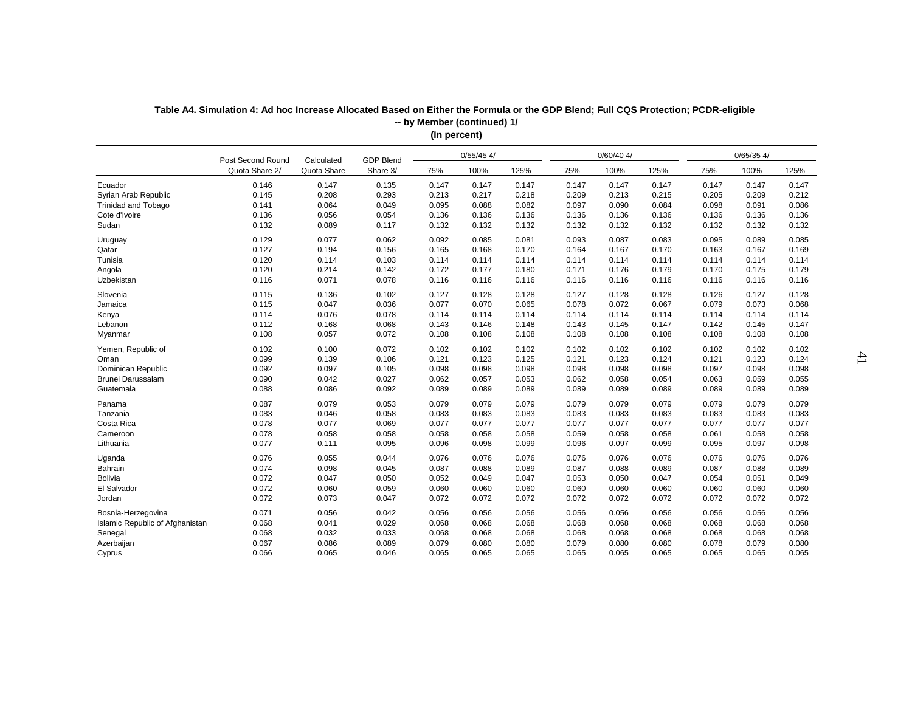| $0/60/40$ 4/<br>$0/65/35$ 4/<br>$0/55/45$ 4/<br><b>GDP Blend</b><br>Post Second Round<br>Calculated<br>Quota Share<br>100%<br>100%<br>Quota Share 2/<br>Share 3/<br>75%<br>125%<br>75%<br>125%<br>75%<br>100%<br>125%<br>0.146<br>0.147<br>0.135<br>0.147<br>0.147<br>0.147<br>0.147<br>Ecuador<br>0.147<br>0.147<br>0.147<br>0.147<br>0.147<br>0.145<br>0.208<br>0.293<br>0.217<br>0.218<br>0.213<br>0.215<br>0.205<br>0.209<br>0.212<br>Syrian Arab Republic<br>0.213<br>0.209<br>0.141<br>0.064<br>0.049<br>0.095<br>0.090<br><b>Trinidad and Tobago</b><br>0.088<br>0.082<br>0.097<br>0.084<br>0.098<br>0.091<br>0.086<br>0.136<br>0.056<br>0.054<br>0.136<br>0.136<br>Cote d'Ivoire<br>0.136<br>0.136<br>0.136<br>0.136<br>0.136<br>0.136<br>0.136<br>Sudan<br>0.132<br>0.089<br>0.117<br>0.132<br>0.132<br>0.132<br>0.132<br>0.132<br>0.132<br>0.132<br>0.132<br>0.132<br>0.129<br>0.077<br>0.062<br>0.092<br>0.085<br>0.081<br>0.093<br>0.087<br>0.083<br>0.095<br>0.089<br>0.085<br>Uruguay<br>0.127<br>0.194<br>0.156<br>0.165<br>0.168<br>0.170<br>0.164<br>0.167<br>0.170<br>0.163<br>0.167<br>0.169<br>Qatar<br>Tunisia<br>0.120<br>0.114<br>0.103<br>0.114<br>0.114<br>0.114<br>0.114<br>0.114<br>0.114<br>0.114<br>0.114<br>0.114<br>0.120<br>0.214<br>0.142<br>0.172<br>0.177<br>0.176<br>0.180<br>0.171<br>0.179<br>0.170<br>0.175<br>0.179<br>Angola<br>0.116<br>0.071<br>0.078<br>Uzbekistan<br>0.116<br>0.116<br>0.116<br>0.116<br>0.116<br>0.116<br>0.116<br>0.116<br>0.116<br>0.115<br>0.136<br>0.102<br>0.128<br>0.128<br>0.128<br>0.128<br>0.127<br>0.128<br>Slovenia<br>0.127<br>0.127<br>0.126<br>0.115<br>0.047<br>0.036<br>0.077<br>0.070<br>0.065<br>0.078<br>0.072<br>0.067<br>0.079<br>0.073<br>0.068<br>Jamaica<br>0.076<br>0.114<br>0.078<br>0.114<br>0.114<br>0.114<br>0.114<br>0.114<br>0.114<br>0.114<br>0.114<br>0.114<br>Kenya<br>0.112<br>0.168<br>0.068<br>0.146<br>0.148<br>0.145<br>0.142<br>0.145<br>Lebanon<br>0.143<br>0.143<br>0.147<br>0.147<br>0.108<br>0.057<br>0.072<br>0.108<br>0.108<br>0.108<br>0.108<br>0.108<br>0.108<br>0.108<br>0.108<br>0.108<br>Myanmar<br>0.100<br>0.102<br>0.102<br>0.072<br>0.102<br>0.102<br>0.102<br>0.102<br>0.102<br>0.102<br>0.102<br>0.102<br>Yemen, Republic of<br>0.139<br>0.099<br>0.106<br>0.121<br>0.123<br>0.125<br>0.121<br>0.123<br>0.124<br>0.121<br>0.123<br>0.124<br>Oman<br>Dominican Republic<br>0.092<br>0.097<br>0.105<br>0.098<br>0.098<br>0.097<br>0.098<br>0.098<br>0.098<br>0.098<br>0.098<br>0.098<br>0.090<br>Brunei Darussalam<br>0.042<br>0.027<br>0.062<br>0.057<br>0.053<br>0.062<br>0.058<br>0.054<br>0.063<br>0.059<br>0.055<br>Guatemala<br>0.088<br>0.086<br>0.092<br>0.089<br>0.089<br>0.089<br>0.089<br>0.089<br>0.089<br>0.089<br>0.089<br>0.089<br>0.087<br>0.079<br>0.053<br>0.079<br>0.079<br>0.079<br>0.079<br>0.079<br>0.079<br>0.079<br>0.079<br>0.079<br>Panama<br>0.083<br>0.046<br>0.058<br>Tanzania<br>0.083<br>0.083<br>0.083<br>0.083<br>0.083<br>0.083<br>0.083<br>0.083<br>0.083<br>Costa Rica<br>0.078<br>0.077<br>0.069<br>0.077<br>0.077<br>0.077<br>0.077<br>0.077<br>0.077<br>0.077<br>0.077<br>0.077<br>0.078<br>0.058<br>0.058<br>0.058<br>0.058<br>0.058<br>0.058<br>0.061<br>0.058<br>Cameroon<br>0.059<br>0.058<br>0.058<br>0.077<br>0.111<br>0.095<br>0.098<br>0.099<br>0.096<br>0.097<br>0.095<br>0.097<br>Lithuania<br>0.096<br>0.099<br>0.098<br>0.076<br>0.076<br>0.055<br>0.044<br>0.076<br>0.076<br>0.076<br>0.076<br>0.076<br>0.076<br>0.076<br>0.076<br>Uganda<br>Bahrain<br>0.074<br>0.098<br>0.045<br>0.087<br>0.088<br>0.089<br>0.088<br>0.089<br>0.087<br>0.088<br>0.089<br>0.087<br><b>Bolivia</b><br>0.047<br>0.072<br>0.050<br>0.052<br>0.049<br>0.047<br>0.050<br>0.047<br>0.054<br>0.051<br>0.049<br>0.053<br>El Salvador<br>0.072<br>0.060<br>0.059<br>0.060<br>0.060<br>0.060<br>0.060<br>0.060<br>0.060<br>0.060<br>0.060<br>0.060<br>0.072<br>0.073<br>0.047<br>0.072<br>0.072<br>0.072<br>Jordan<br>0.072<br>0.072<br>0.072<br>0.072<br>0.072<br>0.072<br>Bosnia-Herzegovina<br>0.071<br>0.056<br>0.042<br>0.056<br>0.056<br>0.056<br>0.056<br>0.056<br>0.056<br>0.056<br>0.056<br>0.056<br>0.068<br>0.041<br>0.029<br>0.068<br>0.068<br>0.068<br>0.068<br>0.068<br>0.068<br>0.068<br>0.068<br>0.068<br>Islamic Republic of Afghanistan<br>0.068<br>0.032<br>0.033<br>0.068<br>0.068<br>Senegal<br>0.068<br>0.068<br>0.068<br>0.068<br>0.068<br>0.068<br>0.068<br>0.067<br>0.086<br>0.089<br>0.079<br>0.078<br>0.079<br>0.080<br>Azerbaijan<br>0.080<br>0.080<br>0.079<br>0.080<br>0.080<br>0.065<br>0.066<br>0.065<br>0.046<br>0.065<br>0.065<br>0.065<br>0.065<br>0.065<br>0.065<br>0.065<br>0.065<br>Cyprus |  |  |  |  |  |  |  |
|----------------------------------------------------------------------------------------------------------------------------------------------------------------------------------------------------------------------------------------------------------------------------------------------------------------------------------------------------------------------------------------------------------------------------------------------------------------------------------------------------------------------------------------------------------------------------------------------------------------------------------------------------------------------------------------------------------------------------------------------------------------------------------------------------------------------------------------------------------------------------------------------------------------------------------------------------------------------------------------------------------------------------------------------------------------------------------------------------------------------------------------------------------------------------------------------------------------------------------------------------------------------------------------------------------------------------------------------------------------------------------------------------------------------------------------------------------------------------------------------------------------------------------------------------------------------------------------------------------------------------------------------------------------------------------------------------------------------------------------------------------------------------------------------------------------------------------------------------------------------------------------------------------------------------------------------------------------------------------------------------------------------------------------------------------------------------------------------------------------------------------------------------------------------------------------------------------------------------------------------------------------------------------------------------------------------------------------------------------------------------------------------------------------------------------------------------------------------------------------------------------------------------------------------------------------------------------------------------------------------------------------------------------------------------------------------------------------------------------------------------------------------------------------------------------------------------------------------------------------------------------------------------------------------------------------------------------------------------------------------------------------------------------------------------------------------------------------------------------------------------------------------------------------------------------------------------------------------------------------------------------------------------------------------------------------------------------------------------------------------------------------------------------------------------------------------------------------------------------------------------------------------------------------------------------------------------------------------------------------------------------------------------------------------------------------------------------------------------------------------------------------------------------------------------------------------------------------------------------------------------------------------------------------------------------------------------------------------------------------------------------------------------------------------------------------------------------------------------------------------------------------------------------------------------------------------------------------------------------------------------------------------------------------------------------------------------------------------------------------------------------------------------------------------------------------------------------------------------------------------------------------------------------------------------------------------------------------------------------------------------------------------------------------------------------|--|--|--|--|--|--|--|
|                                                                                                                                                                                                                                                                                                                                                                                                                                                                                                                                                                                                                                                                                                                                                                                                                                                                                                                                                                                                                                                                                                                                                                                                                                                                                                                                                                                                                                                                                                                                                                                                                                                                                                                                                                                                                                                                                                                                                                                                                                                                                                                                                                                                                                                                                                                                                                                                                                                                                                                                                                                                                                                                                                                                                                                                                                                                                                                                                                                                                                                                                                                                                                                                                                                                                                                                                                                                                                                                                                                                                                                                                                                                                                                                                                                                                                                                                                                                                                                                                                                                                                                                                                                                                                                                                                                                                                                                                                                                                                                                                                                                                                                                                  |  |  |  |  |  |  |  |
|                                                                                                                                                                                                                                                                                                                                                                                                                                                                                                                                                                                                                                                                                                                                                                                                                                                                                                                                                                                                                                                                                                                                                                                                                                                                                                                                                                                                                                                                                                                                                                                                                                                                                                                                                                                                                                                                                                                                                                                                                                                                                                                                                                                                                                                                                                                                                                                                                                                                                                                                                                                                                                                                                                                                                                                                                                                                                                                                                                                                                                                                                                                                                                                                                                                                                                                                                                                                                                                                                                                                                                                                                                                                                                                                                                                                                                                                                                                                                                                                                                                                                                                                                                                                                                                                                                                                                                                                                                                                                                                                                                                                                                                                                  |  |  |  |  |  |  |  |
|                                                                                                                                                                                                                                                                                                                                                                                                                                                                                                                                                                                                                                                                                                                                                                                                                                                                                                                                                                                                                                                                                                                                                                                                                                                                                                                                                                                                                                                                                                                                                                                                                                                                                                                                                                                                                                                                                                                                                                                                                                                                                                                                                                                                                                                                                                                                                                                                                                                                                                                                                                                                                                                                                                                                                                                                                                                                                                                                                                                                                                                                                                                                                                                                                                                                                                                                                                                                                                                                                                                                                                                                                                                                                                                                                                                                                                                                                                                                                                                                                                                                                                                                                                                                                                                                                                                                                                                                                                                                                                                                                                                                                                                                                  |  |  |  |  |  |  |  |
|                                                                                                                                                                                                                                                                                                                                                                                                                                                                                                                                                                                                                                                                                                                                                                                                                                                                                                                                                                                                                                                                                                                                                                                                                                                                                                                                                                                                                                                                                                                                                                                                                                                                                                                                                                                                                                                                                                                                                                                                                                                                                                                                                                                                                                                                                                                                                                                                                                                                                                                                                                                                                                                                                                                                                                                                                                                                                                                                                                                                                                                                                                                                                                                                                                                                                                                                                                                                                                                                                                                                                                                                                                                                                                                                                                                                                                                                                                                                                                                                                                                                                                                                                                                                                                                                                                                                                                                                                                                                                                                                                                                                                                                                                  |  |  |  |  |  |  |  |
|                                                                                                                                                                                                                                                                                                                                                                                                                                                                                                                                                                                                                                                                                                                                                                                                                                                                                                                                                                                                                                                                                                                                                                                                                                                                                                                                                                                                                                                                                                                                                                                                                                                                                                                                                                                                                                                                                                                                                                                                                                                                                                                                                                                                                                                                                                                                                                                                                                                                                                                                                                                                                                                                                                                                                                                                                                                                                                                                                                                                                                                                                                                                                                                                                                                                                                                                                                                                                                                                                                                                                                                                                                                                                                                                                                                                                                                                                                                                                                                                                                                                                                                                                                                                                                                                                                                                                                                                                                                                                                                                                                                                                                                                                  |  |  |  |  |  |  |  |
|                                                                                                                                                                                                                                                                                                                                                                                                                                                                                                                                                                                                                                                                                                                                                                                                                                                                                                                                                                                                                                                                                                                                                                                                                                                                                                                                                                                                                                                                                                                                                                                                                                                                                                                                                                                                                                                                                                                                                                                                                                                                                                                                                                                                                                                                                                                                                                                                                                                                                                                                                                                                                                                                                                                                                                                                                                                                                                                                                                                                                                                                                                                                                                                                                                                                                                                                                                                                                                                                                                                                                                                                                                                                                                                                                                                                                                                                                                                                                                                                                                                                                                                                                                                                                                                                                                                                                                                                                                                                                                                                                                                                                                                                                  |  |  |  |  |  |  |  |
|                                                                                                                                                                                                                                                                                                                                                                                                                                                                                                                                                                                                                                                                                                                                                                                                                                                                                                                                                                                                                                                                                                                                                                                                                                                                                                                                                                                                                                                                                                                                                                                                                                                                                                                                                                                                                                                                                                                                                                                                                                                                                                                                                                                                                                                                                                                                                                                                                                                                                                                                                                                                                                                                                                                                                                                                                                                                                                                                                                                                                                                                                                                                                                                                                                                                                                                                                                                                                                                                                                                                                                                                                                                                                                                                                                                                                                                                                                                                                                                                                                                                                                                                                                                                                                                                                                                                                                                                                                                                                                                                                                                                                                                                                  |  |  |  |  |  |  |  |
|                                                                                                                                                                                                                                                                                                                                                                                                                                                                                                                                                                                                                                                                                                                                                                                                                                                                                                                                                                                                                                                                                                                                                                                                                                                                                                                                                                                                                                                                                                                                                                                                                                                                                                                                                                                                                                                                                                                                                                                                                                                                                                                                                                                                                                                                                                                                                                                                                                                                                                                                                                                                                                                                                                                                                                                                                                                                                                                                                                                                                                                                                                                                                                                                                                                                                                                                                                                                                                                                                                                                                                                                                                                                                                                                                                                                                                                                                                                                                                                                                                                                                                                                                                                                                                                                                                                                                                                                                                                                                                                                                                                                                                                                                  |  |  |  |  |  |  |  |
|                                                                                                                                                                                                                                                                                                                                                                                                                                                                                                                                                                                                                                                                                                                                                                                                                                                                                                                                                                                                                                                                                                                                                                                                                                                                                                                                                                                                                                                                                                                                                                                                                                                                                                                                                                                                                                                                                                                                                                                                                                                                                                                                                                                                                                                                                                                                                                                                                                                                                                                                                                                                                                                                                                                                                                                                                                                                                                                                                                                                                                                                                                                                                                                                                                                                                                                                                                                                                                                                                                                                                                                                                                                                                                                                                                                                                                                                                                                                                                                                                                                                                                                                                                                                                                                                                                                                                                                                                                                                                                                                                                                                                                                                                  |  |  |  |  |  |  |  |
|                                                                                                                                                                                                                                                                                                                                                                                                                                                                                                                                                                                                                                                                                                                                                                                                                                                                                                                                                                                                                                                                                                                                                                                                                                                                                                                                                                                                                                                                                                                                                                                                                                                                                                                                                                                                                                                                                                                                                                                                                                                                                                                                                                                                                                                                                                                                                                                                                                                                                                                                                                                                                                                                                                                                                                                                                                                                                                                                                                                                                                                                                                                                                                                                                                                                                                                                                                                                                                                                                                                                                                                                                                                                                                                                                                                                                                                                                                                                                                                                                                                                                                                                                                                                                                                                                                                                                                                                                                                                                                                                                                                                                                                                                  |  |  |  |  |  |  |  |
|                                                                                                                                                                                                                                                                                                                                                                                                                                                                                                                                                                                                                                                                                                                                                                                                                                                                                                                                                                                                                                                                                                                                                                                                                                                                                                                                                                                                                                                                                                                                                                                                                                                                                                                                                                                                                                                                                                                                                                                                                                                                                                                                                                                                                                                                                                                                                                                                                                                                                                                                                                                                                                                                                                                                                                                                                                                                                                                                                                                                                                                                                                                                                                                                                                                                                                                                                                                                                                                                                                                                                                                                                                                                                                                                                                                                                                                                                                                                                                                                                                                                                                                                                                                                                                                                                                                                                                                                                                                                                                                                                                                                                                                                                  |  |  |  |  |  |  |  |
|                                                                                                                                                                                                                                                                                                                                                                                                                                                                                                                                                                                                                                                                                                                                                                                                                                                                                                                                                                                                                                                                                                                                                                                                                                                                                                                                                                                                                                                                                                                                                                                                                                                                                                                                                                                                                                                                                                                                                                                                                                                                                                                                                                                                                                                                                                                                                                                                                                                                                                                                                                                                                                                                                                                                                                                                                                                                                                                                                                                                                                                                                                                                                                                                                                                                                                                                                                                                                                                                                                                                                                                                                                                                                                                                                                                                                                                                                                                                                                                                                                                                                                                                                                                                                                                                                                                                                                                                                                                                                                                                                                                                                                                                                  |  |  |  |  |  |  |  |
|                                                                                                                                                                                                                                                                                                                                                                                                                                                                                                                                                                                                                                                                                                                                                                                                                                                                                                                                                                                                                                                                                                                                                                                                                                                                                                                                                                                                                                                                                                                                                                                                                                                                                                                                                                                                                                                                                                                                                                                                                                                                                                                                                                                                                                                                                                                                                                                                                                                                                                                                                                                                                                                                                                                                                                                                                                                                                                                                                                                                                                                                                                                                                                                                                                                                                                                                                                                                                                                                                                                                                                                                                                                                                                                                                                                                                                                                                                                                                                                                                                                                                                                                                                                                                                                                                                                                                                                                                                                                                                                                                                                                                                                                                  |  |  |  |  |  |  |  |
|                                                                                                                                                                                                                                                                                                                                                                                                                                                                                                                                                                                                                                                                                                                                                                                                                                                                                                                                                                                                                                                                                                                                                                                                                                                                                                                                                                                                                                                                                                                                                                                                                                                                                                                                                                                                                                                                                                                                                                                                                                                                                                                                                                                                                                                                                                                                                                                                                                                                                                                                                                                                                                                                                                                                                                                                                                                                                                                                                                                                                                                                                                                                                                                                                                                                                                                                                                                                                                                                                                                                                                                                                                                                                                                                                                                                                                                                                                                                                                                                                                                                                                                                                                                                                                                                                                                                                                                                                                                                                                                                                                                                                                                                                  |  |  |  |  |  |  |  |
|                                                                                                                                                                                                                                                                                                                                                                                                                                                                                                                                                                                                                                                                                                                                                                                                                                                                                                                                                                                                                                                                                                                                                                                                                                                                                                                                                                                                                                                                                                                                                                                                                                                                                                                                                                                                                                                                                                                                                                                                                                                                                                                                                                                                                                                                                                                                                                                                                                                                                                                                                                                                                                                                                                                                                                                                                                                                                                                                                                                                                                                                                                                                                                                                                                                                                                                                                                                                                                                                                                                                                                                                                                                                                                                                                                                                                                                                                                                                                                                                                                                                                                                                                                                                                                                                                                                                                                                                                                                                                                                                                                                                                                                                                  |  |  |  |  |  |  |  |
|                                                                                                                                                                                                                                                                                                                                                                                                                                                                                                                                                                                                                                                                                                                                                                                                                                                                                                                                                                                                                                                                                                                                                                                                                                                                                                                                                                                                                                                                                                                                                                                                                                                                                                                                                                                                                                                                                                                                                                                                                                                                                                                                                                                                                                                                                                                                                                                                                                                                                                                                                                                                                                                                                                                                                                                                                                                                                                                                                                                                                                                                                                                                                                                                                                                                                                                                                                                                                                                                                                                                                                                                                                                                                                                                                                                                                                                                                                                                                                                                                                                                                                                                                                                                                                                                                                                                                                                                                                                                                                                                                                                                                                                                                  |  |  |  |  |  |  |  |
|                                                                                                                                                                                                                                                                                                                                                                                                                                                                                                                                                                                                                                                                                                                                                                                                                                                                                                                                                                                                                                                                                                                                                                                                                                                                                                                                                                                                                                                                                                                                                                                                                                                                                                                                                                                                                                                                                                                                                                                                                                                                                                                                                                                                                                                                                                                                                                                                                                                                                                                                                                                                                                                                                                                                                                                                                                                                                                                                                                                                                                                                                                                                                                                                                                                                                                                                                                                                                                                                                                                                                                                                                                                                                                                                                                                                                                                                                                                                                                                                                                                                                                                                                                                                                                                                                                                                                                                                                                                                                                                                                                                                                                                                                  |  |  |  |  |  |  |  |
|                                                                                                                                                                                                                                                                                                                                                                                                                                                                                                                                                                                                                                                                                                                                                                                                                                                                                                                                                                                                                                                                                                                                                                                                                                                                                                                                                                                                                                                                                                                                                                                                                                                                                                                                                                                                                                                                                                                                                                                                                                                                                                                                                                                                                                                                                                                                                                                                                                                                                                                                                                                                                                                                                                                                                                                                                                                                                                                                                                                                                                                                                                                                                                                                                                                                                                                                                                                                                                                                                                                                                                                                                                                                                                                                                                                                                                                                                                                                                                                                                                                                                                                                                                                                                                                                                                                                                                                                                                                                                                                                                                                                                                                                                  |  |  |  |  |  |  |  |
|                                                                                                                                                                                                                                                                                                                                                                                                                                                                                                                                                                                                                                                                                                                                                                                                                                                                                                                                                                                                                                                                                                                                                                                                                                                                                                                                                                                                                                                                                                                                                                                                                                                                                                                                                                                                                                                                                                                                                                                                                                                                                                                                                                                                                                                                                                                                                                                                                                                                                                                                                                                                                                                                                                                                                                                                                                                                                                                                                                                                                                                                                                                                                                                                                                                                                                                                                                                                                                                                                                                                                                                                                                                                                                                                                                                                                                                                                                                                                                                                                                                                                                                                                                                                                                                                                                                                                                                                                                                                                                                                                                                                                                                                                  |  |  |  |  |  |  |  |
|                                                                                                                                                                                                                                                                                                                                                                                                                                                                                                                                                                                                                                                                                                                                                                                                                                                                                                                                                                                                                                                                                                                                                                                                                                                                                                                                                                                                                                                                                                                                                                                                                                                                                                                                                                                                                                                                                                                                                                                                                                                                                                                                                                                                                                                                                                                                                                                                                                                                                                                                                                                                                                                                                                                                                                                                                                                                                                                                                                                                                                                                                                                                                                                                                                                                                                                                                                                                                                                                                                                                                                                                                                                                                                                                                                                                                                                                                                                                                                                                                                                                                                                                                                                                                                                                                                                                                                                                                                                                                                                                                                                                                                                                                  |  |  |  |  |  |  |  |
|                                                                                                                                                                                                                                                                                                                                                                                                                                                                                                                                                                                                                                                                                                                                                                                                                                                                                                                                                                                                                                                                                                                                                                                                                                                                                                                                                                                                                                                                                                                                                                                                                                                                                                                                                                                                                                                                                                                                                                                                                                                                                                                                                                                                                                                                                                                                                                                                                                                                                                                                                                                                                                                                                                                                                                                                                                                                                                                                                                                                                                                                                                                                                                                                                                                                                                                                                                                                                                                                                                                                                                                                                                                                                                                                                                                                                                                                                                                                                                                                                                                                                                                                                                                                                                                                                                                                                                                                                                                                                                                                                                                                                                                                                  |  |  |  |  |  |  |  |
|                                                                                                                                                                                                                                                                                                                                                                                                                                                                                                                                                                                                                                                                                                                                                                                                                                                                                                                                                                                                                                                                                                                                                                                                                                                                                                                                                                                                                                                                                                                                                                                                                                                                                                                                                                                                                                                                                                                                                                                                                                                                                                                                                                                                                                                                                                                                                                                                                                                                                                                                                                                                                                                                                                                                                                                                                                                                                                                                                                                                                                                                                                                                                                                                                                                                                                                                                                                                                                                                                                                                                                                                                                                                                                                                                                                                                                                                                                                                                                                                                                                                                                                                                                                                                                                                                                                                                                                                                                                                                                                                                                                                                                                                                  |  |  |  |  |  |  |  |
|                                                                                                                                                                                                                                                                                                                                                                                                                                                                                                                                                                                                                                                                                                                                                                                                                                                                                                                                                                                                                                                                                                                                                                                                                                                                                                                                                                                                                                                                                                                                                                                                                                                                                                                                                                                                                                                                                                                                                                                                                                                                                                                                                                                                                                                                                                                                                                                                                                                                                                                                                                                                                                                                                                                                                                                                                                                                                                                                                                                                                                                                                                                                                                                                                                                                                                                                                                                                                                                                                                                                                                                                                                                                                                                                                                                                                                                                                                                                                                                                                                                                                                                                                                                                                                                                                                                                                                                                                                                                                                                                                                                                                                                                                  |  |  |  |  |  |  |  |
|                                                                                                                                                                                                                                                                                                                                                                                                                                                                                                                                                                                                                                                                                                                                                                                                                                                                                                                                                                                                                                                                                                                                                                                                                                                                                                                                                                                                                                                                                                                                                                                                                                                                                                                                                                                                                                                                                                                                                                                                                                                                                                                                                                                                                                                                                                                                                                                                                                                                                                                                                                                                                                                                                                                                                                                                                                                                                                                                                                                                                                                                                                                                                                                                                                                                                                                                                                                                                                                                                                                                                                                                                                                                                                                                                                                                                                                                                                                                                                                                                                                                                                                                                                                                                                                                                                                                                                                                                                                                                                                                                                                                                                                                                  |  |  |  |  |  |  |  |
|                                                                                                                                                                                                                                                                                                                                                                                                                                                                                                                                                                                                                                                                                                                                                                                                                                                                                                                                                                                                                                                                                                                                                                                                                                                                                                                                                                                                                                                                                                                                                                                                                                                                                                                                                                                                                                                                                                                                                                                                                                                                                                                                                                                                                                                                                                                                                                                                                                                                                                                                                                                                                                                                                                                                                                                                                                                                                                                                                                                                                                                                                                                                                                                                                                                                                                                                                                                                                                                                                                                                                                                                                                                                                                                                                                                                                                                                                                                                                                                                                                                                                                                                                                                                                                                                                                                                                                                                                                                                                                                                                                                                                                                                                  |  |  |  |  |  |  |  |
|                                                                                                                                                                                                                                                                                                                                                                                                                                                                                                                                                                                                                                                                                                                                                                                                                                                                                                                                                                                                                                                                                                                                                                                                                                                                                                                                                                                                                                                                                                                                                                                                                                                                                                                                                                                                                                                                                                                                                                                                                                                                                                                                                                                                                                                                                                                                                                                                                                                                                                                                                                                                                                                                                                                                                                                                                                                                                                                                                                                                                                                                                                                                                                                                                                                                                                                                                                                                                                                                                                                                                                                                                                                                                                                                                                                                                                                                                                                                                                                                                                                                                                                                                                                                                                                                                                                                                                                                                                                                                                                                                                                                                                                                                  |  |  |  |  |  |  |  |
|                                                                                                                                                                                                                                                                                                                                                                                                                                                                                                                                                                                                                                                                                                                                                                                                                                                                                                                                                                                                                                                                                                                                                                                                                                                                                                                                                                                                                                                                                                                                                                                                                                                                                                                                                                                                                                                                                                                                                                                                                                                                                                                                                                                                                                                                                                                                                                                                                                                                                                                                                                                                                                                                                                                                                                                                                                                                                                                                                                                                                                                                                                                                                                                                                                                                                                                                                                                                                                                                                                                                                                                                                                                                                                                                                                                                                                                                                                                                                                                                                                                                                                                                                                                                                                                                                                                                                                                                                                                                                                                                                                                                                                                                                  |  |  |  |  |  |  |  |
|                                                                                                                                                                                                                                                                                                                                                                                                                                                                                                                                                                                                                                                                                                                                                                                                                                                                                                                                                                                                                                                                                                                                                                                                                                                                                                                                                                                                                                                                                                                                                                                                                                                                                                                                                                                                                                                                                                                                                                                                                                                                                                                                                                                                                                                                                                                                                                                                                                                                                                                                                                                                                                                                                                                                                                                                                                                                                                                                                                                                                                                                                                                                                                                                                                                                                                                                                                                                                                                                                                                                                                                                                                                                                                                                                                                                                                                                                                                                                                                                                                                                                                                                                                                                                                                                                                                                                                                                                                                                                                                                                                                                                                                                                  |  |  |  |  |  |  |  |
|                                                                                                                                                                                                                                                                                                                                                                                                                                                                                                                                                                                                                                                                                                                                                                                                                                                                                                                                                                                                                                                                                                                                                                                                                                                                                                                                                                                                                                                                                                                                                                                                                                                                                                                                                                                                                                                                                                                                                                                                                                                                                                                                                                                                                                                                                                                                                                                                                                                                                                                                                                                                                                                                                                                                                                                                                                                                                                                                                                                                                                                                                                                                                                                                                                                                                                                                                                                                                                                                                                                                                                                                                                                                                                                                                                                                                                                                                                                                                                                                                                                                                                                                                                                                                                                                                                                                                                                                                                                                                                                                                                                                                                                                                  |  |  |  |  |  |  |  |
|                                                                                                                                                                                                                                                                                                                                                                                                                                                                                                                                                                                                                                                                                                                                                                                                                                                                                                                                                                                                                                                                                                                                                                                                                                                                                                                                                                                                                                                                                                                                                                                                                                                                                                                                                                                                                                                                                                                                                                                                                                                                                                                                                                                                                                                                                                                                                                                                                                                                                                                                                                                                                                                                                                                                                                                                                                                                                                                                                                                                                                                                                                                                                                                                                                                                                                                                                                                                                                                                                                                                                                                                                                                                                                                                                                                                                                                                                                                                                                                                                                                                                                                                                                                                                                                                                                                                                                                                                                                                                                                                                                                                                                                                                  |  |  |  |  |  |  |  |
|                                                                                                                                                                                                                                                                                                                                                                                                                                                                                                                                                                                                                                                                                                                                                                                                                                                                                                                                                                                                                                                                                                                                                                                                                                                                                                                                                                                                                                                                                                                                                                                                                                                                                                                                                                                                                                                                                                                                                                                                                                                                                                                                                                                                                                                                                                                                                                                                                                                                                                                                                                                                                                                                                                                                                                                                                                                                                                                                                                                                                                                                                                                                                                                                                                                                                                                                                                                                                                                                                                                                                                                                                                                                                                                                                                                                                                                                                                                                                                                                                                                                                                                                                                                                                                                                                                                                                                                                                                                                                                                                                                                                                                                                                  |  |  |  |  |  |  |  |
|                                                                                                                                                                                                                                                                                                                                                                                                                                                                                                                                                                                                                                                                                                                                                                                                                                                                                                                                                                                                                                                                                                                                                                                                                                                                                                                                                                                                                                                                                                                                                                                                                                                                                                                                                                                                                                                                                                                                                                                                                                                                                                                                                                                                                                                                                                                                                                                                                                                                                                                                                                                                                                                                                                                                                                                                                                                                                                                                                                                                                                                                                                                                                                                                                                                                                                                                                                                                                                                                                                                                                                                                                                                                                                                                                                                                                                                                                                                                                                                                                                                                                                                                                                                                                                                                                                                                                                                                                                                                                                                                                                                                                                                                                  |  |  |  |  |  |  |  |
|                                                                                                                                                                                                                                                                                                                                                                                                                                                                                                                                                                                                                                                                                                                                                                                                                                                                                                                                                                                                                                                                                                                                                                                                                                                                                                                                                                                                                                                                                                                                                                                                                                                                                                                                                                                                                                                                                                                                                                                                                                                                                                                                                                                                                                                                                                                                                                                                                                                                                                                                                                                                                                                                                                                                                                                                                                                                                                                                                                                                                                                                                                                                                                                                                                                                                                                                                                                                                                                                                                                                                                                                                                                                                                                                                                                                                                                                                                                                                                                                                                                                                                                                                                                                                                                                                                                                                                                                                                                                                                                                                                                                                                                                                  |  |  |  |  |  |  |  |
|                                                                                                                                                                                                                                                                                                                                                                                                                                                                                                                                                                                                                                                                                                                                                                                                                                                                                                                                                                                                                                                                                                                                                                                                                                                                                                                                                                                                                                                                                                                                                                                                                                                                                                                                                                                                                                                                                                                                                                                                                                                                                                                                                                                                                                                                                                                                                                                                                                                                                                                                                                                                                                                                                                                                                                                                                                                                                                                                                                                                                                                                                                                                                                                                                                                                                                                                                                                                                                                                                                                                                                                                                                                                                                                                                                                                                                                                                                                                                                                                                                                                                                                                                                                                                                                                                                                                                                                                                                                                                                                                                                                                                                                                                  |  |  |  |  |  |  |  |
|                                                                                                                                                                                                                                                                                                                                                                                                                                                                                                                                                                                                                                                                                                                                                                                                                                                                                                                                                                                                                                                                                                                                                                                                                                                                                                                                                                                                                                                                                                                                                                                                                                                                                                                                                                                                                                                                                                                                                                                                                                                                                                                                                                                                                                                                                                                                                                                                                                                                                                                                                                                                                                                                                                                                                                                                                                                                                                                                                                                                                                                                                                                                                                                                                                                                                                                                                                                                                                                                                                                                                                                                                                                                                                                                                                                                                                                                                                                                                                                                                                                                                                                                                                                                                                                                                                                                                                                                                                                                                                                                                                                                                                                                                  |  |  |  |  |  |  |  |
|                                                                                                                                                                                                                                                                                                                                                                                                                                                                                                                                                                                                                                                                                                                                                                                                                                                                                                                                                                                                                                                                                                                                                                                                                                                                                                                                                                                                                                                                                                                                                                                                                                                                                                                                                                                                                                                                                                                                                                                                                                                                                                                                                                                                                                                                                                                                                                                                                                                                                                                                                                                                                                                                                                                                                                                                                                                                                                                                                                                                                                                                                                                                                                                                                                                                                                                                                                                                                                                                                                                                                                                                                                                                                                                                                                                                                                                                                                                                                                                                                                                                                                                                                                                                                                                                                                                                                                                                                                                                                                                                                                                                                                                                                  |  |  |  |  |  |  |  |
|                                                                                                                                                                                                                                                                                                                                                                                                                                                                                                                                                                                                                                                                                                                                                                                                                                                                                                                                                                                                                                                                                                                                                                                                                                                                                                                                                                                                                                                                                                                                                                                                                                                                                                                                                                                                                                                                                                                                                                                                                                                                                                                                                                                                                                                                                                                                                                                                                                                                                                                                                                                                                                                                                                                                                                                                                                                                                                                                                                                                                                                                                                                                                                                                                                                                                                                                                                                                                                                                                                                                                                                                                                                                                                                                                                                                                                                                                                                                                                                                                                                                                                                                                                                                                                                                                                                                                                                                                                                                                                                                                                                                                                                                                  |  |  |  |  |  |  |  |

**Table A4. Simulation 4: Ad hoc Increase Allocated Based on Either the Formula or the GDP Blend; Full CQS Protection; PCDR-eligible (In percent) -- by Member (continued) 1/**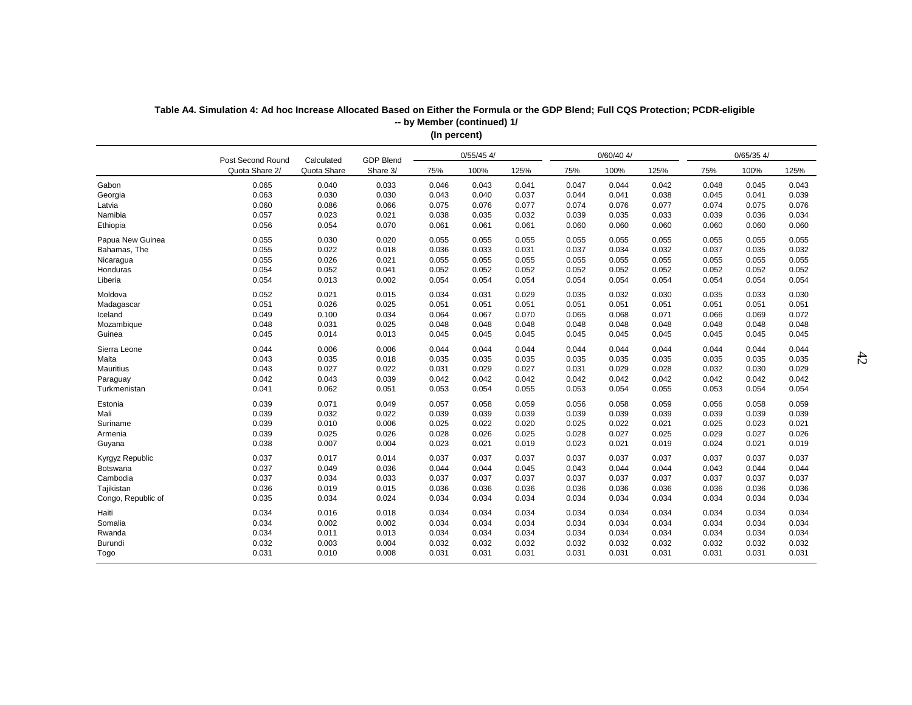| $0/60/40$ 4/<br>$0/65/35$ 4/<br>$0/55/45$ 4/<br>GDP Blend<br>Post Second Round<br>Calculated<br>Quota Share<br>100%<br>100%<br>100%<br>Quota Share 2/<br>Share 3/<br>75%<br>125%<br>75%<br>125%<br>75%<br>125%<br>Gabon<br>0.065<br>0.040<br>0.033<br>0.046<br>0.043<br>0.041<br>0.047<br>0.044<br>0.042<br>0.045<br>0.043<br>0.048<br>0.030<br>0.030<br>0.063<br>0.043<br>0.040<br>0.037<br>0.041<br>0.038<br>0.045<br>0.041<br>0.039<br>Georgia<br>0.044<br>0.060<br>0.086<br>0.066<br>0.075<br>0.076<br>0.077<br>0.074<br>0.076<br>0.077<br>0.074<br>0.075<br>0.076<br>Latvia<br>Namibia<br>0.057<br>0.023<br>0.021<br>0.032<br>0.035<br>0.033<br>0.034<br>0.038<br>0.035<br>0.039<br>0.039<br>0.036<br>0.056<br>0.054<br>0.070<br>0.060<br>Ethiopia<br>0.061<br>0.061<br>0.061<br>0.060<br>0.060<br>0.060<br>0.060<br>0.060<br>Papua New Guinea<br>0.055<br>0.030<br>0.020<br>0.055<br>0.055<br>0.055<br>0.055<br>0.055<br>0.055<br>0.055<br>0.055<br>0.055<br>0.055<br>Bahamas, The<br>0.022<br>0.018<br>0.036<br>0.033<br>0.031<br>0.037<br>0.034<br>0.032<br>0.037<br>0.035<br>0.032<br>0.055<br>0.026<br>0.021<br>0.055<br>0.055<br>0.055<br>0.055<br>0.055<br>0.055<br>0.055<br>0.055<br>0.055<br>Nicaragua<br>0.052<br>0.052<br>0.052<br>0.054<br>0.041<br>0.052<br>0.052<br>0.052<br>0.052<br>0.052<br>0.052<br>0.052<br>Honduras<br>0.054<br>0.013<br>0.002<br>0.054<br>0.054<br>0.054<br>Liberia<br>0.054<br>0.054<br>0.054<br>0.054<br>0.054<br>0.054<br>0.021<br>0.029<br>Moldova<br>0.052<br>0.015<br>0.034<br>0.031<br>0.035<br>0.032<br>0.030<br>0.035<br>0.033<br>0.030<br>0.051<br>0.026<br>0.025<br>0.051<br>0.051<br>0.051<br>0.051<br>0.051<br>0.051<br>0.051<br>0.051<br>0.051<br>Madagascar<br>0.100<br>0.034<br>Iceland<br>0.049<br>0.064<br>0.067<br>0.070<br>0.065<br>0.068<br>0.071<br>0.066<br>0.069<br>0.072<br>0.048<br>0.031<br>0.025<br>0.048<br>0.048<br>0.048<br>0.048<br>0.048<br>0.048<br>0.048<br>0.048<br>0.048<br>Mozambique<br>0.045<br>0.014<br>0.013<br>0.045<br>0.045<br>0.045<br>0.045<br>0.045<br>Guinea<br>0.045<br>0.045<br>0.045<br>0.045<br>0.044<br>0.006<br>0.006<br>0.044<br>0.044<br>0.044<br>0.044<br>0.044<br>0.044<br>0.044<br>0.044<br>Sierra Leone<br>0.044<br>0.043<br>0.035<br>0.018<br>0.035<br>0.035<br>Malta<br>0.035<br>0.035<br>0.035<br>0.035<br>0.035<br>0.035<br>0.035<br><b>Mauritius</b><br>0.043<br>0.027<br>0.022<br>0.027<br>0.029<br>0.032<br>0.029<br>0.031<br>0.029<br>0.031<br>0.028<br>0.030<br>0.042<br>0.043<br>0.039<br>0.042<br>0.042<br>0.042<br>0.042<br>0.042<br>0.042<br>0.042<br>0.042<br>0.042<br>Paraguay<br>0.062<br>0.051<br>Turkmenistan<br>0.041<br>0.053<br>0.054<br>0.055<br>0.053<br>0.054<br>0.055<br>0.053<br>0.054<br>0.054<br>0.071<br>0.039<br>0.049<br>0.057<br>0.058<br>0.059<br>0.056<br>0.058<br>0.059<br>0.056<br>0.058<br>0.059<br>Estonia<br>0.039<br>0.032<br>0.022<br>0.039<br>0.039<br>0.039<br>0.039<br>0.039<br>0.039<br>0.039<br>0.039<br>0.039<br>Mali<br>0.039<br>0.010<br>0.006<br>0.025<br>0.022<br>0.020<br>0.022<br>0.021<br>0.023<br>0.021<br>Suriname<br>0.025<br>0.025<br>0.039<br>0.025<br>0.026<br>0.026<br>0.025<br>0.027<br>Armenia<br>0.028<br>0.028<br>0.025<br>0.029<br>0.027<br>0.026<br>0.038<br>0.007<br>0.004<br>0.021<br>0.021<br>0.023<br>0.019<br>0.023<br>0.019<br>0.024<br>0.021<br>0.019<br>Guyana<br>0.037<br>0.017<br>0.014<br>0.037<br>0.037<br>0.037<br>0.037<br>0.037<br>0.037<br>0.037<br>0.037<br>0.037<br>Kyrgyz Republic<br>0.037<br>0.049<br>0.036<br>0.044<br>0.044<br>0.045<br>0.044<br>0.044<br>0.043<br>0.044<br>0.044<br>Botswana<br>0.043<br>0.037<br>0.034<br>0.033<br>0.037<br>0.037<br>0.037<br>0.037<br>0.037<br>Cambodia<br>0.037<br>0.037<br>0.037<br>0.037<br>0.036<br>0.019<br>0.015<br>0.036<br>Tajikistan<br>0.036<br>0.036<br>0.036<br>0.036<br>0.036<br>0.036<br>0.036<br>0.036<br>0.035<br>0.034<br>0.024<br>0.034<br>0.034<br>Congo, Republic of<br>0.034<br>0.034<br>0.034<br>0.034<br>0.034<br>0.034<br>0.034<br>0.034<br>0.016<br>0.018<br>0.034<br>0.034<br>0.034<br>0.034<br>0.034<br>0.034<br>0.034<br>0.034<br>0.034<br>Haiti<br>0.034<br>0.002<br>Somalia<br>0.002<br>0.034<br>0.034<br>0.034<br>0.034<br>0.034<br>0.034<br>0.034<br>0.034<br>0.034<br>0.034<br>0.011<br>0.013<br>0.034<br>0.034<br>0.034<br>0.034<br>0.034<br>0.034<br>0.034<br>0.034<br>0.034<br>Rwanda<br>0.032<br>0.003<br>0.004<br>0.032<br>0.032<br>0.032<br>0.032<br>0.032<br>0.032<br>0.032<br>0.032<br>0.032<br>Burundi<br>0.031<br>0.010<br>0.008<br>0.031<br>0.031<br>0.031<br>0.031<br>0.031<br>0.031<br>0.031<br>0.031<br>0.031<br>Togo |  |  |  |  |  |  |  |  |
|----------------------------------------------------------------------------------------------------------------------------------------------------------------------------------------------------------------------------------------------------------------------------------------------------------------------------------------------------------------------------------------------------------------------------------------------------------------------------------------------------------------------------------------------------------------------------------------------------------------------------------------------------------------------------------------------------------------------------------------------------------------------------------------------------------------------------------------------------------------------------------------------------------------------------------------------------------------------------------------------------------------------------------------------------------------------------------------------------------------------------------------------------------------------------------------------------------------------------------------------------------------------------------------------------------------------------------------------------------------------------------------------------------------------------------------------------------------------------------------------------------------------------------------------------------------------------------------------------------------------------------------------------------------------------------------------------------------------------------------------------------------------------------------------------------------------------------------------------------------------------------------------------------------------------------------------------------------------------------------------------------------------------------------------------------------------------------------------------------------------------------------------------------------------------------------------------------------------------------------------------------------------------------------------------------------------------------------------------------------------------------------------------------------------------------------------------------------------------------------------------------------------------------------------------------------------------------------------------------------------------------------------------------------------------------------------------------------------------------------------------------------------------------------------------------------------------------------------------------------------------------------------------------------------------------------------------------------------------------------------------------------------------------------------------------------------------------------------------------------------------------------------------------------------------------------------------------------------------------------------------------------------------------------------------------------------------------------------------------------------------------------------------------------------------------------------------------------------------------------------------------------------------------------------------------------------------------------------------------------------------------------------------------------------------------------------------------------------------------------------------------------------------------------------------------------------------------------------------------------------------------------------------------------------------------------------------------------------------------------------------------------------------------------------------------------------------------------------------------------------------------------------------------------------------------------------------------------------------------------------------------------------------------------------------------------------------------------------------------------------------------------------------------------------------------------------------------------------------------------------------------------------------------------------------------------------------------------------------------|--|--|--|--|--|--|--|--|
|                                                                                                                                                                                                                                                                                                                                                                                                                                                                                                                                                                                                                                                                                                                                                                                                                                                                                                                                                                                                                                                                                                                                                                                                                                                                                                                                                                                                                                                                                                                                                                                                                                                                                                                                                                                                                                                                                                                                                                                                                                                                                                                                                                                                                                                                                                                                                                                                                                                                                                                                                                                                                                                                                                                                                                                                                                                                                                                                                                                                                                                                                                                                                                                                                                                                                                                                                                                                                                                                                                                                                                                                                                                                                                                                                                                                                                                                                                                                                                                                                                                                                                                                                                                                                                                                                                                                                                                                                                                                                                                                                                                                          |  |  |  |  |  |  |  |  |
|                                                                                                                                                                                                                                                                                                                                                                                                                                                                                                                                                                                                                                                                                                                                                                                                                                                                                                                                                                                                                                                                                                                                                                                                                                                                                                                                                                                                                                                                                                                                                                                                                                                                                                                                                                                                                                                                                                                                                                                                                                                                                                                                                                                                                                                                                                                                                                                                                                                                                                                                                                                                                                                                                                                                                                                                                                                                                                                                                                                                                                                                                                                                                                                                                                                                                                                                                                                                                                                                                                                                                                                                                                                                                                                                                                                                                                                                                                                                                                                                                                                                                                                                                                                                                                                                                                                                                                                                                                                                                                                                                                                                          |  |  |  |  |  |  |  |  |
|                                                                                                                                                                                                                                                                                                                                                                                                                                                                                                                                                                                                                                                                                                                                                                                                                                                                                                                                                                                                                                                                                                                                                                                                                                                                                                                                                                                                                                                                                                                                                                                                                                                                                                                                                                                                                                                                                                                                                                                                                                                                                                                                                                                                                                                                                                                                                                                                                                                                                                                                                                                                                                                                                                                                                                                                                                                                                                                                                                                                                                                                                                                                                                                                                                                                                                                                                                                                                                                                                                                                                                                                                                                                                                                                                                                                                                                                                                                                                                                                                                                                                                                                                                                                                                                                                                                                                                                                                                                                                                                                                                                                          |  |  |  |  |  |  |  |  |
|                                                                                                                                                                                                                                                                                                                                                                                                                                                                                                                                                                                                                                                                                                                                                                                                                                                                                                                                                                                                                                                                                                                                                                                                                                                                                                                                                                                                                                                                                                                                                                                                                                                                                                                                                                                                                                                                                                                                                                                                                                                                                                                                                                                                                                                                                                                                                                                                                                                                                                                                                                                                                                                                                                                                                                                                                                                                                                                                                                                                                                                                                                                                                                                                                                                                                                                                                                                                                                                                                                                                                                                                                                                                                                                                                                                                                                                                                                                                                                                                                                                                                                                                                                                                                                                                                                                                                                                                                                                                                                                                                                                                          |  |  |  |  |  |  |  |  |
|                                                                                                                                                                                                                                                                                                                                                                                                                                                                                                                                                                                                                                                                                                                                                                                                                                                                                                                                                                                                                                                                                                                                                                                                                                                                                                                                                                                                                                                                                                                                                                                                                                                                                                                                                                                                                                                                                                                                                                                                                                                                                                                                                                                                                                                                                                                                                                                                                                                                                                                                                                                                                                                                                                                                                                                                                                                                                                                                                                                                                                                                                                                                                                                                                                                                                                                                                                                                                                                                                                                                                                                                                                                                                                                                                                                                                                                                                                                                                                                                                                                                                                                                                                                                                                                                                                                                                                                                                                                                                                                                                                                                          |  |  |  |  |  |  |  |  |
|                                                                                                                                                                                                                                                                                                                                                                                                                                                                                                                                                                                                                                                                                                                                                                                                                                                                                                                                                                                                                                                                                                                                                                                                                                                                                                                                                                                                                                                                                                                                                                                                                                                                                                                                                                                                                                                                                                                                                                                                                                                                                                                                                                                                                                                                                                                                                                                                                                                                                                                                                                                                                                                                                                                                                                                                                                                                                                                                                                                                                                                                                                                                                                                                                                                                                                                                                                                                                                                                                                                                                                                                                                                                                                                                                                                                                                                                                                                                                                                                                                                                                                                                                                                                                                                                                                                                                                                                                                                                                                                                                                                                          |  |  |  |  |  |  |  |  |
|                                                                                                                                                                                                                                                                                                                                                                                                                                                                                                                                                                                                                                                                                                                                                                                                                                                                                                                                                                                                                                                                                                                                                                                                                                                                                                                                                                                                                                                                                                                                                                                                                                                                                                                                                                                                                                                                                                                                                                                                                                                                                                                                                                                                                                                                                                                                                                                                                                                                                                                                                                                                                                                                                                                                                                                                                                                                                                                                                                                                                                                                                                                                                                                                                                                                                                                                                                                                                                                                                                                                                                                                                                                                                                                                                                                                                                                                                                                                                                                                                                                                                                                                                                                                                                                                                                                                                                                                                                                                                                                                                                                                          |  |  |  |  |  |  |  |  |
|                                                                                                                                                                                                                                                                                                                                                                                                                                                                                                                                                                                                                                                                                                                                                                                                                                                                                                                                                                                                                                                                                                                                                                                                                                                                                                                                                                                                                                                                                                                                                                                                                                                                                                                                                                                                                                                                                                                                                                                                                                                                                                                                                                                                                                                                                                                                                                                                                                                                                                                                                                                                                                                                                                                                                                                                                                                                                                                                                                                                                                                                                                                                                                                                                                                                                                                                                                                                                                                                                                                                                                                                                                                                                                                                                                                                                                                                                                                                                                                                                                                                                                                                                                                                                                                                                                                                                                                                                                                                                                                                                                                                          |  |  |  |  |  |  |  |  |
|                                                                                                                                                                                                                                                                                                                                                                                                                                                                                                                                                                                                                                                                                                                                                                                                                                                                                                                                                                                                                                                                                                                                                                                                                                                                                                                                                                                                                                                                                                                                                                                                                                                                                                                                                                                                                                                                                                                                                                                                                                                                                                                                                                                                                                                                                                                                                                                                                                                                                                                                                                                                                                                                                                                                                                                                                                                                                                                                                                                                                                                                                                                                                                                                                                                                                                                                                                                                                                                                                                                                                                                                                                                                                                                                                                                                                                                                                                                                                                                                                                                                                                                                                                                                                                                                                                                                                                                                                                                                                                                                                                                                          |  |  |  |  |  |  |  |  |
|                                                                                                                                                                                                                                                                                                                                                                                                                                                                                                                                                                                                                                                                                                                                                                                                                                                                                                                                                                                                                                                                                                                                                                                                                                                                                                                                                                                                                                                                                                                                                                                                                                                                                                                                                                                                                                                                                                                                                                                                                                                                                                                                                                                                                                                                                                                                                                                                                                                                                                                                                                                                                                                                                                                                                                                                                                                                                                                                                                                                                                                                                                                                                                                                                                                                                                                                                                                                                                                                                                                                                                                                                                                                                                                                                                                                                                                                                                                                                                                                                                                                                                                                                                                                                                                                                                                                                                                                                                                                                                                                                                                                          |  |  |  |  |  |  |  |  |
|                                                                                                                                                                                                                                                                                                                                                                                                                                                                                                                                                                                                                                                                                                                                                                                                                                                                                                                                                                                                                                                                                                                                                                                                                                                                                                                                                                                                                                                                                                                                                                                                                                                                                                                                                                                                                                                                                                                                                                                                                                                                                                                                                                                                                                                                                                                                                                                                                                                                                                                                                                                                                                                                                                                                                                                                                                                                                                                                                                                                                                                                                                                                                                                                                                                                                                                                                                                                                                                                                                                                                                                                                                                                                                                                                                                                                                                                                                                                                                                                                                                                                                                                                                                                                                                                                                                                                                                                                                                                                                                                                                                                          |  |  |  |  |  |  |  |  |
|                                                                                                                                                                                                                                                                                                                                                                                                                                                                                                                                                                                                                                                                                                                                                                                                                                                                                                                                                                                                                                                                                                                                                                                                                                                                                                                                                                                                                                                                                                                                                                                                                                                                                                                                                                                                                                                                                                                                                                                                                                                                                                                                                                                                                                                                                                                                                                                                                                                                                                                                                                                                                                                                                                                                                                                                                                                                                                                                                                                                                                                                                                                                                                                                                                                                                                                                                                                                                                                                                                                                                                                                                                                                                                                                                                                                                                                                                                                                                                                                                                                                                                                                                                                                                                                                                                                                                                                                                                                                                                                                                                                                          |  |  |  |  |  |  |  |  |
|                                                                                                                                                                                                                                                                                                                                                                                                                                                                                                                                                                                                                                                                                                                                                                                                                                                                                                                                                                                                                                                                                                                                                                                                                                                                                                                                                                                                                                                                                                                                                                                                                                                                                                                                                                                                                                                                                                                                                                                                                                                                                                                                                                                                                                                                                                                                                                                                                                                                                                                                                                                                                                                                                                                                                                                                                                                                                                                                                                                                                                                                                                                                                                                                                                                                                                                                                                                                                                                                                                                                                                                                                                                                                                                                                                                                                                                                                                                                                                                                                                                                                                                                                                                                                                                                                                                                                                                                                                                                                                                                                                                                          |  |  |  |  |  |  |  |  |
|                                                                                                                                                                                                                                                                                                                                                                                                                                                                                                                                                                                                                                                                                                                                                                                                                                                                                                                                                                                                                                                                                                                                                                                                                                                                                                                                                                                                                                                                                                                                                                                                                                                                                                                                                                                                                                                                                                                                                                                                                                                                                                                                                                                                                                                                                                                                                                                                                                                                                                                                                                                                                                                                                                                                                                                                                                                                                                                                                                                                                                                                                                                                                                                                                                                                                                                                                                                                                                                                                                                                                                                                                                                                                                                                                                                                                                                                                                                                                                                                                                                                                                                                                                                                                                                                                                                                                                                                                                                                                                                                                                                                          |  |  |  |  |  |  |  |  |
|                                                                                                                                                                                                                                                                                                                                                                                                                                                                                                                                                                                                                                                                                                                                                                                                                                                                                                                                                                                                                                                                                                                                                                                                                                                                                                                                                                                                                                                                                                                                                                                                                                                                                                                                                                                                                                                                                                                                                                                                                                                                                                                                                                                                                                                                                                                                                                                                                                                                                                                                                                                                                                                                                                                                                                                                                                                                                                                                                                                                                                                                                                                                                                                                                                                                                                                                                                                                                                                                                                                                                                                                                                                                                                                                                                                                                                                                                                                                                                                                                                                                                                                                                                                                                                                                                                                                                                                                                                                                                                                                                                                                          |  |  |  |  |  |  |  |  |
|                                                                                                                                                                                                                                                                                                                                                                                                                                                                                                                                                                                                                                                                                                                                                                                                                                                                                                                                                                                                                                                                                                                                                                                                                                                                                                                                                                                                                                                                                                                                                                                                                                                                                                                                                                                                                                                                                                                                                                                                                                                                                                                                                                                                                                                                                                                                                                                                                                                                                                                                                                                                                                                                                                                                                                                                                                                                                                                                                                                                                                                                                                                                                                                                                                                                                                                                                                                                                                                                                                                                                                                                                                                                                                                                                                                                                                                                                                                                                                                                                                                                                                                                                                                                                                                                                                                                                                                                                                                                                                                                                                                                          |  |  |  |  |  |  |  |  |
|                                                                                                                                                                                                                                                                                                                                                                                                                                                                                                                                                                                                                                                                                                                                                                                                                                                                                                                                                                                                                                                                                                                                                                                                                                                                                                                                                                                                                                                                                                                                                                                                                                                                                                                                                                                                                                                                                                                                                                                                                                                                                                                                                                                                                                                                                                                                                                                                                                                                                                                                                                                                                                                                                                                                                                                                                                                                                                                                                                                                                                                                                                                                                                                                                                                                                                                                                                                                                                                                                                                                                                                                                                                                                                                                                                                                                                                                                                                                                                                                                                                                                                                                                                                                                                                                                                                                                                                                                                                                                                                                                                                                          |  |  |  |  |  |  |  |  |
|                                                                                                                                                                                                                                                                                                                                                                                                                                                                                                                                                                                                                                                                                                                                                                                                                                                                                                                                                                                                                                                                                                                                                                                                                                                                                                                                                                                                                                                                                                                                                                                                                                                                                                                                                                                                                                                                                                                                                                                                                                                                                                                                                                                                                                                                                                                                                                                                                                                                                                                                                                                                                                                                                                                                                                                                                                                                                                                                                                                                                                                                                                                                                                                                                                                                                                                                                                                                                                                                                                                                                                                                                                                                                                                                                                                                                                                                                                                                                                                                                                                                                                                                                                                                                                                                                                                                                                                                                                                                                                                                                                                                          |  |  |  |  |  |  |  |  |
|                                                                                                                                                                                                                                                                                                                                                                                                                                                                                                                                                                                                                                                                                                                                                                                                                                                                                                                                                                                                                                                                                                                                                                                                                                                                                                                                                                                                                                                                                                                                                                                                                                                                                                                                                                                                                                                                                                                                                                                                                                                                                                                                                                                                                                                                                                                                                                                                                                                                                                                                                                                                                                                                                                                                                                                                                                                                                                                                                                                                                                                                                                                                                                                                                                                                                                                                                                                                                                                                                                                                                                                                                                                                                                                                                                                                                                                                                                                                                                                                                                                                                                                                                                                                                                                                                                                                                                                                                                                                                                                                                                                                          |  |  |  |  |  |  |  |  |
|                                                                                                                                                                                                                                                                                                                                                                                                                                                                                                                                                                                                                                                                                                                                                                                                                                                                                                                                                                                                                                                                                                                                                                                                                                                                                                                                                                                                                                                                                                                                                                                                                                                                                                                                                                                                                                                                                                                                                                                                                                                                                                                                                                                                                                                                                                                                                                                                                                                                                                                                                                                                                                                                                                                                                                                                                                                                                                                                                                                                                                                                                                                                                                                                                                                                                                                                                                                                                                                                                                                                                                                                                                                                                                                                                                                                                                                                                                                                                                                                                                                                                                                                                                                                                                                                                                                                                                                                                                                                                                                                                                                                          |  |  |  |  |  |  |  |  |
|                                                                                                                                                                                                                                                                                                                                                                                                                                                                                                                                                                                                                                                                                                                                                                                                                                                                                                                                                                                                                                                                                                                                                                                                                                                                                                                                                                                                                                                                                                                                                                                                                                                                                                                                                                                                                                                                                                                                                                                                                                                                                                                                                                                                                                                                                                                                                                                                                                                                                                                                                                                                                                                                                                                                                                                                                                                                                                                                                                                                                                                                                                                                                                                                                                                                                                                                                                                                                                                                                                                                                                                                                                                                                                                                                                                                                                                                                                                                                                                                                                                                                                                                                                                                                                                                                                                                                                                                                                                                                                                                                                                                          |  |  |  |  |  |  |  |  |
|                                                                                                                                                                                                                                                                                                                                                                                                                                                                                                                                                                                                                                                                                                                                                                                                                                                                                                                                                                                                                                                                                                                                                                                                                                                                                                                                                                                                                                                                                                                                                                                                                                                                                                                                                                                                                                                                                                                                                                                                                                                                                                                                                                                                                                                                                                                                                                                                                                                                                                                                                                                                                                                                                                                                                                                                                                                                                                                                                                                                                                                                                                                                                                                                                                                                                                                                                                                                                                                                                                                                                                                                                                                                                                                                                                                                                                                                                                                                                                                                                                                                                                                                                                                                                                                                                                                                                                                                                                                                                                                                                                                                          |  |  |  |  |  |  |  |  |
|                                                                                                                                                                                                                                                                                                                                                                                                                                                                                                                                                                                                                                                                                                                                                                                                                                                                                                                                                                                                                                                                                                                                                                                                                                                                                                                                                                                                                                                                                                                                                                                                                                                                                                                                                                                                                                                                                                                                                                                                                                                                                                                                                                                                                                                                                                                                                                                                                                                                                                                                                                                                                                                                                                                                                                                                                                                                                                                                                                                                                                                                                                                                                                                                                                                                                                                                                                                                                                                                                                                                                                                                                                                                                                                                                                                                                                                                                                                                                                                                                                                                                                                                                                                                                                                                                                                                                                                                                                                                                                                                                                                                          |  |  |  |  |  |  |  |  |
|                                                                                                                                                                                                                                                                                                                                                                                                                                                                                                                                                                                                                                                                                                                                                                                                                                                                                                                                                                                                                                                                                                                                                                                                                                                                                                                                                                                                                                                                                                                                                                                                                                                                                                                                                                                                                                                                                                                                                                                                                                                                                                                                                                                                                                                                                                                                                                                                                                                                                                                                                                                                                                                                                                                                                                                                                                                                                                                                                                                                                                                                                                                                                                                                                                                                                                                                                                                                                                                                                                                                                                                                                                                                                                                                                                                                                                                                                                                                                                                                                                                                                                                                                                                                                                                                                                                                                                                                                                                                                                                                                                                                          |  |  |  |  |  |  |  |  |
|                                                                                                                                                                                                                                                                                                                                                                                                                                                                                                                                                                                                                                                                                                                                                                                                                                                                                                                                                                                                                                                                                                                                                                                                                                                                                                                                                                                                                                                                                                                                                                                                                                                                                                                                                                                                                                                                                                                                                                                                                                                                                                                                                                                                                                                                                                                                                                                                                                                                                                                                                                                                                                                                                                                                                                                                                                                                                                                                                                                                                                                                                                                                                                                                                                                                                                                                                                                                                                                                                                                                                                                                                                                                                                                                                                                                                                                                                                                                                                                                                                                                                                                                                                                                                                                                                                                                                                                                                                                                                                                                                                                                          |  |  |  |  |  |  |  |  |
|                                                                                                                                                                                                                                                                                                                                                                                                                                                                                                                                                                                                                                                                                                                                                                                                                                                                                                                                                                                                                                                                                                                                                                                                                                                                                                                                                                                                                                                                                                                                                                                                                                                                                                                                                                                                                                                                                                                                                                                                                                                                                                                                                                                                                                                                                                                                                                                                                                                                                                                                                                                                                                                                                                                                                                                                                                                                                                                                                                                                                                                                                                                                                                                                                                                                                                                                                                                                                                                                                                                                                                                                                                                                                                                                                                                                                                                                                                                                                                                                                                                                                                                                                                                                                                                                                                                                                                                                                                                                                                                                                                                                          |  |  |  |  |  |  |  |  |
|                                                                                                                                                                                                                                                                                                                                                                                                                                                                                                                                                                                                                                                                                                                                                                                                                                                                                                                                                                                                                                                                                                                                                                                                                                                                                                                                                                                                                                                                                                                                                                                                                                                                                                                                                                                                                                                                                                                                                                                                                                                                                                                                                                                                                                                                                                                                                                                                                                                                                                                                                                                                                                                                                                                                                                                                                                                                                                                                                                                                                                                                                                                                                                                                                                                                                                                                                                                                                                                                                                                                                                                                                                                                                                                                                                                                                                                                                                                                                                                                                                                                                                                                                                                                                                                                                                                                                                                                                                                                                                                                                                                                          |  |  |  |  |  |  |  |  |
|                                                                                                                                                                                                                                                                                                                                                                                                                                                                                                                                                                                                                                                                                                                                                                                                                                                                                                                                                                                                                                                                                                                                                                                                                                                                                                                                                                                                                                                                                                                                                                                                                                                                                                                                                                                                                                                                                                                                                                                                                                                                                                                                                                                                                                                                                                                                                                                                                                                                                                                                                                                                                                                                                                                                                                                                                                                                                                                                                                                                                                                                                                                                                                                                                                                                                                                                                                                                                                                                                                                                                                                                                                                                                                                                                                                                                                                                                                                                                                                                                                                                                                                                                                                                                                                                                                                                                                                                                                                                                                                                                                                                          |  |  |  |  |  |  |  |  |
|                                                                                                                                                                                                                                                                                                                                                                                                                                                                                                                                                                                                                                                                                                                                                                                                                                                                                                                                                                                                                                                                                                                                                                                                                                                                                                                                                                                                                                                                                                                                                                                                                                                                                                                                                                                                                                                                                                                                                                                                                                                                                                                                                                                                                                                                                                                                                                                                                                                                                                                                                                                                                                                                                                                                                                                                                                                                                                                                                                                                                                                                                                                                                                                                                                                                                                                                                                                                                                                                                                                                                                                                                                                                                                                                                                                                                                                                                                                                                                                                                                                                                                                                                                                                                                                                                                                                                                                                                                                                                                                                                                                                          |  |  |  |  |  |  |  |  |
|                                                                                                                                                                                                                                                                                                                                                                                                                                                                                                                                                                                                                                                                                                                                                                                                                                                                                                                                                                                                                                                                                                                                                                                                                                                                                                                                                                                                                                                                                                                                                                                                                                                                                                                                                                                                                                                                                                                                                                                                                                                                                                                                                                                                                                                                                                                                                                                                                                                                                                                                                                                                                                                                                                                                                                                                                                                                                                                                                                                                                                                                                                                                                                                                                                                                                                                                                                                                                                                                                                                                                                                                                                                                                                                                                                                                                                                                                                                                                                                                                                                                                                                                                                                                                                                                                                                                                                                                                                                                                                                                                                                                          |  |  |  |  |  |  |  |  |
|                                                                                                                                                                                                                                                                                                                                                                                                                                                                                                                                                                                                                                                                                                                                                                                                                                                                                                                                                                                                                                                                                                                                                                                                                                                                                                                                                                                                                                                                                                                                                                                                                                                                                                                                                                                                                                                                                                                                                                                                                                                                                                                                                                                                                                                                                                                                                                                                                                                                                                                                                                                                                                                                                                                                                                                                                                                                                                                                                                                                                                                                                                                                                                                                                                                                                                                                                                                                                                                                                                                                                                                                                                                                                                                                                                                                                                                                                                                                                                                                                                                                                                                                                                                                                                                                                                                                                                                                                                                                                                                                                                                                          |  |  |  |  |  |  |  |  |
|                                                                                                                                                                                                                                                                                                                                                                                                                                                                                                                                                                                                                                                                                                                                                                                                                                                                                                                                                                                                                                                                                                                                                                                                                                                                                                                                                                                                                                                                                                                                                                                                                                                                                                                                                                                                                                                                                                                                                                                                                                                                                                                                                                                                                                                                                                                                                                                                                                                                                                                                                                                                                                                                                                                                                                                                                                                                                                                                                                                                                                                                                                                                                                                                                                                                                                                                                                                                                                                                                                                                                                                                                                                                                                                                                                                                                                                                                                                                                                                                                                                                                                                                                                                                                                                                                                                                                                                                                                                                                                                                                                                                          |  |  |  |  |  |  |  |  |
|                                                                                                                                                                                                                                                                                                                                                                                                                                                                                                                                                                                                                                                                                                                                                                                                                                                                                                                                                                                                                                                                                                                                                                                                                                                                                                                                                                                                                                                                                                                                                                                                                                                                                                                                                                                                                                                                                                                                                                                                                                                                                                                                                                                                                                                                                                                                                                                                                                                                                                                                                                                                                                                                                                                                                                                                                                                                                                                                                                                                                                                                                                                                                                                                                                                                                                                                                                                                                                                                                                                                                                                                                                                                                                                                                                                                                                                                                                                                                                                                                                                                                                                                                                                                                                                                                                                                                                                                                                                                                                                                                                                                          |  |  |  |  |  |  |  |  |
|                                                                                                                                                                                                                                                                                                                                                                                                                                                                                                                                                                                                                                                                                                                                                                                                                                                                                                                                                                                                                                                                                                                                                                                                                                                                                                                                                                                                                                                                                                                                                                                                                                                                                                                                                                                                                                                                                                                                                                                                                                                                                                                                                                                                                                                                                                                                                                                                                                                                                                                                                                                                                                                                                                                                                                                                                                                                                                                                                                                                                                                                                                                                                                                                                                                                                                                                                                                                                                                                                                                                                                                                                                                                                                                                                                                                                                                                                                                                                                                                                                                                                                                                                                                                                                                                                                                                                                                                                                                                                                                                                                                                          |  |  |  |  |  |  |  |  |
|                                                                                                                                                                                                                                                                                                                                                                                                                                                                                                                                                                                                                                                                                                                                                                                                                                                                                                                                                                                                                                                                                                                                                                                                                                                                                                                                                                                                                                                                                                                                                                                                                                                                                                                                                                                                                                                                                                                                                                                                                                                                                                                                                                                                                                                                                                                                                                                                                                                                                                                                                                                                                                                                                                                                                                                                                                                                                                                                                                                                                                                                                                                                                                                                                                                                                                                                                                                                                                                                                                                                                                                                                                                                                                                                                                                                                                                                                                                                                                                                                                                                                                                                                                                                                                                                                                                                                                                                                                                                                                                                                                                                          |  |  |  |  |  |  |  |  |
|                                                                                                                                                                                                                                                                                                                                                                                                                                                                                                                                                                                                                                                                                                                                                                                                                                                                                                                                                                                                                                                                                                                                                                                                                                                                                                                                                                                                                                                                                                                                                                                                                                                                                                                                                                                                                                                                                                                                                                                                                                                                                                                                                                                                                                                                                                                                                                                                                                                                                                                                                                                                                                                                                                                                                                                                                                                                                                                                                                                                                                                                                                                                                                                                                                                                                                                                                                                                                                                                                                                                                                                                                                                                                                                                                                                                                                                                                                                                                                                                                                                                                                                                                                                                                                                                                                                                                                                                                                                                                                                                                                                                          |  |  |  |  |  |  |  |  |
|                                                                                                                                                                                                                                                                                                                                                                                                                                                                                                                                                                                                                                                                                                                                                                                                                                                                                                                                                                                                                                                                                                                                                                                                                                                                                                                                                                                                                                                                                                                                                                                                                                                                                                                                                                                                                                                                                                                                                                                                                                                                                                                                                                                                                                                                                                                                                                                                                                                                                                                                                                                                                                                                                                                                                                                                                                                                                                                                                                                                                                                                                                                                                                                                                                                                                                                                                                                                                                                                                                                                                                                                                                                                                                                                                                                                                                                                                                                                                                                                                                                                                                                                                                                                                                                                                                                                                                                                                                                                                                                                                                                                          |  |  |  |  |  |  |  |  |

### **Table A4. Simulation 4: Ad hoc Increase Allocated Based on Either the Formula or the GDP Blend; Full CQS Protection; PCDR-eligible (In percent) -- by Member (continued) 1/**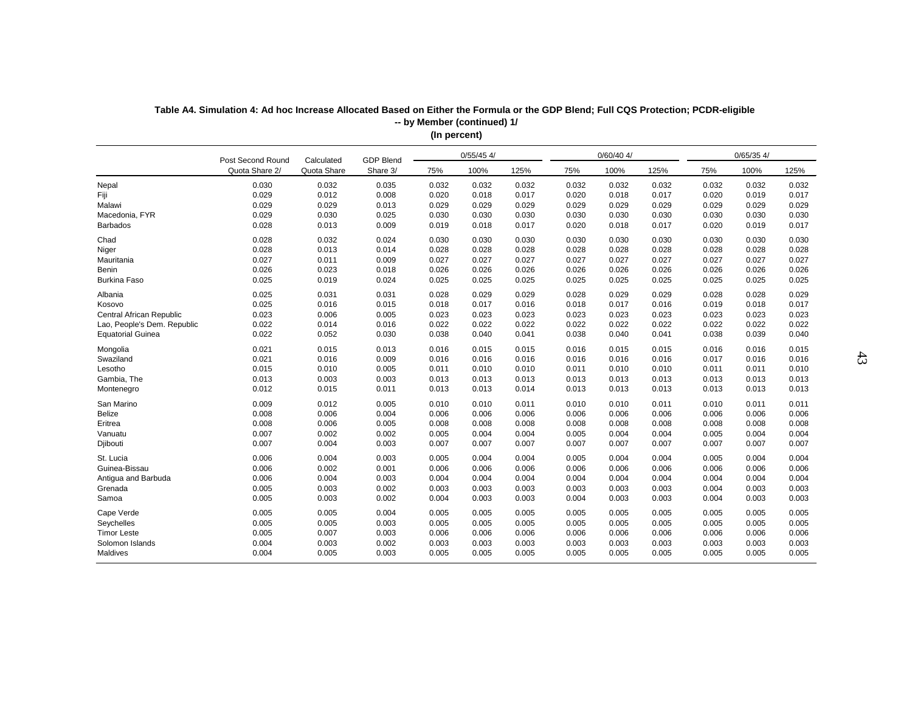| $0/60/40$ 4/<br>$0/65/35$ 4/<br>$0/55/45$ 4/<br>Post Second Round<br><b>GDP Blend</b><br>Calculated<br>Quota Share 2/<br>Quota Share<br>Share 3/<br>100%<br>125%<br>100%<br>125%<br>75%<br>100%<br>75%<br>75%<br>125%<br>0.030<br>0.032<br>0.035<br>0.032<br>0.032<br>0.032<br>0.032<br>0.032<br>0.032<br>0.032<br>0.032<br>0.032<br>Nepal<br>0.029<br>Fiji<br>0.012<br>0.008<br>0.020<br>0.018<br>0.017<br>0.020<br>0.018<br>0.017<br>0.020<br>0.019<br>0.017<br>0.029<br>0.029<br>0.013<br>0.029<br>0.029<br>0.029<br>0.029<br>0.029<br>0.029<br>0.029<br>0.029<br>0.029<br>Malawi<br>0.029<br>0.030<br>0.025<br>0.030<br>0.030<br>0.030<br>0.030<br>0.030<br>0.030<br>Macedonia, FYR<br>0.030<br>0.030<br>0.030<br>0.028<br>0.013<br>0.009<br>0.017<br>Barbados<br>0.019<br>0.018<br>0.017<br>0.020<br>0.018<br>0.017<br>0.020<br>0.019<br>Chad<br>0.028<br>0.032<br>0.024<br>0.030<br>0.030<br>0.030<br>0.030<br>0.030<br>0.030<br>0.030<br>0.030<br>0.030<br>0.028<br>0.013<br>0.014<br>Niger<br>0.028<br>0.028<br>0.028<br>0.028<br>0.028<br>0.028<br>0.028<br>0.028<br>0.028<br>Mauritania<br>0.027<br>0.011<br>0.027<br>0.009<br>0.027<br>0.027<br>0.027<br>0.027<br>0.027<br>0.027<br>0.027<br>0.027<br>0.026<br>Benin<br>0.023<br>0.018<br>0.026<br>0.026<br>0.026<br>0.026<br>0.026<br>0.026<br>0.026<br>0.026<br>0.026<br>0.025<br>0.019<br><b>Burkina Faso</b><br>0.024<br>0.025<br>0.025<br>0.025<br>0.025<br>0.025<br>0.025<br>0.025<br>0.025<br>0.025<br>0.025<br>0.031<br>0.031<br>0.028<br>0.029<br>0.029<br>0.028<br>0.029<br>0.029<br>0.028<br>0.028<br>0.029<br>Albania<br>0.025<br>0.016<br>0.015<br>0.018<br>0.017<br>0.016<br>0.018<br>0.017<br>0.016<br>0.019<br>0.018<br>0.017<br>Kosovo<br>0.023<br>0.006<br>0.005<br>Central African Republic<br>0.023<br>0.023<br>0.023<br>0.023<br>0.023<br>0.023<br>0.023<br>0.023<br>0.023<br>0.022<br>0.014<br>0.022<br>0.022<br>0.016<br>0.022<br>0.022<br>0.022<br>0.022<br>0.022<br>0.022<br>0.022<br>Lao, People's Dem. Republic<br>0.022<br><b>Equatorial Guinea</b><br>0.052<br>0.030<br>0.038<br>0.040<br>0.041<br>0.038<br>0.040<br>0.041<br>0.038<br>0.039<br>0.040<br>0.021<br>0.015<br>0.013<br>0.016<br>0.015<br>0.015<br>0.015<br>0.015<br>0.016<br>0.015<br>Mongolia<br>0.016<br>0.016<br>Swaziland<br>0.021<br>0.016<br>0.009<br>0.016<br>0.016<br>0.016<br>0.016<br>0.017<br>0.016<br>0.016<br>0.016<br>0.016<br>Lesotho<br>0.015<br>0.010<br>0.005<br>0.011<br>0.010<br>0.010<br>0.011<br>0.010<br>0.010<br>0.011<br>0.011<br>0.010<br>Gambia, The<br>0.013<br>0.003<br>0.003<br>0.013<br>0.013<br>0.013<br>0.013<br>0.013<br>0.013<br>0.013<br>0.013<br>0.013<br>0.012<br>0.015<br>0.011<br>0.013<br>0.013<br>0.014<br>0.013<br>0.013<br>0.013<br>0.013<br>0.013<br>0.013<br>Montenegro<br>0.009<br>0.012<br>0.005<br>0.011<br>San Marino<br>0.010<br>0.010<br>0.011<br>0.010<br>0.010<br>0.011<br>0.010<br>0.011<br>0.008<br>0.006<br>0.004<br>0.006<br>0.006<br>Belize<br>0.006<br>0.006<br>0.006<br>0.006<br>0.006<br>0.006<br>0.006<br>0.008<br>0.006<br>0.005<br>0.008<br>0.008<br>0.008<br>0.008<br>0.008<br>0.008<br>0.008<br>0.008<br>0.008<br>Eritrea<br>0.007<br>0.002<br>0.002<br>0.004<br>0.004<br>Vanuatu<br>0.005<br>0.004<br>0.005<br>0.004<br>0.005<br>0.004<br>0.004<br>0.007<br>0.004<br>0.003<br>0.007<br>0.007<br>0.007<br>0.007<br>0.007<br>0.007<br>0.007<br>0.007<br>0.007<br>Djibouti<br>St. Lucia<br>0.006<br>0.004<br>0.003<br>0.004<br>0.004<br>0.004<br>0.004<br>0.004<br>0.004<br>0.005<br>0.005<br>0.005<br>Guinea-Bissau<br>0.006<br>0.002<br>0.001<br>0.006<br>0.006<br>0.006<br>0.006<br>0.006<br>0.006<br>0.006<br>0.006<br>0.006<br>0.006<br>0.004<br>0.003<br>0.004<br>0.004<br>0.004<br>0.004<br>0.004<br>0.004<br>0.004<br>Antigua and Barbuda<br>0.004<br>0.004<br>0.005<br>0.003<br>0.002<br>0.003<br>0.003<br>0.004<br>0.003<br>Grenada<br>0.003<br>0.003<br>0.003<br>0.003<br>0.003<br>Samoa<br>0.005<br>0.003<br>0.002<br>0.004<br>0.003<br>0.003<br>0.004<br>0.003<br>0.004<br>0.003<br>0.003<br>0.003<br>0.005<br>Cape Verde<br>0.005<br>0.004<br>0.005<br>0.005<br>0.005<br>0.005<br>0.005<br>0.005<br>0.005<br>0.005<br>0.005<br>0.005<br>0.005<br>0.003<br>0.005<br>0.005<br>0.005<br>0.005<br>0.005<br>0.005<br>0.005<br>0.005<br>0.005<br>Seychelles<br>0.005<br>0.007<br>0.003<br>0.006<br>0.006<br><b>Timor Leste</b><br>0.006<br>0.006<br>0.006<br>0.006<br>0.006<br>0.006<br>0.006<br>0.004<br>0.003<br>0.002<br>0.003<br>0.003<br>0.003<br>0.003<br>0.003<br>Solomon Islands<br>0.003<br>0.003<br>0.003<br>0.003<br>0.004<br>0.005<br>0.003<br>0.005<br>0.005<br>0.005<br>0.005<br>Maldives<br>0.005<br>0.005<br>0.005<br>0.005<br>0.005 |  |  | $($ po. oo, |  |  |  |  |
|------------------------------------------------------------------------------------------------------------------------------------------------------------------------------------------------------------------------------------------------------------------------------------------------------------------------------------------------------------------------------------------------------------------------------------------------------------------------------------------------------------------------------------------------------------------------------------------------------------------------------------------------------------------------------------------------------------------------------------------------------------------------------------------------------------------------------------------------------------------------------------------------------------------------------------------------------------------------------------------------------------------------------------------------------------------------------------------------------------------------------------------------------------------------------------------------------------------------------------------------------------------------------------------------------------------------------------------------------------------------------------------------------------------------------------------------------------------------------------------------------------------------------------------------------------------------------------------------------------------------------------------------------------------------------------------------------------------------------------------------------------------------------------------------------------------------------------------------------------------------------------------------------------------------------------------------------------------------------------------------------------------------------------------------------------------------------------------------------------------------------------------------------------------------------------------------------------------------------------------------------------------------------------------------------------------------------------------------------------------------------------------------------------------------------------------------------------------------------------------------------------------------------------------------------------------------------------------------------------------------------------------------------------------------------------------------------------------------------------------------------------------------------------------------------------------------------------------------------------------------------------------------------------------------------------------------------------------------------------------------------------------------------------------------------------------------------------------------------------------------------------------------------------------------------------------------------------------------------------------------------------------------------------------------------------------------------------------------------------------------------------------------------------------------------------------------------------------------------------------------------------------------------------------------------------------------------------------------------------------------------------------------------------------------------------------------------------------------------------------------------------------------------------------------------------------------------------------------------------------------------------------------------------------------------------------------------------------------------------------------------------------------------------------------------------------------------------------------------------------------------------------------------------------------------------------------------------------------------------------------------------------------------------------------------------------------------------------------------------------------------------------------------------------------------------------------------------------------------------------------------------------------------------------------------------------------------------------------------------------------------------------------------------------------------------|--|--|-------------|--|--|--|--|
|                                                                                                                                                                                                                                                                                                                                                                                                                                                                                                                                                                                                                                                                                                                                                                                                                                                                                                                                                                                                                                                                                                                                                                                                                                                                                                                                                                                                                                                                                                                                                                                                                                                                                                                                                                                                                                                                                                                                                                                                                                                                                                                                                                                                                                                                                                                                                                                                                                                                                                                                                                                                                                                                                                                                                                                                                                                                                                                                                                                                                                                                                                                                                                                                                                                                                                                                                                                                                                                                                                                                                                                                                                                                                                                                                                                                                                                                                                                                                                                                                                                                                                                                                                                                                                                                                                                                                                                                                                                                                                                                                                                                                                                                                    |  |  |             |  |  |  |  |
|                                                                                                                                                                                                                                                                                                                                                                                                                                                                                                                                                                                                                                                                                                                                                                                                                                                                                                                                                                                                                                                                                                                                                                                                                                                                                                                                                                                                                                                                                                                                                                                                                                                                                                                                                                                                                                                                                                                                                                                                                                                                                                                                                                                                                                                                                                                                                                                                                                                                                                                                                                                                                                                                                                                                                                                                                                                                                                                                                                                                                                                                                                                                                                                                                                                                                                                                                                                                                                                                                                                                                                                                                                                                                                                                                                                                                                                                                                                                                                                                                                                                                                                                                                                                                                                                                                                                                                                                                                                                                                                                                                                                                                                                                    |  |  |             |  |  |  |  |
|                                                                                                                                                                                                                                                                                                                                                                                                                                                                                                                                                                                                                                                                                                                                                                                                                                                                                                                                                                                                                                                                                                                                                                                                                                                                                                                                                                                                                                                                                                                                                                                                                                                                                                                                                                                                                                                                                                                                                                                                                                                                                                                                                                                                                                                                                                                                                                                                                                                                                                                                                                                                                                                                                                                                                                                                                                                                                                                                                                                                                                                                                                                                                                                                                                                                                                                                                                                                                                                                                                                                                                                                                                                                                                                                                                                                                                                                                                                                                                                                                                                                                                                                                                                                                                                                                                                                                                                                                                                                                                                                                                                                                                                                                    |  |  |             |  |  |  |  |
|                                                                                                                                                                                                                                                                                                                                                                                                                                                                                                                                                                                                                                                                                                                                                                                                                                                                                                                                                                                                                                                                                                                                                                                                                                                                                                                                                                                                                                                                                                                                                                                                                                                                                                                                                                                                                                                                                                                                                                                                                                                                                                                                                                                                                                                                                                                                                                                                                                                                                                                                                                                                                                                                                                                                                                                                                                                                                                                                                                                                                                                                                                                                                                                                                                                                                                                                                                                                                                                                                                                                                                                                                                                                                                                                                                                                                                                                                                                                                                                                                                                                                                                                                                                                                                                                                                                                                                                                                                                                                                                                                                                                                                                                                    |  |  |             |  |  |  |  |
|                                                                                                                                                                                                                                                                                                                                                                                                                                                                                                                                                                                                                                                                                                                                                                                                                                                                                                                                                                                                                                                                                                                                                                                                                                                                                                                                                                                                                                                                                                                                                                                                                                                                                                                                                                                                                                                                                                                                                                                                                                                                                                                                                                                                                                                                                                                                                                                                                                                                                                                                                                                                                                                                                                                                                                                                                                                                                                                                                                                                                                                                                                                                                                                                                                                                                                                                                                                                                                                                                                                                                                                                                                                                                                                                                                                                                                                                                                                                                                                                                                                                                                                                                                                                                                                                                                                                                                                                                                                                                                                                                                                                                                                                                    |  |  |             |  |  |  |  |
|                                                                                                                                                                                                                                                                                                                                                                                                                                                                                                                                                                                                                                                                                                                                                                                                                                                                                                                                                                                                                                                                                                                                                                                                                                                                                                                                                                                                                                                                                                                                                                                                                                                                                                                                                                                                                                                                                                                                                                                                                                                                                                                                                                                                                                                                                                                                                                                                                                                                                                                                                                                                                                                                                                                                                                                                                                                                                                                                                                                                                                                                                                                                                                                                                                                                                                                                                                                                                                                                                                                                                                                                                                                                                                                                                                                                                                                                                                                                                                                                                                                                                                                                                                                                                                                                                                                                                                                                                                                                                                                                                                                                                                                                                    |  |  |             |  |  |  |  |
|                                                                                                                                                                                                                                                                                                                                                                                                                                                                                                                                                                                                                                                                                                                                                                                                                                                                                                                                                                                                                                                                                                                                                                                                                                                                                                                                                                                                                                                                                                                                                                                                                                                                                                                                                                                                                                                                                                                                                                                                                                                                                                                                                                                                                                                                                                                                                                                                                                                                                                                                                                                                                                                                                                                                                                                                                                                                                                                                                                                                                                                                                                                                                                                                                                                                                                                                                                                                                                                                                                                                                                                                                                                                                                                                                                                                                                                                                                                                                                                                                                                                                                                                                                                                                                                                                                                                                                                                                                                                                                                                                                                                                                                                                    |  |  |             |  |  |  |  |
|                                                                                                                                                                                                                                                                                                                                                                                                                                                                                                                                                                                                                                                                                                                                                                                                                                                                                                                                                                                                                                                                                                                                                                                                                                                                                                                                                                                                                                                                                                                                                                                                                                                                                                                                                                                                                                                                                                                                                                                                                                                                                                                                                                                                                                                                                                                                                                                                                                                                                                                                                                                                                                                                                                                                                                                                                                                                                                                                                                                                                                                                                                                                                                                                                                                                                                                                                                                                                                                                                                                                                                                                                                                                                                                                                                                                                                                                                                                                                                                                                                                                                                                                                                                                                                                                                                                                                                                                                                                                                                                                                                                                                                                                                    |  |  |             |  |  |  |  |
|                                                                                                                                                                                                                                                                                                                                                                                                                                                                                                                                                                                                                                                                                                                                                                                                                                                                                                                                                                                                                                                                                                                                                                                                                                                                                                                                                                                                                                                                                                                                                                                                                                                                                                                                                                                                                                                                                                                                                                                                                                                                                                                                                                                                                                                                                                                                                                                                                                                                                                                                                                                                                                                                                                                                                                                                                                                                                                                                                                                                                                                                                                                                                                                                                                                                                                                                                                                                                                                                                                                                                                                                                                                                                                                                                                                                                                                                                                                                                                                                                                                                                                                                                                                                                                                                                                                                                                                                                                                                                                                                                                                                                                                                                    |  |  |             |  |  |  |  |
|                                                                                                                                                                                                                                                                                                                                                                                                                                                                                                                                                                                                                                                                                                                                                                                                                                                                                                                                                                                                                                                                                                                                                                                                                                                                                                                                                                                                                                                                                                                                                                                                                                                                                                                                                                                                                                                                                                                                                                                                                                                                                                                                                                                                                                                                                                                                                                                                                                                                                                                                                                                                                                                                                                                                                                                                                                                                                                                                                                                                                                                                                                                                                                                                                                                                                                                                                                                                                                                                                                                                                                                                                                                                                                                                                                                                                                                                                                                                                                                                                                                                                                                                                                                                                                                                                                                                                                                                                                                                                                                                                                                                                                                                                    |  |  |             |  |  |  |  |
|                                                                                                                                                                                                                                                                                                                                                                                                                                                                                                                                                                                                                                                                                                                                                                                                                                                                                                                                                                                                                                                                                                                                                                                                                                                                                                                                                                                                                                                                                                                                                                                                                                                                                                                                                                                                                                                                                                                                                                                                                                                                                                                                                                                                                                                                                                                                                                                                                                                                                                                                                                                                                                                                                                                                                                                                                                                                                                                                                                                                                                                                                                                                                                                                                                                                                                                                                                                                                                                                                                                                                                                                                                                                                                                                                                                                                                                                                                                                                                                                                                                                                                                                                                                                                                                                                                                                                                                                                                                                                                                                                                                                                                                                                    |  |  |             |  |  |  |  |
|                                                                                                                                                                                                                                                                                                                                                                                                                                                                                                                                                                                                                                                                                                                                                                                                                                                                                                                                                                                                                                                                                                                                                                                                                                                                                                                                                                                                                                                                                                                                                                                                                                                                                                                                                                                                                                                                                                                                                                                                                                                                                                                                                                                                                                                                                                                                                                                                                                                                                                                                                                                                                                                                                                                                                                                                                                                                                                                                                                                                                                                                                                                                                                                                                                                                                                                                                                                                                                                                                                                                                                                                                                                                                                                                                                                                                                                                                                                                                                                                                                                                                                                                                                                                                                                                                                                                                                                                                                                                                                                                                                                                                                                                                    |  |  |             |  |  |  |  |
|                                                                                                                                                                                                                                                                                                                                                                                                                                                                                                                                                                                                                                                                                                                                                                                                                                                                                                                                                                                                                                                                                                                                                                                                                                                                                                                                                                                                                                                                                                                                                                                                                                                                                                                                                                                                                                                                                                                                                                                                                                                                                                                                                                                                                                                                                                                                                                                                                                                                                                                                                                                                                                                                                                                                                                                                                                                                                                                                                                                                                                                                                                                                                                                                                                                                                                                                                                                                                                                                                                                                                                                                                                                                                                                                                                                                                                                                                                                                                                                                                                                                                                                                                                                                                                                                                                                                                                                                                                                                                                                                                                                                                                                                                    |  |  |             |  |  |  |  |
|                                                                                                                                                                                                                                                                                                                                                                                                                                                                                                                                                                                                                                                                                                                                                                                                                                                                                                                                                                                                                                                                                                                                                                                                                                                                                                                                                                                                                                                                                                                                                                                                                                                                                                                                                                                                                                                                                                                                                                                                                                                                                                                                                                                                                                                                                                                                                                                                                                                                                                                                                                                                                                                                                                                                                                                                                                                                                                                                                                                                                                                                                                                                                                                                                                                                                                                                                                                                                                                                                                                                                                                                                                                                                                                                                                                                                                                                                                                                                                                                                                                                                                                                                                                                                                                                                                                                                                                                                                                                                                                                                                                                                                                                                    |  |  |             |  |  |  |  |
|                                                                                                                                                                                                                                                                                                                                                                                                                                                                                                                                                                                                                                                                                                                                                                                                                                                                                                                                                                                                                                                                                                                                                                                                                                                                                                                                                                                                                                                                                                                                                                                                                                                                                                                                                                                                                                                                                                                                                                                                                                                                                                                                                                                                                                                                                                                                                                                                                                                                                                                                                                                                                                                                                                                                                                                                                                                                                                                                                                                                                                                                                                                                                                                                                                                                                                                                                                                                                                                                                                                                                                                                                                                                                                                                                                                                                                                                                                                                                                                                                                                                                                                                                                                                                                                                                                                                                                                                                                                                                                                                                                                                                                                                                    |  |  |             |  |  |  |  |
|                                                                                                                                                                                                                                                                                                                                                                                                                                                                                                                                                                                                                                                                                                                                                                                                                                                                                                                                                                                                                                                                                                                                                                                                                                                                                                                                                                                                                                                                                                                                                                                                                                                                                                                                                                                                                                                                                                                                                                                                                                                                                                                                                                                                                                                                                                                                                                                                                                                                                                                                                                                                                                                                                                                                                                                                                                                                                                                                                                                                                                                                                                                                                                                                                                                                                                                                                                                                                                                                                                                                                                                                                                                                                                                                                                                                                                                                                                                                                                                                                                                                                                                                                                                                                                                                                                                                                                                                                                                                                                                                                                                                                                                                                    |  |  |             |  |  |  |  |
|                                                                                                                                                                                                                                                                                                                                                                                                                                                                                                                                                                                                                                                                                                                                                                                                                                                                                                                                                                                                                                                                                                                                                                                                                                                                                                                                                                                                                                                                                                                                                                                                                                                                                                                                                                                                                                                                                                                                                                                                                                                                                                                                                                                                                                                                                                                                                                                                                                                                                                                                                                                                                                                                                                                                                                                                                                                                                                                                                                                                                                                                                                                                                                                                                                                                                                                                                                                                                                                                                                                                                                                                                                                                                                                                                                                                                                                                                                                                                                                                                                                                                                                                                                                                                                                                                                                                                                                                                                                                                                                                                                                                                                                                                    |  |  |             |  |  |  |  |
|                                                                                                                                                                                                                                                                                                                                                                                                                                                                                                                                                                                                                                                                                                                                                                                                                                                                                                                                                                                                                                                                                                                                                                                                                                                                                                                                                                                                                                                                                                                                                                                                                                                                                                                                                                                                                                                                                                                                                                                                                                                                                                                                                                                                                                                                                                                                                                                                                                                                                                                                                                                                                                                                                                                                                                                                                                                                                                                                                                                                                                                                                                                                                                                                                                                                                                                                                                                                                                                                                                                                                                                                                                                                                                                                                                                                                                                                                                                                                                                                                                                                                                                                                                                                                                                                                                                                                                                                                                                                                                                                                                                                                                                                                    |  |  |             |  |  |  |  |
|                                                                                                                                                                                                                                                                                                                                                                                                                                                                                                                                                                                                                                                                                                                                                                                                                                                                                                                                                                                                                                                                                                                                                                                                                                                                                                                                                                                                                                                                                                                                                                                                                                                                                                                                                                                                                                                                                                                                                                                                                                                                                                                                                                                                                                                                                                                                                                                                                                                                                                                                                                                                                                                                                                                                                                                                                                                                                                                                                                                                                                                                                                                                                                                                                                                                                                                                                                                                                                                                                                                                                                                                                                                                                                                                                                                                                                                                                                                                                                                                                                                                                                                                                                                                                                                                                                                                                                                                                                                                                                                                                                                                                                                                                    |  |  |             |  |  |  |  |
|                                                                                                                                                                                                                                                                                                                                                                                                                                                                                                                                                                                                                                                                                                                                                                                                                                                                                                                                                                                                                                                                                                                                                                                                                                                                                                                                                                                                                                                                                                                                                                                                                                                                                                                                                                                                                                                                                                                                                                                                                                                                                                                                                                                                                                                                                                                                                                                                                                                                                                                                                                                                                                                                                                                                                                                                                                                                                                                                                                                                                                                                                                                                                                                                                                                                                                                                                                                                                                                                                                                                                                                                                                                                                                                                                                                                                                                                                                                                                                                                                                                                                                                                                                                                                                                                                                                                                                                                                                                                                                                                                                                                                                                                                    |  |  |             |  |  |  |  |
|                                                                                                                                                                                                                                                                                                                                                                                                                                                                                                                                                                                                                                                                                                                                                                                                                                                                                                                                                                                                                                                                                                                                                                                                                                                                                                                                                                                                                                                                                                                                                                                                                                                                                                                                                                                                                                                                                                                                                                                                                                                                                                                                                                                                                                                                                                                                                                                                                                                                                                                                                                                                                                                                                                                                                                                                                                                                                                                                                                                                                                                                                                                                                                                                                                                                                                                                                                                                                                                                                                                                                                                                                                                                                                                                                                                                                                                                                                                                                                                                                                                                                                                                                                                                                                                                                                                                                                                                                                                                                                                                                                                                                                                                                    |  |  |             |  |  |  |  |
|                                                                                                                                                                                                                                                                                                                                                                                                                                                                                                                                                                                                                                                                                                                                                                                                                                                                                                                                                                                                                                                                                                                                                                                                                                                                                                                                                                                                                                                                                                                                                                                                                                                                                                                                                                                                                                                                                                                                                                                                                                                                                                                                                                                                                                                                                                                                                                                                                                                                                                                                                                                                                                                                                                                                                                                                                                                                                                                                                                                                                                                                                                                                                                                                                                                                                                                                                                                                                                                                                                                                                                                                                                                                                                                                                                                                                                                                                                                                                                                                                                                                                                                                                                                                                                                                                                                                                                                                                                                                                                                                                                                                                                                                                    |  |  |             |  |  |  |  |
|                                                                                                                                                                                                                                                                                                                                                                                                                                                                                                                                                                                                                                                                                                                                                                                                                                                                                                                                                                                                                                                                                                                                                                                                                                                                                                                                                                                                                                                                                                                                                                                                                                                                                                                                                                                                                                                                                                                                                                                                                                                                                                                                                                                                                                                                                                                                                                                                                                                                                                                                                                                                                                                                                                                                                                                                                                                                                                                                                                                                                                                                                                                                                                                                                                                                                                                                                                                                                                                                                                                                                                                                                                                                                                                                                                                                                                                                                                                                                                                                                                                                                                                                                                                                                                                                                                                                                                                                                                                                                                                                                                                                                                                                                    |  |  |             |  |  |  |  |
|                                                                                                                                                                                                                                                                                                                                                                                                                                                                                                                                                                                                                                                                                                                                                                                                                                                                                                                                                                                                                                                                                                                                                                                                                                                                                                                                                                                                                                                                                                                                                                                                                                                                                                                                                                                                                                                                                                                                                                                                                                                                                                                                                                                                                                                                                                                                                                                                                                                                                                                                                                                                                                                                                                                                                                                                                                                                                                                                                                                                                                                                                                                                                                                                                                                                                                                                                                                                                                                                                                                                                                                                                                                                                                                                                                                                                                                                                                                                                                                                                                                                                                                                                                                                                                                                                                                                                                                                                                                                                                                                                                                                                                                                                    |  |  |             |  |  |  |  |
|                                                                                                                                                                                                                                                                                                                                                                                                                                                                                                                                                                                                                                                                                                                                                                                                                                                                                                                                                                                                                                                                                                                                                                                                                                                                                                                                                                                                                                                                                                                                                                                                                                                                                                                                                                                                                                                                                                                                                                                                                                                                                                                                                                                                                                                                                                                                                                                                                                                                                                                                                                                                                                                                                                                                                                                                                                                                                                                                                                                                                                                                                                                                                                                                                                                                                                                                                                                                                                                                                                                                                                                                                                                                                                                                                                                                                                                                                                                                                                                                                                                                                                                                                                                                                                                                                                                                                                                                                                                                                                                                                                                                                                                                                    |  |  |             |  |  |  |  |
|                                                                                                                                                                                                                                                                                                                                                                                                                                                                                                                                                                                                                                                                                                                                                                                                                                                                                                                                                                                                                                                                                                                                                                                                                                                                                                                                                                                                                                                                                                                                                                                                                                                                                                                                                                                                                                                                                                                                                                                                                                                                                                                                                                                                                                                                                                                                                                                                                                                                                                                                                                                                                                                                                                                                                                                                                                                                                                                                                                                                                                                                                                                                                                                                                                                                                                                                                                                                                                                                                                                                                                                                                                                                                                                                                                                                                                                                                                                                                                                                                                                                                                                                                                                                                                                                                                                                                                                                                                                                                                                                                                                                                                                                                    |  |  |             |  |  |  |  |
|                                                                                                                                                                                                                                                                                                                                                                                                                                                                                                                                                                                                                                                                                                                                                                                                                                                                                                                                                                                                                                                                                                                                                                                                                                                                                                                                                                                                                                                                                                                                                                                                                                                                                                                                                                                                                                                                                                                                                                                                                                                                                                                                                                                                                                                                                                                                                                                                                                                                                                                                                                                                                                                                                                                                                                                                                                                                                                                                                                                                                                                                                                                                                                                                                                                                                                                                                                                                                                                                                                                                                                                                                                                                                                                                                                                                                                                                                                                                                                                                                                                                                                                                                                                                                                                                                                                                                                                                                                                                                                                                                                                                                                                                                    |  |  |             |  |  |  |  |
|                                                                                                                                                                                                                                                                                                                                                                                                                                                                                                                                                                                                                                                                                                                                                                                                                                                                                                                                                                                                                                                                                                                                                                                                                                                                                                                                                                                                                                                                                                                                                                                                                                                                                                                                                                                                                                                                                                                                                                                                                                                                                                                                                                                                                                                                                                                                                                                                                                                                                                                                                                                                                                                                                                                                                                                                                                                                                                                                                                                                                                                                                                                                                                                                                                                                                                                                                                                                                                                                                                                                                                                                                                                                                                                                                                                                                                                                                                                                                                                                                                                                                                                                                                                                                                                                                                                                                                                                                                                                                                                                                                                                                                                                                    |  |  |             |  |  |  |  |
|                                                                                                                                                                                                                                                                                                                                                                                                                                                                                                                                                                                                                                                                                                                                                                                                                                                                                                                                                                                                                                                                                                                                                                                                                                                                                                                                                                                                                                                                                                                                                                                                                                                                                                                                                                                                                                                                                                                                                                                                                                                                                                                                                                                                                                                                                                                                                                                                                                                                                                                                                                                                                                                                                                                                                                                                                                                                                                                                                                                                                                                                                                                                                                                                                                                                                                                                                                                                                                                                                                                                                                                                                                                                                                                                                                                                                                                                                                                                                                                                                                                                                                                                                                                                                                                                                                                                                                                                                                                                                                                                                                                                                                                                                    |  |  |             |  |  |  |  |
|                                                                                                                                                                                                                                                                                                                                                                                                                                                                                                                                                                                                                                                                                                                                                                                                                                                                                                                                                                                                                                                                                                                                                                                                                                                                                                                                                                                                                                                                                                                                                                                                                                                                                                                                                                                                                                                                                                                                                                                                                                                                                                                                                                                                                                                                                                                                                                                                                                                                                                                                                                                                                                                                                                                                                                                                                                                                                                                                                                                                                                                                                                                                                                                                                                                                                                                                                                                                                                                                                                                                                                                                                                                                                                                                                                                                                                                                                                                                                                                                                                                                                                                                                                                                                                                                                                                                                                                                                                                                                                                                                                                                                                                                                    |  |  |             |  |  |  |  |
|                                                                                                                                                                                                                                                                                                                                                                                                                                                                                                                                                                                                                                                                                                                                                                                                                                                                                                                                                                                                                                                                                                                                                                                                                                                                                                                                                                                                                                                                                                                                                                                                                                                                                                                                                                                                                                                                                                                                                                                                                                                                                                                                                                                                                                                                                                                                                                                                                                                                                                                                                                                                                                                                                                                                                                                                                                                                                                                                                                                                                                                                                                                                                                                                                                                                                                                                                                                                                                                                                                                                                                                                                                                                                                                                                                                                                                                                                                                                                                                                                                                                                                                                                                                                                                                                                                                                                                                                                                                                                                                                                                                                                                                                                    |  |  |             |  |  |  |  |
|                                                                                                                                                                                                                                                                                                                                                                                                                                                                                                                                                                                                                                                                                                                                                                                                                                                                                                                                                                                                                                                                                                                                                                                                                                                                                                                                                                                                                                                                                                                                                                                                                                                                                                                                                                                                                                                                                                                                                                                                                                                                                                                                                                                                                                                                                                                                                                                                                                                                                                                                                                                                                                                                                                                                                                                                                                                                                                                                                                                                                                                                                                                                                                                                                                                                                                                                                                                                                                                                                                                                                                                                                                                                                                                                                                                                                                                                                                                                                                                                                                                                                                                                                                                                                                                                                                                                                                                                                                                                                                                                                                                                                                                                                    |  |  |             |  |  |  |  |
|                                                                                                                                                                                                                                                                                                                                                                                                                                                                                                                                                                                                                                                                                                                                                                                                                                                                                                                                                                                                                                                                                                                                                                                                                                                                                                                                                                                                                                                                                                                                                                                                                                                                                                                                                                                                                                                                                                                                                                                                                                                                                                                                                                                                                                                                                                                                                                                                                                                                                                                                                                                                                                                                                                                                                                                                                                                                                                                                                                                                                                                                                                                                                                                                                                                                                                                                                                                                                                                                                                                                                                                                                                                                                                                                                                                                                                                                                                                                                                                                                                                                                                                                                                                                                                                                                                                                                                                                                                                                                                                                                                                                                                                                                    |  |  |             |  |  |  |  |
|                                                                                                                                                                                                                                                                                                                                                                                                                                                                                                                                                                                                                                                                                                                                                                                                                                                                                                                                                                                                                                                                                                                                                                                                                                                                                                                                                                                                                                                                                                                                                                                                                                                                                                                                                                                                                                                                                                                                                                                                                                                                                                                                                                                                                                                                                                                                                                                                                                                                                                                                                                                                                                                                                                                                                                                                                                                                                                                                                                                                                                                                                                                                                                                                                                                                                                                                                                                                                                                                                                                                                                                                                                                                                                                                                                                                                                                                                                                                                                                                                                                                                                                                                                                                                                                                                                                                                                                                                                                                                                                                                                                                                                                                                    |  |  |             |  |  |  |  |
|                                                                                                                                                                                                                                                                                                                                                                                                                                                                                                                                                                                                                                                                                                                                                                                                                                                                                                                                                                                                                                                                                                                                                                                                                                                                                                                                                                                                                                                                                                                                                                                                                                                                                                                                                                                                                                                                                                                                                                                                                                                                                                                                                                                                                                                                                                                                                                                                                                                                                                                                                                                                                                                                                                                                                                                                                                                                                                                                                                                                                                                                                                                                                                                                                                                                                                                                                                                                                                                                                                                                                                                                                                                                                                                                                                                                                                                                                                                                                                                                                                                                                                                                                                                                                                                                                                                                                                                                                                                                                                                                                                                                                                                                                    |  |  |             |  |  |  |  |
|                                                                                                                                                                                                                                                                                                                                                                                                                                                                                                                                                                                                                                                                                                                                                                                                                                                                                                                                                                                                                                                                                                                                                                                                                                                                                                                                                                                                                                                                                                                                                                                                                                                                                                                                                                                                                                                                                                                                                                                                                                                                                                                                                                                                                                                                                                                                                                                                                                                                                                                                                                                                                                                                                                                                                                                                                                                                                                                                                                                                                                                                                                                                                                                                                                                                                                                                                                                                                                                                                                                                                                                                                                                                                                                                                                                                                                                                                                                                                                                                                                                                                                                                                                                                                                                                                                                                                                                                                                                                                                                                                                                                                                                                                    |  |  |             |  |  |  |  |
|                                                                                                                                                                                                                                                                                                                                                                                                                                                                                                                                                                                                                                                                                                                                                                                                                                                                                                                                                                                                                                                                                                                                                                                                                                                                                                                                                                                                                                                                                                                                                                                                                                                                                                                                                                                                                                                                                                                                                                                                                                                                                                                                                                                                                                                                                                                                                                                                                                                                                                                                                                                                                                                                                                                                                                                                                                                                                                                                                                                                                                                                                                                                                                                                                                                                                                                                                                                                                                                                                                                                                                                                                                                                                                                                                                                                                                                                                                                                                                                                                                                                                                                                                                                                                                                                                                                                                                                                                                                                                                                                                                                                                                                                                    |  |  |             |  |  |  |  |

#### **Table A4. Simulation 4: Ad hoc Increase Allocated Based on Either the Formula or the GDP Blend; Full CQS Protection; PCDR-eligible -- by Member (continued) 1/ (In percent)**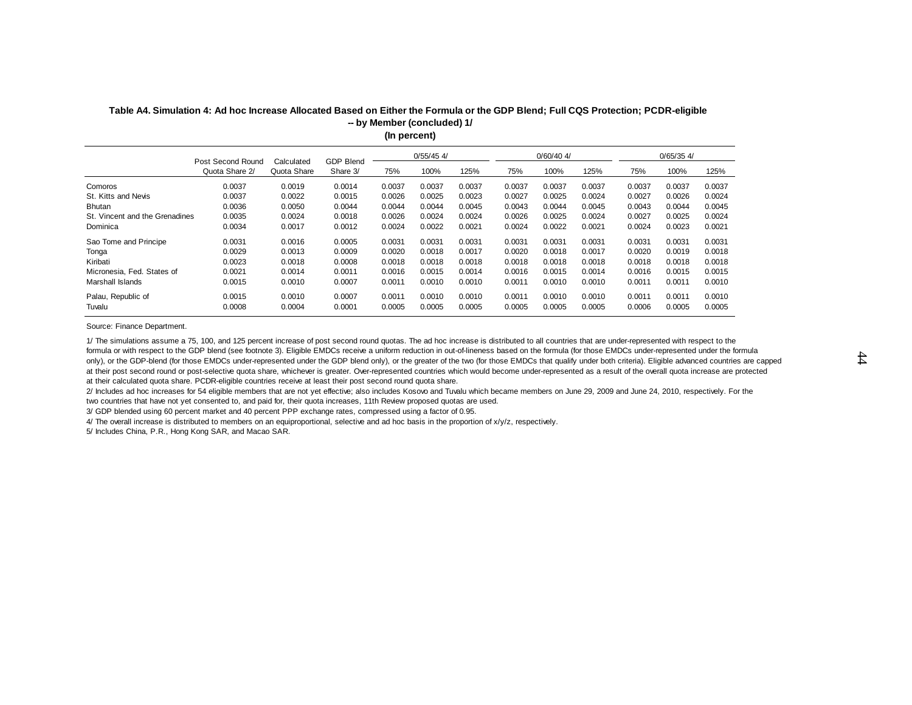|                                | (In percent)                                                                                        |             |          |        |        |        |        |        |        |        |        |        |  |  |  |
|--------------------------------|-----------------------------------------------------------------------------------------------------|-------------|----------|--------|--------|--------|--------|--------|--------|--------|--------|--------|--|--|--|
|                                | $0/55/45$ 4/<br>$0/60/40$ 4/<br>$0/65/35$ 4/<br><b>GDP Blend</b><br>Post Second Round<br>Calculated |             |          |        |        |        |        |        |        |        |        |        |  |  |  |
|                                | Quota Share 2/                                                                                      | Quota Share | Share 3/ | 75%    | 100%   | 125%   | 75%    | 100%   | 125%   | 75%    | 100%   | 125%   |  |  |  |
| Comoros                        | 0.0037                                                                                              | 0.0019      | 0.0014   | 0.0037 | 0.0037 | 0.0037 | 0.0037 | 0.0037 | 0.0037 | 0.0037 | 0.0037 | 0.0037 |  |  |  |
| St. Kitts and Nevis            | 0.0037                                                                                              | 0.0022      | 0.0015   | 0.0026 | 0.0025 | 0.0023 | 0.0027 | 0.0025 | 0.0024 | 0.0027 | 0.0026 | 0.0024 |  |  |  |
| <b>Bhutan</b>                  | 0.0036                                                                                              | 0.0050      | 0.0044   | 0.0044 | 0.0044 | 0.0045 | 0.0043 | 0.0044 | 0.0045 | 0.0043 | 0.0044 | 0.0045 |  |  |  |
| St. Vincent and the Grenadines | 0.0035                                                                                              | 0.0024      | 0.0018   | 0.0026 | 0.0024 | 0.0024 | 0.0026 | 0.0025 | 0.0024 | 0.0027 | 0.0025 | 0.0024 |  |  |  |
| Dominica                       | 0.0034                                                                                              | 0.0017      | 0.0012   | 0.0024 | 0.0022 | 0.0021 | 0.0024 | 0.0022 | 0.0021 | 0.0024 | 0.0023 | 0.0021 |  |  |  |
| Sao Tome and Principe          | 0.0031                                                                                              | 0.0016      | 0.0005   | 0.0031 | 0.0031 | 0.0031 | 0.0031 | 0.0031 | 0.0031 | 0.0031 | 0.0031 | 0.0031 |  |  |  |
| Tonga                          | 0.0029                                                                                              | 0.0013      | 0.0009   | 0.0020 | 0.0018 | 0.0017 | 0.0020 | 0.0018 | 0.0017 | 0.0020 | 0.0019 | 0.0018 |  |  |  |
| Kiribati                       | 0.0023                                                                                              | 0.0018      | 0.0008   | 0.0018 | 0.0018 | 0.0018 | 0.0018 | 0.0018 | 0.0018 | 0.0018 | 0.0018 | 0.0018 |  |  |  |
| Micronesia, Fed. States of     | 0.0021                                                                                              | 0.0014      | 0.0011   | 0.0016 | 0.0015 | 0.0014 | 0.0016 | 0.0015 | 0.0014 | 0.0016 | 0.0015 | 0.0015 |  |  |  |
| Marshall Islands               | 0.0015                                                                                              | 0.0010      | 0.0007   | 0.0011 | 0.0010 | 0.0010 | 0.0011 | 0.0010 | 0.0010 | 0.0011 | 0.0011 | 0.0010 |  |  |  |
| Palau, Republic of             | 0.0015                                                                                              | 0.0010      | 0.0007   | 0.0011 | 0.0010 | 0.0010 | 0.0011 | 0.0010 | 0.0010 | 0.0011 | 0.0011 | 0.0010 |  |  |  |
| Tuvalu                         | 0.0008                                                                                              | 0.0004      | 0.0001   | 0.0005 | 0.0005 | 0.0005 | 0.0005 | 0.0005 | 0.0005 | 0.0006 | 0.0005 | 0.0005 |  |  |  |

#### **Table A4. Simulation 4: Ad hoc Increase Allocated Based on Either the Formula or the GDP Blend; Full CQS Protection; PCDR-eligible -- by Member (concluded) 1/**

Source: Finance Department.

1/ The simulations assume a 75, 100, and 125 percent increase of post second round quotas. The ad hoc increase is distributed to all countries that are under-represented with respect to the formula or with respect to the GDP blend (see footnote 3). Eligible EMDCs receive a uniform reduction in out-of-lineness based on the formula (for those EMDCs under-represented under the formula only), or the GDP-blend (for those EMDCs under-represented under the GDP blend only), or the greater of the two (for those EMDCs that qualify under both criteria). Eligible advanced countries are capped at their post second round or post-selective quota share, whichever is greater. Over-represented countries which would become under-represented as a result of the overall quota increase are protected at their calculated quota share. PCDR-eligible countries receive at least their post second round quota share.

2/ Includes ad hoc increases for 54 eligible members that are not yet effective; also includes Kosovo and Tuvalu which became members on June 29, 2009 and June 24, 2010, respectively. For the two countries that have not yet consented to, and paid for, their quota increases, 11th Review proposed quotas are used.

3/ GDP blended using 60 percent market and 40 percent PPP exchange rates, compressed using a factor of 0.95.

4/ The overall increase is distributed to members on an equiproportional, selective and ad hoc basis in the proportion of x/y/z, respectively.

5/ Includes China, P.R., Hong Kong SAR, and Macao SAR.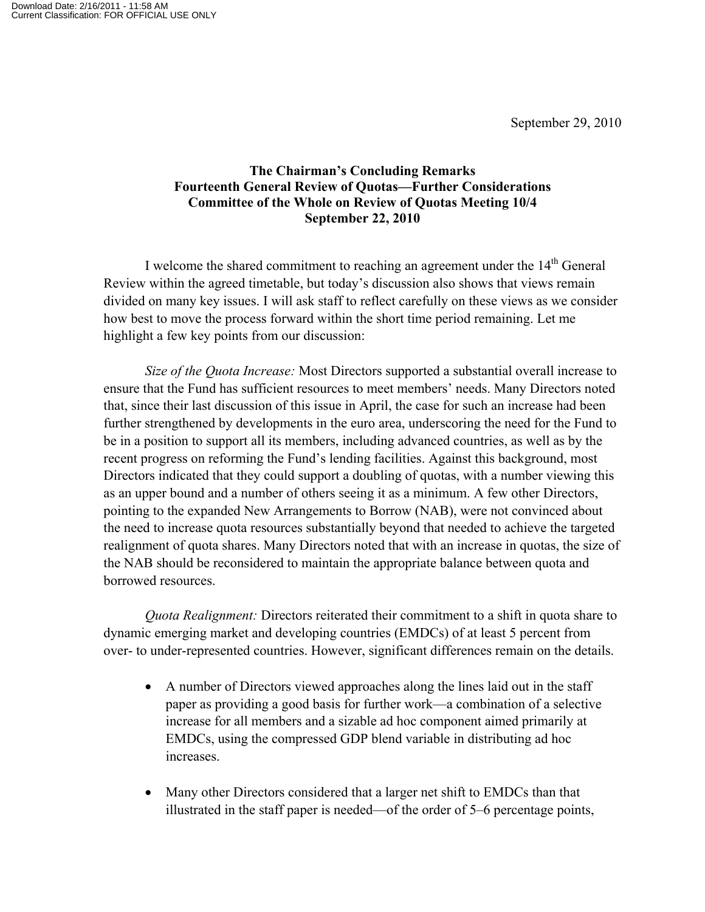## **The Chairman's Concluding Remarks Fourteenth General Review of Quotas—Further Considerations Committee of the Whole on Review of Quotas Meeting 10/4 September 22, 2010**

I welcome the shared commitment to reaching an agreement under the  $14<sup>th</sup>$  General Review within the agreed timetable, but today's discussion also shows that views remain divided on many key issues. I will ask staff to reflect carefully on these views as we consider how best to move the process forward within the short time period remaining. Let me highlight a few key points from our discussion:

*Size of the Quota Increase:* Most Directors supported a substantial overall increase to ensure that the Fund has sufficient resources to meet members' needs. Many Directors noted that, since their last discussion of this issue in April, the case for such an increase had been further strengthened by developments in the euro area, underscoring the need for the Fund to be in a position to support all its members, including advanced countries, as well as by the recent progress on reforming the Fund's lending facilities. Against this background, most Directors indicated that they could support a doubling of quotas, with a number viewing this as an upper bound and a number of others seeing it as a minimum. A few other Directors, pointing to the expanded New Arrangements to Borrow (NAB), were not convinced about the need to increase quota resources substantially beyond that needed to achieve the targeted realignment of quota shares. Many Directors noted that with an increase in quotas, the size of the NAB should be reconsidered to maintain the appropriate balance between quota and borrowed resources.

*Quota Realignment:* Directors reiterated their commitment to a shift in quota share to dynamic emerging market and developing countries (EMDCs) of at least 5 percent from over- to under-represented countries. However, significant differences remain on the details.

- A number of Directors viewed approaches along the lines laid out in the staff paper as providing a good basis for further work—a combination of a selective increase for all members and a sizable ad hoc component aimed primarily at EMDCs, using the compressed GDP blend variable in distributing ad hoc increases.
- Many other Directors considered that a larger net shift to EMDCs than that illustrated in the staff paper is needed—of the order of 5–6 percentage points,